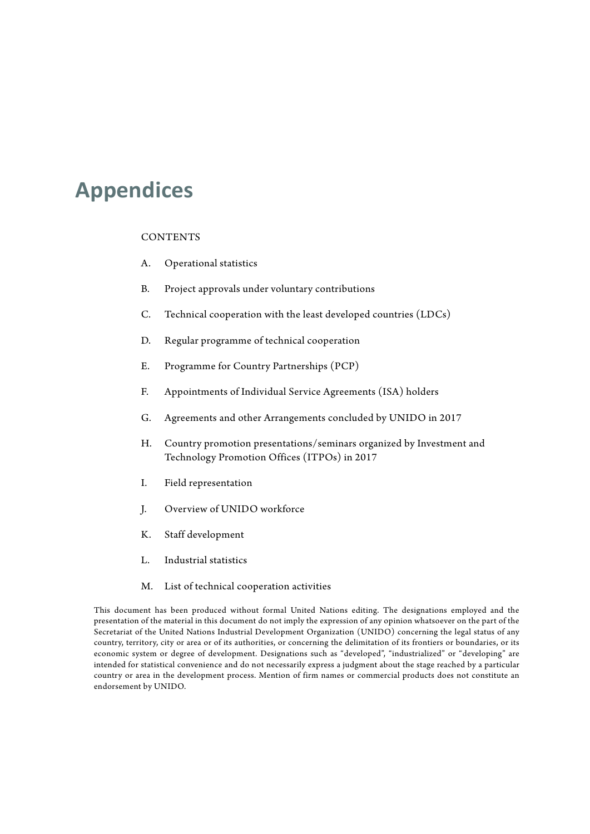# **Appendices**

# **CONTENTS**

- A. Operational statistics
- B. Project approvals under voluntary contributions
- C. Technical cooperation with the least developed countries (LDCs)
- D. Regular programme of technical cooperation
- E. Programme for Country Partnerships (PCP)
- F. Appointments of Individual Service Agreements (ISA) holders
- G. Agreements and other Arrangements concluded by UNIDO in 2017
- H. Country promotion presentations/seminars organized by Investment and Technology Promotion Offices (ITPOs) in 2017
- I. Field representation
- J. Overview of UNIDO workforce
- K. Staff development
- L. Industrial statistics
- M. List of technical cooperation activities

 This document has been produced without formal United Nations editing. The designations employed and the presentation of the material in this document do not imply the expression of any opinion whatsoever on the part of the Secretariat of the United Nations Industrial Development Organization (UNIDO) concerning the legal status of any country, territory, city or area or of its authorities, or concerning the delimitation of its frontiers or boundaries, or its economic system or degree of development. Designations such as "developed", "industrialized" or "developing" are intended for statistical convenience and do not necessarily express a judgment about the stage reached by a particular country or area in the development process. Mention of firm names or commercial products does not constitute an endorsement by UNIDO.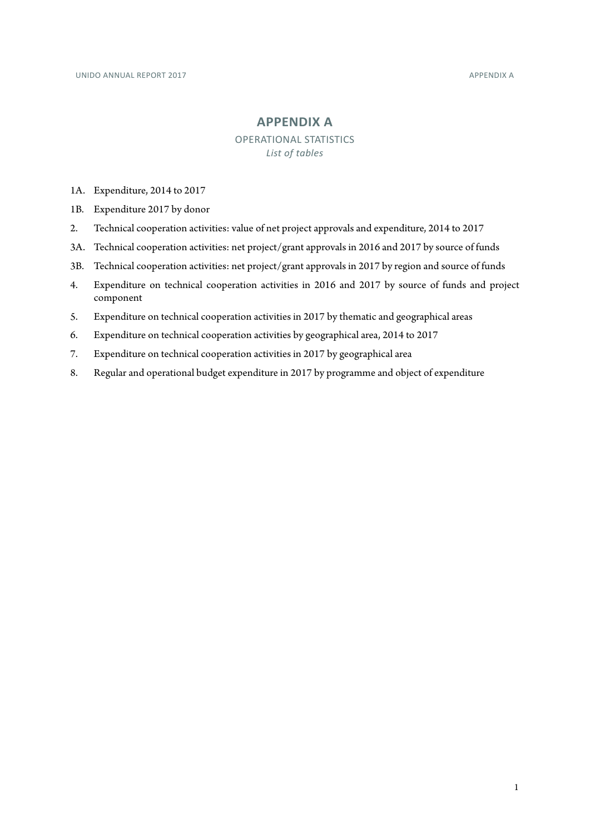# **APPENDIX A**

OPERATIONAL STATISTICS *List of tables* 

- 1A. Expenditure, 2014 to 2017
- 1B. Expenditure 2017 by donor
- 2. Technical cooperation activities: value of net project approvals and expenditure, 2014 to 2017
- 3A. Technical cooperation activities: net project/grant approvals in 2016 and 2017 by source of funds
- 3B. Technical cooperation activities: net project/grant approvals in 2017 by region and source of funds
- 4. Expenditure on technical cooperation activities in 2016 and 2017 by source of funds and project component
- 5. Expenditure on technical cooperation activities in 2017 by thematic and geographical areas
- 6. Expenditure on technical cooperation activities by geographical area, 2014 to 2017
- 7. Expenditure on technical cooperation activities in 2017 by geographical area
- 8. Regular and operational budget expenditure in 2017 by programme and object of expenditure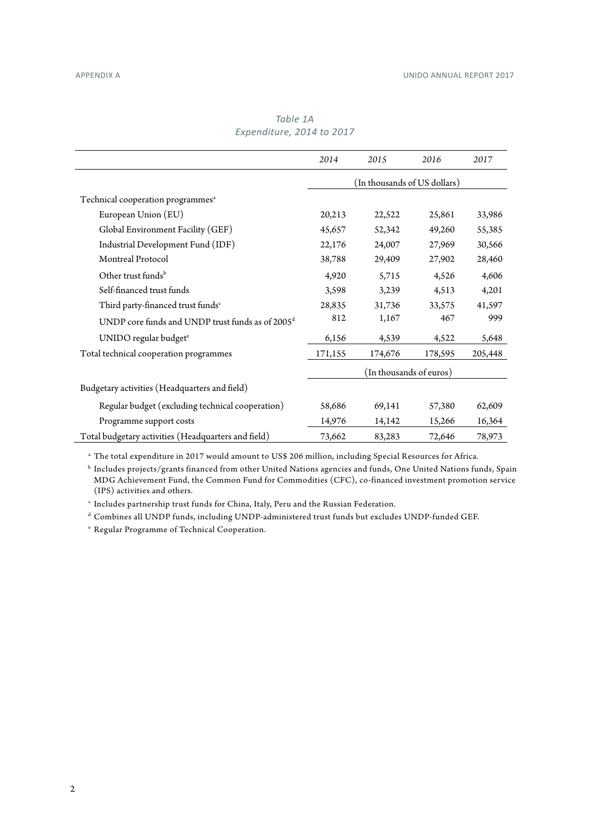|                                                              | 2014                    | 2015                         | 2016    | 2017    |  |  |
|--------------------------------------------------------------|-------------------------|------------------------------|---------|---------|--|--|
|                                                              |                         | (In thousands of US dollars) |         |         |  |  |
| Technical cooperation programmes <sup>a</sup>                |                         |                              |         |         |  |  |
| European Union (EU)                                          | 20,213                  | 22,522                       | 25,861  | 33,986  |  |  |
| Global Environment Facility (GEF)                            | 45,657                  | 52,342                       | 49,260  | 55,385  |  |  |
| Industrial Development Fund (IDF)                            | 22,176                  | 24,007                       | 27,969  | 30,566  |  |  |
| Montreal Protocol                                            | 38,788                  | 29,409                       | 27,902  | 28,460  |  |  |
| Other trust funds <sup>b</sup>                               | 4,920                   | 5,715                        | 4,526   | 4,606   |  |  |
| Self-financed trust funds                                    | 3,598                   | 3,239                        | 4,513   | 4,201   |  |  |
| Third party-financed trust funds <sup>c</sup>                | 28,835                  | 31,736                       | 33,575  | 41,597  |  |  |
| UNDP core funds and UNDP trust funds as of 2005 <sup>d</sup> | 812                     | 1,167                        | 467     | 999     |  |  |
| UNIDO regular budget <sup>e</sup>                            | 6,156                   | 4,539                        | 4,522   | 5,648   |  |  |
| Total technical cooperation programmes                       | 171,155                 | 174,676                      | 178,595 | 205,448 |  |  |
|                                                              | (In thousands of euros) |                              |         |         |  |  |
| Budgetary activities (Headquarters and field)                |                         |                              |         |         |  |  |
| Regular budget (excluding technical cooperation)             | 58,686                  | 69,141                       | 57,380  | 62,609  |  |  |
| Programme support costs                                      | 14,976                  | 14,142                       | 15,266  | 16,364  |  |  |
| Total budgetary activities (Headquarters and field)          | 73,662                  | 83,283                       | 72,646  | 78,973  |  |  |

*Table 1A Expenditure, 2014 to 2017* 

a The total expenditure in 2017 would amount to US\$ 206 million, including Special Resources for Africa.

 $^{\rm b}$  Includes projects/grants financed from other United Nations agencies and funds, One United Nations funds, Spain MDG Achievement Fund, the Common Fund for Commodities (CFC), co-financed investment promotion service (IPS) activities and others.

c Includes partnership trust funds for China, Italy, Peru and the Russian Federation.

d Combines all UNDP funds, including UNDP-administered trust funds but excludes UNDP-funded GEF.

e Regular Programme of Technical Cooperation.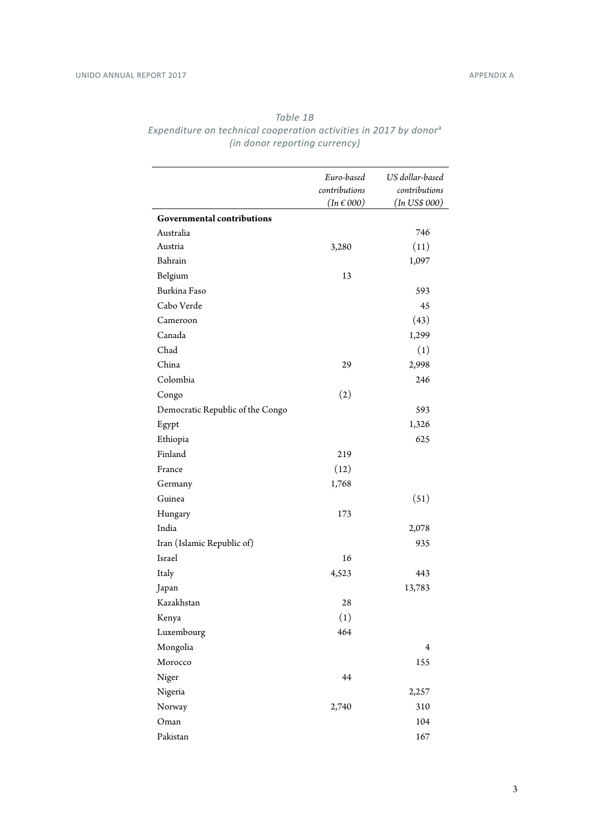|                                   | Euro-based<br>contributions | US dollar-based<br>contributions |
|-----------------------------------|-----------------------------|----------------------------------|
|                                   | $(In \in 000)$              | (In US\$ 000)                    |
| <b>Governmental contributions</b> |                             | 746                              |
| Australia<br>Austria              |                             |                                  |
| Bahrain                           | 3,280                       | (11)<br>1,097                    |
| Belgium                           | 13                          |                                  |
| Burkina Faso                      |                             | 593                              |
| Cabo Verde                        |                             | 45                               |
|                                   |                             | (43)                             |
| Cameroon<br>Canada                |                             |                                  |
| Chad                              |                             | 1,299<br>(1)                     |
| China                             |                             | 2,998                            |
| Colombia                          | 29                          | 246                              |
| Congo                             | (2)                         |                                  |
| Democratic Republic of the Congo  |                             | 593                              |
| Egypt                             |                             | 1,326                            |
| Ethiopia                          |                             | 625                              |
| Finland                           | 219                         |                                  |
| France                            | (12)                        |                                  |
| Germany                           | 1,768                       |                                  |
| Guinea                            |                             | (51)                             |
| Hungary                           | 173                         |                                  |
| India                             |                             | 2,078                            |
| Iran (Islamic Republic of)        |                             | 935                              |
| Israel                            | 16                          |                                  |
| Italy                             | 4,523                       | 443                              |
| Japan                             |                             | 13,783                           |
| Kazakhstan                        | 2.8                         |                                  |
| Kenya                             | (1)                         |                                  |
| Luxembourg                        | 464                         |                                  |
| Mongolia                          |                             | $\overline{4}$                   |
| Morocco                           |                             | 155                              |
| Niger                             | 44                          |                                  |
| Nigeria                           |                             | 2,257                            |
| Norway                            | 2,740                       | 310                              |
| Oman                              |                             | 104                              |
| Pakistan                          |                             | 167                              |

# *Table 1B Expenditure on technical cooperation activities in 2017 by donor*<sup>a</sup> *(in donor reporting currency)*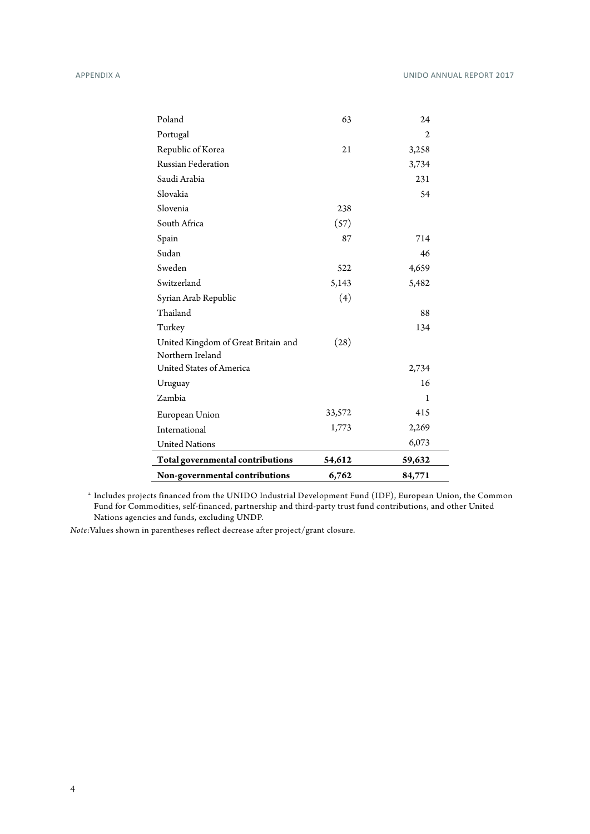| Poland                              | 63     | 24             |
|-------------------------------------|--------|----------------|
| Portugal                            |        | $\overline{c}$ |
| Republic of Korea                   | 21     | 3,258          |
| <b>Russian Federation</b>           |        | 3,734          |
| Saudi Arabia                        |        | 231            |
| Slovakia                            |        | 54             |
| Slovenia                            | 238    |                |
| South Africa                        | (57)   |                |
| Spain                               | 87     | 714            |
| Sudan                               |        | 46             |
| Sweden                              | 522    | 4,659          |
| Switzerland                         | 5,143  | 5,482          |
| Syrian Arab Republic                | (4)    |                |
| Thailand                            |        | 88             |
| Turkey                              |        | 134            |
| United Kingdom of Great Britain and | (28)   |                |
| Northern Ireland                    |        |                |
| United States of America            |        | 2,734          |
| Uruguay                             |        | 16             |
| Zambia                              |        | $\mathbf{1}$   |
| European Union                      | 33,572 | 415            |
| International                       | 1,773  | 2,269          |
| <b>United Nations</b>               |        | 6,073          |
| Total governmental contributions    | 54,612 | 59,632         |
| Non-governmental contributions      | 6,762  | 84,771         |

a Includes projects financed from the UNIDO Industrial Development Fund (IDF), European Union, the Common Fund for Commodities, self-financed, partnership and third-party trust fund contributions, and other United Nations agencies and funds, excluding UNDP.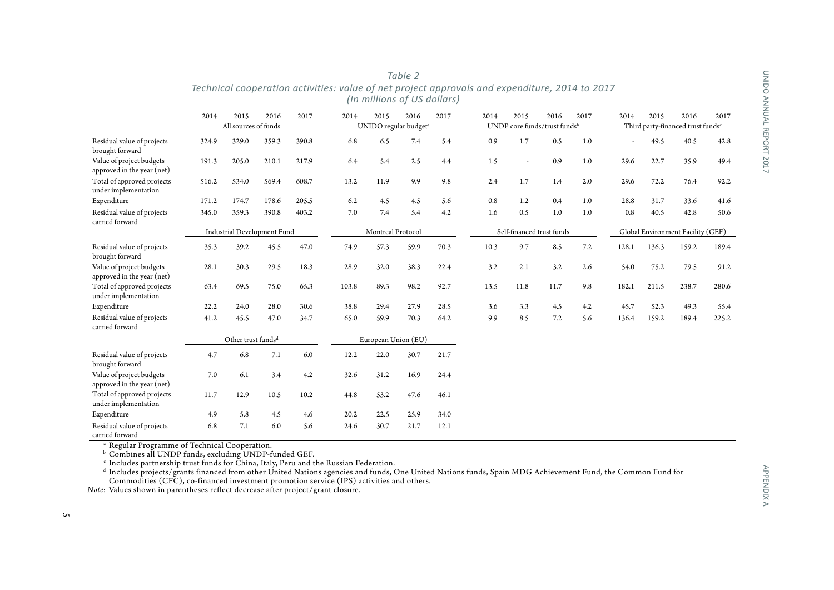|                                                        | 2014                        | 2015                      | 2016  | 2017  | 2014              | 2015                              | 2016 | 2017 | 2014 | 2015                      | 2016                                     | 2017                              | 2014  | 2015  | 2016                                          | 2017  |
|--------------------------------------------------------|-----------------------------|---------------------------|-------|-------|-------------------|-----------------------------------|------|------|------|---------------------------|------------------------------------------|-----------------------------------|-------|-------|-----------------------------------------------|-------|
|                                                        |                             | All sources of funds      |       |       |                   | UNIDO regular budget <sup>a</sup> |      |      |      |                           | UNDP core funds/trust funds <sup>b</sup> |                                   |       |       | Third party-financed trust funds <sup>c</sup> |       |
| Residual value of projects<br>brought forward          | 324.9                       | 329.0                     | 359.3 | 390.8 | 6.8               | 6.5                               | 7.4  | 5.4  | 0.9  | 1.7                       | 0.5                                      | 1.0                               |       | 49.5  | 40.5                                          | 42.8  |
| Value of project budgets<br>approved in the year (net) | 191.3                       | 205.0                     | 210.1 | 217.9 | 6.4               | 5.4                               | 2.5  | 4.4  | 1.5  | $\overline{\phantom{a}}$  | 0.9                                      | 1.0                               | 29.6  | 22.7  | 35.9                                          | 49.4  |
| Total of approved projects<br>under implementation     | 516.2                       | 534.0                     | 569.4 | 608.7 | 13.2              | 11.9                              | 9.9  | 9.8  | 2.4  | 1.7                       | 1.4                                      | 2.0                               | 29.6  | 72.2  | 76.4                                          | 92.2  |
| Expenditure                                            | 171.2                       | 174.7                     | 178.6 | 205.5 | 6.2               | 4.5                               | 4.5  | 5.6  | 0.8  | 1.2                       | 0.4                                      | 1.0                               | 28.8  | 31.7  | 33.6                                          | 41.6  |
| Residual value of projects<br>carried forward          | 345.0                       | 359.3                     | 390.8 | 403.2 | $7.0\,$           | 7.4                               | 5.4  | 4.2  | 1.6  | 0.5                       | $1.0$                                    | 1.0                               | 0.8   | 40.5  | 42.8                                          | 50.6  |
|                                                        | Industrial Development Fund |                           |       |       | Montreal Protocol |                                   |      |      |      | Self-financed trust funds |                                          | Global Environment Facility (GEF) |       |       |                                               |       |
| Residual value of projects<br>brought forward          | 35.3                        | 39.2                      | 45.5  | 47.0  | 74.9              | 57.3                              | 59.9 | 70.3 | 10.3 | 9.7                       | 8.5                                      | 7.2                               | 128.1 | 136.3 | 159.2                                         | 189.4 |
| Value of project budgets<br>approved in the year (net) | 28.1                        | 30.3                      | 29.5  | 18.3  | 28.9              | 32.0                              | 38.3 | 22.4 | 3.2  | 2.1                       | 3.2                                      | 2.6                               | 54.0  | 75.2  | 79.5                                          | 91.2  |
| Total of approved projects<br>under implementation     | 63.4                        | 69.5                      | 75.0  | 65.3  | 103.8             | 89.3                              | 98.2 | 92.7 | 13.5 | 11.8                      | 11.7                                     | 9.8                               | 182.1 | 211.5 | 238.7                                         | 280.6 |
| Expenditure                                            | 22.2                        | 24.0                      | 28.0  | 30.6  | 38.8              | 29.4                              | 27.9 | 28.5 | 3.6  | 3.3                       | 4.5                                      | 4.2                               | 45.7  | 52.3  | 49.3                                          | 55.4  |
| Residual value of projects<br>carried forward          | 41.2                        | 45.5                      | 47.0  | 34.7  | 65.0              | 59.9                              | 70.3 | 64.2 | 9.9  | 8.5                       | 7.2                                      | 5.6                               | 136.4 | 159.2 | 189.4                                         | 225.2 |
|                                                        |                             | Other trust funds $\rm^d$ |       |       |                   | European Union (EU)               |      |      |      |                           |                                          |                                   |       |       |                                               |       |
| Residual value of projects<br>brought forward          | 4.7                         | 6.8                       | 7.1   | 6.0   | 12.2              | 22.0                              | 30.7 | 21.7 |      |                           |                                          |                                   |       |       |                                               |       |
| Value of project budgets<br>approved in the year (net) | 7.0                         | 6.1                       | 3.4   | 4.2   | 32.6              | 31.2                              | 16.9 | 24.4 |      |                           |                                          |                                   |       |       |                                               |       |
| Total of approved projects<br>under implementation     | 11.7                        | 12.9                      | 10.5  | 10.2  | 44.8              | 53.2                              | 47.6 | 46.1 |      |                           |                                          |                                   |       |       |                                               |       |
| Expenditure                                            | 4.9                         | 5.8                       | 4.5   | 4.6   | 20.2              | 22.5                              | 25.9 | 34.0 |      |                           |                                          |                                   |       |       |                                               |       |
| Residual value of projects<br>carried forward          | 6.8                         | 7.1                       | 6.0   | 5.6   | 24.6              | 30.7                              | 21.7 | 12.1 |      |                           |                                          |                                   |       |       |                                               |       |

| Table 2                                                                                        |  |
|------------------------------------------------------------------------------------------------|--|
| Technical cooperation activities: value of net project approvals and expenditure, 2014 to 2017 |  |
| (In millions of US dollars)                                                                    |  |

<sup>a</sup> Regular Programme of Technical Cooperation.

b Combines all UNDP funds, excluding UNDP-funded GEF.

 $\epsilon$  Includes partnership trust funds for China, Italy, Peru and the Russian Federation.

d Includes projects/grants financed from other United Nations agencies and funds, One United Nations funds, Spain MDG Achievement Fund, the Common Fund for Commodities (CFC), co-financed investment promotion service (IPS) activities and others.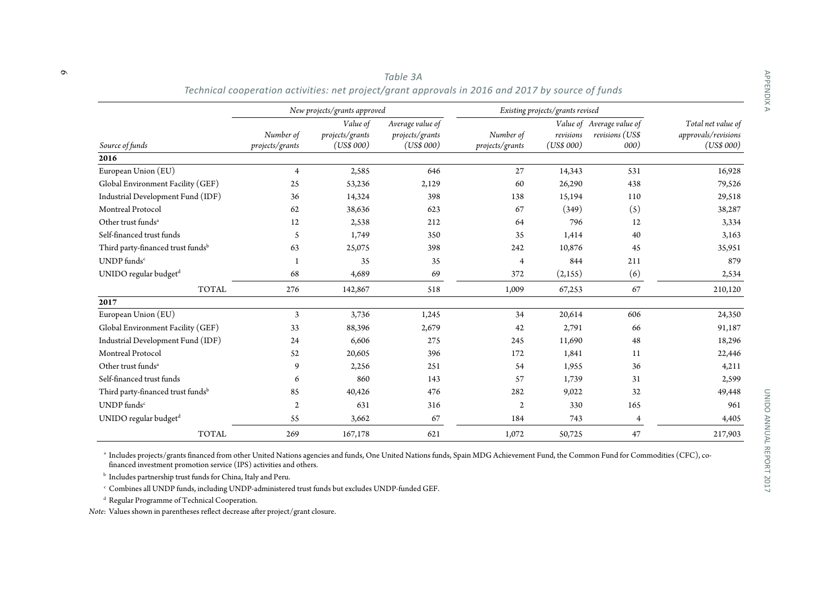|                                               |                              | New projects/grants approved              |                                                   |                              | Existing projects/grants revised |                                                      |                                                         |  |
|-----------------------------------------------|------------------------------|-------------------------------------------|---------------------------------------------------|------------------------------|----------------------------------|------------------------------------------------------|---------------------------------------------------------|--|
| Source of funds                               | Number of<br>projects/grants | Value of<br>projects/grants<br>(US\$ 000) | Average value of<br>projects/grants<br>(US\$ 000) | Number of<br>projects/grants | revisions<br>(US\$ 000)          | Value of Average value of<br>revisions (US\$<br>000) | Total net value of<br>approvals/revisions<br>(US\$ 000) |  |
| 2016                                          |                              |                                           |                                                   |                              |                                  |                                                      |                                                         |  |
| European Union (EU)                           | $\overline{4}$               | 2,585                                     | 646                                               | 27                           | 14,343                           | 531                                                  | 16,928                                                  |  |
| Global Environment Facility (GEF)             | 25                           | 53,236                                    | 2,129                                             | 60                           | 26,290                           | 438                                                  | 79,526                                                  |  |
| Industrial Development Fund (IDF)             | 36                           | 14,324                                    | 398                                               | 138                          | 15,194                           | 110                                                  | 29,518                                                  |  |
| Montreal Protocol                             | 62                           | 38,636                                    | 623                                               | 67                           | (349)                            | (5)                                                  | 38,287                                                  |  |
| Other trust funds <sup>a</sup>                | 12                           | 2,538                                     | 212                                               | 64                           | 796                              | 12                                                   | 3,334                                                   |  |
| Self-financed trust funds                     | 5                            | 1,749                                     | 350                                               | 35                           | 1,414                            | 40                                                   | 3,163                                                   |  |
| Third party-financed trust funds <sup>b</sup> | 63                           | 25,075                                    | 398                                               | 242                          | 10,876                           | 45                                                   | 35,951                                                  |  |
| UNDP funds <sup>c</sup>                       | $\mathbf{1}$                 | 35                                        | 35                                                | $\overline{4}$               | 844                              | 211                                                  | 879                                                     |  |
| UNIDO regular budget <sup>d</sup>             | 68                           | 4,689                                     | 69                                                | 372                          | (2,155)                          | (6)                                                  | 2,534                                                   |  |
| <b>TOTAL</b>                                  | 276                          | 142,867                                   | 518                                               | 1,009                        | 67,253                           | 67                                                   | 210,120                                                 |  |
| 2017                                          |                              |                                           |                                                   |                              |                                  |                                                      |                                                         |  |
| European Union (EU)                           | 3                            | 3,736                                     | 1,245                                             | 34                           | 20,614                           | 606                                                  | 24,350                                                  |  |
| Global Environment Facility (GEF)             | 33                           | 88,396                                    | 2,679                                             | 42                           | 2,791                            | 66                                                   | 91,187                                                  |  |
| Industrial Development Fund (IDF)             | 24                           | 6,606                                     | 275                                               | 245                          | 11,690                           | 48                                                   | 18,296                                                  |  |
| Montreal Protocol                             | 52                           | 20,605                                    | 396                                               | 172                          | 1,841                            | 11                                                   | 22,446                                                  |  |
| Other trust funds <sup>a</sup>                | 9                            | 2,256                                     | 251                                               | 54                           | 1,955                            | 36                                                   | 4,211                                                   |  |
| Self-financed trust funds                     | 6                            | 860                                       | 143                                               | 57                           | 1,739                            | 31                                                   | 2,599                                                   |  |
| Third party-financed trust funds <sup>b</sup> | 85                           | 40,426                                    | 476                                               | 282                          | 9,022                            | 32                                                   | 49,448                                                  |  |
| UNDP funds <sup>c</sup>                       | 2                            | 631                                       | 316                                               | $\overline{2}$               | 330                              | 165                                                  | 961                                                     |  |
| UNIDO regular budget <sup>d</sup>             | 55                           | 3,662                                     | 67                                                | 184                          | 743                              | $\overline{4}$                                       | 4,405                                                   |  |
| <b>TOTAL</b>                                  | 269                          | 167,178                                   | 621                                               | 1,072                        | 50,725                           | 47                                                   | 217,903                                                 |  |

d Regular Programme of Technical Cooperation.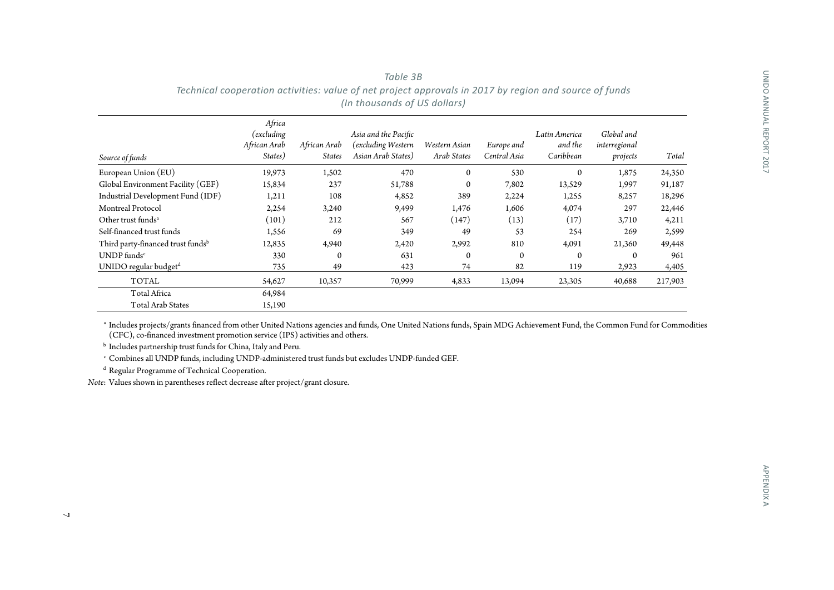| Source of funds                               | Africa<br>excluding)<br>African Arab<br>States) | African Arab<br>States | Asia and the Pacific<br>excluding Western)<br>Asian Arab States) | Western Asian<br>Arab States | Europe and<br>Central Asia | Latin America<br>and the<br>Caribbean | Global and<br>interregional<br>projects | Total   |
|-----------------------------------------------|-------------------------------------------------|------------------------|------------------------------------------------------------------|------------------------------|----------------------------|---------------------------------------|-----------------------------------------|---------|
| European Union (EU)                           | 19,973                                          | 1,502                  | 470                                                              | 0                            | 530                        | 0                                     | 1,875                                   | 24,350  |
| Global Environment Facility (GEF)             | 15,834                                          | 237                    | 51,788                                                           | $\Omega$                     | 7,802                      | 13,529                                | 1,997                                   | 91,187  |
| Industrial Development Fund (IDF)             | 1,211                                           | 108                    | 4,852                                                            | 389                          | 2,224                      | 1,255                                 | 8,257                                   | 18,296  |
| Montreal Protocol                             | 2,254                                           | 3,240                  | 9,499                                                            | 1,476                        | 1,606                      | 4,074                                 | 297                                     | 22,446  |
| Other trust funds <sup>a</sup>                | (101)                                           | 212                    | 567                                                              | (147)                        | (13)                       | (17)                                  | 3,710                                   | 4,211   |
| Self-financed trust funds                     | 1,556                                           | 69                     | 349                                                              | 49                           | 53                         | 254                                   | 269                                     | 2,599   |
| Third party-financed trust funds <sup>b</sup> | 12,835                                          | 4,940                  | 2,420                                                            | 2,992                        | 810                        | 4,091                                 | 21,360                                  | 49,448  |
| $UNDP$ funds <sup>c</sup>                     | 330                                             | $\mathbf{0}$           | 631                                                              | 0                            | $\mathbf{0}$               | $\Omega$                              | $\mathbf{0}$                            | 961     |
| UNIDO regular budget <sup>d</sup>             | 735                                             | 49                     | 423                                                              | 74                           | 82                         | 119                                   | 2,923                                   | 4,405   |
| <b>TOTAL</b>                                  | 54,627                                          | 10,357                 | 70,999                                                           | 4,833                        | 13,094                     | 23,305                                | 40,688                                  | 217,903 |
| Total Africa                                  | 64,984                                          |                        |                                                                  |                              |                            |                                       |                                         |         |
| Total Arab States                             | 15,190                                          |                        |                                                                  |                              |                            |                                       |                                         |         |

*Table 3B Technical cooperation activities: value of net project approvals in 2017 by region and source of funds (In thousands of US dollars)* 

<sup>a</sup> Includes projects/grants financed from other United Nations agencies and funds, One United Nations funds, Spain MDG Achievement Fund, the Common Fund for Commodities (CFC), co-financed investment promotion service (IPS) activities and others.

b Includes partnership trust funds for China, Italy and Peru.

 $^{\rm c}$  Combines all UNDP funds, including UNDP-administered trust funds but excludes UNDP-funded GEF.

d Regular Programme of Technical Cooperation.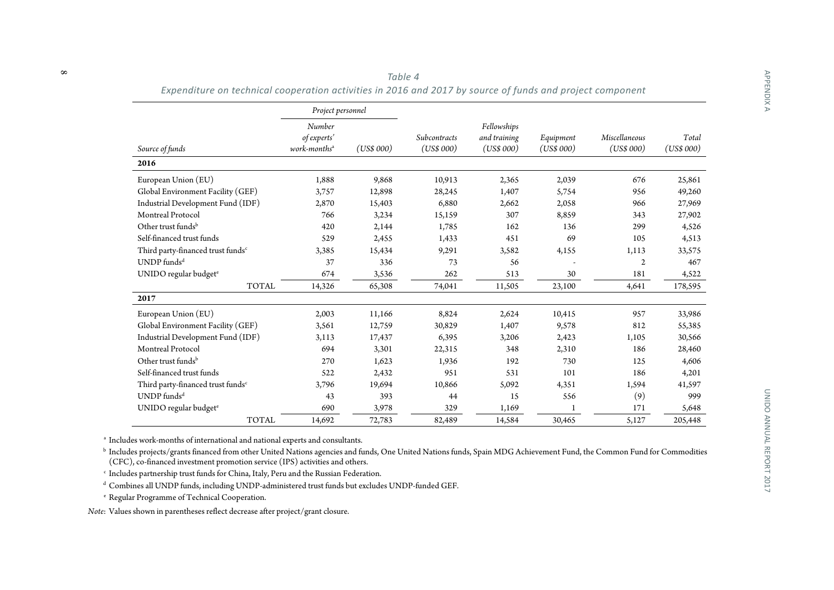|  |  | ≃ |
|--|--|---|
|  |  | o |
|  |  | 곥 |
|  |  | z |
|  |  |   |
|  |  |   |
|  |  |   |
|  |  |   |
|  |  | ⋗ |
|  |  |   |
|  |  |   |
|  |  |   |
|  |  |   |
|  |  |   |
|  |  |   |

|                                                                                                                                                                                                                                                                                                                                                   | Project personnel                                 |            |                            |                                           |                         |                             |                     |
|---------------------------------------------------------------------------------------------------------------------------------------------------------------------------------------------------------------------------------------------------------------------------------------------------------------------------------------------------|---------------------------------------------------|------------|----------------------------|-------------------------------------------|-------------------------|-----------------------------|---------------------|
| Source of funds                                                                                                                                                                                                                                                                                                                                   | Number<br>of experts'<br>work-months <sup>a</sup> | (US\$ 000) | Subcontracts<br>(US\$ 000) | Fellowships<br>and training<br>(US\$ 000) | Equipment<br>(US\$ 000) | Miscellaneous<br>(US\$ 000) | Total<br>(US\$ 000) |
| 2016                                                                                                                                                                                                                                                                                                                                              |                                                   |            |                            |                                           |                         |                             |                     |
| European Union (EU)                                                                                                                                                                                                                                                                                                                               | 1,888                                             | 9,868      | 10,913                     | 2,365                                     | 2,039                   | 676                         | 25,861              |
| Global Environment Facility (GEF)                                                                                                                                                                                                                                                                                                                 | 3,757                                             | 12,898     | 28,245                     | 1,407                                     | 5,754                   | 956                         | 49,260              |
| Industrial Development Fund (IDF)                                                                                                                                                                                                                                                                                                                 | 2,870                                             | 15,403     | 6,880                      | 2,662                                     | 2,058                   | 966                         | 27,969              |
| Montreal Protocol                                                                                                                                                                                                                                                                                                                                 | 766                                               | 3,234      | 15,159                     | 307                                       | 8,859                   | 343                         | 27,902              |
| Other trust funds <sup>b</sup>                                                                                                                                                                                                                                                                                                                    | 420                                               | 2,144      | 1,785                      | 162                                       | 136                     | 299                         | 4,526               |
| Self-financed trust funds                                                                                                                                                                                                                                                                                                                         | 529                                               | 2,455      | 1,433                      | 451                                       | 69                      | 105                         | 4,513               |
| Third party-financed trust funds <sup>c</sup>                                                                                                                                                                                                                                                                                                     | 3,385                                             | 15,434     | 9,291                      | 3,582                                     | 4,155                   | 1,113                       | 33,575              |
| $UNDP$ funds <sup>d</sup>                                                                                                                                                                                                                                                                                                                         | 37                                                | 336        | 73                         | 56                                        |                         | $\mathfrak{2}$              | 467                 |
| UNIDO regular budget <sup>e</sup>                                                                                                                                                                                                                                                                                                                 | 674                                               | 3,536      | 262                        | 513                                       | 30                      | 181                         | 4,522               |
| <b>TOTAL</b>                                                                                                                                                                                                                                                                                                                                      | 14,326                                            | 65,308     | 74,041                     | 11,505                                    | 23,100                  | 4,641                       | 178,595             |
| 2017                                                                                                                                                                                                                                                                                                                                              |                                                   |            |                            |                                           |                         |                             |                     |
| European Union (EU)                                                                                                                                                                                                                                                                                                                               | 2,003                                             | 11,166     | 8,824                      | 2,624                                     | 10,415                  | 957                         | 33,986              |
| Global Environment Facility (GEF)                                                                                                                                                                                                                                                                                                                 | 3,561                                             | 12,759     | 30,829                     | 1,407                                     | 9,578                   | 812                         | 55,385              |
| Industrial Development Fund (IDF)                                                                                                                                                                                                                                                                                                                 | 3,113                                             | 17,437     | 6,395                      | 3,206                                     | 2,423                   | 1,105                       | 30,566              |
| Montreal Protocol                                                                                                                                                                                                                                                                                                                                 | 694                                               | 3,301      | 22,315                     | 348                                       | 2,310                   | 186                         | 28,460              |
| Other trust funds <sup>b</sup>                                                                                                                                                                                                                                                                                                                    | 270                                               | 1,623      | 1,936                      | 192                                       | 730                     | 125                         | 4,606               |
| Self-financed trust funds                                                                                                                                                                                                                                                                                                                         | 522                                               | 2,432      | 951                        | 531                                       | 101                     | 186                         | 4,201               |
| Third party-financed trust funds <sup>c</sup>                                                                                                                                                                                                                                                                                                     | 3,796                                             | 19,694     | 10,866                     | 5,092                                     | 4,351                   | 1,594                       | 41,597              |
| UNDP funds <sup>d</sup>                                                                                                                                                                                                                                                                                                                           | 43                                                | 393        | 44                         | 15                                        | 556                     | (9)                         | 999                 |
| UNIDO regular budget <sup>e</sup>                                                                                                                                                                                                                                                                                                                 | 690                                               | 3,978      | 329                        | 1,169                                     |                         | 171                         | 5,648               |
| <b>TOTAL</b>                                                                                                                                                                                                                                                                                                                                      | 14,692                                            | 72,783     | 82,489                     | 14,584                                    | 30,465                  | 5,127                       | 205,448             |
| <sup>a</sup> Includes work-months of international and national experts and consultants.<br>Includes projects/grants financed from other United Nations agencies and funds, One United Nations funds, Spain MDG Achievement Fund, the Common Fund for Commodities<br>(CFC), co-financed investment promotion service (IPS) activities and others. |                                                   |            |                            |                                           |                         |                             |                     |

|                                                                                                           | Table 4 |  |
|-----------------------------------------------------------------------------------------------------------|---------|--|
| Expenditure on technical cooperation activities in 2016 and 2017 by source of funds and project component |         |  |

e Regular Programme of Technical Cooperation.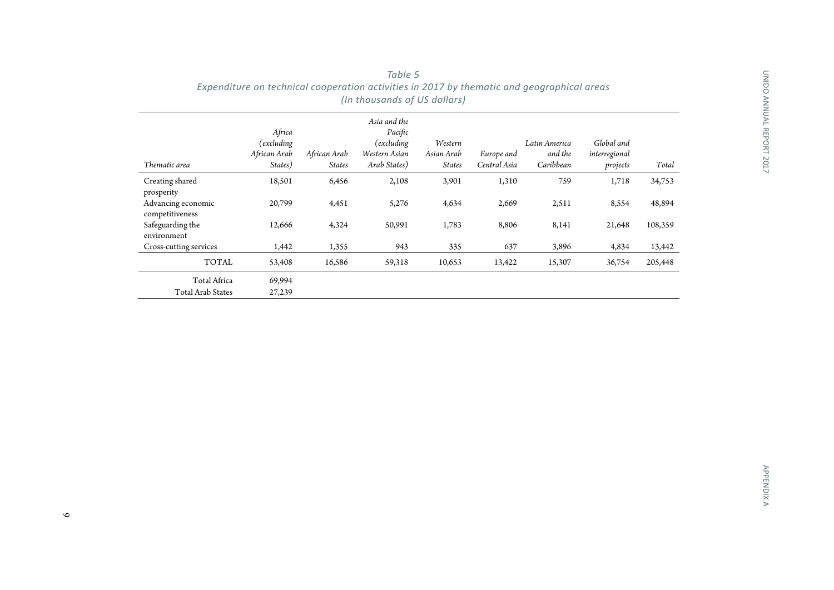| Thematic area                                       | Africa<br>(excluding<br>African Arab<br>States) | African Arab<br><b>States</b> | Asia and the<br>Pacific<br>(excluding<br>Western Asian<br>Arab States) | Western<br>Asian Arab<br><b>States</b> | Europe and<br>Central Asia | Latin America<br>and the<br>Caribbean | Global and<br>interregional<br>projects | Total   |
|-----------------------------------------------------|-------------------------------------------------|-------------------------------|------------------------------------------------------------------------|----------------------------------------|----------------------------|---------------------------------------|-----------------------------------------|---------|
| Creating shared                                     | 18,501                                          | 6,456                         | 2,108                                                                  | 3,901                                  | 1,310                      | 759                                   | 1,718                                   | 34,753  |
| prosperity<br>Advancing economic<br>competitiveness | 20,799                                          | 4,451                         | 5,276                                                                  | 4,634                                  | 2,669                      | 2,511                                 | 8,554                                   | 48,894  |
| Safeguarding the<br>environment                     | 12,666                                          | 4,324                         | 50,991                                                                 | 1,783                                  | 8,806                      | 8,141                                 | 21,648                                  | 108,359 |
| Cross-cutting services                              | 1,442                                           | 1,355                         | 943                                                                    | 335                                    | 637                        | 3,896                                 | 4,834                                   | 13,442  |
| <b>TOTAL</b>                                        | 53,408                                          | 16,586                        | 59,318                                                                 | 10,653                                 | 13,422                     | 15,307                                | 36,754                                  | 205,448 |
| Total Africa                                        | 69,994                                          |                               |                                                                        |                                        |                            |                                       |                                         |         |
| Total Arab States                                   | 27,239                                          |                               |                                                                        |                                        |                            |                                       |                                         |         |

| Table 5                                                                                    |  |
|--------------------------------------------------------------------------------------------|--|
| Expenditure on technical cooperation activities in 2017 by thematic and geographical areas |  |
| (In thousands of US dollars)                                                               |  |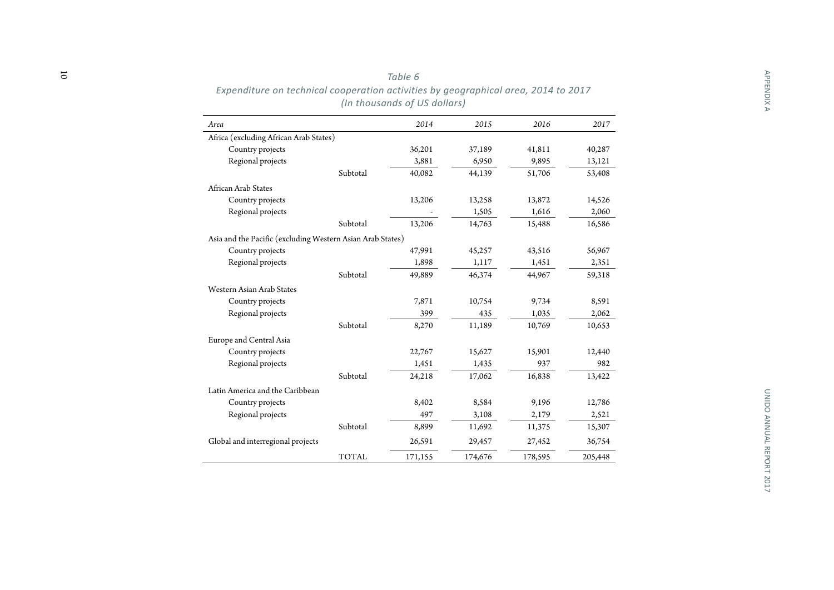| Table 6                                                                            |  |
|------------------------------------------------------------------------------------|--|
| Expenditure on technical cooperation activities by geographical area, 2014 to 2017 |  |
| (In thousands of US dollars)                                                       |  |

| Area                                                       |              | 2014    | 2015    | 2016    | 2017    |
|------------------------------------------------------------|--------------|---------|---------|---------|---------|
| Africa (excluding African Arab States)                     |              |         |         |         |         |
| Country projects                                           |              | 36,201  | 37,189  | 41,811  | 40,287  |
| Regional projects                                          |              | 3,881   | 6,950   | 9,895   | 13,121  |
|                                                            | Subtotal     | 40,082  | 44,139  | 51,706  | 53,408  |
| African Arab States                                        |              |         |         |         |         |
| Country projects                                           |              | 13,206  | 13,258  | 13,872  | 14,526  |
| Regional projects                                          |              |         | 1,505   | 1,616   | 2,060   |
|                                                            | Subtotal     | 13,206  | 14,763  | 15,488  | 16,586  |
| Asia and the Pacific (excluding Western Asian Arab States) |              |         |         |         |         |
| Country projects                                           |              | 47,991  | 45,257  | 43,516  | 56,967  |
| Regional projects                                          |              | 1,898   | 1,117   | 1,451   | 2,351   |
|                                                            | Subtotal     | 49,889  | 46,374  | 44,967  | 59,318  |
| Western Asian Arab States                                  |              |         |         |         |         |
| Country projects                                           |              | 7,871   | 10,754  | 9,734   | 8,591   |
| Regional projects                                          |              | 399     | 435     | 1,035   | 2,062   |
|                                                            | Subtotal     | 8,270   | 11,189  | 10,769  | 10,653  |
| Europe and Central Asia                                    |              |         |         |         |         |
| Country projects                                           |              | 22,767  | 15,627  | 15,901  | 12,440  |
| Regional projects                                          |              | 1,451   | 1,435   | 937     | 982     |
|                                                            | Subtotal     | 24,218  | 17,062  | 16,838  | 13,422  |
| Latin America and the Caribbean                            |              |         |         |         |         |
| Country projects                                           |              | 8,402   | 8,584   | 9,196   | 12,786  |
| Regional projects                                          |              | 497     | 3,108   | 2,179   | 2,521   |
|                                                            | Subtotal     | 8,899   | 11,692  | 11,375  | 15,307  |
| Global and interregional projects                          |              | 26,591  | 29,457  | 27,452  | 36,754  |
|                                                            | <b>TOTAL</b> | 171,155 | 174,676 | 178,595 | 205,448 |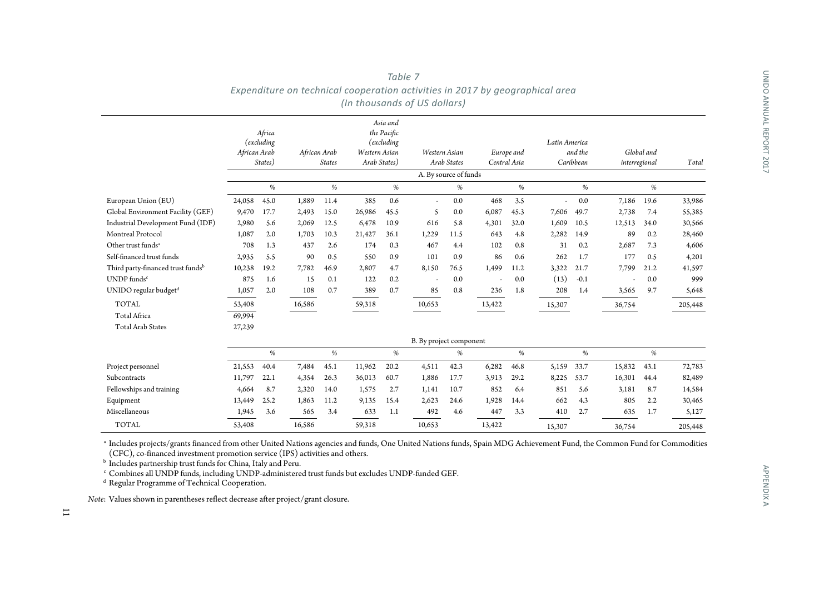|                                               | African Arab | Africa<br>(excluding<br>States) | African Arab | <b>States</b> | Western Asian<br>Arab States) | Asia and<br>the Pacific<br>(excluding | Western Asian           | Arab States |        | Europe and<br>Central Asia | Latin America | and the<br>Caribbean | interregional | Global and | Total   |
|-----------------------------------------------|--------------|---------------------------------|--------------|---------------|-------------------------------|---------------------------------------|-------------------------|-------------|--------|----------------------------|---------------|----------------------|---------------|------------|---------|
|                                               |              |                                 |              |               |                               |                                       | A. By source of funds   |             |        |                            |               |                      |               |            |         |
|                                               |              | $\%$                            |              | $\%$          |                               | $\%$                                  |                         | $\%$        |        | $\%$                       |               | $\%$                 |               | %          |         |
| European Union (EU)                           | 24,058       | 45.0                            | 1,889        | 11.4          | 385                           | 0.6                                   |                         | 0.0         | 468    | 3.5                        |               | 0.0                  | 7,186         | 19.6       | 33,986  |
| Global Environment Facility (GEF)             | 9,470        | 17.7                            | 2,493        | 15.0          | 26,986                        | 45.5                                  | 5                       | 0.0         | 6,087  | 45.3                       | 7,606         | 49.7                 | 2,738         | 7.4        | 55,385  |
| Industrial Development Fund (IDF)             | 2,980        | 5.6                             | 2,069        | 12.5          | 6,478                         | 10.9                                  | 616                     | 5.8         | 4,301  | 32.0                       | 1,609         | 10.5                 | 12,513        | 34.0       | 30,566  |
| Montreal Protocol                             | 1,087        | 2.0                             | 1,703        | 10.3          | 21,427                        | 36.1                                  | 1,229                   | 11.5        | 643    | 4.8                        | 2,282         | 14.9                 | 89            | 0.2        | 28,460  |
| Other trust funds <sup>a</sup>                | 708          | 1.3                             | 437          | 2.6           | 174                           | 0.3                                   | 467                     | 4.4         | 102    | 0.8                        | 31            | 0.2                  | 2,687         | 7.3        | 4,606   |
| Self-financed trust funds                     | 2,935        | 5.5                             | 90           | 0.5           | 550                           | 0.9                                   | 101                     | 0.9         | 86     | 0.6                        | 262           | 1.7                  | 177           | 0.5        | 4,201   |
| Third party-financed trust funds <sup>b</sup> | 10,238       | 19.2                            | 7,782        | 46.9          | 2,807                         | 4.7                                   | 8,150                   | 76.5        | 1,499  | 11.2                       | 3,322         | 21.7                 | 7,799         | 21.2       | 41,597  |
| UNDP funds <sup>c</sup>                       | 875          | 1.6                             | 15           | 0.1           | 122                           | 0.2                                   |                         | 0.0         |        | 0.0                        | (13)          | $-0.1$               |               | 0.0        | 999     |
| UNIDO regular budget <sup>d</sup>             | 1,057        | 2.0                             | 108          | 0.7           | 389                           | 0.7                                   | 85                      | 0.8         | 236    | 1.8                        | 208           | 1.4                  | 3,565         | 9.7        | 5,648   |
| <b>TOTAL</b>                                  | 53,408       |                                 | 16,586       |               | 59,318                        |                                       | 10,653                  |             | 13,422 |                            | 15,307        |                      | 36,754        |            | 205,448 |
| Total Africa                                  | 69,994       |                                 |              |               |                               |                                       |                         |             |        |                            |               |                      |               |            |         |
| <b>Total Arab States</b>                      | 27,239       |                                 |              |               |                               |                                       |                         |             |        |                            |               |                      |               |            |         |
|                                               |              |                                 |              |               |                               |                                       | B. By project component |             |        |                            |               |                      |               |            |         |
|                                               |              | %                               |              | $\%$          |                               | %                                     |                         | %           |        | $\%$                       |               | $\%$                 |               | $\%$       |         |
| Project personnel                             | 21,553       | 40.4                            | 7,484        | 45.1          | 11,962                        | 20.2                                  | 4,511                   | 42.3        | 6,282  | 46.8                       | 5,159         | 33.7                 | 15,832        | 43.1       | 72,783  |
| Subcontracts                                  | 11,797       | 22.1                            | 4,354        | 26.3          | 36,013                        | 60.7                                  | 1,886                   | 17.7        | 3,913  | 29.2                       | 8,225         | 53.7                 | 16,301        | 44.4       | 82,489  |
| Fellowships and training                      | 4,664        | 8.7                             | 2,320        | 14.0          | 1,575                         | 2.7                                   | 1,141                   | 10.7        | 852    | 6.4                        | 851           | 5.6                  | 3,181         | 8.7        | 14,584  |
| Equipment                                     | 13,449       | 25.2                            | 1,863        | 11.2          | 9,135                         | 15.4                                  | 2,623                   | 24.6        | 1,928  | 14.4                       | 662           | 4.3                  | 805           | 2.2        | 30,465  |
| Miscellaneous                                 | 1,945        | 3.6                             | 565          | 3.4           | 633                           | 1.1                                   | 492                     | 4.6         | 447    | 3.3                        | 410           | 2.7                  | 635           | 1.7        | 5,127   |
| <b>TOTAL</b>                                  | 53,408       |                                 | 16,586       |               | 59,318                        |                                       | 10,653                  |             | 13,422 |                            | 15,307        |                      | 36,754        |            | 205,448 |

*Table 7 Expenditure on technical cooperation activities in 2017 by geographical area (In thousands of US dollars)* 

<sup>a</sup> Includes projects/grants financed from other United Nations agencies and funds, One United Nations funds, Spain MDG Achievement Fund, the Common Fund for Commodities (CFC), co-financed investment promotion service (IPS) activities and others.

b Includes partnership trust funds for China, Italy and Peru.

c Combines all UNDP funds, including UNDP-administered trust funds but excludes UNDP-funded GEF.

d Regular Programme of Technical Cooperation.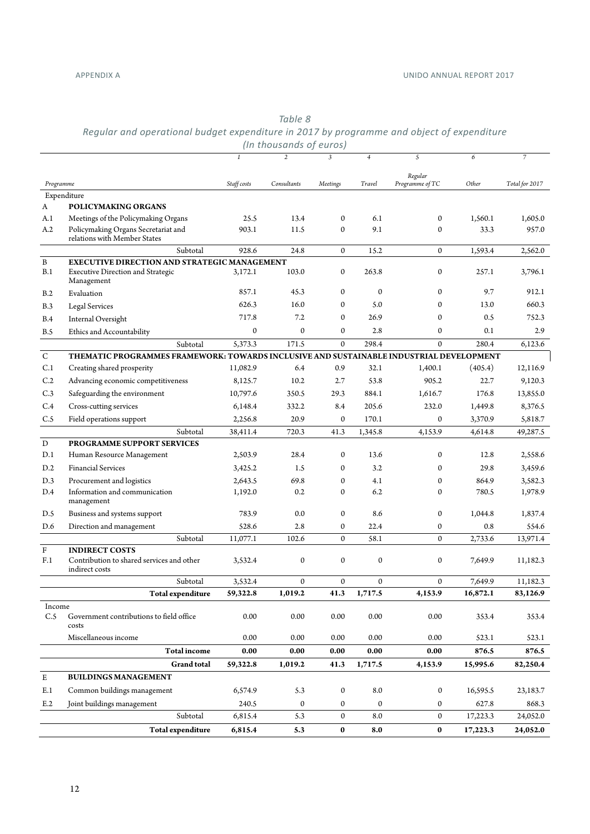*Table 8* 

*Regular and operational budget expenditure in 2017 by programme and object of expenditure* 

|                    |                                                                                                        |                  | $\mu$ and additional by | cm <sub>z</sub>  |                  |                            |          |                |
|--------------------|--------------------------------------------------------------------------------------------------------|------------------|-------------------------|------------------|------------------|----------------------------|----------|----------------|
|                    |                                                                                                        |                  | $\overline{c}$          | 3                | $\overline{4}$   | 5                          | 6        | 7              |
| Programme          |                                                                                                        | Staff costs      | Consultants             | Meetings         | Travel           | Regular<br>Programme of TC | Other    | Total for 2017 |
|                    | Expenditure                                                                                            |                  |                         |                  |                  |                            |          |                |
| A                  | POLICYMAKING ORGANS                                                                                    |                  |                         |                  |                  |                            |          |                |
| A.1                | Meetings of the Policymaking Organs                                                                    | 25.5             | 13.4                    | 0                | 6.1              | 0                          | 1,560.1  | 1,605.0        |
| A.2                | Policymaking Organs Secretariat and<br>relations with Member States                                    | 903.1            | 11.5                    | 0                | 9.1              | $\mathbf{0}$               | 33.3     | 957.0          |
|                    | Subtotal                                                                                               | 928.6            | 24.8                    | 0                | 15.2             | $\mathbf 0$                | 1,593.4  | 2,562.0        |
| B<br>B.1           | <b>EXECUTIVE DIRECTION AND STRATEGIC MANAGEMENT</b><br>Executive Direction and Strategic<br>Management | 3,172.1          | 103.0                   | 0                | 263.8            | 0                          | 257.1    | 3,796.1        |
| B.2                | Evaluation                                                                                             | 857.1            | 45.3                    | 0                | 0                | 0                          | 9.7      | 912.1          |
| <b>B.3</b>         | <b>Legal Services</b>                                                                                  | 626.3            | 16.0                    | 0                | 5.0              | $\Omega$                   | 13.0     | 660.3          |
| B.4                | Internal Oversight                                                                                     | 717.8            | 7.2                     | $\mathbf{0}$     | 26.9             | $\Omega$                   | 0.5      | 752.3          |
| <b>B.5</b>         | Ethics and Accountability                                                                              | $\boldsymbol{0}$ | $\boldsymbol{0}$        | 0                | 2.8              | 0                          | 0.1      | 2.9            |
|                    | Subtotal                                                                                               | 5,373.3          | 171.5                   | $\mathbf{0}$     | 298.4            | $\mathbf{0}$               | 280.4    | 6,123.6        |
| $\mathsf{C}$       | THEMATIC PROGRAMMES FRAMEWORK: TOWARDS INCLUSIVE AND SUSTAINABLE INDUSTRIAL DEVELOPMENT                |                  |                         |                  |                  |                            |          |                |
| C.1                | Creating shared prosperity                                                                             | 11,082.9         | 6.4                     | 0.9              | 32.1             | 1,400.1                    | (405.4)  | 12,116.9       |
| C.2                | Advancing economic competitiveness                                                                     | 8,125.7          | 10.2                    | 2.7              | 53.8             | 905.2                      | 22.7     | 9,120.3        |
| C.3                | Safeguarding the environment                                                                           | 10,797.6         | 350.5                   | 29.3             | 884.1            | 1,616.7                    | 176.8    | 13,855.0       |
| C.4                | Cross-cutting services                                                                                 | 6,148.4          | 332.2                   | 8.4              | 205.6            | 232.0                      | 1,449.8  | 8,376.5        |
| C.5                | Field operations support                                                                               | 2,256.8          | 20.9                    | $\boldsymbol{0}$ | 170.1            | 0                          | 3,370.9  | 5,818.7        |
|                    | Subtotal                                                                                               | 38,411.4         | 720.3                   | 41.3             | 1,345.8          | 4,153.9                    | 4,614.8  | 49,287.5       |
| D                  | <b>PROGRAMME SUPPORT SERVICES</b>                                                                      |                  |                         |                  |                  |                            |          |                |
| D.1                | Human Resource Management                                                                              | 2,503.9          | 28.4                    | 0                | 13.6             | 0                          | 12.8     | 2,558.6        |
| D.2                | <b>Financial Services</b>                                                                              | 3,425.2          | 1.5                     | 0                | 3.2              | 0                          | 29.8     | 3,459.6        |
| D.3                | Procurement and logistics                                                                              | 2,643.5          | 69.8                    | 0                | 4.1              | 0                          | 864.9    | 3,582.3        |
| D.4                | Information and communication<br>management                                                            | 1,192.0          | 0.2                     | 0                | 6.2              | 0                          | 780.5    | 1,978.9        |
| D.5                | Business and systems support                                                                           | 783.9            | 0.0                     | 0                | 8.6              | 0                          | 1,044.8  | 1,837.4        |
| D.6                | Direction and management                                                                               | 528.6            | 2.8                     | 0                | 22.4             | $\boldsymbol{0}$           | 0.8      | 554.6          |
|                    | Subtotal                                                                                               | 11,077.1         | 102.6                   | 0                | 58.1             | 0                          | 2,733.6  | 13,971.4       |
| $\mathbf F$<br>F.1 | <b>INDIRECT COSTS</b><br>Contribution to shared services and other<br>indirect costs                   | 3,532.4          | $\boldsymbol{0}$        | $\boldsymbol{0}$ | $\boldsymbol{0}$ | 0                          | 7,649.9  | 11,182.3       |
|                    | Subtotal                                                                                               | 3,532.4          | $\bf{0}$                | 0                | $\bf{0}$         | $\mathbf 0$                | 7,649.9  | 11,182.3       |
|                    | Total expenditure                                                                                      | 59,322.8         | 1,019.2                 | 41.3             | 1,717.5          | 4,153.9                    | 16,872.1 | 83,126.9       |
| Income<br>C.5      | Government contributions to field office<br>costs                                                      | 0.00             | 0.00                    | 0.00             | 0.00             | 0.00                       | 353.4    | 353.4          |
|                    | Miscellaneous income                                                                                   | 0.00             | 0.00                    | 0.00             | 0.00             | 0.00                       | 523.1    | 523.1          |
|                    | <b>Total</b> income                                                                                    | 0.00             | 0.00                    | 0.00             | 0.00             | 0.00                       | 876.5    | 876.5          |
|                    | <b>Grand</b> total                                                                                     | 59,322.8         | 1,019.2                 | 41.3             | 1,717.5          | 4,153.9                    | 15,995.6 | 82,250.4       |
| $\,$ E             | <b>BUILDINGS MANAGEMENT</b>                                                                            |                  |                         |                  |                  |                            |          |                |
| E.1                | Common buildings management                                                                            | 6,574.9          | 5.3                     | $\boldsymbol{0}$ | 8.0              | $\boldsymbol{0}$           | 16,595.5 | 23,183.7       |
| E.2                | Joint buildings management                                                                             | 240.5            | $\boldsymbol{0}$        | $\boldsymbol{0}$ | $\boldsymbol{0}$ | $\boldsymbol{0}$           | 627.8    | 868.3          |
|                    | Subtotal                                                                                               | 6,815.4          | 5.3                     | $\boldsymbol{0}$ | $8.0\,$          | $\boldsymbol{0}$           | 17,223.3 | 24,052.0       |
|                    | Total expenditure                                                                                      | 6,815.4          | 5.3                     | $\boldsymbol{0}$ | $8.0\,$          | $\bf{0}$                   | 17,223.3 | 24,052.0       |
|                    |                                                                                                        |                  |                         |                  |                  |                            |          |                |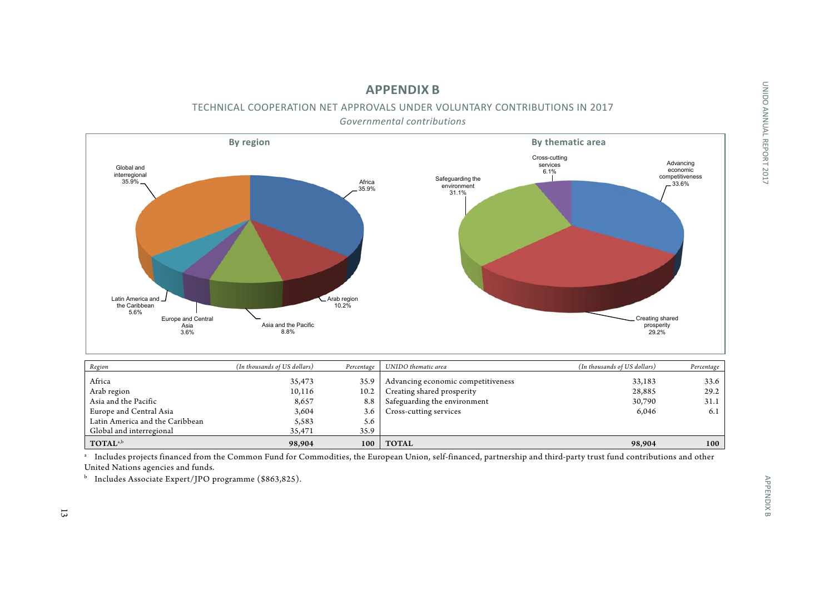

| Region                          | (In thousands of US dollars) | Percentage | UNIDO thematic area                | (In thousands of US dollars) | Percentage |
|---------------------------------|------------------------------|------------|------------------------------------|------------------------------|------------|
| Africa                          | 35,473                       | 35.9       | Advancing economic competitiveness | 33,183                       | 33.6       |
| Arab region                     | 10,116                       | 10.2       | Creating shared prosperity         | 28,885                       | 29.2       |
| Asia and the Pacific            | 8,657                        | 8.8        | Safeguarding the environment       | 30,790                       | 31.1       |
| Europe and Central Asia         | 3,604                        | 3.6        | Cross-cutting services             | 6,046                        | 6.1        |
| Latin America and the Caribbean | 5,583                        | 5.6        |                                    |                              |            |
| Global and interregional        | 35,471                       | 35.9       |                                    |                              |            |
| TOTAL <sup>a,b</sup>            | 98,904                       | 100        | <b>TOTAL</b>                       | 98,904                       | 100        |

<sup>a</sup> Includes projects financed from the Common Fund for Commodities, the European Union, self-financed, partnership and third-party trust fund contributions and other United Nations agencies and funds.

b Includes Associate Expert/JPO programme (\$863,825).

13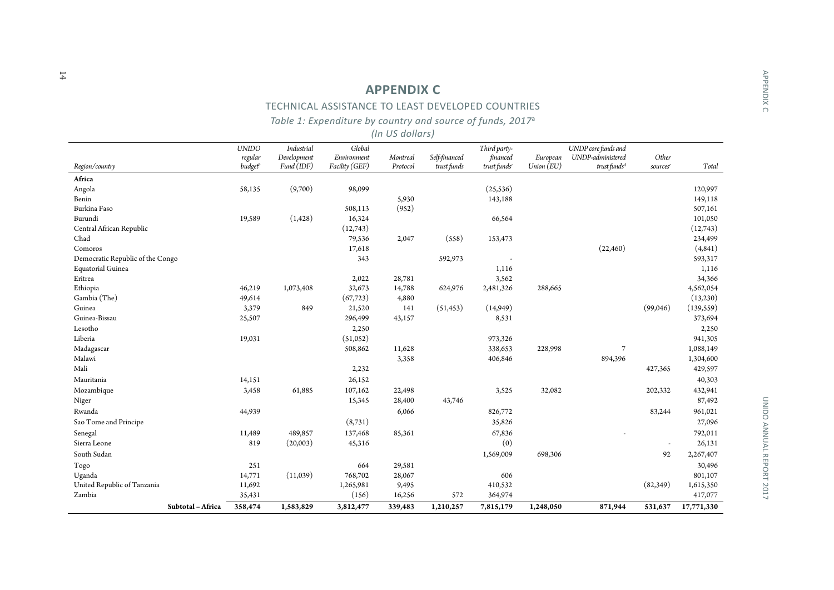|                                                                        |                                                   |                               |              |                | <b>APPENDIX C</b> |               |                          |            |                          |          |            |
|------------------------------------------------------------------------|---------------------------------------------------|-------------------------------|--------------|----------------|-------------------|---------------|--------------------------|------------|--------------------------|----------|------------|
|                                                                        | TECHNICAL ASSISTANCE TO LEAST DEVELOPED COUNTRIES |                               |              |                |                   |               |                          |            |                          |          |            |
|                                                                        |                                                   |                               |              |                |                   |               |                          |            |                          |          |            |
| Table 1: Expenditure by country and source of funds, 2017 <sup>a</sup> |                                                   |                               |              |                |                   |               |                          |            |                          |          |            |
| (In US dollars)                                                        |                                                   |                               |              |                |                   |               |                          |            |                          |          |            |
|                                                                        |                                                   | $\ensuremath{\textit{UNIDO}}$ | Industrial   | Global         |                   |               | Third party-             |            | UNDP core funds and      |          |            |
|                                                                        |                                                   | regular                       | Development  | Environment    | Montreal          | Self-financed | financed                 | European   | UNDP-administered        | Other    |            |
| Region/country                                                         |                                                   | <i>budget</i> <sup>b</sup>    | $Fund$ (IDF) | Facility (GEF) | Protocol          | trust funds   | trust funds <sup>c</sup> | Union (EU) | trust funds <sup>d</sup> | sourcese | Total      |
| Africa                                                                 |                                                   |                               |              |                |                   |               |                          |            |                          |          |            |
| Angola                                                                 |                                                   | 58,135                        | (9,700)      | 98,099         |                   |               | (25, 536)                |            |                          |          | 120,997    |
| Benin                                                                  |                                                   |                               |              |                | 5,930             |               | 143,188                  |            |                          |          | 149,118    |
| Burkina Faso                                                           |                                                   |                               |              | 508,113        | (952)             |               |                          |            |                          |          | 507,161    |
| Burundi                                                                |                                                   | 19,589                        | (1,428)      | 16,324         |                   |               | 66,564                   |            |                          |          | 101,050    |
| Central African Republic                                               |                                                   |                               |              | (12,743)       |                   |               |                          |            |                          |          | (12,743)   |
| Chad                                                                   |                                                   |                               |              | 79,536         | 2,047             | (558)         | 153,473                  |            |                          |          | 234,499    |
| Comoros                                                                |                                                   |                               |              | 17,618         |                   |               |                          |            | (22, 460)                |          | (4,841)    |
| Democratic Republic of the Congo                                       |                                                   |                               |              | 343            |                   | 592,973       |                          |            |                          |          | 593,317    |
| <b>Equatorial Guinea</b>                                               |                                                   |                               |              |                |                   |               | 1,116                    |            |                          |          | 1,116      |
| Eritrea                                                                |                                                   |                               |              | 2,022          | 28,781            |               | 3,562                    |            |                          |          | 34,366     |
| Ethiopia                                                               |                                                   | 46,219                        | 1,073,408    | 32,673         | 14,788            | 624,976       | 2,481,326                | 288,665    |                          |          | 4,562,054  |
| Gambia (The)                                                           |                                                   | 49,614                        |              | (67, 723)      | 4,880             |               |                          |            |                          |          | (13,230)   |
| Guinea                                                                 |                                                   | 3,379                         | 849          | 21,520         | 141               | (51, 453)     | (14, 949)                |            |                          | (99,046) | (139, 559) |
| Guinea-Bissau                                                          |                                                   | 25,507                        |              | 296,499        | 43,157            |               | 8,531                    |            |                          |          | 373,694    |
| Lesotho                                                                |                                                   |                               |              | 2,250          |                   |               |                          |            |                          |          | 2,250      |
| Liberia                                                                |                                                   | 19,031                        |              | (51,052)       |                   |               | 973,326                  |            |                          |          | 941,305    |
| Madagascar                                                             |                                                   |                               |              | 508,862        | 11,628            |               | 338,653                  | 228,998    | $\overline{7}$           |          | 1,088,149  |
| Malawi                                                                 |                                                   |                               |              |                | 3,358             |               | 406,846                  |            | 894,396                  |          | 1,304,600  |
| Mali                                                                   |                                                   |                               |              | 2,232          |                   |               |                          |            |                          | 427,365  | 429,597    |
| Mauritania                                                             |                                                   | 14,151                        |              | 26,152         |                   |               |                          |            |                          |          | 40,303     |
| Mozambique                                                             |                                                   | 3,458                         | 61,885       | 107,162        | 22,498            |               | 3,525                    | 32,082     |                          | 202,332  | 432,941    |
| Niger                                                                  |                                                   |                               |              | 15,345         | 28,400            | 43,746        |                          |            |                          |          | 87,492     |
| Rwanda                                                                 |                                                   | 44,939                        |              |                | 6,066             |               | 826,772                  |            |                          | 83,244   | 961,021    |
| Sao Tome and Principe                                                  |                                                   |                               |              | (8,731)        |                   |               | 35,826                   |            |                          |          | 27,096     |
| Senegal                                                                |                                                   | 11,489                        | 489,857      | 137,468        | 85,361            |               | 67,836                   |            |                          |          | 792,011    |
| Sierra Leone                                                           |                                                   | 819                           | (20,003)     | 45,316         |                   |               | (0)                      |            |                          | $\sim$   | 26,131     |
| South Sudan                                                            |                                                   |                               |              |                |                   |               | 1,569,009                | 698,306    |                          | 92       | 2,267,407  |
| Togo                                                                   |                                                   | 251                           |              | 664            | 29,581            |               |                          |            |                          |          | 30,496     |
| Uganda                                                                 |                                                   | 14,771                        | (11,039)     | 768,702        | 28,067            |               | 606                      |            |                          |          | 801,107    |
| United Republic of Tanzania                                            |                                                   | 11,692                        |              | 1,265,981      | 9,495             |               | 410,532                  |            |                          | (82,349) | 1,615,350  |
| Zambia                                                                 |                                                   | 35,431                        |              | (156)          | 16,256            | 572           | 364,974                  |            |                          |          | 417,077    |
|                                                                        | Subtotal - Africa                                 | 358,474                       | 1,583,829    | 3,812,477      | 339,483           | 1,210,257     | 7,815,179                | 1,248,050  | 871,944                  | 531,637  | 17,771,330 |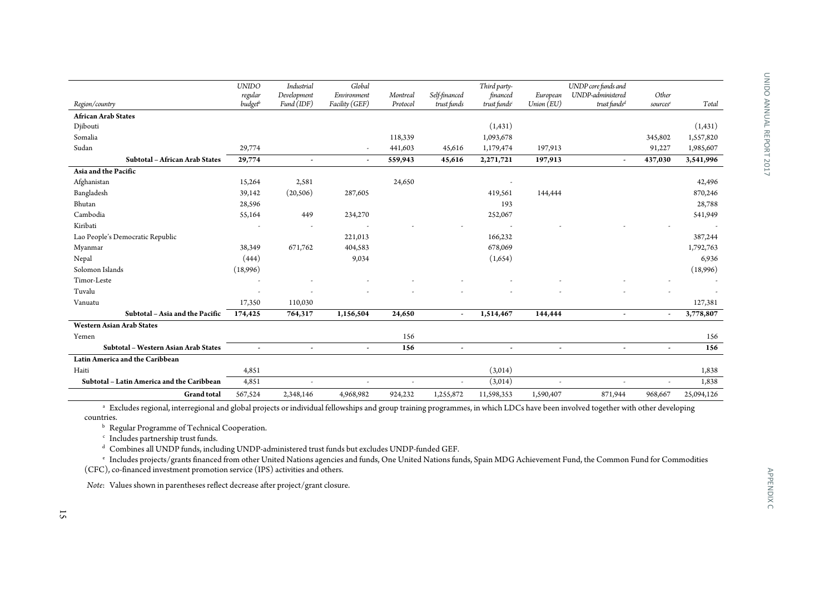|                                            | <b>UNIDO</b>               | Industrial               | Global                   |                      |                          | Third party-             |                | UNDP core funds and      |                          |            |
|--------------------------------------------|----------------------------|--------------------------|--------------------------|----------------------|--------------------------|--------------------------|----------------|--------------------------|--------------------------|------------|
|                                            | regular                    | Development              | Environment              | Montreal<br>Protocol | Self-financed            | financed                 | European       | UNDP-administered        | Other                    |            |
| Region/country                             | <i>budget</i> <sup>b</sup> | Fund (IDF)               | Facility (GEF)           |                      | trust funds              | trust funds <sup>c</sup> | Union (EU)     | trust funds <sup>d</sup> | sourcese                 | Total      |
| <b>African Arab States</b>                 |                            |                          |                          |                      |                          |                          |                |                          |                          |            |
| Djibouti                                   |                            |                          |                          |                      |                          | (1,431)                  |                |                          |                          | (1, 431)   |
| Somalia                                    |                            |                          |                          | 118,339              |                          | 1,093,678                |                |                          | 345,802                  | 1,557,820  |
| Sudan                                      | 29,774                     |                          | $\sim$                   | 441,603              | 45,616                   | 1,179,474                | 197,913        |                          | 91,227                   | 1,985,607  |
| Subtotal - African Arab States             | 29,774                     |                          | $\overline{\phantom{a}}$ | 559,943              | 45,616                   | 2,271,721                | 197,913        |                          | 437,030                  | 3,541,996  |
| Asia and the Pacific                       |                            |                          |                          |                      |                          |                          |                |                          |                          |            |
| Afghanistan                                | 15,264                     | 2,581                    |                          | 24,650               |                          |                          |                |                          |                          | 42,496     |
| Bangladesh                                 | 39,142                     | (20, 506)                | 287,605                  |                      |                          | 419,561                  | 144,444        |                          |                          | 870,246    |
| Bhutan                                     | 28,596                     |                          |                          |                      |                          | 193                      |                |                          |                          | 28,788     |
| Cambodia                                   | 55,164                     | 449                      | 234,270                  |                      |                          | 252,067                  |                |                          |                          | 541,949    |
| Kiribati                                   |                            |                          |                          |                      |                          |                          |                |                          |                          |            |
| Lao People's Democratic Republic           |                            |                          | 221,013                  |                      |                          | 166,232                  |                |                          |                          | 387,244    |
| Myanmar                                    | 38,349                     | 671,762                  | 404,583                  |                      |                          | 678,069                  |                |                          |                          | 1,792,763  |
| Nepal                                      | (444)                      |                          | 9,034                    |                      |                          | (1,654)                  |                |                          |                          | 6,936      |
| Solomon Islands                            | (18,996)                   |                          |                          |                      |                          |                          |                |                          |                          | (18,996)   |
| Timor-Leste                                |                            |                          |                          |                      |                          |                          |                |                          |                          |            |
| Tuvalu                                     |                            |                          |                          |                      |                          |                          |                |                          |                          |            |
| Vanuatu                                    | 17,350                     | 110,030                  |                          |                      |                          |                          |                |                          |                          | 127,381    |
| Subtotal - Asia and the Pacific            | 174,425                    | 764,317                  | 1,156,504                | 24,650               | $\overline{\phantom{a}}$ | 1,514,467                | 144,444        | $\overline{a}$           |                          | 3,778,807  |
| <b>Western Asian Arab States</b>           |                            |                          |                          |                      |                          |                          |                |                          |                          |            |
| Yemen                                      |                            |                          |                          | 156                  |                          |                          |                |                          |                          | 156        |
| Subtotal - Western Asian Arab States       |                            | $\overline{\phantom{a}}$ | $\overline{a}$           | 156                  | $\overline{a}$           | $\overline{a}$           | $\overline{a}$ | $\overline{a}$           | $\overline{\phantom{a}}$ | 156        |
| Latin America and the Caribbean            |                            |                          |                          |                      |                          |                          |                |                          |                          |            |
| Haiti                                      | 4,851                      |                          |                          |                      |                          | (3,014)                  |                |                          |                          | 1,838      |
| Subtotal - Latin America and the Caribbean | 4,851                      |                          |                          |                      |                          | (3,014)                  |                | ٠                        |                          | 1,838      |
| <b>Grand</b> total                         | 567,524                    | 2,348,146                | 4,968,982                | 924,232              | 1,255,872                | 11,598,353               | 1,590,407      | 871,944                  | 968,667                  | 25,094,126 |

<sup>a</sup> Excludes regional, interregional and global projects or individual fellowships and group training programmes, in which LDCs have been involved together with other developing countries.

b Regular Programme of Technical Cooperation.

c Includes partnership trust funds.

d Combines all UNDP funds, including UNDP-administered trust funds but excludes UNDP-funded GEF.

e Includes projects/grants financed from other United Nations agencies and funds, One United Nations funds, Spain MDG Achievement Fund, the Common Fund for Commodities (CFC), co-financed investment promotion service (IPS) activities and others.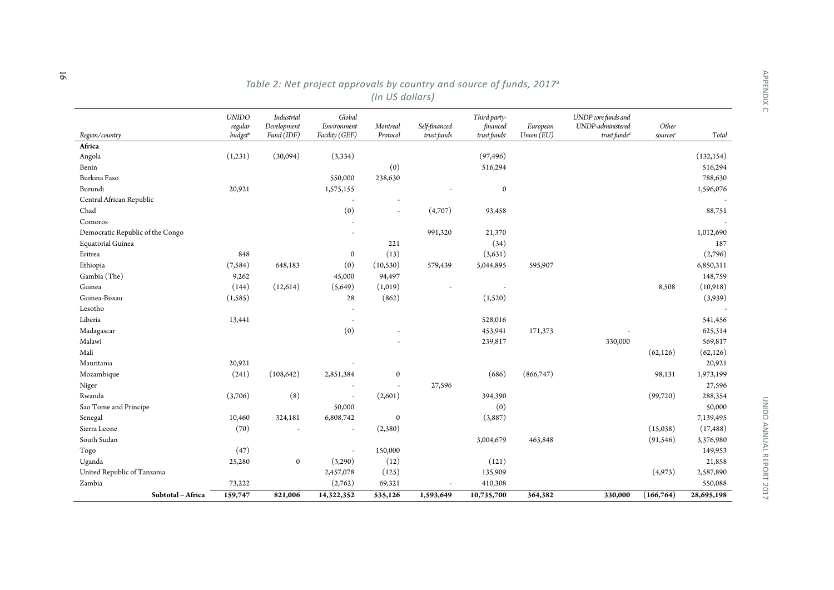|                                  |                   |                                                       |                                         | Table 2: Net project approvals by country and source of funds, 2017 <sup>a</sup> | (In US dollars)          |                              |                                                      |                        |                                                                      |                   |            |
|----------------------------------|-------------------|-------------------------------------------------------|-----------------------------------------|----------------------------------------------------------------------------------|--------------------------|------------------------------|------------------------------------------------------|------------------------|----------------------------------------------------------------------|-------------------|------------|
| Region/country                   |                   | <b>UNIDO</b><br>regular<br><i>budget</i> <sup>b</sup> | Industrial<br>Development<br>Fund (IDF) | Global<br>Environment<br>Facility (GEF)                                          | Montreal<br>Protocol     | Self-financed<br>trust funds | Third party-<br>financed<br>trust funds <sup>c</sup> | European<br>Union (EU) | UNDP core funds and<br>UNDP-administered<br>trust funds <sup>d</sup> | Other<br>sourcese | Total      |
| Africa                           |                   |                                                       |                                         |                                                                                  |                          |                              |                                                      |                        |                                                                      |                   |            |
| Angola                           |                   | (1,231)                                               | (30,094)                                | (3,334)                                                                          |                          |                              | (97, 496)                                            |                        |                                                                      |                   | (132, 154) |
| Benin                            |                   |                                                       |                                         |                                                                                  | (0)                      |                              | 516,294                                              |                        |                                                                      |                   | 516,294    |
| Burkina Faso                     |                   |                                                       |                                         | 550,000                                                                          | 238,630                  |                              |                                                      |                        |                                                                      |                   | 788,630    |
| Burundi                          |                   | 20,921                                                |                                         | 1,575,155                                                                        |                          |                              | $\boldsymbol{0}$                                     |                        |                                                                      |                   | 1,596,076  |
| Central African Republic         |                   |                                                       |                                         |                                                                                  |                          |                              |                                                      |                        |                                                                      |                   |            |
| Chad                             |                   |                                                       |                                         | (0)                                                                              | $\overline{\phantom{a}}$ | (4,707)                      | 93,458                                               |                        |                                                                      |                   | 88,751     |
| Comoros                          |                   |                                                       |                                         |                                                                                  |                          |                              |                                                      |                        |                                                                      |                   |            |
| Democratic Republic of the Congo |                   |                                                       |                                         |                                                                                  |                          | 991,320                      | 21,370                                               |                        |                                                                      |                   | 1,012,690  |
| Equatorial Guinea                |                   |                                                       |                                         |                                                                                  | 221                      |                              | (34)                                                 |                        |                                                                      |                   | 187        |
| Eritrea                          |                   | 848                                                   |                                         | $\mathbf{0}$                                                                     | (13)                     |                              | (3,631)                                              |                        |                                                                      |                   | (2,796)    |
| Ethiopia                         |                   | (7, 584)                                              | 648,183                                 | (0)                                                                              | (10, 530)                | 579,439                      | 5,044,895                                            | 595,907                |                                                                      |                   | 6,850,311  |
| Gambia (The)                     |                   | 9,262                                                 |                                         | 45,000                                                                           | 94,497                   |                              |                                                      |                        |                                                                      |                   | 148,759    |
| Guinea                           |                   | (144)                                                 | (12,614)                                | (5,649)                                                                          | (1,019)                  |                              |                                                      |                        |                                                                      | 8,508             | (10,918)   |
| Guinea-Bissau                    |                   | (1, 585)                                              |                                         | 28                                                                               | (862)                    |                              | (1,520)                                              |                        |                                                                      |                   | (3,939)    |
| Lesotho                          |                   |                                                       |                                         |                                                                                  |                          |                              |                                                      |                        |                                                                      |                   |            |
| Liberia                          |                   | 13,441                                                |                                         | $\sim$                                                                           |                          |                              | 528,016                                              |                        |                                                                      |                   | 541,456    |
| Madagascar                       |                   |                                                       |                                         | (0)                                                                              |                          |                              | 453,941                                              | 171,373                |                                                                      |                   | 625,314    |
| Malawi                           |                   |                                                       |                                         |                                                                                  |                          |                              | 239,817                                              |                        | 330,000                                                              |                   | 569,817    |
| Mali                             |                   |                                                       |                                         |                                                                                  |                          |                              |                                                      |                        |                                                                      | (62, 126)         | (62, 126)  |
| Mauritania                       |                   | 20,921                                                |                                         |                                                                                  |                          |                              |                                                      |                        |                                                                      |                   | 20,921     |
| Mozambique                       |                   | (241)                                                 | (108, 642)                              | 2,851,384                                                                        | $\boldsymbol{0}$         |                              | (686)                                                | (866,747)              |                                                                      | 98,131            | 1,973,199  |
| Niger                            |                   |                                                       |                                         |                                                                                  |                          | 27,596                       |                                                      |                        |                                                                      |                   | 27,596     |
| Rwanda                           |                   | (3,706)                                               | (8)                                     |                                                                                  | (2,601)                  |                              | 394,390                                              |                        |                                                                      | (99,720)          | 288,354    |
| Sao Tome and Principe            |                   |                                                       |                                         | 50,000                                                                           |                          |                              | (0)                                                  |                        |                                                                      |                   | 50,000     |
| Senegal                          |                   | 10,460                                                | 324,181                                 | 6,808,742                                                                        | $\mathbf{0}$             |                              | (3,887)                                              |                        |                                                                      |                   | 7,139,495  |
| Sierra Leone                     |                   | (70)                                                  | $\sim$                                  | $\sim$                                                                           | (2,380)                  |                              |                                                      |                        |                                                                      | (15,038)          | (17, 488)  |
| South Sudan                      |                   |                                                       |                                         |                                                                                  |                          |                              | 3,004,679                                            | 463,848                |                                                                      | (91, 546)         | 3,376,980  |
| Togo                             |                   | (47)                                                  |                                         |                                                                                  | 150,000                  |                              |                                                      |                        |                                                                      |                   | 149,953    |
| Uganda                           |                   | 25,280                                                | $\boldsymbol{0}$                        | (3,290)                                                                          | (12)                     |                              | (121)                                                |                        |                                                                      |                   | 21,858     |
| United Republic of Tanzania      |                   |                                                       |                                         | 2,457,078                                                                        | (125)                    |                              | 135,909                                              |                        |                                                                      | (4, 973)          | 2,587,890  |
| Zambia                           |                   | 73,222                                                |                                         | (2,762)                                                                          | 69,321                   |                              | 410,308                                              |                        |                                                                      |                   | 550,088    |
|                                  | Subtotal - Africa | 159,747                                               | 821,006                                 | 14,322,352                                                                       | 535,126                  | 1,593,649                    | 10,735,700                                           | 364,382                | 330,000                                                              | (166, 764)        | 28,695,198 |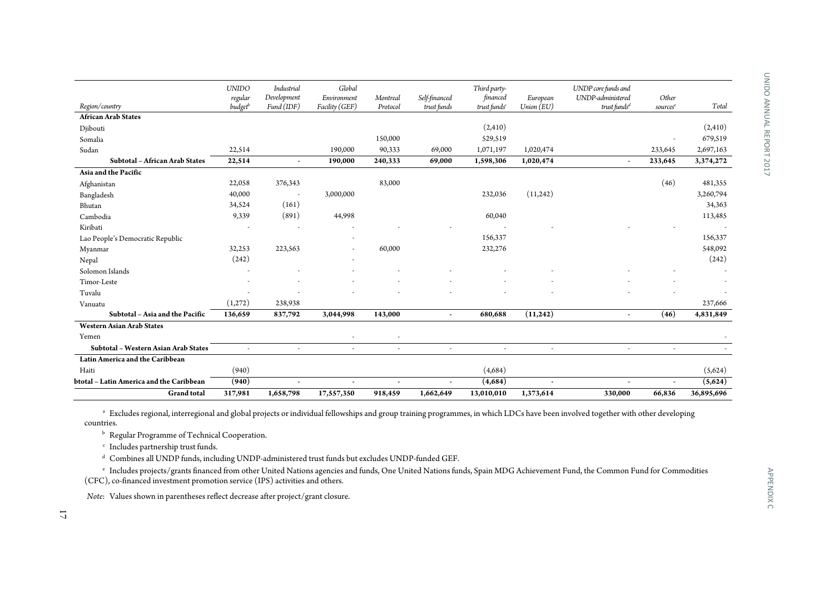| Region/country                           | <b>UNIDO</b><br>regular<br>budget <sup>b</sup> | Industrial<br>Development<br>$Fund$ (IDF) | Global<br>Environment<br>Facility (GEF) | Montreal<br>Protocol | Self-financed<br>trust funds | Third party-<br>financed<br>trust funds <sup>c</sup> | European<br>Union (EU)   | UNDP core funds and<br>UNDP-administered<br>trust funds <sup>d</sup> | Other<br>sourcese        | Total      |
|------------------------------------------|------------------------------------------------|-------------------------------------------|-----------------------------------------|----------------------|------------------------------|------------------------------------------------------|--------------------------|----------------------------------------------------------------------|--------------------------|------------|
| <b>African Arab States</b>               |                                                |                                           |                                         |                      |                              |                                                      |                          |                                                                      |                          |            |
| Djibouti                                 |                                                |                                           |                                         |                      |                              | (2,410)                                              |                          |                                                                      |                          | (2,410)    |
| Somalia                                  |                                                |                                           |                                         | 150,000              |                              | 529,519                                              |                          |                                                                      |                          | 679,519    |
| Sudan                                    | 22,514                                         |                                           | 190,000                                 | 90,333               | 69,000                       | 1,071,197                                            | 1,020,474                |                                                                      | 233,645                  | 2,697,163  |
| Subtotal - African Arab States           | 22,514                                         | $\overline{\phantom{a}}$                  | 190,000                                 | 240,333              | 69,000                       | 1,598,306                                            | 1,020,474                | $\overline{\phantom{a}}$                                             | 233,645                  | 3,374,272  |
| Asia and the Pacific                     |                                                |                                           |                                         |                      |                              |                                                      |                          |                                                                      |                          |            |
| Afghanistan                              | 22,058                                         | 376,343                                   |                                         | 83,000               |                              |                                                      |                          |                                                                      | (46)                     | 481,355    |
| Bangladesh                               | 40,000                                         |                                           | 3,000,000                               |                      |                              | 232,036                                              | (11,242)                 |                                                                      |                          | 3,260,794  |
| Bhutan                                   | 34,524                                         | (161)                                     |                                         |                      |                              |                                                      |                          |                                                                      |                          | 34,363     |
| Cambodia                                 | 9,339                                          | (891)                                     | 44,998                                  |                      |                              | 60,040                                               |                          |                                                                      |                          | 113,485    |
| Kiribati                                 |                                                | ٠                                         | ٠                                       |                      |                              |                                                      |                          |                                                                      |                          |            |
| Lao People's Democratic Republic         |                                                |                                           |                                         |                      |                              | 156,337                                              |                          |                                                                      |                          | 156,337    |
| Myanmar                                  | 32,253                                         | 223,563                                   |                                         | 60,000               |                              | 232,276                                              |                          |                                                                      |                          | 548,092    |
| Nepal                                    | (242)                                          |                                           |                                         |                      |                              |                                                      |                          |                                                                      |                          | (242)      |
| Solomon Islands                          |                                                |                                           |                                         |                      |                              |                                                      |                          |                                                                      |                          |            |
| Timor-Leste                              |                                                |                                           |                                         |                      |                              |                                                      |                          |                                                                      |                          |            |
| Tuvalu                                   |                                                |                                           |                                         |                      |                              |                                                      |                          |                                                                      |                          |            |
| Vanuatu                                  | (1,272)                                        | 238,938                                   |                                         |                      |                              |                                                      |                          |                                                                      |                          | 237,666    |
| Subtotal - Asia and the Pacific          | 136,659                                        | 837,792                                   | 3,044,998                               | 143,000              | $\overline{\phantom{a}}$     | 680,688                                              | (11,242)                 | $\overline{\phantom{a}}$                                             | (46)                     | 4,831,849  |
| <b>Western Asian Arab States</b>         |                                                |                                           |                                         |                      |                              |                                                      |                          |                                                                      |                          |            |
| Yemen                                    |                                                |                                           |                                         |                      |                              |                                                      |                          |                                                                      |                          |            |
| Subtotal - Western Asian Arab States     |                                                | $\overline{\phantom{a}}$                  | $\overline{\phantom{a}}$                |                      |                              | $\blacksquare$                                       | $\overline{\phantom{a}}$ | $\blacksquare$                                                       | $\overline{\phantom{a}}$ |            |
| Latin America and the Caribbean          |                                                |                                           |                                         |                      |                              |                                                      |                          |                                                                      |                          |            |
| Haiti                                    | (940)                                          |                                           |                                         |                      |                              | (4,684)                                              |                          |                                                                      |                          | (5,624)    |
| btotal - Latin America and the Caribbean | (940)                                          |                                           |                                         |                      |                              | (4,684)                                              |                          |                                                                      |                          | (5,624)    |
| <b>Grand</b> total                       | 317,981                                        | 1,658,798                                 | 17,557,350                              | 918,459              | 1,662,649                    | 13,010,010                                           | 1,373,614                | 330,000                                                              | 66,836                   | 36,895,696 |

<sup>a</sup> Excludes regional, interregional and global projects or individual fellowships and group training programmes, in which LDCs have been involved together with other developing countries.

b Regular Programme of Technical Cooperation.

c Includes partnership trust funds.

d Combines all UNDP funds, including UNDP-administered trust funds but excludes UNDP-funded GEF.

e Includes projects/grants financed from other United Nations agencies and funds, One United Nations funds, Spain MDG Achievement Fund, the Common Fund for Commodities (CFC), co-financed investment promotion service (IPS) activities and others.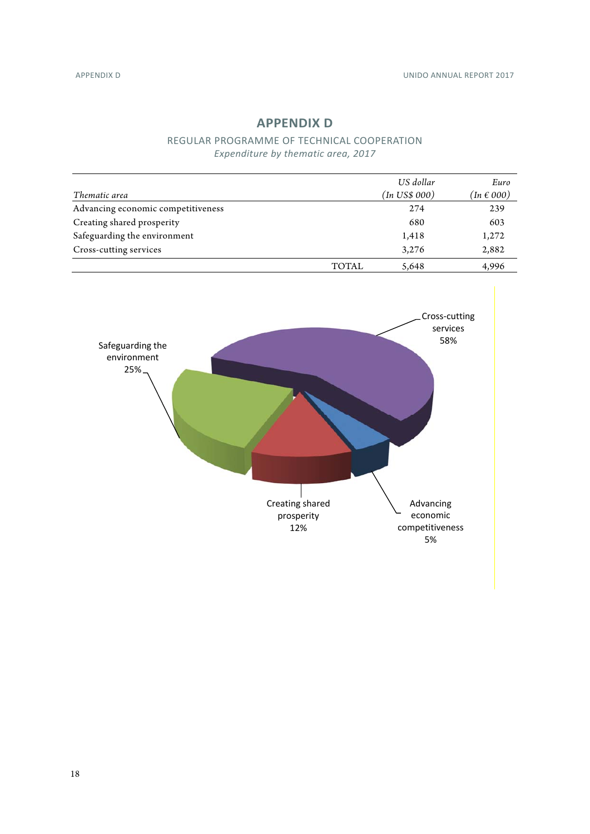# **APPENDIX D**

# REGULAR PROGRAMME OF TECHNICAL COOPERATION *Expenditure by thematic area, 2017*

|                                    |       | US dollar     | Euro                |
|------------------------------------|-------|---------------|---------------------|
| Thematic area                      |       | (In US\$ 000) | (In $\epsilon$ 000) |
| Advancing economic competitiveness |       | 274           | 239                 |
| Creating shared prosperity         |       | 680           | 603                 |
| Safeguarding the environment       |       | 1,418         | 1,272               |
| Cross-cutting services             |       | 3,276         | 2,882               |
|                                    | TOTAL | 5,648         | 4,996               |

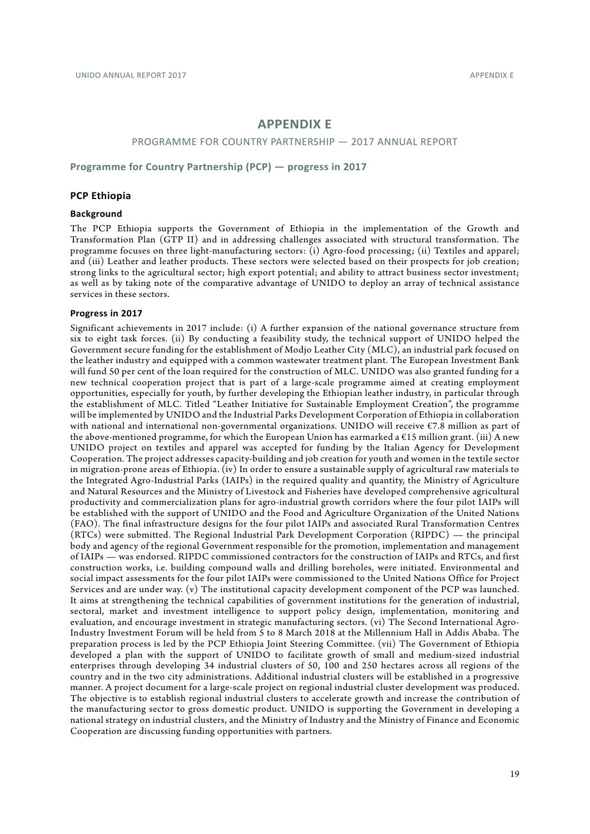### **APPENDIX E**

#### PROGRAMME FOR COUNTRY PARTNERSHIP — 2017 ANNUAL REPORT

**Programme for Country Partnership (PCP) — progress in 2017** 

#### **PCP Ethiopia**

#### **Background**

The PCP Ethiopia supports the Government of Ethiopia in the implementation of the Growth and Transformation Plan (GTP II) and in addressing challenges associated with structural transformation. The programme focuses on three light-manufacturing sectors: (i) Agro-food processing; (ii) Textiles and apparel; and (iii) Leather and leather products. These sectors were selected based on their prospects for job creation; strong links to the agricultural sector; high export potential; and ability to attract business sector investment; as well as by taking note of the comparative advantage of UNIDO to deploy an array of technical assistance services in these sectors.

#### **Progress in 2017**

Significant achievements in 2017 include: (i) A further expansion of the national governance structure from six to eight task forces. (ii) By conducting a feasibility study, the technical support of UNIDO helped the Government secure funding for the establishment of Modjo Leather City (MLC), an industrial park focused on the leather industry and equipped with a common wastewater treatment plant. The European Investment Bank will fund 50 per cent of the loan required for the construction of MLC. UNIDO was also granted funding for a new technical cooperation project that is part of a large-scale programme aimed at creating employment opportunities, especially for youth, by further developing the Ethiopian leather industry, in particular through the establishment of MLC. Titled "Leather Initiative for Sustainable Employment Creation", the programme will be implemented by UNIDO and the Industrial Parks Development Corporation of Ethiopia in collaboration with national and international non-governmental organizations. UNIDO will receive €7.8 million as part of the above-mentioned programme, for which the European Union has earmarked a  $\epsilon$ 15 million grant. (iii) A new UNIDO project on textiles and apparel was accepted for funding by the Italian Agency for Development Cooperation. The project addresses capacity-building and job creation for youth and women in the textile sector in migration-prone areas of Ethiopia. (iv) In order to ensure a sustainable supply of agricultural raw materials to the Integrated Agro-Industrial Parks (IAIPs) in the required quality and quantity, the Ministry of Agriculture and Natural Resources and the Ministry of Livestock and Fisheries have developed comprehensive agricultural productivity and commercialization plans for agro-industrial growth corridors where the four pilot IAIPs will be established with the support of UNIDO and the Food and Agriculture Organization of the United Nations (FAO). The final infrastructure designs for the four pilot IAIPs and associated Rural Transformation Centres (RTCs) were submitted. The Regional Industrial Park Development Corporation (RIPDC) — the principal body and agency of the regional Government responsible for the promotion, implementation and management of IAIPs — was endorsed. RIPDC commissioned contractors for the construction of IAIPs and RTCs, and first construction works, i.e. building compound walls and drilling boreholes, were initiated. Environmental and social impact assessments for the four pilot IAIPs were commissioned to the United Nations Office for Project Services and are under way. (v) The institutional capacity development component of the PCP was launched. It aims at strengthening the technical capabilities of government institutions for the generation of industrial, sectoral, market and investment intelligence to support policy design, implementation, monitoring and evaluation, and encourage investment in strategic manufacturing sectors. (vi) The Second International Agro-Industry Investment Forum will be held from 5 to 8 March 2018 at the Millennium Hall in Addis Ababa. The preparation process is led by the PCP Ethiopia Joint Steering Committee. (vii) The Government of Ethiopia developed a plan with the support of UNIDO to facilitate growth of small and medium-sized industrial enterprises through developing 34 industrial clusters of 50, 100 and 250 hectares across all regions of the country and in the two city administrations. Additional industrial clusters will be established in a progressive manner. A project document for a large-scale project on regional industrial cluster development was produced. The objective is to establish regional industrial clusters to accelerate growth and increase the contribution of the manufacturing sector to gross domestic product. UNIDO is supporting the Government in developing a national strategy on industrial clusters, and the Ministry of Industry and the Ministry of Finance and Economic Cooperation are discussing funding opportunities with partners.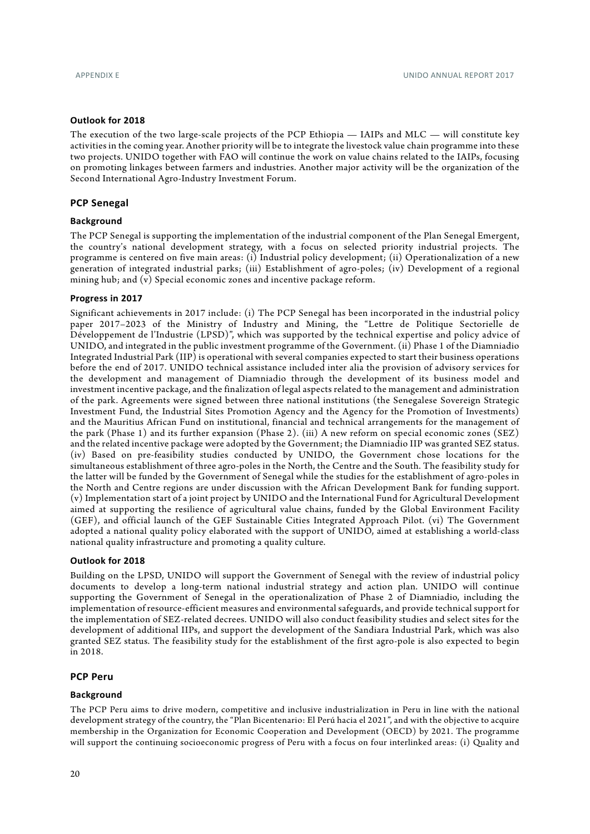#### **Outlook for 2018**

The execution of the two large-scale projects of the PCP Ethiopia — IAIPs and MLC — will constitute key activities in the coming year. Another priority will be to integrate the livestock value chain programme into these two projects. UNIDO together with FAO will continue the work on value chains related to the IAIPs, focusing on promoting linkages between farmers and industries. Another major activity will be the organization of the Second International Agro-Industry Investment Forum.

#### **PCP Senegal**

#### **Background**

The PCP Senegal is supporting the implementation of the industrial component of the Plan Senegal Emergent, the country's national development strategy, with a focus on selected priority industrial projects. The programme is centered on five main areas: (i) Industrial policy development; (ii) Operationalization of a new generation of integrated industrial parks; (iii) Establishment of agro-poles; (iv) Development of a regional mining hub; and (v) Special economic zones and incentive package reform.

#### **Progress in 2017**

Significant achievements in 2017 include: (i) The PCP Senegal has been incorporated in the industrial policy paper 2017–2023 of the Ministry of Industry and Mining, the "Lettre de Politique Sectorielle de Développement de l'Industrie (LPSD)", which was supported by the technical expertise and policy advice of UNIDO, and integrated in the public investment programme of the Government. (ii) Phase 1 of the Diamniadio Integrated Industrial Park (IIP) is operational with several companies expected to start their business operations before the end of 2017. UNIDO technical assistance included inter alia the provision of advisory services for the development and management of Diamniadio through the development of its business model and investment incentive package, and the finalization of legal aspects related to the management and administration of the park. Agreements were signed between three national institutions (the Senegalese Sovereign Strategic Investment Fund, the Industrial Sites Promotion Agency and the Agency for the Promotion of Investments) and the Mauritius African Fund on institutional, financial and technical arrangements for the management of the park (Phase 1) and its further expansion (Phase 2). (iii) A new reform on special economic zones (SEZ) and the related incentive package were adopted by the Government; the Diamniadio IIP was granted SEZ status. (iv) Based on pre-feasibility studies conducted by UNIDO, the Government chose locations for the simultaneous establishment of three agro-poles in the North, the Centre and the South. The feasibility study for the latter will be funded by the Government of Senegal while the studies for the establishment of agro-poles in the North and Centre regions are under discussion with the African Development Bank for funding support. (v) Implementation start of a joint project by UNIDO and the International Fund for Agricultural Development aimed at supporting the resilience of agricultural value chains, funded by the Global Environment Facility (GEF), and official launch of the GEF Sustainable Cities Integrated Approach Pilot. (vi) The Government adopted a national quality policy elaborated with the support of UNIDO, aimed at establishing a world-class national quality infrastructure and promoting a quality culture.

#### **Outlook for 2018**

Building on the LPSD, UNIDO will support the Government of Senegal with the review of industrial policy documents to develop a long-term national industrial strategy and action plan. UNIDO will continue supporting the Government of Senegal in the operationalization of Phase 2 of Diamniadio, including the implementation of resource-efficient measures and environmental safeguards, and provide technical support for the implementation of SEZ-related decrees. UNIDO will also conduct feasibility studies and select sites for the development of additional IIPs, and support the development of the Sandiara Industrial Park, which was also granted SEZ status. The feasibility study for the establishment of the first agro-pole is also expected to begin in 2018.

#### **PCP Peru**

#### **Background**

The PCP Peru aims to drive modern, competitive and inclusive industrialization in Peru in line with the national development strategy of the country, the "Plan Bicentenario: El Perú hacia el 2021", and with the objective to acquire membership in the Organization for Economic Cooperation and Development (OECD) by 2021. The programme will support the continuing socioeconomic progress of Peru with a focus on four interlinked areas: (i) Quality and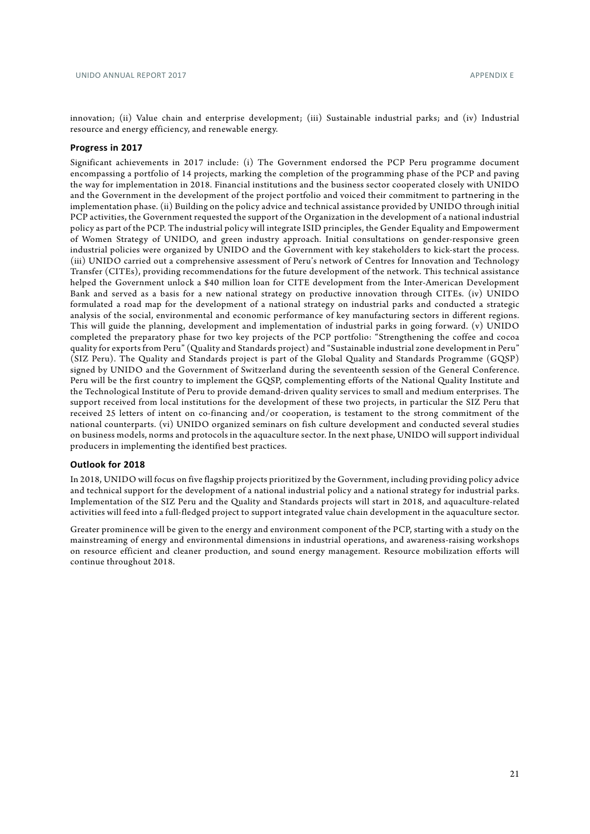innovation; (ii) Value chain and enterprise development; (iii) Sustainable industrial parks; and (iv) Industrial resource and energy efficiency, and renewable energy.

#### **Progress in 2017**

Significant achievements in 2017 include: (i) The Government endorsed the PCP Peru programme document encompassing a portfolio of 14 projects, marking the completion of the programming phase of the PCP and paving the way for implementation in 2018. Financial institutions and the business sector cooperated closely with UNIDO and the Government in the development of the project portfolio and voiced their commitment to partnering in the implementation phase. (ii) Building on the policy advice and technical assistance provided by UNIDO through initial PCP activities, the Government requested the support of the Organization in the development of a national industrial policy as part of the PCP. The industrial policy will integrate ISID principles, the Gender Equality and Empowerment of Women Strategy of UNIDO, and green industry approach. Initial consultations on gender-responsive green industrial policies were organized by UNIDO and the Government with key stakeholders to kick-start the process. (iii) UNIDO carried out a comprehensive assessment of Peru's network of Centres for Innovation and Technology Transfer (CITEs), providing recommendations for the future development of the network. This technical assistance helped the Government unlock a \$40 million loan for CITE development from the Inter-American Development Bank and served as a basis for a new national strategy on productive innovation through CITEs. (iv) UNIDO formulated a road map for the development of a national strategy on industrial parks and conducted a strategic analysis of the social, environmental and economic performance of key manufacturing sectors in different regions. This will guide the planning, development and implementation of industrial parks in going forward. (v) UNIDO completed the preparatory phase for two key projects of the PCP portfolio: "Strengthening the coffee and cocoa quality for exports from Peru" (Quality and Standards project) and "Sustainable industrial zone development in Peru" (SIZ Peru). The Quality and Standards project is part of the Global Quality and Standards Programme (GQSP) signed by UNIDO and the Government of Switzerland during the seventeenth session of the General Conference. Peru will be the first country to implement the GQSP, complementing efforts of the National Quality Institute and the Technological Institute of Peru to provide demand-driven quality services to small and medium enterprises. The support received from local institutions for the development of these two projects, in particular the SIZ Peru that received 25 letters of intent on co-financing and/or cooperation, is testament to the strong commitment of the national counterparts. (vi) UNIDO organized seminars on fish culture development and conducted several studies on business models, norms and protocols in the aquaculture sector. In the next phase, UNIDO will support individual producers in implementing the identified best practices.

#### **Outlook for 2018**

In 2018, UNIDO will focus on five flagship projects prioritized by the Government, including providing policy advice and technical support for the development of a national industrial policy and a national strategy for industrial parks. Implementation of the SIZ Peru and the Quality and Standards projects will start in 2018, and aquaculture-related activities will feed into a full-fledged project to support integrated value chain development in the aquaculture sector.

Greater prominence will be given to the energy and environment component of the PCP, starting with a study on the mainstreaming of energy and environmental dimensions in industrial operations, and awareness-raising workshops on resource efficient and cleaner production, and sound energy management. Resource mobilization efforts will continue throughout 2018.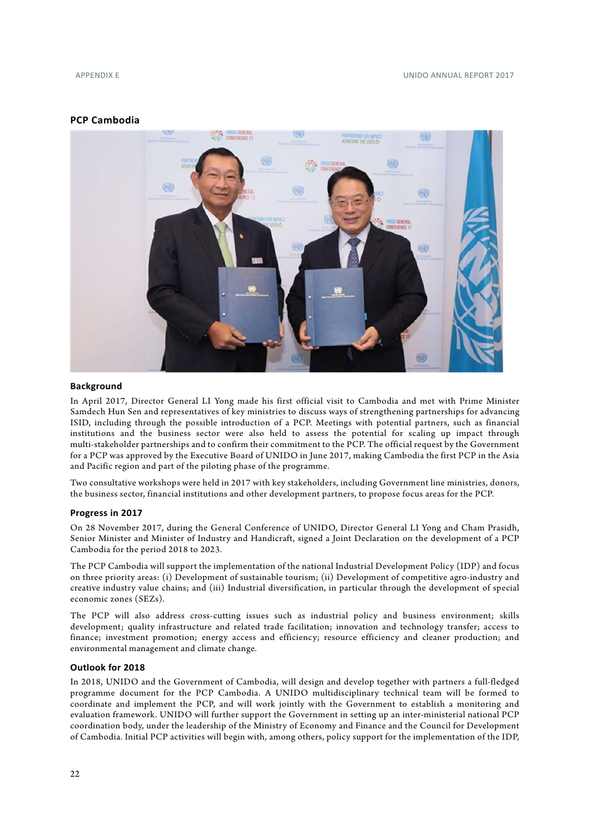#### **PCP Cambodia**



#### **Background**

In April 2017, Director General LI Yong made his first official visit to Cambodia and met with Prime Minister Samdech Hun Sen and representatives of key ministries to discuss ways of strengthening partnerships for advancing ISID, including through the possible introduction of a PCP. Meetings with potential partners, such as financial institutions and the business sector were also held to assess the potential for scaling up impact through multi-stakeholder partnerships and to confirm their commitment to the PCP. The official request by the Government for a PCP was approved by the Executive Board of UNIDO in June 2017, making Cambodia the first PCP in the Asia and Pacific region and part of the piloting phase of the programme.

Two consultative workshops were held in 2017 with key stakeholders, including Government line ministries, donors, the business sector, financial institutions and other development partners, to propose focus areas for the PCP.

#### **Progress in 2017**

On 28 November 2017, during the General Conference of UNIDO, Director General LI Yong and Cham Prasidh, Senior Minister and Minister of Industry and Handicraft, signed a Joint Declaration on the development of a PCP Cambodia for the period 2018 to 2023.

The PCP Cambodia will support the implementation of the national Industrial Development Policy (IDP) and focus on three priority areas: (i) Development of sustainable tourism; (ii) Development of competitive agro-industry and creative industry value chains; and (iii) Industrial diversification, in particular through the development of special economic zones (SEZs).

The PCP will also address cross-cutting issues such as industrial policy and business environment; skills development; quality infrastructure and related trade facilitation; innovation and technology transfer; access to finance; investment promotion; energy access and efficiency; resource efficiency and cleaner production; and environmental management and climate change.

#### **Outlook for 2018**

In 2018, UNIDO and the Government of Cambodia, will design and develop together with partners a full-fledged programme document for the PCP Cambodia. A UNIDO multidisciplinary technical team will be formed to coordinate and implement the PCP, and will work jointly with the Government to establish a monitoring and evaluation framework. UNIDO will further support the Government in setting up an inter-ministerial national PCP coordination body, under the leadership of the Ministry of Economy and Finance and the Council for Development of Cambodia. Initial PCP activities will begin with, among others, policy support for the implementation of the IDP,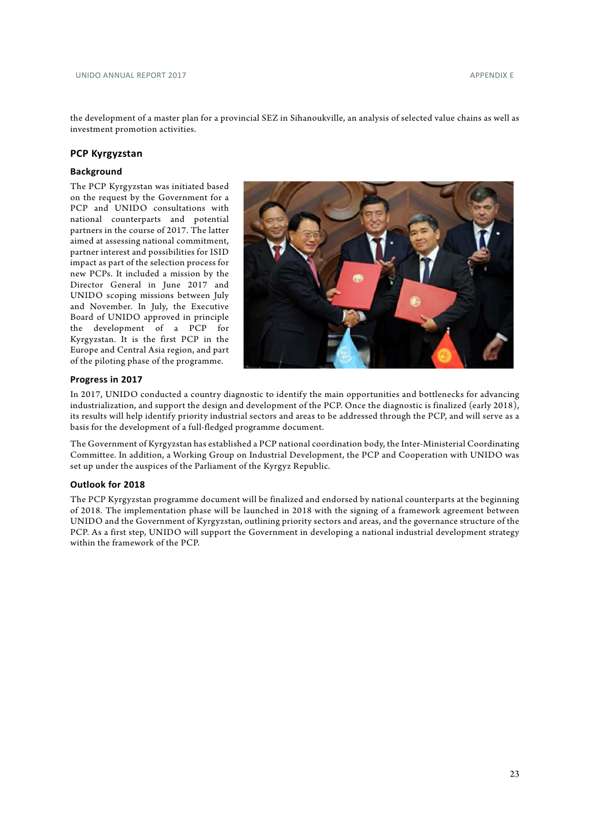the development of a master plan for a provincial SEZ in Sihanoukville, an analysis of selected value chains as well as investment promotion activities.

#### **PCP Kyrgyzstan**

#### **Background**

The PCP Kyrgyzstan was initiated based on the request by the Government for a PCP and UNIDO consultations with national counterparts and potential partners in the course of 2017. The latter aimed at assessing national commitment, partner interest and possibilities for ISID impact as part of the selection process for new PCPs. It included a mission by the Director General in June 2017 and UNIDO scoping missions between July and November. In July, the Executive Board of UNIDO approved in principle the development of a PCP for Kyrgyzstan. It is the first PCP in the Europe and Central Asia region, and part of the piloting phase of the programme.



#### **Progress in 2017**

In 2017, UNIDO conducted a country diagnostic to identify the main opportunities and bottlenecks for advancing industrialization, and support the design and development of the PCP. Once the diagnostic is finalized (early 2018), its results will help identify priority industrial sectors and areas to be addressed through the PCP, and will serve as a basis for the development of a full-fledged programme document.

The Government of Kyrgyzstan has established a PCP national coordination body, the Inter-Ministerial Coordinating Committee. In addition, a Working Group on Industrial Development, the PCP and Cooperation with UNIDO was set up under the auspices of the Parliament of the Kyrgyz Republic.

#### **Outlook for 2018**

The PCP Kyrgyzstan programme document will be finalized and endorsed by national counterparts at the beginning of 2018. The implementation phase will be launched in 2018 with the signing of a framework agreement between UNIDO and the Government of Kyrgyzstan, outlining priority sectors and areas, and the governance structure of the PCP. As a first step, UNIDO will support the Government in developing a national industrial development strategy within the framework of the PCP.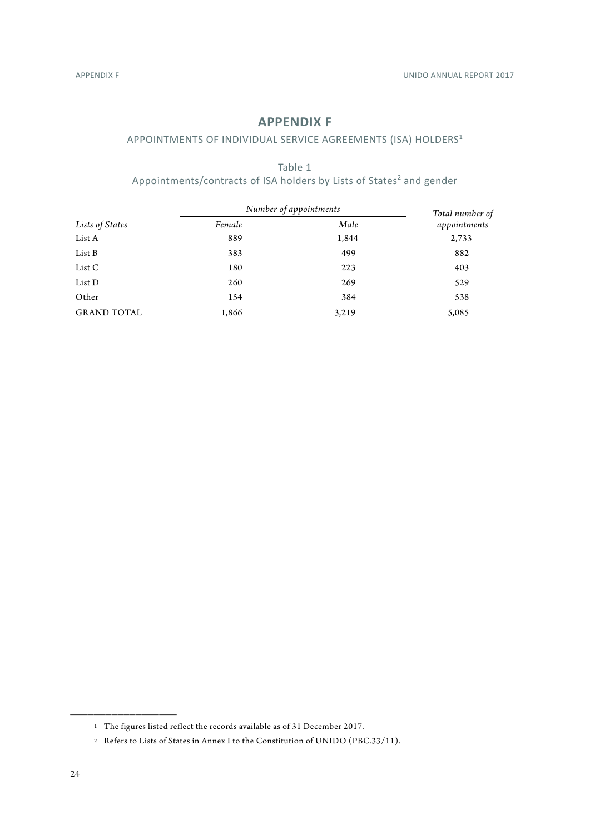# **APPENDIX F**

# APPOINTMENTS OF INDIVIDUAL SERVICE AGREEMENTS (ISA) HOLDERS1

# Table 1 Appointments/contracts of ISA holders by Lists of States<sup>2</sup> and gender

|                    | Number of appointments | Total number of |              |
|--------------------|------------------------|-----------------|--------------|
| Lists of States    | Female                 | Male            | appointments |
| List A             | 889                    | 1,844           | 2,733        |
| List B             | 383                    | 499             | 882          |
| List C             | 180                    | 223             | 403          |
| List D             | 260                    | 269             | 529          |
| Other              | 154                    | 384             | 538          |
| <b>GRAND TOTAL</b> | 1,866                  | 3,219           | 5,085        |

**\_\_\_\_\_\_\_\_\_\_\_\_\_\_\_\_\_\_** 

 <sup>1</sup> The figures listed reflect the records available as of 31 December 2017.

 <sup>2</sup> Refers to Lists of States in Annex I to the Constitution of UNIDO (PBC.33/11).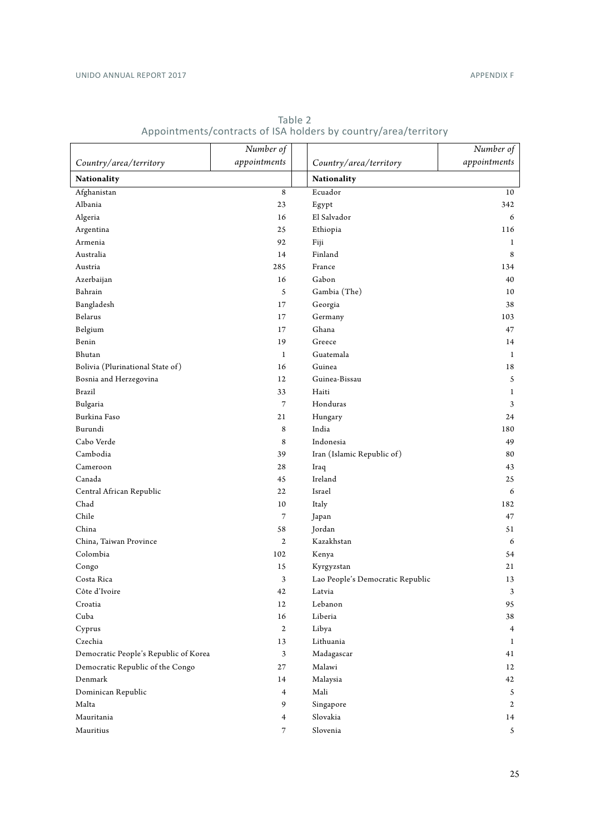|                                       | Number of    |                                  | Number of    |
|---------------------------------------|--------------|----------------------------------|--------------|
| Country/area/territory                | appointments | Country/area/territory           | appointments |
| Nationality                           |              | Nationality                      |              |
| Afghanistan                           | 8            | Ecuador                          | 10           |
| Albania                               | 23           | Egypt                            | 342          |
| Algeria                               | 16           | El Salvador                      | 6            |
| Argentina                             | 25           | Ethiopia                         | 116          |
| Armenia                               | 92           | Fiji                             | 1            |
| Australia                             | 14           | Finland                          | 8            |
| Austria                               | 285          | France                           | 134          |
| Azerbaijan                            | 16           | Gabon                            | 40           |
| Bahrain                               | 5            | Gambia (The)                     | 10           |
| Bangladesh                            | 17           | Georgia                          | 38           |
| Belarus                               | 17           | Germany                          | 103          |
| Belgium                               | 17           | Ghana                            | 47           |
| Benin                                 | 19           | Greece                           | 14           |
| Bhutan                                | $\mathbf{1}$ | Guatemala                        | 1            |
| Bolivia (Plurinational State of)      | 16           | Guinea                           | 18           |
| Bosnia and Herzegovina                | 12           | Guinea-Bissau                    | 5            |
| <b>Brazil</b>                         | 33           | Haiti                            | 1            |
| Bulgaria                              | 7            | Honduras                         | 3            |
| Burkina Faso                          | 21           | Hungary                          | 24           |
| Burundi                               | 8            | India                            | 180          |
| Cabo Verde                            | 8            | Indonesia                        | 49           |
| Cambodia                              | 39           | Iran (Islamic Republic of)       | 80           |
| Cameroon                              | 28           | Iraq                             | 43           |
| Canada                                | 45           | Ireland                          | 25           |
| Central African Republic              | 22           | Israel                           | 6            |
| Chad                                  | 10           | Italy                            | 182          |
| Chile                                 | 7            | Japan                            | 47           |
| China                                 | 58           | Jordan                           | 51           |
| China, Taiwan Province                | $\mathbf{2}$ | Kazakhstan                       | 6            |
| Colombia                              | 102          | Kenya                            | 54           |
| Congo                                 | 15           | Kyrgyzstan                       | 21           |
| Costa Rica                            | 3            | Lao People's Democratic Republic | 13           |
| Côte d'Ivoire                         | 42           | Latvia                           | 3            |
| Croatia                               | 12           | Lebanon                          | 95           |
| Cuba                                  | 16           | Liberia                          | 38           |
| Cyprus                                | $\mathbf{2}$ | Libya                            | 4            |
| Czechia                               | 13           | Lithuania                        | 1            |
| Democratic People's Republic of Korea | 3            | Madagascar                       | 41           |
| Democratic Republic of the Congo      | 27           | Malawi                           | 12           |
| Denmark                               | 14           | Malaysia                         | 42           |
| Dominican Republic                    | 4            | Mali                             | 5            |
| Malta                                 | 9            | Singapore                        | 2            |
| Mauritania                            | 4            | Slovakia                         | 14           |
| Mauritius                             | 7            | Slovenia                         | 5            |

Table 2 Appointments/contracts of ISA holders by country/area/territory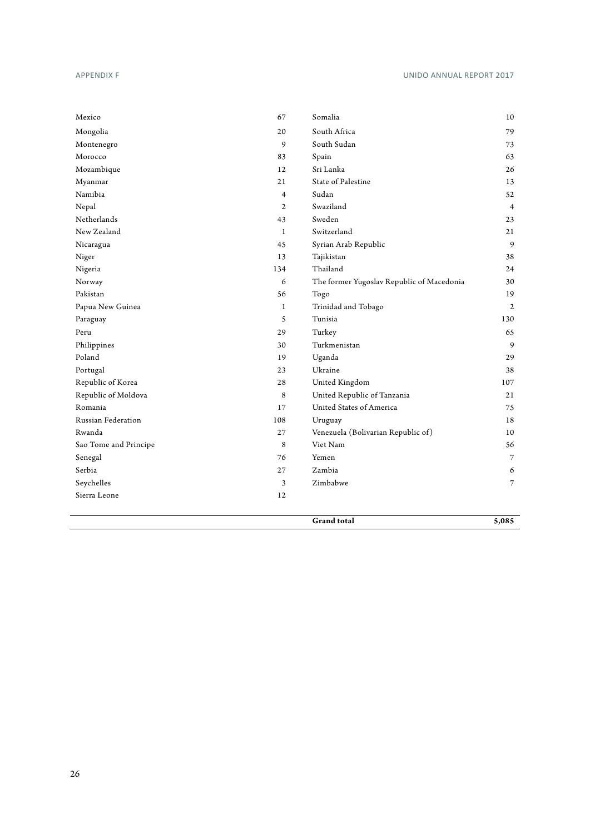#### APPENDIX F UNIDO ANNUAL REPORT 2017

| Mexico                    | 67             | Somalia                                   | 10             |
|---------------------------|----------------|-------------------------------------------|----------------|
| Mongolia                  | 20             | South Africa                              | 79             |
| Montenegro                | 9              | South Sudan                               | 73             |
| Morocco                   | 83             | Spain                                     | 63             |
| Mozambique                | 12             | Sri Lanka                                 | 26             |
| Myanmar                   | 21             | State of Palestine                        | 13             |
| Namibia                   | $\overline{4}$ | Sudan                                     | 52             |
| Nepal                     | 2              | Swaziland                                 | $\overline{4}$ |
| Netherlands               | 43             | Sweden                                    | 23             |
| New Zealand               | $\mathbf{1}$   | Switzerland                               | 21             |
| Nicaragua                 | 45             | Syrian Arab Republic                      | 9              |
| Niger                     | 13             | Tajikistan                                | 38             |
| Nigeria                   | 134            | Thailand                                  | 24             |
| Norway                    | 6              | The former Yugoslav Republic of Macedonia | 30             |
| Pakistan                  | 56             | Togo                                      | 19             |
| Papua New Guinea          | 1              | Trinidad and Tobago                       | 2              |
| Paraguay                  | 5              | Tunisia                                   | 130            |
| Peru                      | 29             | Turkey                                    | 65             |
| Philippines               | 30             | Turkmenistan                              | 9              |
| Poland                    | 19             | Uganda                                    | 29             |
| Portugal                  | 23             | Ukraine                                   | 38             |
| Republic of Korea         | 28             | United Kingdom                            | 107            |
| Republic of Moldova       | 8              | United Republic of Tanzania               | 21             |
| Romania                   | 17             | United States of America                  | 75             |
| <b>Russian Federation</b> | 108            | Uruguay                                   | 18             |
| Rwanda                    | 27             | Venezuela (Bolivarian Republic of)        | 10             |
| Sao Tome and Principe     | 8              | Viet Nam                                  | 56             |
| Senegal                   | 76             | Yemen                                     | 7              |
| Serbia                    | 27             | Zambia                                    | 6              |
| Seychelles                | 3              | Zimbabwe                                  | 7              |
| Sierra Leone              | 12             |                                           |                |

**Grand total 5,085**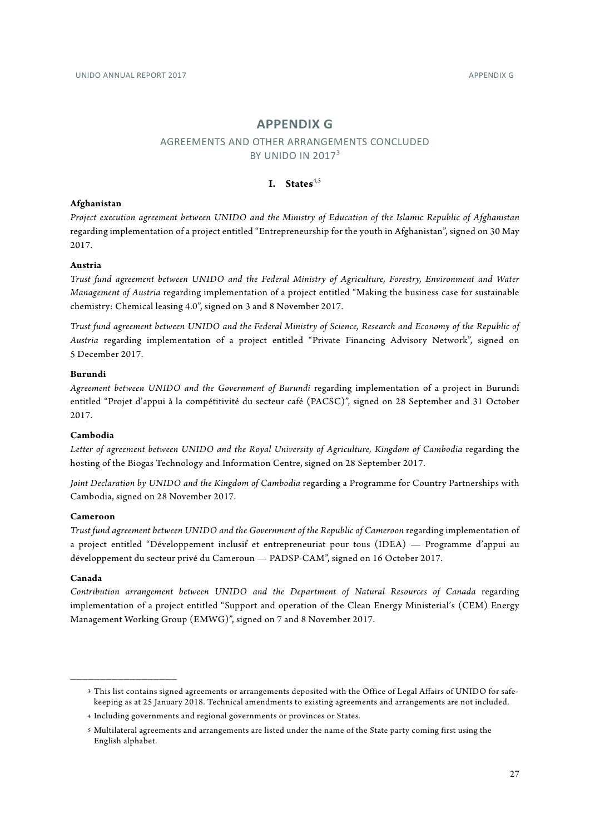# **APPENDIX G**

### AGREEMENTS AND OTHER ARRANGEMENTS CONCLUDED BY UNIDO IN 20173

# I. States<sup>4,5</sup>

#### **Afghanistan**

*Project execution agreement between UNIDO and the Ministry of Education of the Islamic Republic of Afghanistan*  regarding implementation of a project entitled "Entrepreneurship for the youth in Afghanistan", signed on 30 May 2017.

#### **Austria**

*Trust fund agreement between UNIDO and the Federal Ministry of Agriculture, Forestry, Environment and Water Management of Austria* regarding implementation of a project entitled "Making the business case for sustainable chemistry: Chemical leasing 4.0", signed on 3 and 8 November 2017.

*Trust fund agreement between UNIDO and the Federal Ministry of Science, Research and Economy of the Republic of Austria* regarding implementation of a project entitled "Private Financing Advisory Network", signed on 5 December 2017.

#### **Burundi**

*Agreement between UNIDO and the Government of Burundi* regarding implementation of a project in Burundi entitled "Projet d'appui à la compétitivité du secteur café (PACSC)", signed on 28 September and 31 October 2017.

#### **Cambodia**

Letter of agreement between UNIDO and the Royal University of Agriculture, Kingdom of Cambodia regarding the hosting of the Biogas Technology and Information Centre, signed on 28 September 2017.

*Joint Declaration by UNIDO and the Kingdom of Cambodia* regarding a Programme for Country Partnerships with Cambodia, signed on 28 November 2017.

#### **Cameroon**

*Trust fund agreement between UNIDO and the Government of the Republic of Cameroon regarding implementation of* a project entitled "Développement inclusif et entrepreneuriat pour tous (IDEA) — Programme d'appui au développement du secteur privé du Cameroun — PADSP-CAM", signed on 16 October 2017.

#### **Canada**

**\_\_\_\_\_\_\_\_\_\_\_\_\_\_\_\_\_\_** 

*Contribution arrangement between UNIDO and the Department of Natural Resources of Canada* regarding implementation of a project entitled "Support and operation of the Clean Energy Ministerial's (CEM) Energy Management Working Group (EMWG)", signed on 7 and 8 November 2017.

<sup>3</sup> This list contains signed agreements or arrangements deposited with the Office of Legal Affairs of UNIDO for safekeeping as at 25 January 2018. Technical amendments to existing agreements and arrangements are not included.

<sup>4</sup> Including governments and regional governments or provinces or States.

<sup>5</sup> Multilateral agreements and arrangements are listed under the name of the State party coming first using the English alphabet.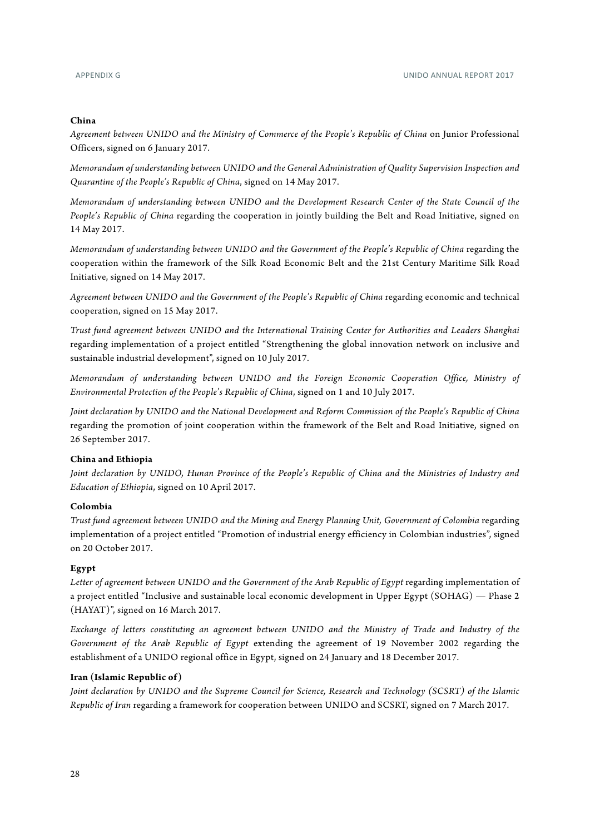#### **China**

*Agreement between UNIDO and the Ministry of Commerce of the People's Republic of China* on Junior Professional Officers, signed on 6 January 2017.

*Memorandum of understanding between UNIDO and the General Administration of Quality Supervision Inspection and Quarantine of the People's Republic of China*, signed on 14 May 2017.

*Memorandum of understanding between UNIDO and the Development Research Center of the State Council of the People's Republic of China* regarding the cooperation in jointly building the Belt and Road Initiative, signed on 14 May 2017.

*Memorandum of understanding between UNIDO and the Government of the People's Republic of China* regarding the cooperation within the framework of the Silk Road Economic Belt and the 21st Century Maritime Silk Road Initiative, signed on 14 May 2017.

Agreement between UNIDO and the Government of the People's Republic of China regarding economic and technical cooperation, signed on 15 May 2017.

*Trust fund agreement between UNIDO and the International Training Center for Authorities and Leaders Shanghai* regarding implementation of a project entitled "Strengthening the global innovation network on inclusive and sustainable industrial development", signed on 10 July 2017.

*Memorandum of understanding between UNIDO and the Foreign Economic Cooperation Office, Ministry of Environmental Protection of the People's Republic of China*, signed on 1 and 10 July 2017.

*Joint declaration by UNIDO and the National Development and Reform Commission of the People's Republic of China* regarding the promotion of joint cooperation within the framework of the Belt and Road Initiative, signed on 26 September 2017.

#### **China and Ethiopia**

*Joint declaration by UNIDO, Hunan Province of the People's Republic of China and the Ministries of Industry and Education of Ethiopia*, signed on 10 April 2017.

#### **Colombia**

*Trust fund agreement between UNIDO and the Mining and Energy Planning Unit, Government of Colombia* regarding implementation of a project entitled "Promotion of industrial energy efficiency in Colombian industries", signed on 20 October 2017.

### **Egypt**

Letter of agreement between UNIDO and the Government of the Arab Republic of Egypt regarding implementation of a project entitled "Inclusive and sustainable local economic development in Upper Egypt (SOHAG) — Phase 2 (HAYAT)", signed on 16 March 2017.

*Exchange of letters constituting an agreement between UNIDO and the Ministry of Trade and Industry of the Government of the Arab Republic of Egypt* extending the agreement of 19 November 2002 regarding the establishment of a UNIDO regional office in Egypt, signed on 24 January and 18 December 2017.

#### **Iran (Islamic Republic of )**

*Joint declaration by UNIDO and the Supreme Council for Science, Research and Technology (SCSRT) of the Islamic Republic of Iran* regarding a framework for cooperation between UNIDO and SCSRT, signed on 7 March 2017.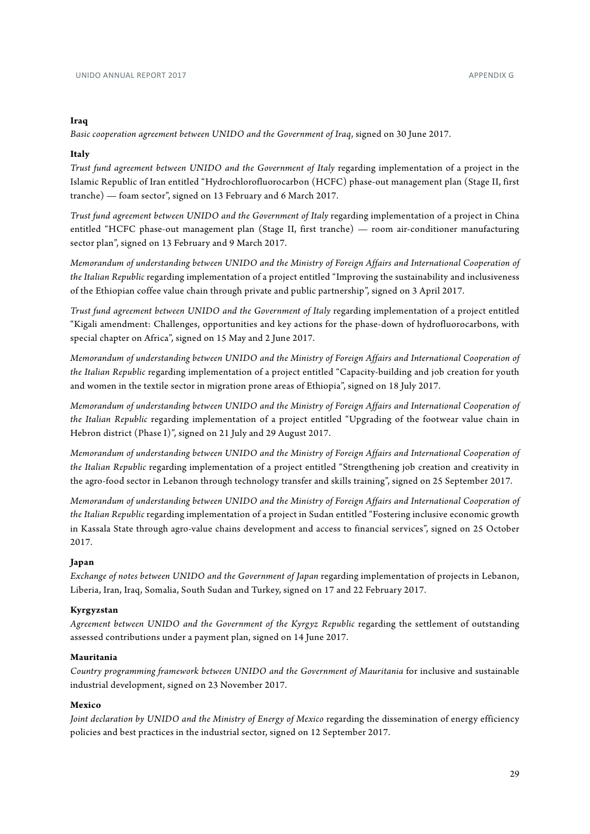#### **Iraq**

*Basic cooperation agreement between UNIDO and the Government of Iraq*, signed on 30 June 2017.

#### **Italy**

*Trust fund agreement between UNIDO and the Government of Italy regarding implementation of a project in the* Islamic Republic of Iran entitled "Hydrochlorofluorocarbon (HCFC) phase-out management plan (Stage II, first tranche) — foam sector", signed on 13 February and 6 March 2017.

*Trust fund agreement between UNIDO and the Government of Italy regarding implementation of a project in China* entitled "HCFC phase-out management plan (Stage II, first tranche) — room air-conditioner manufacturing sector plan", signed on 13 February and 9 March 2017.

*Memorandum of understanding between UNIDO and the Ministry of Foreign Affairs and International Cooperation of the Italian Republic* regarding implementation of a project entitled "Improving the sustainability and inclusiveness of the Ethiopian coffee value chain through private and public partnership", signed on 3 April 2017.

*Trust fund agreement between UNIDO and the Government of Italy regarding implementation of a project entitled* "Kigali amendment: Challenges, opportunities and key actions for the phase-down of hydrofluorocarbons, with special chapter on Africa", signed on 15 May and 2 June 2017.

*Memorandum of understanding between UNIDO and the Ministry of Foreign Affairs and International Cooperation of the Italian Republic* regarding implementation of a project entitled "Capacity-building and job creation for youth and women in the textile sector in migration prone areas of Ethiopia", signed on 18 July 2017.

*Memorandum of understanding between UNIDO and the Ministry of Foreign Affairs and International Cooperation of the Italian Republic* regarding implementation of a project entitled "Upgrading of the footwear value chain in Hebron district (Phase I)", signed on 21 July and 29 August 2017.

*Memorandum of understanding between UNIDO and the Ministry of Foreign Affairs and International Cooperation of the Italian Republic* regarding implementation of a project entitled "Strengthening job creation and creativity in the agro-food sector in Lebanon through technology transfer and skills training", signed on 25 September 2017.

*Memorandum of understanding between UNIDO and the Ministry of Foreign Affairs and International Cooperation of the Italian Republic* regarding implementation of a project in Sudan entitled "Fostering inclusive economic growth in Kassala State through agro-value chains development and access to financial services", signed on 25 October 2017.

### **Japan**

*Exchange of notes between UNIDO and the Government of Japan* regarding implementation of projects in Lebanon, Liberia, Iran, Iraq, Somalia, South Sudan and Turkey, signed on 17 and 22 February 2017.

#### **Kyrgyzstan**

*Agreement between UNIDO and the Government of the Kyrgyz Republic* regarding the settlement of outstanding assessed contributions under a payment plan, signed on 14 June 2017.

#### **Mauritania**

*Country programming framework between UNIDO and the Government of Mauritania* for inclusive and sustainable industrial development, signed on 23 November 2017.

#### **Mexico**

*Joint declaration by UNIDO and the Ministry of Energy of Mexico* regarding the dissemination of energy efficiency policies and best practices in the industrial sector, signed on 12 September 2017.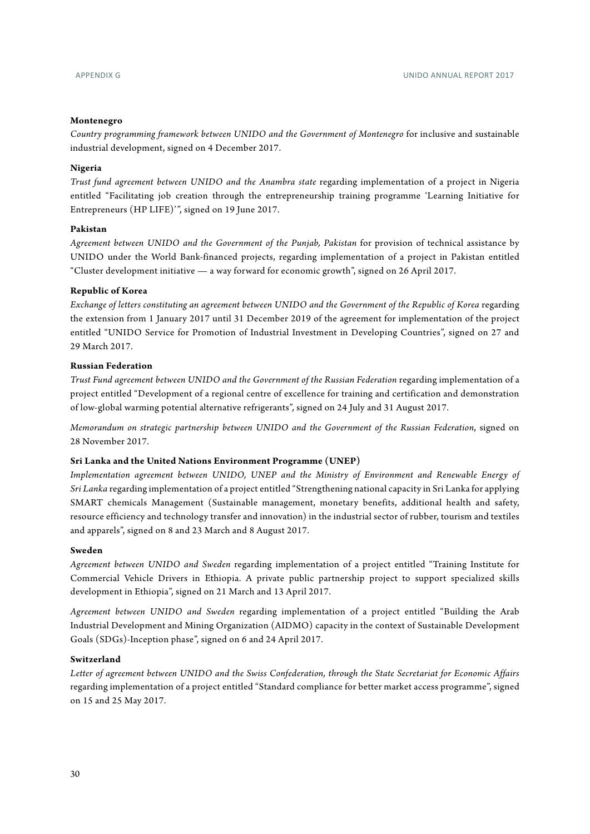#### **Montenegro**

*Country programming framework between UNIDO and the Government of Montenegro* for inclusive and sustainable industrial development, signed on 4 December 2017.

### **Nigeria**

*Trust fund agreement between UNIDO and the Anambra state* regarding implementation of a project in Nigeria entitled "Facilitating job creation through the entrepreneurship training programme 'Learning Initiative for Entrepreneurs (HP LIFE)'", signed on 19 June 2017.

#### **Pakistan**

*Agreement between UNIDO and the Government of the Punjab, Pakistan* for provision of technical assistance by UNIDO under the World Bank-financed projects, regarding implementation of a project in Pakistan entitled "Cluster development initiative — a way forward for economic growth", signed on 26 April 2017.

#### **Republic of Korea**

*Exchange of letters constituting an agreement between UNIDO and the Government of the Republic of Korea* regarding the extension from 1 January 2017 until 31 December 2019 of the agreement for implementation of the project entitled "UNIDO Service for Promotion of Industrial Investment in Developing Countries", signed on 27 and 29 March 2017.

#### **Russian Federation**

*Trust Fund agreement between UNIDO and the Government of the Russian Federation* regarding implementation of a project entitled "Development of a regional centre of excellence for training and certification and demonstration of low-global warming potential alternative refrigerants", signed on 24 July and 31 August 2017.

*Memorandum on strategic partnership between UNIDO and the Government of the Russian Federation*, signed on 28 November 2017.

#### **Sri Lanka and the United Nations Environment Programme (UNEP)**

*Implementation agreement between UNIDO, UNEP and the Ministry of Environment and Renewable Energy of Sri Lanka* regarding implementation of a project entitled "Strengthening national capacity in Sri Lanka for applying SMART chemicals Management (Sustainable management, monetary benefits, additional health and safety, resource efficiency and technology transfer and innovation) in the industrial sector of rubber, tourism and textiles and apparels", signed on 8 and 23 March and 8 August 2017.

#### **Sweden**

*Agreement between UNIDO and Sweden* regarding implementation of a project entitled "Training Institute for Commercial Vehicle Drivers in Ethiopia. A private public partnership project to support specialized skills development in Ethiopia", signed on 21 March and 13 April 2017.

*Agreement between UNIDO and Sweden* regarding implementation of a project entitled "Building the Arab Industrial Development and Mining Organization (AIDMO) capacity in the context of Sustainable Development Goals (SDGs)-Inception phase", signed on 6 and 24 April 2017.

#### **Switzerland**

*Letter of agreement between UNIDO and the Swiss Confederation, through the State Secretariat for Economic Affairs*  regarding implementation of a project entitled "Standard compliance for better market access programme", signed on 15 and 25 May 2017.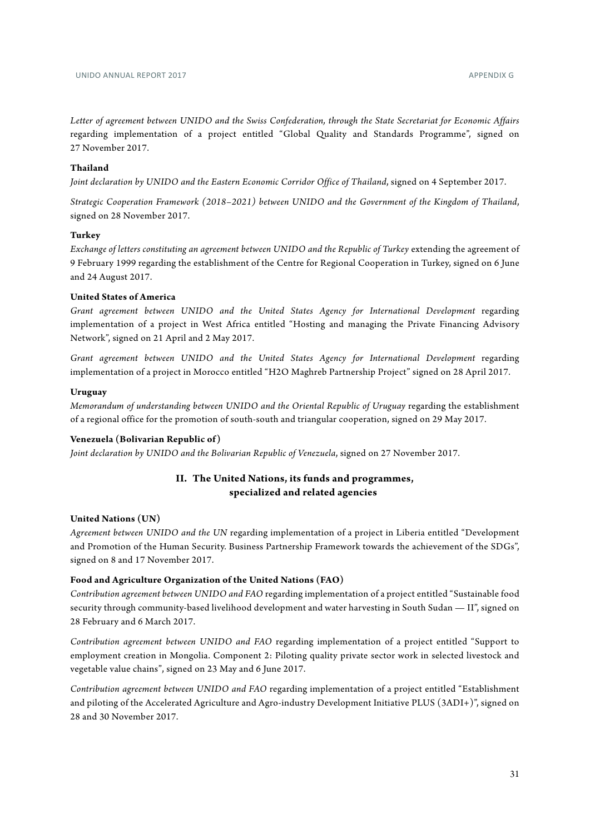*Letter of agreement between UNIDO and the Swiss Confederation, through the State Secretariat for Economic Affairs*  regarding implementation of a project entitled "Global Quality and Standards Programme", signed on 27 November 2017.

#### **Thailand**

*Joint declaration by UNIDO and the Eastern Economic Corridor Office of Thailand*, signed on 4 September 2017.

*Strategic Cooperation Framework (2018–2021) between UNIDO and the Government of the Kingdom of Thailand*, signed on 28 November 2017.

#### **Turkey**

*Exchange of letters constituting an agreement between UNIDO and the Republic of Turkey* extending the agreement of 9 February 1999 regarding the establishment of the Centre for Regional Cooperation in Turkey, signed on 6 June and 24 August 2017.

#### **United States of America**

Grant agreement between UNIDO and the United States Agency for International Development regarding implementation of a project in West Africa entitled "Hosting and managing the Private Financing Advisory Network", signed on 21 April and 2 May 2017.

Grant agreement between UNIDO and the United States Agency for International Development regarding implementation of a project in Morocco entitled "H2O Maghreb Partnership Project" signed on 28 April 2017.

#### **Uruguay**

*Memorandum of understanding between UNIDO and the Oriental Republic of Uruguay* regarding the establishment of a regional office for the promotion of south-south and triangular cooperation, signed on 29 May 2017.

#### **Venezuela (Bolivarian Republic of )**

*Joint declaration by UNIDO and the Bolivarian Republic of Venezuela*, signed on 27 November 2017.

# **II. The United Nations, its funds and programmes, specialized and related agencies**

#### **United Nations (UN)**

*Agreement between UNIDO and the UN* regarding implementation of a project in Liberia entitled "Development and Promotion of the Human Security. Business Partnership Framework towards the achievement of the SDGs", signed on 8 and 17 November 2017.

#### **Food and Agriculture Organization of the United Nations (FAO)**

*Contribution agreement between UNIDO and FAO* regarding implementation of a project entitled "Sustainable food security through community-based livelihood development and water harvesting in South Sudan — II", signed on 28 February and 6 March 2017.

*Contribution agreement between UNIDO and FAO* regarding implementation of a project entitled "Support to employment creation in Mongolia. Component 2: Piloting quality private sector work in selected livestock and vegetable value chains", signed on 23 May and 6 June 2017.

*Contribution agreement between UNIDO and FAO* regarding implementation of a project entitled "Establishment and piloting of the Accelerated Agriculture and Agro-industry Development Initiative PLUS (3ADI+)", signed on 28 and 30 November 2017.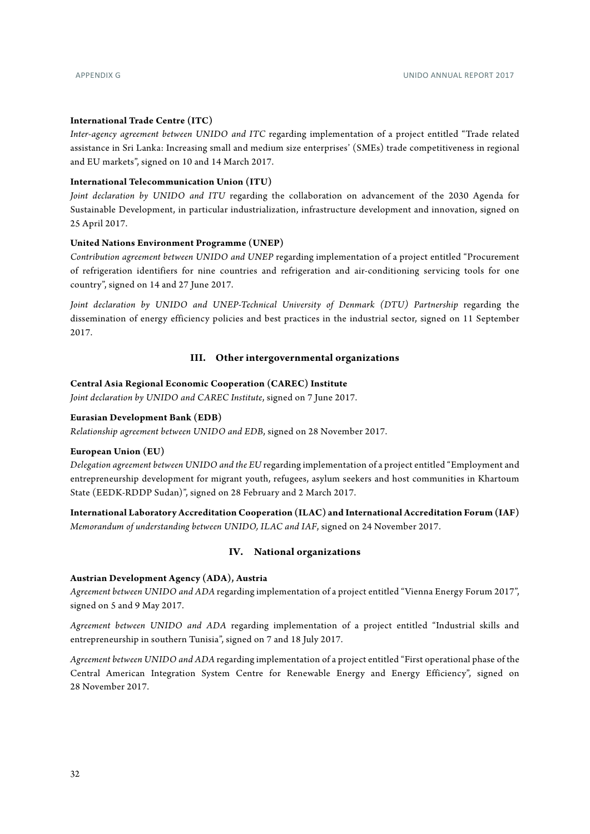#### **International Trade Centre (ITC)**

*Inter-agency agreement between UNIDO and ITC* regarding implementation of a project entitled "Trade related assistance in Sri Lanka: Increasing small and medium size enterprises' (SMEs) trade competitiveness in regional and EU markets", signed on 10 and 14 March 2017.

#### **International Telecommunication Union (ITU)**

*Joint declaration by UNIDO and ITU* regarding the collaboration on advancement of the 2030 Agenda for Sustainable Development, in particular industrialization, infrastructure development and innovation, signed on 25 April 2017.

#### **United Nations Environment Programme (UNEP)**

*Contribution agreement between UNIDO and UNEP* regarding implementation of a project entitled "Procurement of refrigeration identifiers for nine countries and refrigeration and air-conditioning servicing tools for one country", signed on 14 and 27 June 2017.

Joint declaration by UNIDO and UNEP-Technical University of Denmark (DTU) Partnership regarding the dissemination of energy efficiency policies and best practices in the industrial sector, signed on 11 September 2017.

#### **III. Other intergovernmental organizations**

#### **Central Asia Regional Economic Cooperation (CAREC) Institute**

*Joint declaration by UNIDO and CAREC Institute*, signed on 7 June 2017.

# **Eurasian Development Bank (EDB)**

*Relationship agreement between UNIDO and EDB*, signed on 28 November 2017.

#### **European Union (EU)**

*Delegation agreement between UNIDO and the EU* regarding implementation of a project entitled "Employment and entrepreneurship development for migrant youth, refugees, asylum seekers and host communities in Khartoum State (EEDK-RDDP Sudan)", signed on 28 February and 2 March 2017.

**International Laboratory Accreditation Cooperation (ILAC) and International Accreditation Forum (IAF)**  *Memorandum of understanding between UNIDO, ILAC and IAF*, signed on 24 November 2017.

#### **IV. National organizations**

#### **Austrian Development Agency (ADA), Austria**

*Agreement between UNIDO and ADA* regarding implementation of a project entitled "Vienna Energy Forum 2017", signed on 5 and 9 May 2017.

*Agreement between UNIDO and ADA* regarding implementation of a project entitled "Industrial skills and entrepreneurship in southern Tunisia", signed on 7 and 18 July 2017.

*Agreement between UNIDO and ADA* regarding implementation of a project entitled "First operational phase of the Central American Integration System Centre for Renewable Energy and Energy Efficiency", signed on 28 November 2017.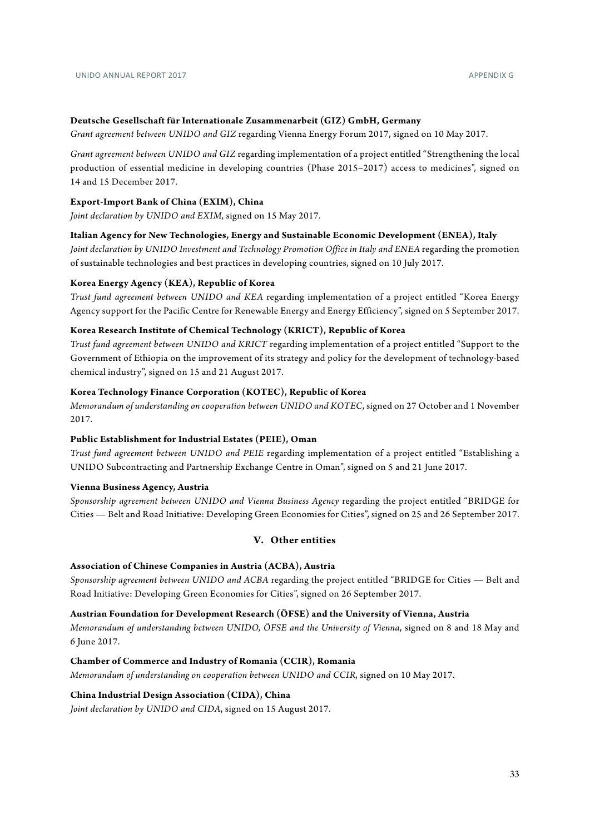#### **Deutsche Gesellschaft für Internationale Zusammenarbeit (GIZ) GmbH, Germany**

*Grant agreement between UNIDO and GIZ* regarding Vienna Energy Forum 2017, signed on 10 May 2017.

*Grant agreement between UNIDO and GIZ* regarding implementation of a project entitled "Strengthening the local production of essential medicine in developing countries (Phase 2015–2017) access to medicines", signed on 14 and 15 December 2017.

#### **Export-Import Bank of China (EXIM), China**

*Joint declaration by UNIDO and EXIM*, signed on 15 May 2017.

#### **Italian Agency for New Technologies, Energy and Sustainable Economic Development (ENEA), Italy**

*Joint declaration by UNIDO Investment and Technology Promotion Office in Italy and ENEA* regarding the promotion of sustainable technologies and best practices in developing countries, signed on 10 July 2017.

#### **Korea Energy Agency (KEA), Republic of Korea**

*Trust fund agreement between UNIDO and KEA* regarding implementation of a project entitled "Korea Energy Agency support for the Pacific Centre for Renewable Energy and Energy Efficiency", signed on 5 September 2017.

### **Korea Research Institute of Chemical Technology (KRICT), Republic of Korea**

*Trust fund agreement between UNIDO and KRICT* regarding implementation of a project entitled "Support to the Government of Ethiopia on the improvement of its strategy and policy for the development of technology-based chemical industry", signed on 15 and 21 August 2017.

#### **Korea Technology Finance Corporation (KOTEC), Republic of Korea**

*Memorandum of understanding on cooperation between UNIDO and KOTEC*, signed on 27 October and 1 November 2017.

#### **Public Establishment for Industrial Estates (PEIE), Oman**

*Trust fund agreement between UNIDO and PEIE* regarding implementation of a project entitled "Establishing a UNIDO Subcontracting and Partnership Exchange Centre in Oman", signed on 5 and 21 June 2017.

#### **Vienna Business Agency, Austria**

*Sponsorship agreement between UNIDO and Vienna Business Agency* regarding the project entitled "BRIDGE for Cities — Belt and Road Initiative: Developing Green Economies for Cities", signed on 25 and 26 September 2017.

# **V. Other entities**

#### **Association of Chinese Companies in Austria (ACBA), Austria**

*Sponsorship agreement between UNIDO and ACBA* regarding the project entitled "BRIDGE for Cities — Belt and Road Initiative: Developing Green Economies for Cities", signed on 26 September 2017.

# **Austrian Foundation for Development Research (ÖFSE) and the University of Vienna, Austria**

*Memorandum of understanding between UNIDO, ÖFSE and the University of Vienna*, signed on 8 and 18 May and 6 June 2017.

#### **Chamber of Commerce and Industry of Romania (CCIR), Romania**

*Memorandum of understanding on cooperation between UNIDO and CCIR*, signed on 10 May 2017.

### **China Industrial Design Association (CIDA), China**

*Joint declaration by UNIDO and CIDA*, signed on 15 August 2017.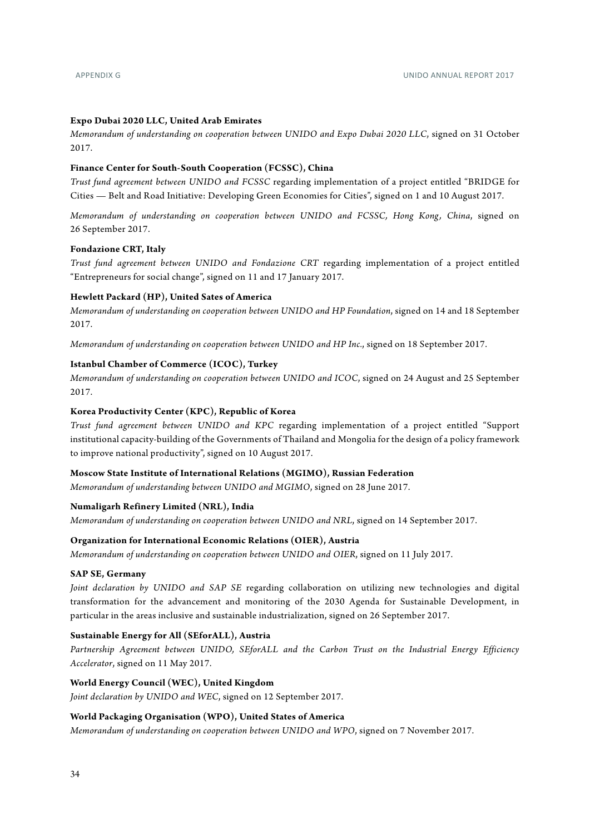#### **Expo Dubai 2020 LLC, United Arab Emirates**

*Memorandum of understanding on cooperation between UNIDO and Expo Dubai 2020 LLC*, signed on 31 October 2017.

### **Finance Center for South-South Cooperation (FCSSC), China**

*Trust fund agreement between UNIDO and FCSSC* regarding implementation of a project entitled "BRIDGE for Cities — Belt and Road Initiative: Developing Green Economies for Cities", signed on 1 and 10 August 2017.

*Memorandum of understanding on cooperation between UNIDO and FCSSC, Hong Kong , China*, signed on 26 September 2017.

#### **Fondazione CRT, Italy**

*Trust fund agreement between UNIDO and Fondazione CRT* regarding implementation of a project entitled "Entrepreneurs for social change", signed on 11 and 17 January 2017.

#### **Hewlett Packard (HP), United Sates of America**

*Memorandum of understanding on cooperation between UNIDO and HP Foundation*, signed on 14 and 18 September 2017.

*Memorandum of understanding on cooperation between UNIDO and HP Inc.*, signed on 18 September 2017.

#### **Istanbul Chamber of Commerce (ICOC), Turkey**

*Memorandum of understanding on cooperation between UNIDO and ICOC*, signed on 24 August and 25 September 2017.

#### **Korea Productivity Center (KPC), Republic of Korea**

*Trust fund agreement between UNIDO and KPC* regarding implementation of a project entitled "Support institutional capacity-building of the Governments of Thailand and Mongolia for the design of a policy framework to improve national productivity", signed on 10 August 2017.

#### **Moscow State Institute of International Relations (MGIMO), Russian Federation**

*Memorandum of understanding between UNIDO and MGIMO*, signed on 28 June 2017.

#### **Numaligarh Refinery Limited (NRL), India**

*Memorandum of understanding on cooperation between UNIDO and NRL*, signed on 14 September 2017.

#### **Organization for International Economic Relations (OIER), Austria**

*Memorandum of understanding on cooperation between UNIDO and OIER*, signed on 11 July 2017.

#### **SAP SE, Germany**

*Joint declaration by UNIDO and SAP SE* regarding collaboration on utilizing new technologies and digital transformation for the advancement and monitoring of the 2030 Agenda for Sustainable Development, in particular in the areas inclusive and sustainable industrialization, signed on 26 September 2017.

#### **Sustainable Energy for All (SEforALL), Austria**

*Partnership Agreement between UNIDO, SEforALL and the Carbon Trust on the Industrial Energy Efficiency Accelerator*, signed on 11 May 2017.

#### **World Energy Council (WEC), United Kingdom**

*Joint declaration by UNIDO and WEC*, signed on 12 September 2017.

#### **World Packaging Organisation (WPO), United States of America**

*Memorandum of understanding on cooperation between UNIDO and WPO*, signed on 7 November 2017.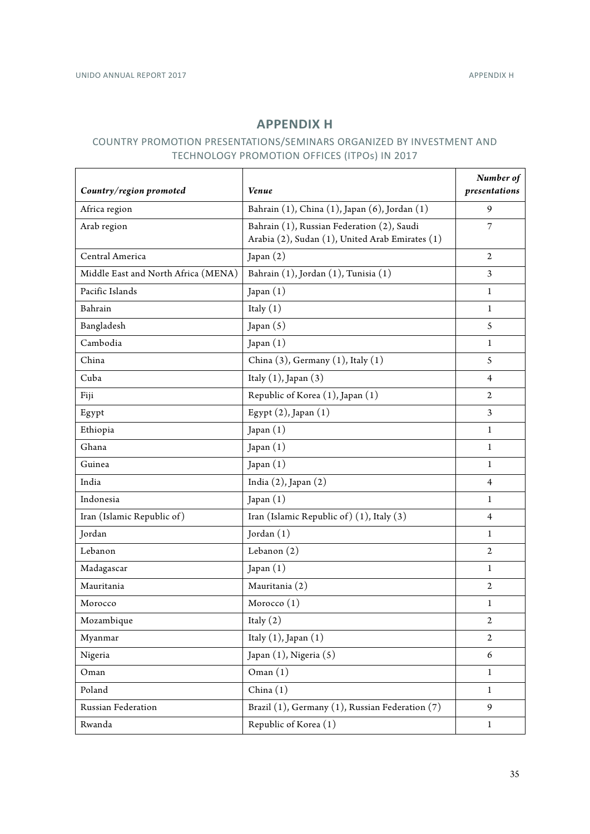# **APPENDIX H**

# COUNTRY PROMOTION PRESENTATIONS/SEMINARS ORGANIZED BY INVESTMENT AND TECHNOLOGY PROMOTION OFFICES (ITPOs) IN 2017

| Country/region promoted             | Venue                                                                                         | Number of<br>presentations |
|-------------------------------------|-----------------------------------------------------------------------------------------------|----------------------------|
| Africa region                       | Bahrain (1), China (1), Japan (6), Jordan (1)                                                 | 9                          |
| Arab region                         | Bahrain (1), Russian Federation (2), Saudi<br>Arabia (2), Sudan (1), United Arab Emirates (1) | 7                          |
| Central America                     | Japan $(2)$                                                                                   | $\mathfrak{2}$             |
| Middle East and North Africa (MENA) | Bahrain (1), Jordan (1), Tunisia (1)                                                          | 3                          |
| Pacific Islands                     | Japan $(1)$                                                                                   | $\mathbf{1}$               |
| Bahrain                             | Italy $(1)$                                                                                   | $\mathbf{1}$               |
| Bangladesh                          | Japan $(5)$                                                                                   | 5                          |
| Cambodia                            | Japan $(1)$                                                                                   | $\mathbf{1}$               |
| China                               | China $(3)$ , Germany $(1)$ , Italy $(1)$                                                     | 5                          |
| Cuba                                | Italy $(1)$ , Japan $(3)$                                                                     | $\overline{4}$             |
| Fiji                                | Republic of Korea (1), Japan (1)                                                              | $\mathfrak{2}$             |
| Egypt                               | Egypt $(2)$ , Japan $(1)$                                                                     | 3                          |
| Ethiopia                            | Japan $(1)$                                                                                   | $\mathbf{1}$               |
| Ghana                               | Japan $(1)$                                                                                   | $\mathbf{1}$               |
| Guinea                              | Japan $(1)$                                                                                   | $\mathbf{1}$               |
| India                               | India $(2)$ , Japan $(2)$                                                                     | $\overline{4}$             |
| Indonesia                           | Japan $(1)$                                                                                   | $\mathbf{1}$               |
| Iran (Islamic Republic of)          | Iran (Islamic Republic of) (1), Italy (3)                                                     | $\overline{4}$             |
| Jordan                              | Jordan $(1)$                                                                                  | $\mathbf{1}$               |
| Lebanon                             | Lebanon $(2)$                                                                                 | $\mathfrak{2}$             |
| Madagascar                          | Japan $(1)$                                                                                   | 1                          |
| Mauritania                          | Mauritania (2)                                                                                | $\overline{2}$             |
| Morocco                             | Morocco $(1)$                                                                                 | 1                          |
| Mozambique                          | Italy $(2)$                                                                                   | $\sqrt{2}$                 |
| Myanmar                             | Italy $(1)$ , Japan $(1)$                                                                     | $\mathbf{2}$               |
| Nigeria                             | Japan (1), Nigeria (5)                                                                        | 6                          |
| Oman                                | Oman $(1)$                                                                                    | $\mathbf{1}$               |
| Poland                              | China $(1)$                                                                                   | $\mathbf{1}$               |
| Russian Federation                  | Brazil (1), Germany (1), Russian Federation (7)                                               | 9                          |
| Rwanda                              | Republic of Korea (1)                                                                         | $\mathbf{1}$               |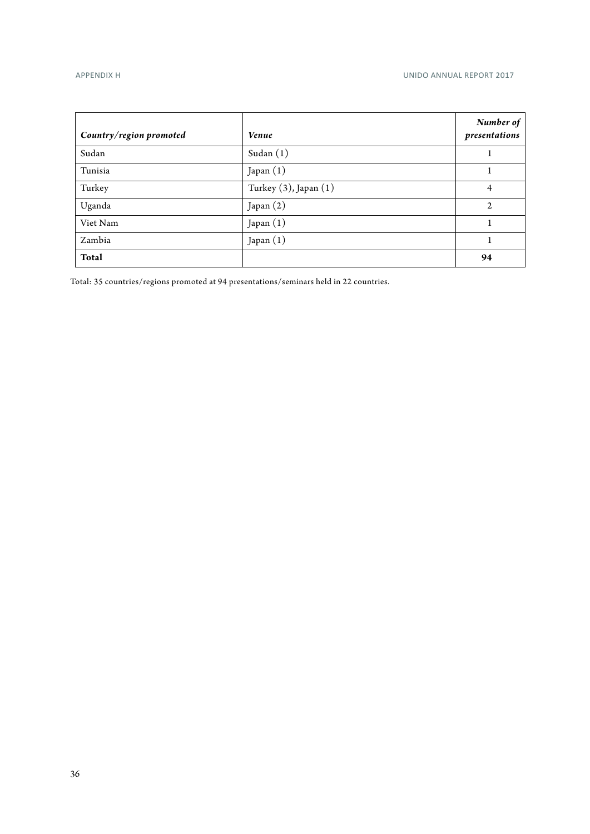| Country/region promoted | <b>Venue</b>               | Number of<br>presentations |
|-------------------------|----------------------------|----------------------------|
| Sudan                   | Sudan $(1)$                |                            |
| Tunisia                 | Japan $(1)$                |                            |
| Turkey                  | Turkey $(3)$ , Japan $(1)$ | $\overline{4}$             |
| Uganda                  | Japan $(2)$                | 2                          |
| Viet Nam                | Japan $(1)$                |                            |
| Zambia                  | Japan $(1)$                |                            |
| <b>Total</b>            |                            | 94                         |

Total: 35 countries/regions promoted at 94 presentations/seminars held in 22 countries.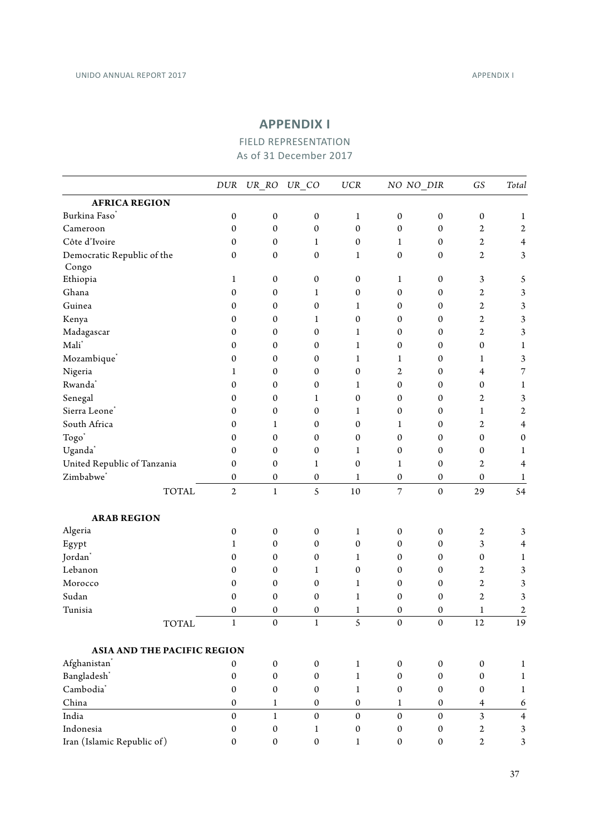## **APPENDIX I**

## FIELD REPRESENTATION As of 31 December 2017

|                                    | $D\,$            |                  | UR_RO UR_CO      | $UCR$            |                  | NO NO_DIR        | GS               | Total            |
|------------------------------------|------------------|------------------|------------------|------------------|------------------|------------------|------------------|------------------|
| <b>AFRICA REGION</b>               |                  |                  |                  |                  |                  |                  |                  |                  |
| Burkina Faso                       | $\boldsymbol{0}$ | $\boldsymbol{0}$ | $\boldsymbol{0}$ | $\mathbf{1}$     | $\boldsymbol{0}$ | $\boldsymbol{0}$ | $\boldsymbol{0}$ | 1                |
| Cameroon                           | $\mathbf{0}$     | $\boldsymbol{0}$ | $\boldsymbol{0}$ | $\boldsymbol{0}$ | $\boldsymbol{0}$ | $\mathbf{0}$     | 2                | $\sqrt{2}$       |
| Côte d'Ivoire                      | $\mathbf{0}$     | $\boldsymbol{0}$ | $\mathbf{1}$     | $\boldsymbol{0}$ | 1                | $\mathbf{0}$     | 2                | $\overline{4}$   |
| Democratic Republic of the         | $\boldsymbol{0}$ | $\boldsymbol{0}$ | 0                | $\mathbf 1$      | $\boldsymbol{0}$ | $\boldsymbol{0}$ | $\mathbf{2}$     | $\mathfrak{Z}$   |
| Congo                              |                  |                  |                  |                  |                  |                  |                  |                  |
| Ethiopia                           | $\mathbf{1}$     | $\boldsymbol{0}$ | $\boldsymbol{0}$ | $\boldsymbol{0}$ | $\mathbf{1}$     | $\mathbf{0}$     | 3                | 5                |
| Ghana                              | $\mathbf{0}$     | $\boldsymbol{0}$ | $\mathbf{1}$     | $\mathbf 0$      | $\boldsymbol{0}$ | $\mathbf{0}$     | 2                | $\mathfrak{Z}$   |
| Guinea                             | $\mathbf{0}$     | 0                | $\mathbf{0}$     | 1                | $\mathbf{0}$     | $\mathbf{0}$     | 2                | $\mathfrak{Z}$   |
| Kenya                              | $\mathbf{0}$     | $\boldsymbol{0}$ | $\mathbf{1}$     | $\mathbf 0$      | $\mathbf{0}$     | $\mathbf{0}$     | $\overline{2}$   | $\mathfrak{Z}$   |
| Madagascar                         | $\mathbf{0}$     | $\boldsymbol{0}$ | 0                | $\mathbf 1$      | $\mathbf{0}$     | $\mathbf{0}$     | $\mathfrak{2}$   | $\mathfrak{Z}$   |
| Mali <sup>*</sup>                  | $\boldsymbol{0}$ | $\boldsymbol{0}$ | $\boldsymbol{0}$ | 1                | $\boldsymbol{0}$ | $\mathbf{0}$     | $\boldsymbol{0}$ | $\mathbf{1}$     |
| Mozambique*                        | $\mathbf{0}$     | $\boldsymbol{0}$ | 0                | $\mathbf{1}$     | $\mathbf{1}$     | $\mathbf{0}$     | $\mathbf{1}$     | $\mathfrak{Z}$   |
| Nigeria                            | $\mathbf{1}$     | $\boldsymbol{0}$ | 0                | $\mathbf 0$      | $\sqrt{2}$       | $\mathbf{0}$     | $\overline{4}$   | 7                |
| Rwanda*                            | $\mathbf{0}$     | $\boldsymbol{0}$ | $\boldsymbol{0}$ | 1                | $\boldsymbol{0}$ | $\mathbf{0}$     | $\boldsymbol{0}$ | $\mathbf{1}$     |
| Senegal                            | $\mathbf{0}$     | 0                | $\mathbf{1}$     | 0                | $\boldsymbol{0}$ | $\mathbf{0}$     | 2                | $\mathfrak{Z}$   |
| Sierra Leone*                      | $\mathbf{0}$     | $\boldsymbol{0}$ | $\boldsymbol{0}$ | 1                | $\boldsymbol{0}$ | $\mathbf{0}$     | $\mathbf{1}$     | $\boldsymbol{2}$ |
| South Africa                       | $\mathbf{0}$     | 1                | $\mathbf{0}$     | $\mathbf{0}$     | 1                | $\bf{0}$         | 2                | $\overline{4}$   |
| $\mathrm{Togo}^*$                  | $\mathbf{0}$     | $\boldsymbol{0}$ | $\mathbf{0}$     | $\mathbf 0$      | $\boldsymbol{0}$ | $\mathbf{0}$     | $\boldsymbol{0}$ | $\boldsymbol{0}$ |
| Uganda <sup>*</sup>                | $\boldsymbol{0}$ | $\boldsymbol{0}$ | 0                | $\mathbf 1$      | $\boldsymbol{0}$ | $\boldsymbol{0}$ | $\boldsymbol{0}$ | 1                |
| United Republic of Tanzania        | $\boldsymbol{0}$ | $\boldsymbol{0}$ | $\mathbf{1}$     | $\boldsymbol{0}$ | $\mathbf{1}$     | $\boldsymbol{0}$ | $\mathfrak{2}$   | $\overline{4}$   |
| Zimbabwe <sup>'</sup>              | $\boldsymbol{0}$ | $\boldsymbol{0}$ | $\boldsymbol{0}$ | $\mathbf{1}$     | $\boldsymbol{0}$ | $\mathbf{0}$     | $\boldsymbol{0}$ | $\mathbf{1}$     |
| <b>TOTAL</b>                       | $\mathbf{2}$     | $\mathbf{1}$     | 5                | $10\,$           | 7                | $\boldsymbol{0}$ | 29               | 54               |
| <b>ARAB REGION</b>                 |                  |                  |                  |                  |                  |                  |                  |                  |
| Algeria                            | $\mathbf{0}$     | $\boldsymbol{0}$ | $\boldsymbol{0}$ | 1                | $\boldsymbol{0}$ | $\mathbf{0}$     | 2                | 3                |
| Egypt                              | $\mathbf 1$      | $\boldsymbol{0}$ | $\mathbf{0}$     | $\mathbf 0$      | $\boldsymbol{0}$ | $\mathbf{0}$     | 3                | $\overline{4}$   |
| Jordan <sup>*</sup>                | $\mathbf{0}$     | $\boldsymbol{0}$ | $\boldsymbol{0}$ | 1                | $\boldsymbol{0}$ | $\mathbf{0}$     | $\boldsymbol{0}$ | $\mathbf 1$      |
| Lebanon                            | $\mathbf{0}$     | 0                | $\mathbf{1}$     | $\boldsymbol{0}$ | $\boldsymbol{0}$ | $\mathbf{0}$     | 2                | $\mathfrak{Z}$   |
| Morocco                            | $\mathbf{0}$     | $\boldsymbol{0}$ | $\boldsymbol{0}$ | $\mathbf{1}$     | $\boldsymbol{0}$ | $\mathbf{0}$     | $\mathfrak{2}$   | $\mathfrak{Z}$   |
| Sudan                              | $\mathbf{0}$     | $\boldsymbol{0}$ | $\mathbf{0}$     | $\mathbf{1}$     | $\boldsymbol{0}$ | $\mathbf{0}$     | $\boldsymbol{2}$ | $\mathfrak{Z}$   |
| Tunisia                            | $\boldsymbol{0}$ | 0                | 0                | $\mathbf{1}$     | $\boldsymbol{0}$ | $\mathbf{0}$     | $\mathbf{1}$     | $\boldsymbol{2}$ |
| <b>TOTAL</b>                       | $\,1\,$          | $\boldsymbol{0}$ | $\mathbf{1}$     | 5                | $\Omega$         | $\boldsymbol{0}$ | 12               | 19               |
| <b>ASIA AND THE PACIFIC REGION</b> |                  |                  |                  |                  |                  |                  |                  |                  |
| Afghanistan <sup>*</sup>           | $\mathbf{0}$     | $\boldsymbol{0}$ | $\boldsymbol{0}$ | $\mathbf{1}$     | $\boldsymbol{0}$ | $\mathbf{0}$     | $\boldsymbol{0}$ | $\mathbf{1}$     |
| Bangladesh <sup>*</sup>            | $\boldsymbol{0}$ | $\boldsymbol{0}$ | $\boldsymbol{0}$ | $\mathbf{1}$     | $\boldsymbol{0}$ | $\boldsymbol{0}$ | $\boldsymbol{0}$ | $\mathbf{1}$     |
| Cambodia <sup>*</sup>              | $\boldsymbol{0}$ | $\boldsymbol{0}$ | $\boldsymbol{0}$ | $\mathbf{1}$     | $\boldsymbol{0}$ | $\mathbf{0}$     | $\boldsymbol{0}$ | $\,1\,$          |
| China                              | $\mathbf{0}$     | $\mathbf{1}$     | $\boldsymbol{0}$ | $\mathbf 0$      | $\mathbf{1}$     | $\mathbf{0}$     | $\overline{4}$   | 6                |
| India                              | $\boldsymbol{0}$ | $\mathbf{1}$     | $\boldsymbol{0}$ | $\boldsymbol{0}$ | $\boldsymbol{0}$ | $\boldsymbol{0}$ | 3                | $\overline{4}$   |
| Indonesia                          | $\boldsymbol{0}$ | $\boldsymbol{0}$ | $\mathbf{1}$     | $\mathbf 0$      | $\boldsymbol{0}$ | $\mathbf{0}$     | $\boldsymbol{2}$ | $\mathfrak{Z}$   |
| Iran (Islamic Republic of)         | $\boldsymbol{0}$ | $\boldsymbol{0}$ | $\boldsymbol{0}$ | $\mathbf{1}$     | $\boldsymbol{0}$ | $\boldsymbol{0}$ | $\boldsymbol{2}$ | $\mathfrak z$    |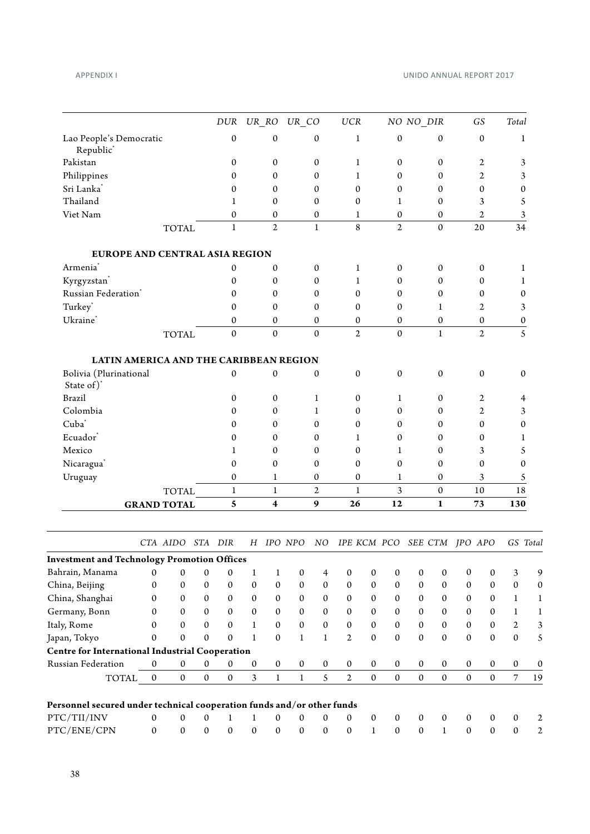|                                                                        |                  |                    |                  |                  | DUR UR RO UR CO  |                       |                              |                                | <b>UCR</b>                  |                  |                  | NO NO_DIR        |                  |                  | GS                | Total                 |                       |
|------------------------------------------------------------------------|------------------|--------------------|------------------|------------------|------------------|-----------------------|------------------------------|--------------------------------|-----------------------------|------------------|------------------|------------------|------------------|------------------|-------------------|-----------------------|-----------------------|
| Lao People's Democratic<br>Republic <sup>*</sup>                       |                  |                    |                  | $\boldsymbol{0}$ |                  | $\boldsymbol{0}$      |                              | $\boldsymbol{0}$               | $\mathbf{1}$                |                  | $\boldsymbol{0}$ |                  | $\mathbf{0}$     |                  | $\mathbf{0}$      |                       | 1                     |
| Pakistan                                                               |                  |                    |                  | $\mathbf{0}$     |                  | $\mathbf{0}$          |                              | $\mathbf{0}$                   | 1                           |                  | $\mathbf{0}$     |                  | $\mathbf{0}$     |                  | 2                 |                       | 3                     |
| Philippines                                                            |                  |                    |                  | $\mathbf{0}$     |                  | $\mathbf{0}$          |                              | $\mathbf{0}$                   | 1                           |                  | $\mathbf{0}$     |                  | $\mathbf{0}$     |                  | $\overline{2}$    |                       | 3                     |
| Sri Lanka*                                                             |                  |                    |                  | $\mathbf{0}$     |                  | 0                     |                              | 0                              | $\mathbf{0}$                |                  | $\mathbf{0}$     |                  | $\mathbf{0}$     |                  | $\mathbf{0}$      |                       | $\mathbf{0}$          |
| Thailand                                                               |                  |                    |                  | 1                |                  | 0                     |                              | 0                              | $\mathbf{0}$                |                  | $\mathbf{1}$     |                  | $\mathbf{0}$     |                  | 3                 |                       | 5                     |
| Viet Nam                                                               |                  |                    |                  | 0                |                  | 0                     |                              | 0                              | 1                           |                  | 0                |                  | $\mathbf{0}$     |                  | 2                 |                       | 3                     |
|                                                                        |                  | <b>TOTAL</b>       |                  | $\mathbf{1}$     |                  | $\mathbf{2}$          |                              | $\mathbf{1}$                   | 8                           |                  | $\overline{2}$   |                  | $\mathbf{0}$     |                  | 20                |                       | 34                    |
| EUROPE AND CENTRAL ASIA REGION                                         |                  |                    |                  |                  |                  |                       |                              |                                |                             |                  |                  |                  |                  |                  |                   |                       |                       |
| Armenia <sup>*</sup>                                                   |                  |                    |                  | 0                |                  | $\boldsymbol{0}$      |                              | $\boldsymbol{0}$               | 1                           |                  | 0                |                  | $\mathbf{0}$     |                  | $\mathbf{0}$      |                       | $\mathbf{1}$          |
| Kyrgyzstan*                                                            |                  |                    |                  | $\mathbf{0}$     |                  | 0                     |                              | 0                              | 1                           |                  | 0                |                  | $\mathbf{0}$     |                  | 0                 |                       | 1                     |
| Russian Federation*                                                    |                  |                    |                  | $\mathbf{0}$     |                  | $\mathbf{0}$          |                              | 0                              | $\Omega$                    |                  | $\mathbf{0}$     |                  | $\mathbf{0}$     |                  | $\mathbf{0}$      |                       | 0                     |
| Turkey*                                                                |                  |                    |                  | 0                |                  | 0                     |                              | 0                              | $\mathbf{0}$                |                  | $\mathbf{0}$     |                  | $\mathbf{1}$     |                  | 2                 |                       | 3                     |
| Ukraine*                                                               |                  |                    |                  | $\mathbf{0}$     |                  | 0                     |                              | $\mathbf{0}$                   | 0                           |                  | $\mathbf{0}$     |                  | $\mathbf{0}$     |                  | $\mathbf{0}$      |                       | $\boldsymbol{0}$      |
|                                                                        |                  | <b>TOTAL</b>       |                  | $\boldsymbol{0}$ |                  | $\boldsymbol{0}$      |                              | $\mathbf{0}$                   | $\mathfrak{2}$              |                  | $\mathbf{0}$     |                  | $\mathbf{1}$     |                  | $\mathfrak{2}$    |                       | 5                     |
| LATIN AMERICA AND THE CARIBBEAN REGION                                 |                  |                    |                  |                  |                  |                       |                              |                                |                             |                  |                  |                  |                  |                  |                   |                       |                       |
| Bolivia (Plurinational<br>State of) <sup>*</sup>                       |                  |                    |                  | $\mathbf{0}$     |                  | $\boldsymbol{0}$      |                              | $\mathbf{0}$                   | $\mathbf{0}$                |                  | $\boldsymbol{0}$ |                  | $\boldsymbol{0}$ |                  | $\mathbf{0}$      |                       | $\mathbf{0}$          |
| <b>Brazil</b>                                                          |                  |                    |                  | $\mathbf{0}$     |                  | $\boldsymbol{0}$      |                              | $\mathbf{1}$                   | $\mathbf{0}$                |                  | $\mathbf{1}$     |                  | $\mathbf{0}$     |                  | 2                 |                       | 4                     |
| Colombia                                                               |                  |                    |                  | 0                |                  | 0                     |                              | 1                              | $\mathbf{0}$                |                  | 0                |                  | $\mathbf{0}$     |                  | 2                 |                       | 3                     |
| Cuba <sup>*</sup>                                                      |                  |                    |                  | 0                |                  | 0                     |                              | 0                              | $\Omega$                    |                  | 0                |                  | $\mathbf{0}$     |                  | $\mathbf{0}$      |                       | 0                     |
| Ecuador <sup>*</sup>                                                   |                  |                    |                  | $\mathbf{0}$     |                  | 0                     |                              | 0                              | 1                           |                  | $\mathbf{0}$     |                  | $\mathbf{0}$     |                  | $\mathbf{0}$      |                       | 1                     |
| Mexico                                                                 |                  |                    |                  | $\mathbf{1}$     |                  | 0                     |                              | 0                              | $\mathbf{0}$                |                  | $\mathbf{1}$     |                  | $\mathbf{0}$     |                  | 3                 |                       | 5                     |
| Nicaragua <sup>*</sup>                                                 |                  |                    |                  | 0                |                  | 0                     |                              | 0                              | $\mathbf{0}$                |                  | $\mathbf{0}$     |                  | $\mathbf{0}$     |                  | $\mathbf{0}$      |                       | $\mathbf{0}$          |
| Uruguay                                                                |                  |                    |                  | 0                |                  | $\mathbf{1}$          |                              | 0                              | 0                           |                  | $\mathbf{1}$     |                  | $\mathbf{0}$     |                  | 3                 |                       | 5                     |
|                                                                        |                  | <b>TOTAL</b>       |                  | $\mathbf{1}$     |                  | $\mathbf{1}$          |                              | $\mathfrak{2}$                 | $\mathbf{1}$                |                  | 3                |                  | $\boldsymbol{0}$ |                  | 10                |                       | 18                    |
|                                                                        |                  | <b>GRAND TOTAL</b> |                  | 5                |                  | 4                     |                              | 9                              | 26                          |                  | 12               |                  | 1                |                  | 73                | 130                   |                       |
|                                                                        |                  |                    |                  |                  |                  |                       |                              |                                |                             |                  |                  |                  |                  |                  |                   |                       |                       |
|                                                                        |                  | CTA AIDO STA DIR   |                  |                  | H IPO NPO        |                       |                              | NO                             | IPE KCM PCO SEE CTM JPO APO |                  |                  |                  |                  |                  |                   |                       | GS Total              |
| <b>Investment and Technology Promotion Offices</b><br>Bahrain, Manama  | $\Omega$         | $\mathbf{0}$       | $\boldsymbol{0}$ | $\mathbf{0}$     | $\mathbf{1}$     |                       |                              |                                |                             | $\mathbf{0}$     | $\mathbf{0}$     | $\bf{0}$         | $\mathbf 0$      | $\mathbf{0}$     |                   |                       |                       |
| China, Beijing                                                         | 0                | $\mathbf{0}$       | $\boldsymbol{0}$ | $\boldsymbol{0}$ | $\boldsymbol{0}$ | 1<br>$\boldsymbol{0}$ | $\mathbf{0}$<br>$\mathbf{0}$ | $\overline{4}$<br>$\mathbf{0}$ | $\bf{0}$<br>$\mathbf{0}$    | $\mathbf{0}$     | $\mathbf{0}$     | $\bf{0}$         | $\mathbf{0}$     | $\mathbf{0}$     | 0<br>$\mathbf{0}$ | 3<br>$\boldsymbol{0}$ | 9<br>$\boldsymbol{0}$ |
| China, Shanghai                                                        | 0                | $\mathbf{0}$       | $\boldsymbol{0}$ | $\boldsymbol{0}$ | $\mathbf{0}$     | $\mathbf{0}$          | $\mathbf{0}$                 | $\mathbf{0}$                   | $\mathbf{0}$                | $\mathbf{0}$     | $\boldsymbol{0}$ | $\boldsymbol{0}$ | $\boldsymbol{0}$ | $\mathbf{0}$     | $\mathbf{0}$      | $\mathbf{1}$          | $\mathbf{1}$          |
| Germany, Bonn                                                          | $\mathbf{0}$     | $\mathbf{0}$       | $\boldsymbol{0}$ | $\boldsymbol{0}$ | $\mathbf{0}$     | $\boldsymbol{0}$      | $\boldsymbol{0}$             | $\mathbf{0}$                   | $\boldsymbol{0}$            | $\mathbf{0}$     | $\boldsymbol{0}$ | $\boldsymbol{0}$ | $\mathbf{0}$     | $\mathbf{0}$     | $\mathbf{0}$      | $\mathbf{1}$          | $\mathbf{1}$          |
| Italy, Rome                                                            | $\mathbf{0}$     | $\mathbf{0}$       | $\boldsymbol{0}$ | $\boldsymbol{0}$ | $\mathbf{1}$     | $\mathbf{0}$          | $\mathbf{0}$                 | $\mathbf{0}$                   | $\boldsymbol{0}$            | $\mathbf{0}$     | $\boldsymbol{0}$ | $\boldsymbol{0}$ | $\mathbf{0}$     | $\boldsymbol{0}$ | $\boldsymbol{0}$  | $\sqrt{2}$            | $\mathfrak{Z}$        |
| Japan, Tokyo                                                           | $\mathbf{0}$     | $\mathbf{0}$       | $\boldsymbol{0}$ | $\mathbf{0}$     | $\mathbf{1}$     | $\mathbf{0}$          | $\mathbf{1}$                 | $\mathbf{1}$                   | $\mathbf{2}$                | $\mathbf{0}$     | $\mathbf{0}$     | $\boldsymbol{0}$ | $\mathbf{0}$     | $\mathbf{0}$     | $\mathbf{0}$      | $\mathbf{0}$          | 5                     |
| <b>Centre for International Industrial Cooperation</b>                 |                  |                    |                  |                  |                  |                       |                              |                                |                             |                  |                  |                  |                  |                  |                   |                       |                       |
| Russian Federation                                                     | $\boldsymbol{0}$ | $\mathbf{0}$       | $\mathbf{0}$     | 0                | $\mathbf{0}$     | $\mathbf{0}$          | $\bf{0}$                     | $\boldsymbol{0}$               | $\mathbf{0}$                | $\mathbf{0}$     | $\mathbf{0}$     | $\bf{0}$         | $\bf{0}$         | $\boldsymbol{0}$ | $\mathbf{0}$      | $\mathbf{0}$          | $\boldsymbol{0}$      |
| <b>TOTAL</b>                                                           | $\mathbf{0}$     | $\mathbf{0}$       | $\mathbf{0}$     | $\boldsymbol{0}$ | $\overline{3}$   | $\mathbf{1}$          | $\mathbf{1}$                 | 5                              | $\overline{2}$              | $\mathbf{0}$     | $\mathbf{0}$     | $\mathbf{0}$     | $\mathbf{0}$     | $\mathbf{0}$     | $\mathbf{0}$      | $\overline{7}$        | 19                    |
| Personnel secured under technical cooperation funds and/or other funds |                  |                    |                  |                  |                  |                       |                              |                                |                             |                  |                  |                  |                  |                  |                   |                       |                       |
| PTC/TII/INV                                                            | $\boldsymbol{0}$ | $\boldsymbol{0}$   | $\boldsymbol{0}$ | $\mathbf{1}$     | $\mathbf{1}$     | $\mathbf{0}$          | $\mathbf{0}$                 | $\boldsymbol{0}$               | $\mathbf{0}$                | $\boldsymbol{0}$ | $\mathbf{0}$     | $\boldsymbol{0}$ | $\mathbf{0}$     | $\mathbf{0}$     | $\mathbf{0}$      | $\boldsymbol{0}$      | 2                     |
| PTC/ENE/CPN                                                            | $\boldsymbol{0}$ | $\boldsymbol{0}$   | $\boldsymbol{0}$ | $\boldsymbol{0}$ | $\boldsymbol{0}$ | $\boldsymbol{0}$      | $\boldsymbol{0}$             | $\boldsymbol{0}$               | $\boldsymbol{0}$            | $\mathbf{1}$     | $\boldsymbol{0}$ | $\boldsymbol{0}$ | $\mathbf{1}$     | $\boldsymbol{0}$ | $\mathbf{0}$      | $\boldsymbol{0}$      | $\sqrt{2}$            |
|                                                                        |                  |                    |                  |                  |                  |                       |                              |                                |                             |                  |                  |                  |                  |                  |                   |                       |                       |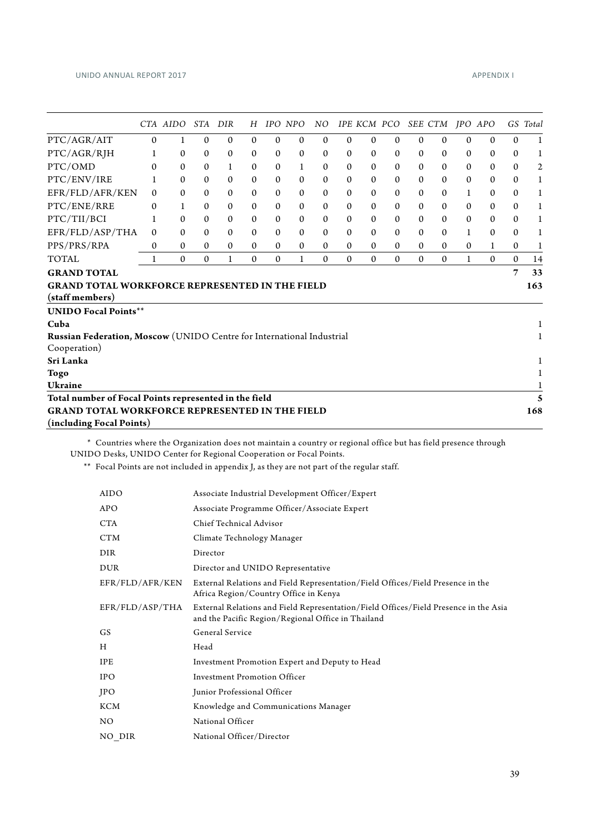|                                                                       |              | CTA AIDO     | STA          | DIR          | Н            | <i>IPO</i>   | <b>NPO</b>   | NO           |              |              | IPE KCM PCO  | SEE CTM JPO APO |              |              |          | GS.          | Total |
|-----------------------------------------------------------------------|--------------|--------------|--------------|--------------|--------------|--------------|--------------|--------------|--------------|--------------|--------------|-----------------|--------------|--------------|----------|--------------|-------|
| PTC/AGR/AIT                                                           | $\Omega$     | 1            | $\Omega$     | $\Omega$     | $\Omega$     | $\Omega$     | $\Omega$     | $\Omega$     | $\Omega$     | $\Omega$     | $\Omega$     | $\Omega$        | $\Omega$     | $\Omega$     | $\Omega$ | $\Omega$     | 1     |
| PTC/AGR/RJH                                                           | 1            | 0            | 0            | $\mathbf{0}$ | $\mathbf{0}$ | 0            | 0            | 0            | $\mathbf{0}$ | $\mathbf{0}$ | $\mathbf{0}$ | $\mathbf 0$     | $\mathbf{0}$ | $\Omega$     | 0        | 0            | 1     |
| PTC/OMD                                                               | $\Omega$     | $\mathbf{0}$ | $\mathbf{0}$ | 1            | $\mathbf{0}$ | $\Omega$     | $\mathbf{1}$ | $\mathbf{0}$ | $\Omega$     | $\Omega$     | $\Omega$     | $\mathbf{0}$    | $\mathbf{0}$ | $\mathbf{0}$ | $\Omega$ | $\mathbf{0}$ | 2     |
| PTC/ENV/IRE                                                           | 1            | $\mathbf{0}$ | $\mathbf{0}$ | $\Omega$     | 0            | 0            | $\mathbf{0}$ | $\mathbf{0}$ | $\Omega$     | $\Omega$     | $\Omega$     | $\mathbf{0}$    | $\mathbf{0}$ | $\Omega$     | $\Omega$ | $\mathbf{0}$ | 1     |
| EFR/FLD/AFR/KEN                                                       | $\mathbf{0}$ | $\mathbf{0}$ | $\mathbf{0}$ | $\mathbf{0}$ | 0            | $\mathbf{0}$ | $\mathbf{0}$ | $\mathbf{0}$ | $\mathbf{0}$ | $\Omega$     | $\mathbf{0}$ | $\mathbf{0}$    | $\mathbf{0}$ | 1            | 0        | $\mathbf{0}$ | 1     |
| PTC/ENE/RRE                                                           | 0            | 1            | $\Omega$     | $\Omega$     | $\Omega$     | $\Omega$     | $\Omega$     | $\Omega$     | $\Omega$     | $\Omega$     | $\Omega$     | $\Omega$        | $\Omega$     | $\Omega$     | $\Omega$ | $\Omega$     | 1     |
| PTC/TII/BCI                                                           | 1            | $\mathbf{0}$ | $\mathbf{0}$ | $\mathbf{0}$ | $\mathbf{0}$ | 0            | $\mathbf{0}$ | $\mathbf{0}$ | $\mathbf{0}$ | $\bf{0}$     | $\Omega$     | $\mathbf{0}$    | 0            | $\mathbf{0}$ | 0        | $\Omega$     | 1     |
| EFR/FLD/ASP/THA                                                       | $\Omega$     | $\mathbf{0}$ | $\mathbf{0}$ | $\Omega$     | $\Omega$     | $\Omega$     | $\Omega$     | $\Omega$     | $\Omega$     | $\Omega$     | $\Omega$     | 0               | $\mathbf{0}$ | 1            | $\Omega$ | $\Omega$     | 1     |
| PPS/PRS/RPA                                                           | $\mathbf{0}$ | $\mathbf{0}$ | $\mathbf{0}$ | $\Omega$     | $\Omega$     | 0            | $\mathbf{0}$ | $\mathbf{0}$ | $\Omega$     | $\Omega$     | $\mathbf{0}$ | $\mathbf{0}$    | $\mathbf{0}$ | $\mathbf{0}$ | 1        | $\mathbf{0}$ | 1     |
| <b>TOTAL</b>                                                          | 1            | $\mathbf{0}$ | $\mathbf{0}$ | 1            | $\Omega$     | $\Omega$     | 1            | $\mathbf{0}$ | $\Omega$     | $\Omega$     | $\Omega$     | $\mathbf{0}$    | $\mathbf{0}$ | 1            | $\Omega$ | $\mathbf{0}$ | 14    |
| 7<br><b>GRAND TOTAL</b>                                               |              |              |              |              |              |              |              |              |              |              |              |                 |              | 33           |          |              |       |
| <b>GRAND TOTAL WORKFORCE REPRESENTED IN THE FIELD</b>                 |              |              |              |              |              |              |              |              |              |              |              |                 |              |              |          |              | 163   |
| (staff members)                                                       |              |              |              |              |              |              |              |              |              |              |              |                 |              |              |          |              |       |
| <b>UNIDO Focal Points**</b>                                           |              |              |              |              |              |              |              |              |              |              |              |                 |              |              |          |              |       |
| Cuba                                                                  |              |              |              |              |              |              |              |              |              |              |              |                 |              |              |          |              | 1     |
| Russian Federation, Moscow (UNIDO Centre for International Industrial |              |              |              |              |              |              |              |              |              |              |              |                 |              |              |          |              |       |
| Cooperation)                                                          |              |              |              |              |              |              |              |              |              |              |              |                 |              |              |          |              |       |
| Sri Lanka                                                             |              |              |              |              |              |              |              |              |              |              |              |                 |              |              |          |              | 1     |
| <b>Togo</b>                                                           |              |              |              |              |              |              |              |              |              |              |              |                 |              |              |          |              |       |
| <b>Ukraine</b>                                                        |              |              |              |              |              |              |              |              |              |              |              |                 |              |              |          |              |       |
| Total number of Focal Points represented in the field                 |              |              |              |              |              |              |              |              |              |              |              |                 |              |              |          |              | 5     |
| <b>GRAND TOTAL WORKFORCE REPRESENTED IN THE FIELD</b>                 |              |              |              |              |              |              |              |              |              |              |              |                 | 168          |              |          |              |       |
| (including Focal Points)                                              |              |              |              |              |              |              |              |              |              |              |              |                 |              |              |          |              |       |

 \* Countries where the Organization does not maintain a country or regional office but has field presence through UNIDO Desks, UNIDO Center for Regional Cooperation or Focal Points.

\*\* Focal Points are not included in appendix J, as they are not part of the regular staff.

| AIDO            | Associate Industrial Development Officer/Expert                                                                                            |
|-----------------|--------------------------------------------------------------------------------------------------------------------------------------------|
| <b>APO</b>      | Associate Programme Officer/Associate Expert                                                                                               |
| <b>CTA</b>      | Chief Technical Advisor                                                                                                                    |
| <b>CTM</b>      | Climate Technology Manager                                                                                                                 |
| <b>DIR</b>      | Director                                                                                                                                   |
| <b>DUR</b>      | Director and UNIDO Representative                                                                                                          |
| EFR/FLD/AFR/KEN | External Relations and Field Representation/Field Offices/Field Presence in the<br>Africa Region/Country Office in Kenya                   |
| EFR/FLD/ASP/THA | External Relations and Field Representation/Field Offices/Field Presence in the Asia<br>and the Pacific Region/Regional Office in Thailand |
| <b>GS</b>       | General Service                                                                                                                            |
| H               | Head                                                                                                                                       |
| <b>IPE</b>      | Investment Promotion Expert and Deputy to Head                                                                                             |
| <b>IPO</b>      | <b>Investment Promotion Officer</b>                                                                                                        |
| JPO             | Junior Professional Officer                                                                                                                |
| KCM             | Knowledge and Communications Manager                                                                                                       |
| NO.             | National Officer                                                                                                                           |
| NO DIR          | National Officer/Director                                                                                                                  |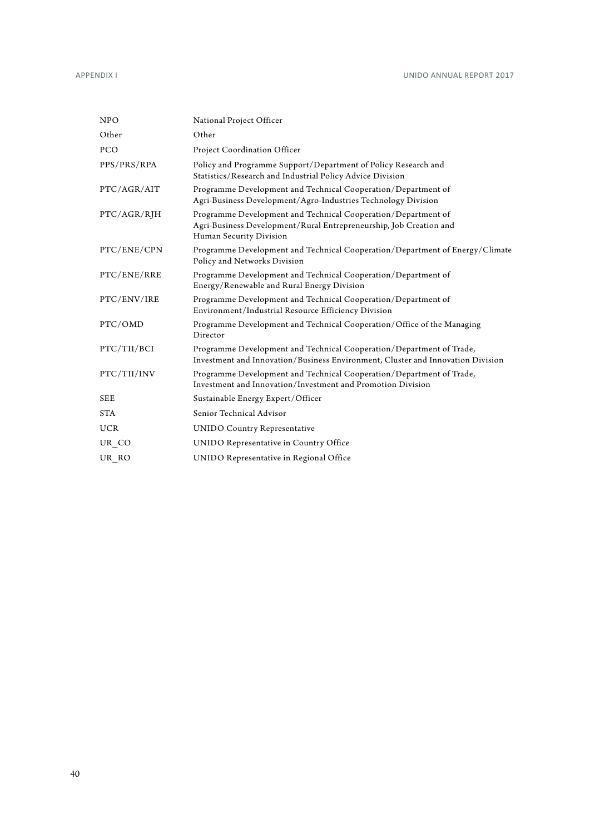| <b>NPO</b>  | National Project Officer                                                                                                                                       |
|-------------|----------------------------------------------------------------------------------------------------------------------------------------------------------------|
| Other       | Other                                                                                                                                                          |
| PCO         | Project Coordination Officer                                                                                                                                   |
| PPS/PRS/RPA | Policy and Programme Support/Department of Policy Research and<br>Statistics/Research and Industrial Policy Advice Division                                    |
| PTC/AGR/AIT | Programme Development and Technical Cooperation/Department of<br>Agri-Business Development/Agro-Industries Technology Division                                 |
| PTC/AGR/RJH | Programme Development and Technical Cooperation/Department of<br>Agri-Business Development/Rural Entrepreneurship, Job Creation and<br>Human Security Division |
| PTC/ENE/CPN | Programme Development and Technical Cooperation/Department of Energy/Climate<br>Policy and Networks Division                                                   |
| PTC/ENE/RRE | Programme Development and Technical Cooperation/Department of<br>Energy/Renewable and Rural Energy Division                                                    |
| PTC/ENV/IRE | Programme Development and Technical Cooperation/Department of<br>Environment/Industrial Resource Efficiency Division                                           |
| PTC/OMD     | Programme Development and Technical Cooperation/Office of the Managing<br>Director                                                                             |
| PTC/TII/BCI | Programme Development and Technical Cooperation/Department of Trade,<br>Investment and Innovation/Business Environment, Cluster and Innovation Division        |
| PTC/TII/INV | Programme Development and Technical Cooperation/Department of Trade,<br>Investment and Innovation/Investment and Promotion Division                            |
| <b>SEE</b>  | Sustainable Energy Expert/Officer                                                                                                                              |
| <b>STA</b>  | Senior Technical Advisor                                                                                                                                       |
| <b>UCR</b>  | <b>UNIDO Country Representative</b>                                                                                                                            |
| UR CO       | UNIDO Representative in Country Office                                                                                                                         |
| UR RO       | UNIDO Representative in Regional Office                                                                                                                        |
|             |                                                                                                                                                                |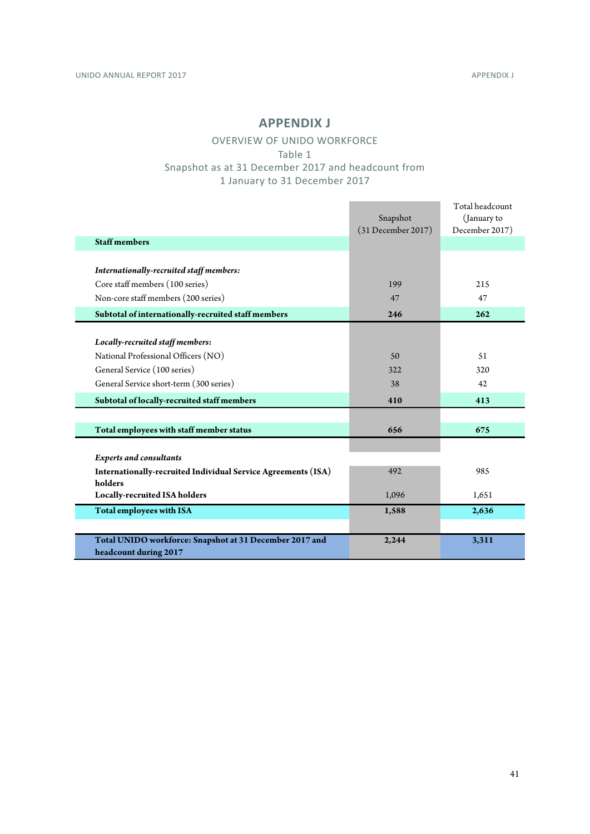# **APPENDIX J**

# OVERVIEW OF UNIDO WORKFORCE Table 1 Snapshot as at 31 December 2017 and headcount from 1 January to 31 December 2017

|                                                               | Snapshot           | Total headcount<br>(January to |
|---------------------------------------------------------------|--------------------|--------------------------------|
| <b>Staff members</b>                                          | (31 December 2017) | December 2017)                 |
|                                                               |                    |                                |
| Internationally-recruited staff members:                      |                    |                                |
| Core staff members (100 series)                               | 199                | 215                            |
| Non-core staff members (200 series)                           | 47                 | 47                             |
| Subtotal of internationally-recruited staff members           | 246                | 262                            |
|                                                               |                    |                                |
| Locally-recruited staff members:                              |                    |                                |
| National Professional Officers (NO)                           | 50                 | 51                             |
| General Service (100 series)                                  | 322                | 320                            |
| General Service short-term (300 series)                       | 38                 | 42                             |
| Subtotal of locally-recruited staff members                   | 410                | 413                            |
|                                                               |                    |                                |
| Total employees with staff member status                      | 656                | 675                            |
|                                                               |                    |                                |
| <b>Experts and consultants</b>                                |                    |                                |
| Internationally-recruited Individual Service Agreements (ISA) | 492                | 985                            |
| holders                                                       |                    |                                |
| Locally-recruited ISA holders                                 | 1,096              | 1,651                          |
| <b>Total employees with ISA</b>                               | 1,588              | 2,636                          |
|                                                               |                    |                                |
| Total UNIDO workforce: Snapshot at 31 December 2017 and       | 2,244              | 3,311                          |
| headcount during 2017                                         |                    |                                |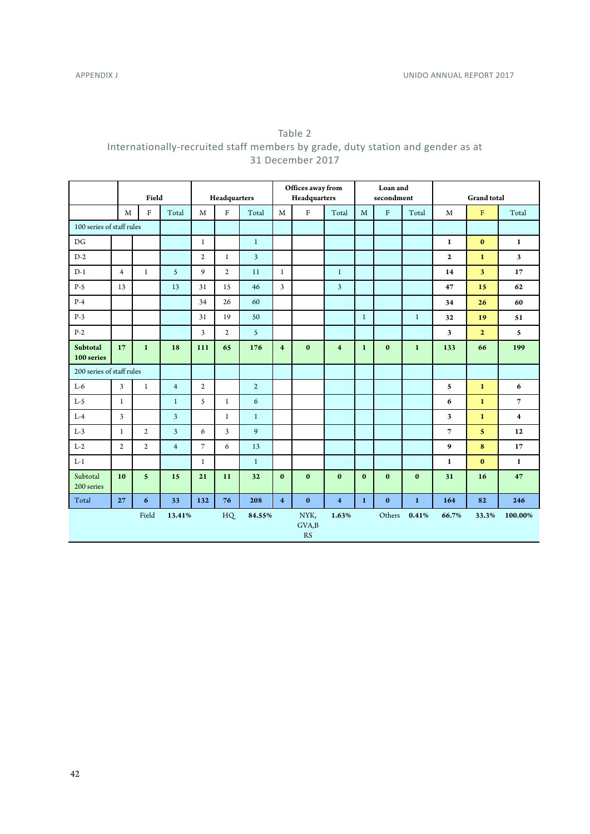|                           |                | Field        |                |                | Headquarters   |                |                         | Offices away from<br>Headquarters |                         |              | Loan and<br>secondment |              |                | <b>Grand</b> total      |                         |  |
|---------------------------|----------------|--------------|----------------|----------------|----------------|----------------|-------------------------|-----------------------------------|-------------------------|--------------|------------------------|--------------|----------------|-------------------------|-------------------------|--|
|                           | M              | $\rm F$      | Total          | $\mathbf{M}$   | $\rm F$        | Total          | $\mathbf{M}$            | $\rm F$                           | Total                   | M            | $\mathbf F$            | Total        | $\mathbf{M}$   | $\overline{F}$          | Total                   |  |
| 100 series of staff rules |                |              |                |                |                |                |                         |                                   |                         |              |                        |              |                |                         |                         |  |
| DG                        |                |              |                | $\mathbf{1}$   |                | $\mathbf{1}$   |                         |                                   |                         |              |                        |              | 1              | $\bf{0}$                | 1                       |  |
| $D-2$                     |                |              |                | $\overline{2}$ | $\mathbf{1}$   | $\overline{3}$ |                         |                                   |                         |              |                        |              | $\mathbf{2}$   | $\mathbf{1}$            | 3                       |  |
| $D-1$                     | $\overline{4}$ | $\mathbf{1}$ | $\mathcal{S}$  | 9              | $\overline{2}$ | 11             | $\mathbf{1}$            |                                   | $\mathbf{1}$            |              |                        |              | 14             | $\overline{\mathbf{3}}$ | 17                      |  |
| $P-5$                     | 13             |              | 13             | 31             | 15             | 46             | 3                       |                                   | $\mathbf{3}$            |              |                        |              | 47             | 15                      | 62                      |  |
| $P-4$                     |                |              |                | 34             | 26             | 60             |                         |                                   |                         |              |                        |              | 34             | 26                      | 60                      |  |
| $P-3$                     |                |              |                | 31             | 19             | 50             |                         |                                   |                         | $\mathbf{1}$ |                        | $\mathbf{1}$ | 32             | 19                      | 51                      |  |
| $P-2$                     |                |              |                | $\overline{3}$ | $\overline{2}$ | $\mathcal{S}$  |                         |                                   |                         |              |                        |              | 3              | $\overline{2}$          | 5                       |  |
| Subtotal<br>100 series    | 17             | $\mathbf{1}$ | 18             | 111            | 65             | 176            | $\overline{\mathbf{4}}$ | $\bf{0}$                          | $\overline{4}$          | $\mathbf{1}$ | $\bf{0}$               | $\mathbf{1}$ | 133            | 66                      | 199                     |  |
| 200 series of staff rules |                |              |                |                |                |                |                         |                                   |                         |              |                        |              |                |                         |                         |  |
| $L-6$                     | 3              | $\mathbf{1}$ | $\overline{4}$ | $\overline{2}$ |                | $\overline{2}$ |                         |                                   |                         |              |                        |              | 5              | $\mathbf{1}$            | 6                       |  |
| $L-5$                     | $\mathbf{1}$   |              | $\mathbf{1}$   | 5              | $\mathbf{1}$   | 6              |                         |                                   |                         |              |                        |              | 6              | $\mathbf{1}$            | $\overline{7}$          |  |
| $L-4$                     | 3              |              | $\mathbf{3}$   |                | $\mathbf{1}$   | $\mathbf{1}$   |                         |                                   |                         |              |                        |              | 3              | $\mathbf{1}$            | $\overline{\mathbf{4}}$ |  |
| $L-3$                     | $\mathbf{1}$   | $\mathbf{2}$ | $\overline{3}$ | 6              | 3              | $\overline{9}$ |                         |                                   |                         |              |                        |              | $\overline{7}$ | $\overline{\mathbf{S}}$ | 12                      |  |
| $L-2$                     | $\mathbf{2}$   | $\mathbf{2}$ | $\overline{4}$ | $\overline{7}$ | 6              | 13             |                         |                                   |                         |              |                        |              | 9              | 8                       | 17                      |  |
| $L-1$                     |                |              |                | $\mathbf{1}$   |                | $\mathbf{1}$   |                         |                                   |                         |              |                        |              | $\mathbf{1}$   | $\bf{0}$                | $\mathbf{1}$            |  |
| Subtotal<br>200 series    | 10             | 5            | 15             | 21             | 11             | 32             | $\bf{0}$                | $\bf{0}$                          | $\bf{0}$                | $\bf{0}$     | $\bf{0}$               | $\bf{0}$     | 31             | 16                      | 47                      |  |
| Total                     | 27             | 6            | 33             | 132            | 76             | 208            | $\overline{\mathbf{4}}$ | $\bf{0}$                          | $\overline{\mathbf{4}}$ | $\mathbf{1}$ | $\bf{0}$               | $\mathbf{1}$ | 164            | 82                      | 246                     |  |
|                           |                | Field        | 13.41%         |                | <b>HQ</b>      | 84.55%         |                         | NYK,<br>GVA,B<br><b>RS</b>        | 1.63%                   |              | Others                 | 0.41%        | 66.7%          | 33.3%                   | 100.00%                 |  |

| Table 2                                                                         |                  |  |  |  |  |  |  |  |  |  |  |
|---------------------------------------------------------------------------------|------------------|--|--|--|--|--|--|--|--|--|--|
| Internationally-recruited staff members by grade, duty station and gender as at |                  |  |  |  |  |  |  |  |  |  |  |
|                                                                                 | 31 December 2017 |  |  |  |  |  |  |  |  |  |  |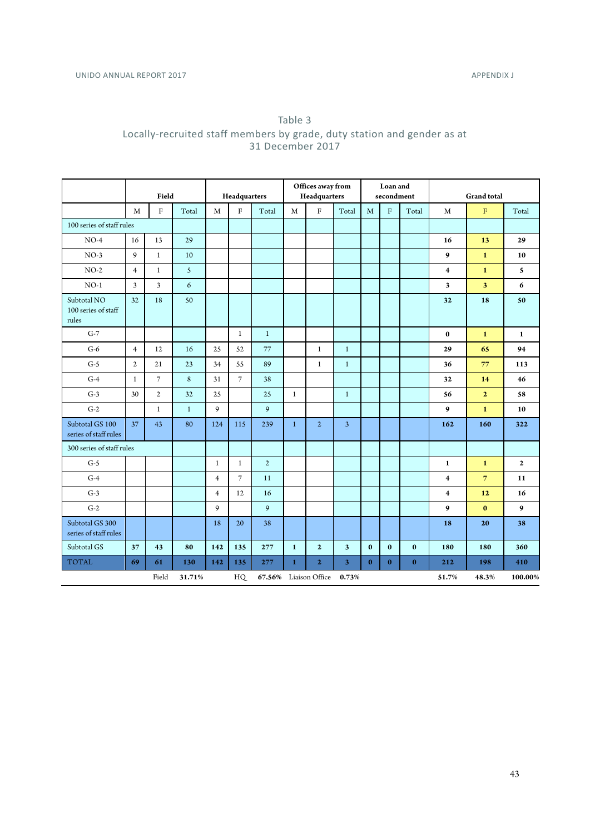|                                             |                | Field          |                |                | Headquarters   |                       |              | Offices away from<br>Headquarters |                         |              | Loan and<br>secondment |          |                         | <b>Grand</b> total |              |
|---------------------------------------------|----------------|----------------|----------------|----------------|----------------|-----------------------|--------------|-----------------------------------|-------------------------|--------------|------------------------|----------|-------------------------|--------------------|--------------|
|                                             | $\mathbf M$    | $\mathbf{F}$   | Total          | $\mathbf M$    | ${\rm F}$      | Total                 | $\mathbf M$  | $\overline{\mathrm{F}}$           | Total                   | $\mathbf{M}$ | $\rm F$                | Total    | M                       | $\mathbf F$        | Total        |
| 100 series of staff rules                   |                |                |                |                |                |                       |              |                                   |                         |              |                        |          |                         |                    |              |
| $NO-4$                                      | 16             | 13             | 29             |                |                |                       |              |                                   |                         |              |                        |          | 16                      | 13                 | 29           |
| $NO-3$                                      | 9              | $\mathbf{1}$   | 10             |                |                |                       |              |                                   |                         |              |                        |          | 9                       | $\mathbf{1}$       | 10           |
| $NO-2$                                      | $\overline{4}$ | $\mathbf{1}$   | $\mathfrak{S}$ |                |                |                       |              |                                   |                         |              |                        |          | $\overline{\mathbf{4}}$ | $\bf 1$            | $\mathbf{5}$ |
| $NO-1$                                      | 3              | 3              | 6              |                |                |                       |              |                                   |                         |              |                        |          | 3                       | 3                  | 6            |
| Subtotal NO<br>100 series of staff<br>rules | 32             | 18             | 50             |                |                |                       |              |                                   |                         |              |                        |          | 32                      | 18                 | 50           |
| $G-7$                                       |                |                |                |                | $\mathbf{1}$   | $\mathbf{1}$          |              |                                   |                         |              |                        |          | $\bf{0}$                | $\mathbf{1}$       | $\mathbf{1}$ |
| $G-6$                                       | $\overline{4}$ | 12             | 16             | 25             | 52             | 77                    |              | $\mathbf{1}$                      | $\mathbf{1}$            |              |                        |          | 29                      | 65                 | 94           |
| $G-5$                                       | $\mathbf{2}$   | 21             | 23             | 34             | 55             | 89                    |              | $1\,$                             | $\mathbf 1$             |              |                        |          | 36                      | 77                 | 113          |
| $G-4$                                       | $\mathbf{1}$   | $\overline{7}$ | 8              | 31             | 7              | 38                    |              |                                   |                         |              |                        |          | 32                      | 14                 | 46           |
| $G-3$                                       | 30             | $\overline{c}$ | 32             | 25             |                | 25                    | $\mathbf{1}$ |                                   | $\mathbf{1}$            |              |                        |          | 56                      | $\mathbf{2}$       | 58           |
| $G-2$                                       |                | $\mathbf{1}$   | $\mathbf{1}$   | 9              |                | 9                     |              |                                   |                         |              |                        |          | 9                       | $\bf{1}$           | 10           |
| Subtotal GS 100<br>series of staff rules    | 37             | 43             | 80             | 124            | 115            | 239                   | $\mathbf{1}$ | $\overline{2}$                    | 3                       |              |                        |          | 162                     | 160                | 322          |
| 300 series of staff rules                   |                |                |                |                |                |                       |              |                                   |                         |              |                        |          |                         |                    |              |
| $G-5$                                       |                |                |                | $\mathbf{1}$   | $\mathbf{1}$   | $\overline{2}$        |              |                                   |                         |              |                        |          | 1                       | $\mathbf{1}$       | $\mathbf{2}$ |
| $G-4$                                       |                |                |                | $\overline{4}$ | $\overline{7}$ | 11                    |              |                                   |                         |              |                        |          | $\overline{\mathbf{4}}$ | $\overline{7}$     | 11           |
| $G-3$                                       |                |                |                | $\overline{4}$ | 12             | 16                    |              |                                   |                         |              |                        |          | $\overline{\mathbf{4}}$ | 12                 | 16           |
| $G-2$                                       |                |                |                | 9              |                | 9                     |              |                                   |                         |              |                        |          | 9                       | $\bf{0}$           | 9            |
| Subtotal GS 300<br>series of staff rules    |                |                |                | 18             | 20             | 38                    |              |                                   |                         |              |                        |          | 18                      | 20                 | 38           |
| Subtotal GS                                 | 37             | 43             | 80             | 142            | 135            | 277                   | $\mathbf{1}$ | $\mathbf{2}$                      | $\mathbf{3}$            | $\bf{0}$     | $\bf{0}$               | $\bf{0}$ | 180                     | 180                | 360          |
| <b>TOTAL</b>                                | 69             | 61             | 130            | 142            | 135            | 277                   | $\bf{1}$     | $\overline{2}$                    | $\overline{\mathbf{3}}$ | $\bf{0}$     | $\bf{0}$               | $\bf{0}$ | 212                     | 198                | 410          |
|                                             |                | Field          | 31.71%         |                | HQ             | 67.56% Liaison Office |              |                                   | 0.73%                   |              |                        |          | 51.7%                   | 48.3%              | 100.00%      |

Table 3 Locally‐recruited staff members by grade, duty station and gender as at 31 December 2017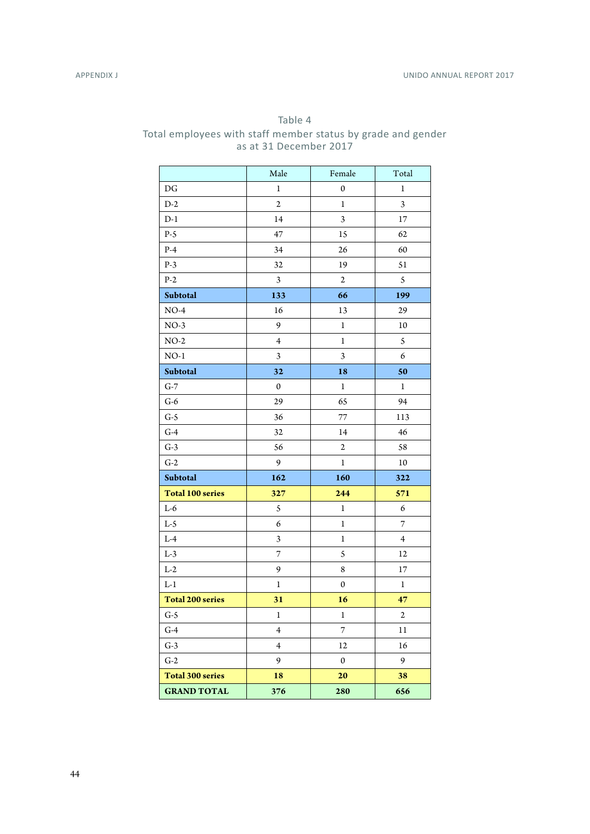|                         | Male             | Female           | Total            |
|-------------------------|------------------|------------------|------------------|
| DG                      | $\,1$            | $\boldsymbol{0}$ | $\,1$            |
| $D-2$                   | $\boldsymbol{2}$ | $\mathbf{1}$     | 3                |
| $D-1$                   | 14               | 3                | 17               |
| $P-5$                   | 47               | 15               | 62               |
| $P-4$                   | 34               | 26               | 60               |
| $P-3$                   | 32               | 19               | 51               |
| $P-2$                   | $\mathfrak{Z}$   | $\boldsymbol{2}$ | 5                |
| Subtotal                | 133              | 66               | 199              |
| $NO-4$                  | 16               | 13               | 29               |
| $NO-3$                  | 9                | $\,1$            | 10               |
| $NO-2$                  | 4                | $\mathbf{1}$     | 5                |
| $NO-1$                  | 3                | 3                | 6                |
| Subtotal                | 32               | 18               | 50               |
| $G-7$                   | 0                | $\,1$            | $\mathbf{1}$     |
| $G-6$                   | 29               | 65               | 94               |
| $G-5$                   | 36               | 77               | 113              |
| $G-4$                   | 32               | 14               | 46               |
| $G-3$                   | 56               | $\boldsymbol{2}$ | 58               |
| $G-2$                   | 9                | $\,1$            | 10               |
| Subtotal                | 162              | 160              | 322              |
| <b>Total 100 series</b> | 327              | 244              | 571              |
| $L-6$                   | $\mathsf S$      | $\,1$            | 6                |
| $L-5$                   | 6                | $\,1$            | 7                |
| $L-4$                   | $\mathfrak{Z}$   | $\mathbf{1}$     | $\overline{4}$   |
| $L-3$                   | $\overline{7}$   | 5                | 12               |
| $L-2$                   | 9                | 8                | 17               |
| $L-1$                   | $\,1$            | $\boldsymbol{0}$ | $\,1$            |
| <b>Total 200 series</b> | 31               | 16               | 47               |
| $G-5$                   | $\mathbf 1$      | $\mathbf{1}$     | $\boldsymbol{2}$ |
| $G-4$                   | $\overline{4}$   | 7                | $11\,$           |
| $G-3$                   | $\overline{4}$   | 12               | 16               |
| $G-2$                   | 9                | $\boldsymbol{0}$ | 9                |
| <b>Total 300 series</b> | 18               | $20\,$           | 38               |
| <b>GRAND TOTAL</b>      | 376              | 280              | 656              |

Table 4 Total employees with staff member status by grade and gender as at 31 December 2017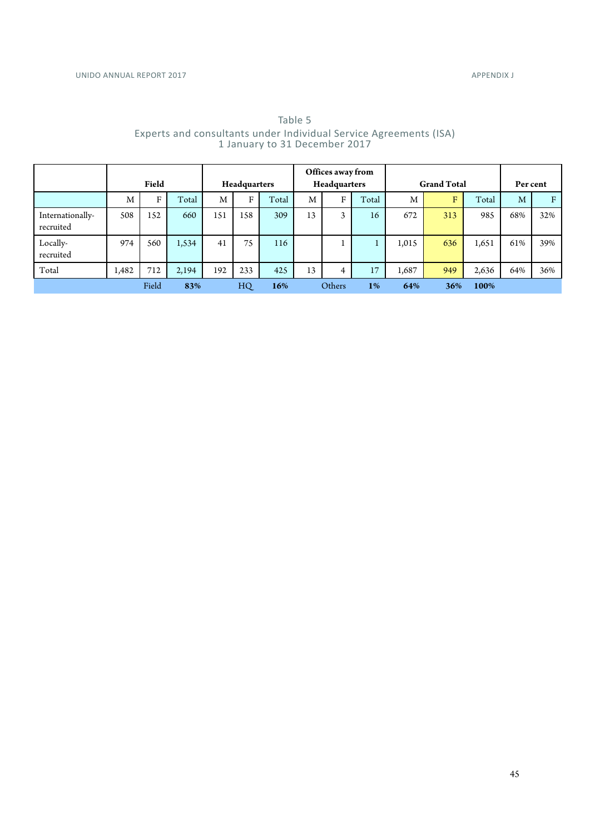|                               |       |       |       |              |     |       |              | Offices away from |       |                    |          |       |     |     |
|-------------------------------|-------|-------|-------|--------------|-----|-------|--------------|-------------------|-------|--------------------|----------|-------|-----|-----|
|                               | Field |       |       | Headquarters |     |       | Headquarters |                   |       | <b>Grand Total</b> | Per cent |       |     |     |
|                               | M     | F     | Total | M            | F   | Total | M            | F                 | Total | M                  | F        | Total | M   | F   |
| Internationally-<br>recruited | 508   | 152   | 660   | 151          | 158 | 309   | 13           | 3                 | 16    | 672                | 313      | 985   | 68% | 32% |
| Locally-<br>recruited         | 974   | 560   | 1,534 | 41           | 75  | 116   |              |                   |       | 1,015              | 636      | 1,651 | 61% | 39% |
| Total                         | 1,482 | 712   | 2,194 | 192          | 233 | 425   | 13           | 4                 | 17    | 1,687              | 949      | 2,636 | 64% | 36% |
|                               |       | Field | 83%   |              | HQ  | 16%   |              | Others            | $1\%$ | 64%                | 36%      | 100%  |     |     |

## Table 5 Experts and consultants under Individual Service Agreements (ISA) 1 January to 31 December 2017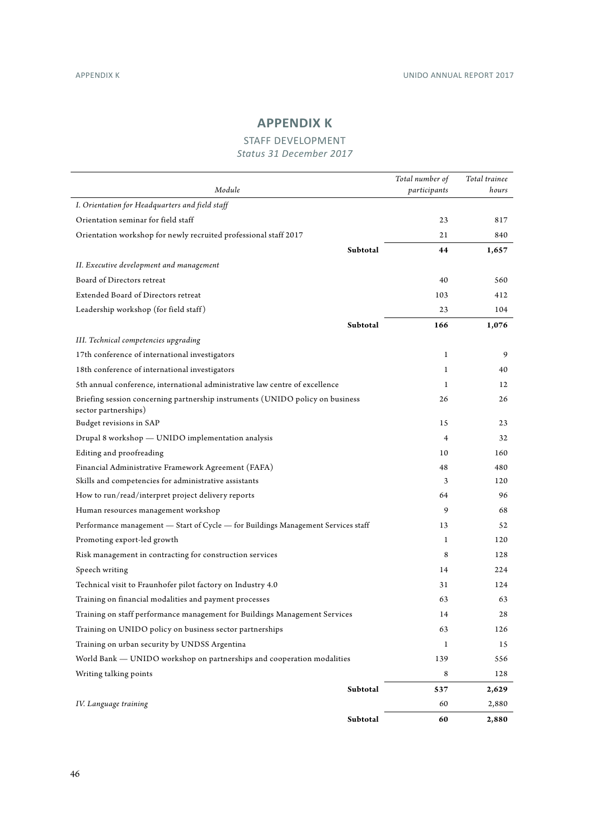# **APPENDIX K**

## STAFF DEVELOPMENT

*Status 31 December 2017* 

| Module                                                                                                | Total number of<br>participants | Total trainee<br>hours |
|-------------------------------------------------------------------------------------------------------|---------------------------------|------------------------|
| I. Orientation for Headquarters and field staff                                                       |                                 |                        |
| Orientation seminar for field staff                                                                   | 23                              | 817                    |
| Orientation workshop for newly recruited professional staff 2017                                      | 21                              | 840                    |
| Subtotal                                                                                              | 44                              | 1,657                  |
| II. Executive development and management                                                              |                                 |                        |
| Board of Directors retreat                                                                            | 40                              | 560                    |
| Extended Board of Directors retreat                                                                   | 103                             | 412                    |
| Leadership workshop (for field staff)                                                                 | 23                              | 104                    |
| Subtotal                                                                                              | 166                             | 1,076                  |
| III. Technical competencies upgrading                                                                 |                                 |                        |
| 17th conference of international investigators                                                        | 1                               | 9                      |
| 18th conference of international investigators                                                        | 1                               | 40                     |
| 5th annual conference, international administrative law centre of excellence                          | 1                               | 12                     |
| Briefing session concerning partnership instruments (UNIDO policy on business<br>sector partnerships) | 26                              | 26                     |
| Budget revisions in SAP                                                                               | 15                              | 23                     |
| Drupal 8 workshop — UNIDO implementation analysis                                                     | $\overline{4}$                  | 32                     |
| Editing and proofreading                                                                              | 10                              | 160                    |
| Financial Administrative Framework Agreement (FAFA)                                                   | 48                              | 480                    |
| Skills and competencies for administrative assistants                                                 | 3                               | 120                    |
| How to run/read/interpret project delivery reports                                                    | 64                              | 96                     |
| Human resources management workshop                                                                   | 9                               | 68                     |
| Performance management - Start of Cycle - for Buildings Management Services staff                     | 13                              | 52                     |
| Promoting export-led growth                                                                           | 1                               | 120                    |
| Risk management in contracting for construction services                                              | 8                               | 128                    |
| Speech writing                                                                                        | 14                              | 224                    |
| Technical visit to Fraunhofer pilot factory on Industry 4.0                                           | 31                              | 124                    |
| Training on financial modalities and payment processes                                                | 63                              | 63                     |
| Training on staff performance management for Buildings Management Services                            | 14                              | 28                     |
| Training on UNIDO policy on business sector partnerships                                              | 63                              | 126                    |
| Training on urban security by UNDSS Argentina                                                         | 1                               | 15                     |
| World Bank — UNIDO workshop on partnerships and cooperation modalities                                | 139                             | 556                    |
| Writing talking points                                                                                | 8                               | 128                    |
| Subtotal                                                                                              | 537                             | 2,629                  |
| IV. Language training                                                                                 | 60                              | 2,880                  |
| Subtotal                                                                                              | 60                              | 2,880                  |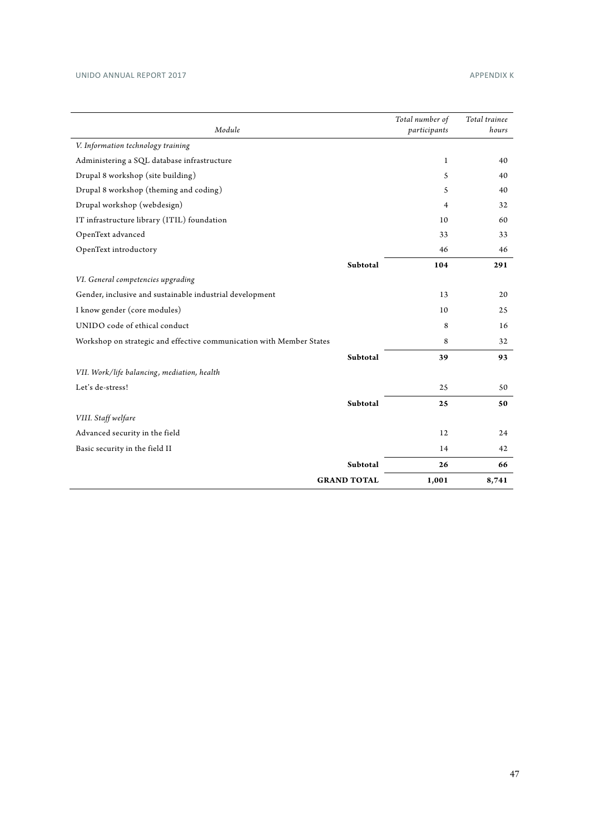### UNIDO ANNUAL REPORT 2017 APPENDIX K

j.

| Module                                                               | Total number of<br>participants | Total trainee<br>hours |
|----------------------------------------------------------------------|---------------------------------|------------------------|
| V. Information technology training                                   |                                 |                        |
| Administering a SQL database infrastructure                          | $\mathbf{1}$                    | 40                     |
| Drupal 8 workshop (site building)                                    | 5                               | 40                     |
| Drupal 8 workshop (theming and coding)                               | 5                               | 40                     |
| Drupal workshop (webdesign)                                          | $\overline{4}$                  | 32                     |
| IT infrastructure library (ITIL) foundation                          | 10                              | 60                     |
| OpenText advanced                                                    | 33                              | 33                     |
| OpenText introductory                                                | 46                              | 46                     |
| Subtotal                                                             | 104                             | 291                    |
| VI. General competencies upgrading                                   |                                 |                        |
| Gender, inclusive and sustainable industrial development             | 13                              | 20                     |
| I know gender (core modules)                                         | 10                              | 25                     |
| UNIDO code of ethical conduct                                        | 8                               | 16                     |
| Workshop on strategic and effective communication with Member States | 8                               | 32                     |
| Subtotal                                                             | 39                              | 93                     |
| VII. Work/life balancing, mediation, health                          |                                 |                        |
| Let's de-stress!                                                     | 25                              | 50                     |
| Subtotal                                                             | 25                              | 50                     |
| VIII. Staff welfare                                                  |                                 |                        |
| Advanced security in the field                                       | 12                              | 24                     |
| Basic security in the field II                                       | 14                              | 42                     |
| Subtotal                                                             | 26                              | 66                     |
| <b>GRAND TOTAL</b>                                                   | 1,001                           | 8,741                  |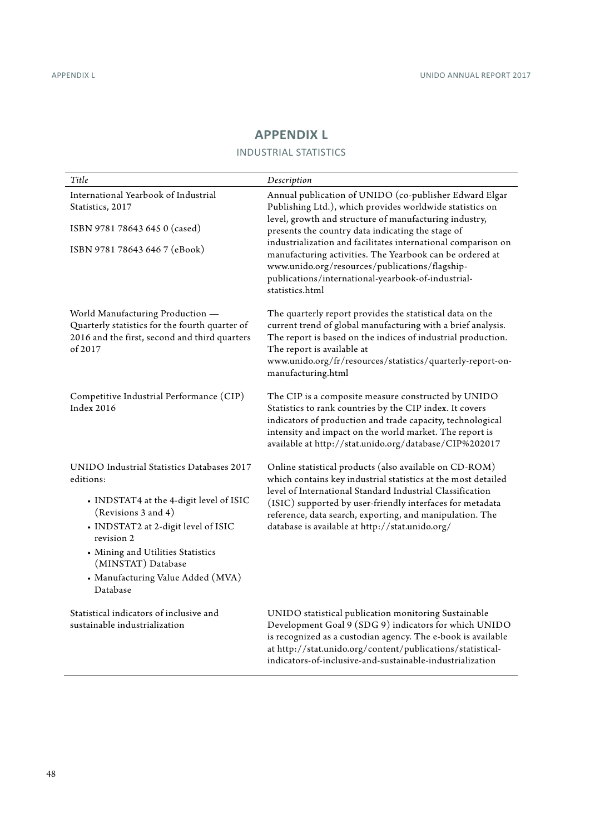# **APPENDIX L**

INDUSTRIAL STATISTICS

| Title                                                                                                                                          | Description                                                                                                                                                                                                                                                                                                 |
|------------------------------------------------------------------------------------------------------------------------------------------------|-------------------------------------------------------------------------------------------------------------------------------------------------------------------------------------------------------------------------------------------------------------------------------------------------------------|
| International Yearbook of Industrial<br>Statistics, 2017                                                                                       | Annual publication of UNIDO (co-publisher Edward Elgar<br>Publishing Ltd.), which provides worldwide statistics on<br>level, growth and structure of manufacturing industry,                                                                                                                                |
| ISBN 9781 78643 645 0 (cased)                                                                                                                  | presents the country data indicating the stage of                                                                                                                                                                                                                                                           |
| ISBN 9781 78643 646 7 (eBook)                                                                                                                  | industrialization and facilitates international comparison on<br>manufacturing activities. The Yearbook can be ordered at<br>www.unido.org/resources/publications/flagship-<br>publications/international-yearbook-of-industrial-<br>statistics.html                                                        |
| World Manufacturing Production -<br>Quarterly statistics for the fourth quarter of<br>2016 and the first, second and third quarters<br>of 2017 | The quarterly report provides the statistical data on the<br>current trend of global manufacturing with a brief analysis.<br>The report is based on the indices of industrial production.<br>The report is available at<br>www.unido.org/fr/resources/statistics/quarterly-report-on-<br>manufacturing.html |
| Competitive Industrial Performance (CIP)<br>Index 2016                                                                                         | The CIP is a composite measure constructed by UNIDO<br>Statistics to rank countries by the CIP index. It covers<br>indicators of production and trade capacity, technological<br>intensity and impact on the world market. The report is<br>available at http://stat.unido.org/database/CIP%202017          |
| UNIDO Industrial Statistics Databases 2017<br>editions:                                                                                        | Online statistical products (also available on CD-ROM)<br>which contains key industrial statistics at the most detailed<br>level of International Standard Industrial Classification                                                                                                                        |
| • INDSTAT4 at the 4-digit level of ISIC<br>(Revisions 3 and 4)                                                                                 | (ISIC) supported by user-friendly interfaces for metadata<br>reference, data search, exporting, and manipulation. The                                                                                                                                                                                       |
| • INDSTAT2 at 2-digit level of ISIC<br>revision 2                                                                                              | database is available at http://stat.unido.org/                                                                                                                                                                                                                                                             |
| • Mining and Utilities Statistics<br>(MINSTAT) Database                                                                                        |                                                                                                                                                                                                                                                                                                             |
| • Manufacturing Value Added (MVA)<br>Database                                                                                                  |                                                                                                                                                                                                                                                                                                             |
| Statistical indicators of inclusive and<br>sustainable industrialization                                                                       | UNIDO statistical publication monitoring Sustainable<br>Development Goal 9 (SDG 9) indicators for which UNIDO<br>is recognized as a custodian agency. The e-book is available<br>at http://stat.unido.org/content/publications/statistical-<br>indicators-of-inclusive-and-sustainable-industrialization    |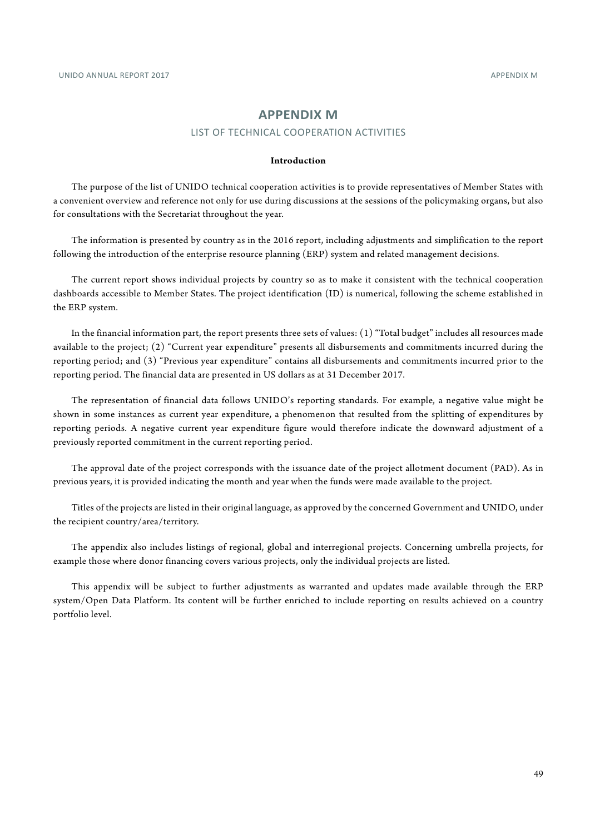# **APPENDIX M**

## LIST OF TECHNICAL COOPERATION ACTIVITIES

### **Introduction**

 The purpose of the list of UNIDO technical cooperation activities is to provide representatives of Member States with a convenient overview and reference not only for use during discussions at the sessions of the policymaking organs, but also for consultations with the Secretariat throughout the year.

 The information is presented by country as in the 2016 report, including adjustments and simplification to the report following the introduction of the enterprise resource planning (ERP) system and related management decisions.

 The current report shows individual projects by country so as to make it consistent with the technical cooperation dashboards accessible to Member States. The project identification (ID) is numerical, following the scheme established in the ERP system.

 In the financial information part, the report presents three sets of values: (1) "Total budget" includes all resources made available to the project; (2) "Current year expenditure" presents all disbursements and commitments incurred during the reporting period; and (3) "Previous year expenditure" contains all disbursements and commitments incurred prior to the reporting period. The financial data are presented in US dollars as at 31 December 2017.

 The representation of financial data follows UNIDO's reporting standards. For example, a negative value might be shown in some instances as current year expenditure, a phenomenon that resulted from the splitting of expenditures by reporting periods. A negative current year expenditure figure would therefore indicate the downward adjustment of a previously reported commitment in the current reporting period.

 The approval date of the project corresponds with the issuance date of the project allotment document (PAD). As in previous years, it is provided indicating the month and year when the funds were made available to the project.

 Titles of the projects are listed in their original language, as approved by the concerned Government and UNIDO, under the recipient country/area/territory.

 The appendix also includes listings of regional, global and interregional projects. Concerning umbrella projects, for example those where donor financing covers various projects, only the individual projects are listed.

 This appendix will be subject to further adjustments as warranted and updates made available through the ERP system/Open Data Platform. Its content will be further enriched to include reporting on results achieved on a country portfolio level.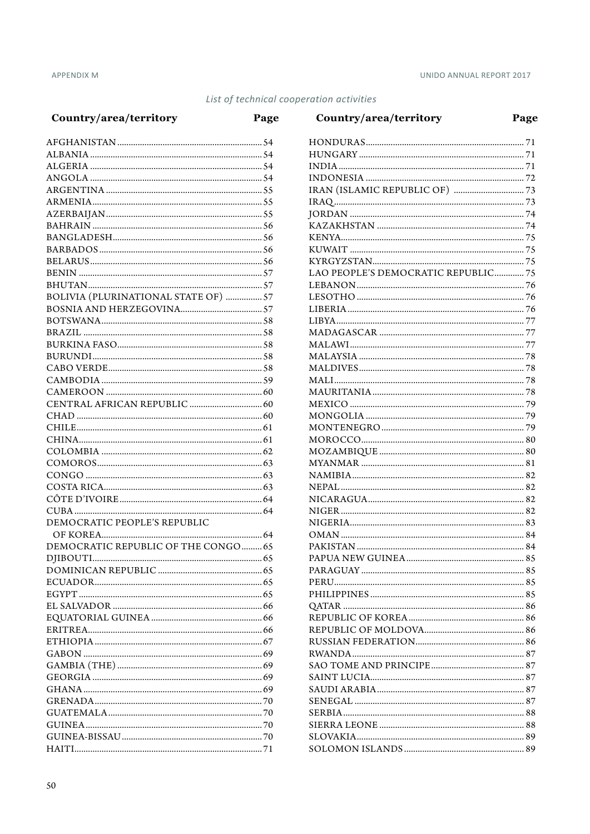# List of technical cooperation activities

| Country/area/territory               | Page | Cou               |
|--------------------------------------|------|-------------------|
|                                      |      | HONI              |
|                                      |      | <b>HUNG</b>       |
|                                      |      | <b>INDIA</b>      |
|                                      |      | <b>INDO</b>       |
|                                      |      | <b>IRAN</b>       |
|                                      |      | <b>IRAQ</b>       |
|                                      |      | <b>JORD.</b>      |
|                                      |      | <b>KAZA</b>       |
|                                      |      | <b>KENY</b>       |
|                                      |      | <b>KUWA</b>       |
|                                      |      | <b>KYRG</b>       |
|                                      |      | <b>LAO</b> F      |
|                                      |      | <b>LEBAI</b>      |
| BOLIVIA (PLURINATIONAL STATE OF)  57 |      | LESO <sup>®</sup> |
|                                      |      | <b>LIBER</b>      |
|                                      |      | <b>LIBYA</b>      |
|                                      |      | <b>MADA</b>       |
|                                      |      | <b>MALA</b>       |
|                                      |      |                   |
|                                      |      | <b>MALA</b>       |
|                                      |      | <b>MALL</b>       |
|                                      |      | MALI.             |
|                                      |      | <b>MAUF</b>       |
|                                      |      | <b>MEXI</b>       |
|                                      |      | <b>MON</b>        |
|                                      |      | MON'              |
|                                      |      | <b>MORG</b>       |
|                                      |      | <b>MOZ</b>        |
|                                      |      | <b>MYAN</b>       |
|                                      |      | <b>NAMI</b>       |
|                                      |      | NEPA <sup>:</sup> |
|                                      |      | <b>NICA</b>       |
|                                      |      | <b>NIGE</b>       |
| DEMOCRATIC PEOPLE'S REPUBLIC         |      | <b>NIGEI</b>      |
|                                      |      | <b>OMA</b>        |
| DEMOCRATIC REPUBLIC OF THE CONGO  65 |      | <b>PAKIS</b>      |
|                                      |      | <b>PAPU</b>       |
|                                      |      | PARA              |
|                                      |      | PERU.             |
|                                      |      | PHILI             |
|                                      |      | QATA              |
|                                      |      | <b>REPU</b>       |
|                                      |      | <b>REPU</b>       |
|                                      |      | <b>RUSSI</b>      |
|                                      |      | <b>RWAN</b>       |
|                                      |      | SAO <sub>T</sub>  |
|                                      |      | <b>SAINT</b>      |
|                                      |      | <b>SAUD</b>       |
|                                      |      | <b>SENE</b>       |
|                                      |      | <b>SERBI</b>      |
|                                      |      | <b>SIERR</b>      |
|                                      |      | <b>SLOV</b>       |
|                                      |      | SOLO              |

| Country/area/territory              | Page |
|-------------------------------------|------|
|                                     |      |
|                                     |      |
|                                     |      |
|                                     |      |
|                                     |      |
|                                     |      |
|                                     |      |
|                                     |      |
|                                     |      |
|                                     |      |
|                                     |      |
| LAO PEOPLE'S DEMOCRATIC REPUBLIC 75 |      |
|                                     |      |
|                                     |      |
|                                     |      |
|                                     |      |
|                                     |      |
|                                     |      |
|                                     |      |
|                                     |      |
|                                     |      |
|                                     |      |
|                                     |      |
|                                     |      |
|                                     |      |
|                                     |      |
|                                     |      |
|                                     |      |
|                                     |      |
|                                     |      |
|                                     |      |
|                                     |      |
|                                     |      |
|                                     |      |
|                                     |      |
|                                     |      |
|                                     |      |
|                                     |      |
|                                     |      |
|                                     |      |
|                                     |      |
|                                     |      |
|                                     |      |
|                                     |      |
|                                     |      |
|                                     |      |
|                                     |      |
|                                     |      |
|                                     |      |
|                                     |      |
|                                     |      |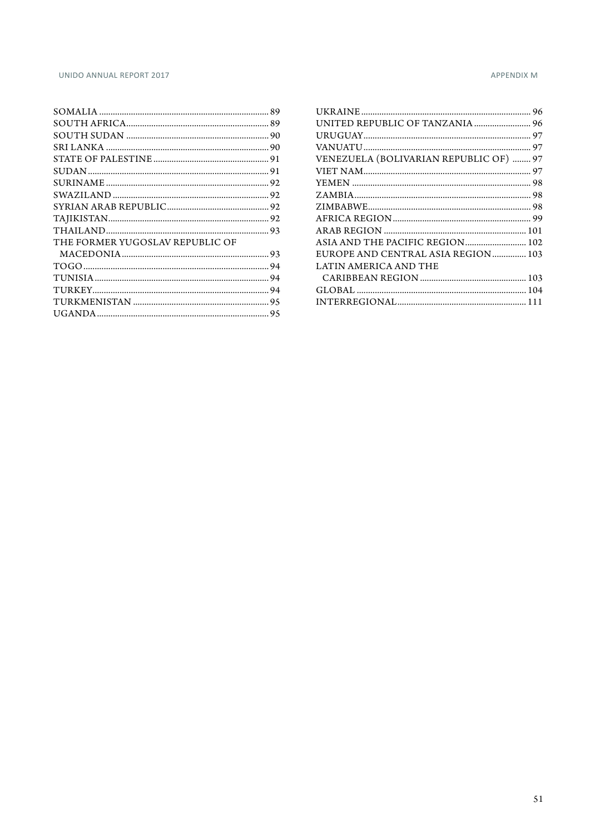### UNIDO ANNUAL REPORT 2017

| THE FORMER YUGOSLAV REPUBLIC OF |  |
|---------------------------------|--|
|                                 |  |
|                                 |  |
|                                 |  |
|                                 |  |
|                                 |  |
|                                 |  |
|                                 |  |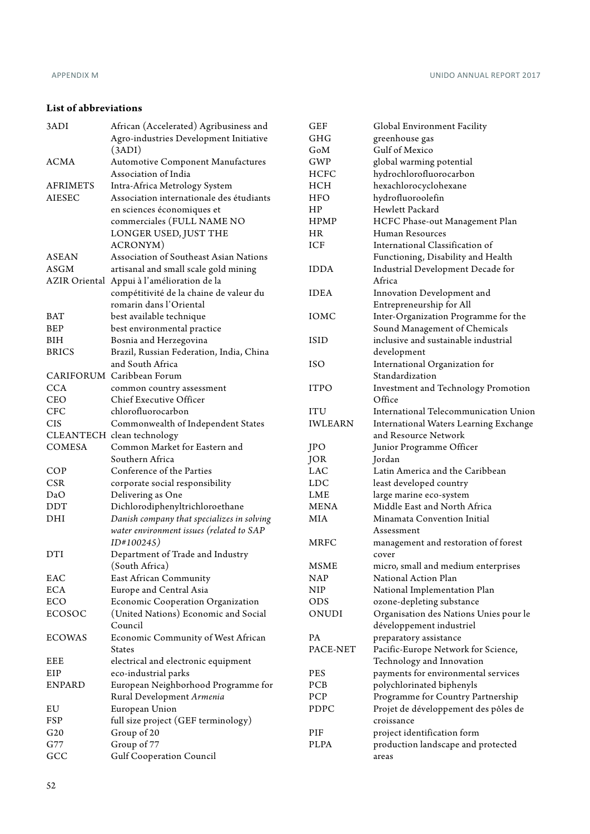# **List of abbreviations**

| 3ADI            | African (Accelerated) Agribusiness and     | <b>GEF</b>     | Global Environment Facility                                        |
|-----------------|--------------------------------------------|----------------|--------------------------------------------------------------------|
|                 | Agro-industries Development Initiative     | GHG            | greenhouse gas                                                     |
|                 | (3ADI)                                     | GoM            | Gulf of Mexico                                                     |
| ACMA            | Automotive Component Manufactures          | GWP            | global warming potential                                           |
|                 | Association of India                       | HCFC           | hydrochlorofluorocarbon                                            |
| <b>AFRIMETS</b> | Intra-Africa Metrology System              | HCH            | hexachlorocyclohexane                                              |
| <b>AIESEC</b>   | Association internationale des étudiants   | HFO            | hydrofluoroolefin                                                  |
|                 | en sciences économiques et                 | HP             | Hewlett Packard                                                    |
|                 | commerciales (FULL NAME NO                 | <b>HPMP</b>    | HCFC Phase-out Management Plan                                     |
|                 | LONGER USED, JUST THE                      | <b>HR</b>      | Human Resources                                                    |
|                 | ACRONYM)                                   | ICF            | International Classification of                                    |
| ASEAN           | Association of Southeast Asian Nations     |                | Functioning, Disability and Health                                 |
| ASGM            | artisanal and small scale gold mining      | <b>IDDA</b>    | Industrial Development Decade for                                  |
|                 | AZIR Oriental Appui à l'amélioration de la |                | Africa                                                             |
|                 | compétitivité de la chaine de valeur du    | <b>IDEA</b>    | Innovation Development and                                         |
|                 | romarin dans l'Oriental                    |                | Entrepreneurship for All                                           |
| BAT             | best available technique                   | IOMC           | Inter-Organization Programme for the                               |
| BEP             | best environmental practice                |                | Sound Management of Chemicals                                      |
| BIH             | Bosnia and Herzegovina                     | <b>ISID</b>    | inclusive and sustainable industrial                               |
| BRICS           | Brazil, Russian Federation, India, China   |                | development                                                        |
|                 | and South Africa                           | <b>ISO</b>     | International Organization for                                     |
|                 | CARIFORUM Caribbean Forum                  |                | Standardization                                                    |
| <b>CCA</b>      | common country assessment                  | <b>ITPO</b>    | Investment and Technology Promotion                                |
| CEO             | Chief Executive Officer                    |                | Office                                                             |
| <b>CFC</b>      | chlorofluorocarbon                         | <b>ITU</b>     | International Telecommunication Union                              |
| <b>CIS</b>      | Commonwealth of Independent States         | <b>IWLEARN</b> | International Waters Learning Exchange                             |
|                 | CLEANTECH clean technology                 |                | and Resource Network                                               |
| COMESA          | Common Market for Eastern and              | JPO            | Junior Programme Officer                                           |
|                 | Southern Africa                            | <b>JOR</b>     | Jordan                                                             |
| COP             | Conference of the Parties                  | LAC            | Latin America and the Caribbean                                    |
| <b>CSR</b>      | corporate social responsibility            | <b>LDC</b>     | least developed country                                            |
| DaO             | Delivering as One                          | LME            | large marine eco-system                                            |
| DDT             | Dichlorodiphenyltrichloroethane            | MENA           | Middle East and North Africa                                       |
| DHI             | Danish company that specializes in solving | MIA            | Minamata Convention Initial                                        |
|                 | water environment issues (related to SAP   |                | Assessment                                                         |
|                 | ID#100245)                                 | <b>MRFC</b>    | management and restoration of forest                               |
| DTI             | Department of Trade and Industry           |                | cover                                                              |
|                 | (South Africa)                             | <b>MSME</b>    | micro, small and medium enterprises                                |
| EAC             | <b>East African Community</b>              | <b>NAP</b>     | National Action Plan                                               |
| ECA             | Europe and Central Asia                    | NIP            | National Implementation Plan                                       |
| ECO             | Economic Cooperation Organization          | ODS            | ozone-depleting substance                                          |
| ECOSOC          | (United Nations) Economic and Social       | <b>ONUDI</b>   |                                                                    |
|                 | Council                                    |                | Organisation des Nations Unies pour le<br>développement industriel |
| ECOWAS          | Economic Community of West African         | PA             | preparatory assistance                                             |
|                 | <b>States</b>                              | PACE-NET       | Pacific-Europe Network for Science,                                |
| EEE             | electrical and electronic equipment        |                | Technology and Innovation                                          |
| EIP             | eco-industrial parks                       | PES            | payments for environmental services                                |
| ENPARD          | European Neighborhood Programme for        | PCB            | polychlorinated biphenyls                                          |
|                 | Rural Development Armenia                  | PCP            | Programme for Country Partnership                                  |
| EU              | European Union                             | PDPC           | Projet de développement des pôles de                               |
| FSP             | full size project (GEF terminology)        |                | croissance                                                         |
| G20             | Group of 20                                | PIF            | project identification form                                        |
| G77             | Group of 77                                | PLPA           | production landscape and protected                                 |
| GCC             | <b>Gulf Cooperation Council</b>            |                | areas                                                              |
|                 |                                            |                |                                                                    |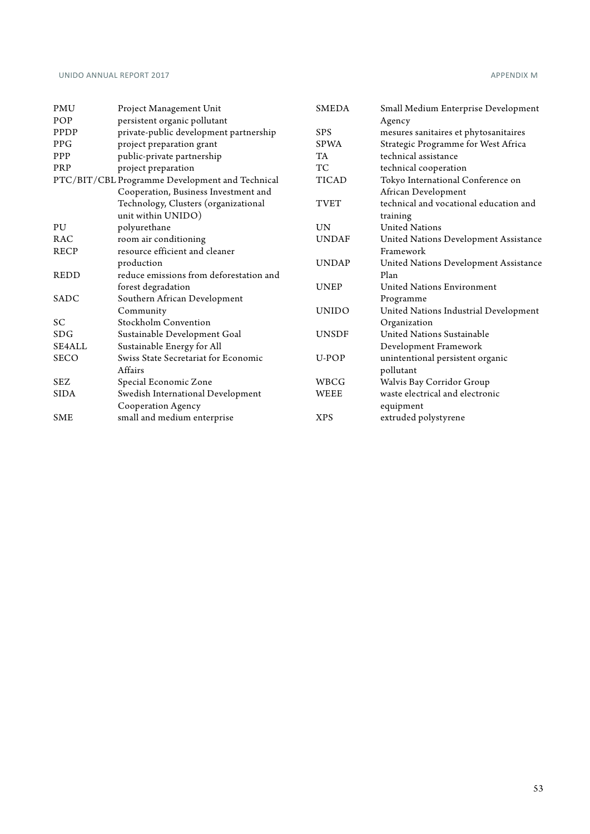### UNIDO ANNUAL REPORT 2017 APPENDIX M

| <b>PMU</b>  | Project Management Unit                         | <b>SMEDA</b> | Small Medium Enterprise Development    |
|-------------|-------------------------------------------------|--------------|----------------------------------------|
| POP         | persistent organic pollutant                    |              | Agency                                 |
| PPDP        | private-public development partnership          | <b>SPS</b>   | mesures sanitaires et phytosanitaires  |
| PPG         | project preparation grant                       | <b>SPWA</b>  | Strategic Programme for West Africa    |
| PPP         | public-private partnership                      | <b>TA</b>    | technical assistance                   |
| PRP         | project preparation                             | TC           | technical cooperation                  |
|             | PTC/BIT/CBL Programme Development and Technical | <b>TICAD</b> | Tokyo International Conference on      |
|             | Cooperation, Business Investment and            |              | African Development                    |
|             | Technology, Clusters (organizational            | <b>TVET</b>  | technical and vocational education and |
|             | unit within UNIDO)                              |              | training                               |
| PU          | polyurethane                                    | <b>UN</b>    | <b>United Nations</b>                  |
| <b>RAC</b>  | room air conditioning                           | <b>UNDAF</b> | United Nations Development Assistance  |
| <b>RECP</b> | resource efficient and cleaner                  |              | Framework                              |
|             | production                                      | <b>UNDAP</b> | United Nations Development Assistance  |
| <b>REDD</b> | reduce emissions from deforestation and         |              | Plan                                   |
|             | forest degradation                              | <b>UNEP</b>  | <b>United Nations Environment</b>      |
| SADC        | Southern African Development                    |              | Programme                              |
|             | Community                                       | <b>UNIDO</b> | United Nations Industrial Development  |
| SC          | Stockholm Convention                            |              | Organization                           |
| SDG         | Sustainable Development Goal                    | <b>UNSDF</b> | United Nations Sustainable             |
| SE4ALL      | Sustainable Energy for All                      |              | Development Framework                  |
| <b>SECO</b> | Swiss State Secretariat for Economic            | U-POP        | unintentional persistent organic       |
|             | Affairs                                         |              | pollutant                              |
| <b>SEZ</b>  | Special Economic Zone                           | <b>WBCG</b>  | Walvis Bay Corridor Group              |
| <b>SIDA</b> | Swedish International Development               | <b>WEEE</b>  | waste electrical and electronic        |
|             | Cooperation Agency                              |              | equipment                              |
| <b>SME</b>  | small and medium enterprise                     | <b>XPS</b>   | extruded polystyrene                   |
|             |                                                 |              |                                        |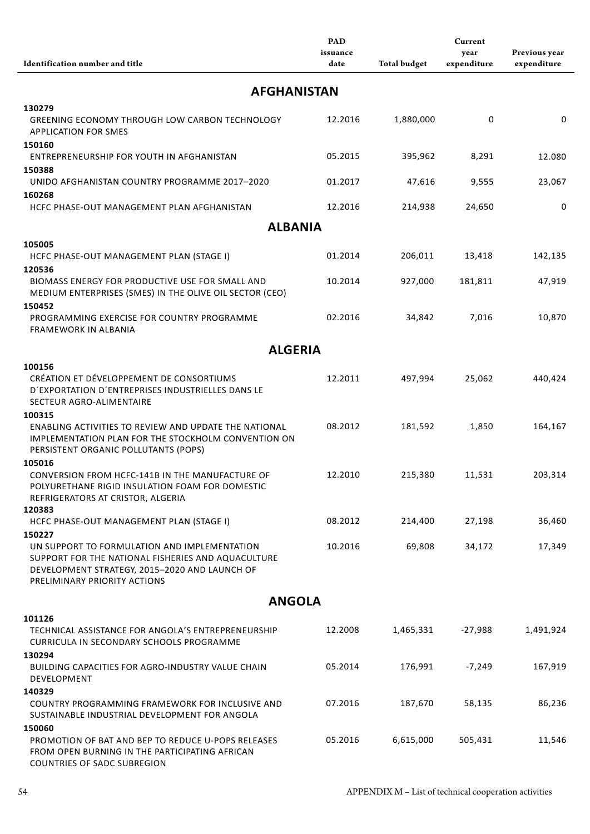|                                                                                                                                                                                     | <b>PAD</b>       |                     | Current             |                              |
|-------------------------------------------------------------------------------------------------------------------------------------------------------------------------------------|------------------|---------------------|---------------------|------------------------------|
| Identification number and title                                                                                                                                                     | issuance<br>date | <b>Total budget</b> | year<br>expenditure | Previous year<br>expenditure |
| <b>AFGHANISTAN</b>                                                                                                                                                                  |                  |                     |                     |                              |
| 130279                                                                                                                                                                              |                  |                     |                     |                              |
| GREENING ECONOMY THROUGH LOW CARBON TECHNOLOGY<br><b>APPLICATION FOR SMES</b>                                                                                                       | 12.2016          | 1,880,000           | 0                   | 0                            |
| 150160                                                                                                                                                                              |                  |                     |                     |                              |
| ENTREPRENEURSHIP FOR YOUTH IN AFGHANISTAN                                                                                                                                           | 05.2015          | 395,962             | 8,291               | 12.080                       |
| 150388                                                                                                                                                                              |                  |                     |                     |                              |
| UNIDO AFGHANISTAN COUNTRY PROGRAMME 2017-2020                                                                                                                                       | 01.2017          | 47,616              | 9,555               | 23,067                       |
| 160268                                                                                                                                                                              |                  |                     |                     |                              |
| HCFC PHASE-OUT MANAGEMENT PLAN AFGHANISTAN                                                                                                                                          | 12.2016          | 214,938             | 24,650              | 0                            |
| <b>ALBANIA</b>                                                                                                                                                                      |                  |                     |                     |                              |
| 105005                                                                                                                                                                              |                  |                     |                     |                              |
| HCFC PHASE-OUT MANAGEMENT PLAN (STAGE I)<br>120536                                                                                                                                  | 01.2014          | 206,011             | 13,418              | 142,135                      |
| BIOMASS ENERGY FOR PRODUCTIVE USE FOR SMALL AND<br>MEDIUM ENTERPRISES (SMES) IN THE OLIVE OIL SECTOR (CEO)                                                                          | 10.2014          | 927,000             | 181,811             | 47,919                       |
| 150452                                                                                                                                                                              |                  |                     |                     |                              |
| PROGRAMMING EXERCISE FOR COUNTRY PROGRAMME<br>FRAMEWORK IN ALBANIA                                                                                                                  | 02.2016          | 34,842              | 7,016               | 10,870                       |
| <b>ALGERIA</b>                                                                                                                                                                      |                  |                     |                     |                              |
| 100156                                                                                                                                                                              |                  |                     |                     |                              |
| CRÉATION ET DÉVELOPPEMENT DE CONSORTIUMS<br>D'EXPORTATION D'ENTREPRISES INDUSTRIELLES DANS LE<br>SECTEUR AGRO-ALIMENTAIRE                                                           | 12.2011          | 497,994             | 25,062              | 440,424                      |
| 100315                                                                                                                                                                              |                  |                     |                     |                              |
| ENABLING ACTIVITIES TO REVIEW AND UPDATE THE NATIONAL<br><b>IMPLEMENTATION PLAN FOR THE STOCKHOLM CONVENTION ON</b><br>PERSISTENT ORGANIC POLLUTANTS (POPS)                         | 08.2012          | 181,592             | 1,850               | 164,167                      |
| 105016                                                                                                                                                                              |                  |                     |                     |                              |
| CONVERSION FROM HCFC-141B IN THE MANUFACTURE OF<br>POLYURETHANE RIGID INSULATION FOAM FOR DOMESTIC<br>REFRIGERATORS AT CRISTOR, ALGERIA                                             | 12.2010          | 215,380             | 11,531              | 203,314                      |
| 120383                                                                                                                                                                              |                  |                     |                     |                              |
| HCFC PHASE-OUT MANAGEMENT PLAN (STAGE I)                                                                                                                                            | 08.2012          | 214,400             | 27,198              | 36,460                       |
| 150227                                                                                                                                                                              |                  |                     |                     |                              |
| UN SUPPORT TO FORMULATION AND IMPLEMENTATION<br>SUPPORT FOR THE NATIONAL FISHERIES AND AQUACULTURE<br>DEVELOPMENT STRATEGY, 2015-2020 AND LAUNCH OF<br>PRELIMINARY PRIORITY ACTIONS | 10.2016          | 69,808              | 34,172              | 17,349                       |
| <b>ANGOLA</b>                                                                                                                                                                       |                  |                     |                     |                              |
| 101126                                                                                                                                                                              |                  |                     |                     |                              |
| TECHNICAL ASSISTANCE FOR ANGOLA'S ENTREPRENEURSHIP<br><b>CURRICULA IN SECONDARY SCHOOLS PROGRAMME</b>                                                                               | 12.2008          | 1,465,331           | $-27,988$           | 1,491,924                    |
| 130294                                                                                                                                                                              |                  |                     |                     |                              |
| BUILDING CAPACITIES FOR AGRO-INDUSTRY VALUE CHAIN<br>DEVELOPMENT                                                                                                                    | 05.2014          | 176,991             | $-7,249$            | 167,919                      |
| 140329<br>COUNTRY PROGRAMMING FRAMEWORK FOR INCLUSIVE AND<br>SUSTAINABLE INDUSTRIAL DEVELOPMENT FOR ANGOLA                                                                          | 07.2016          | 187,670             | 58,135              | 86,236                       |
| 150060                                                                                                                                                                              |                  |                     |                     |                              |
| PROMOTION OF BAT AND BEP TO REDUCE U-POPS RELEASES<br>FROM OPEN BURNING IN THE PARTICIPATING AFRICAN<br><b>COUNTRIES OF SADC SUBREGION</b>                                          | 05.2016          | 6,615,000           | 505,431             | 11,546                       |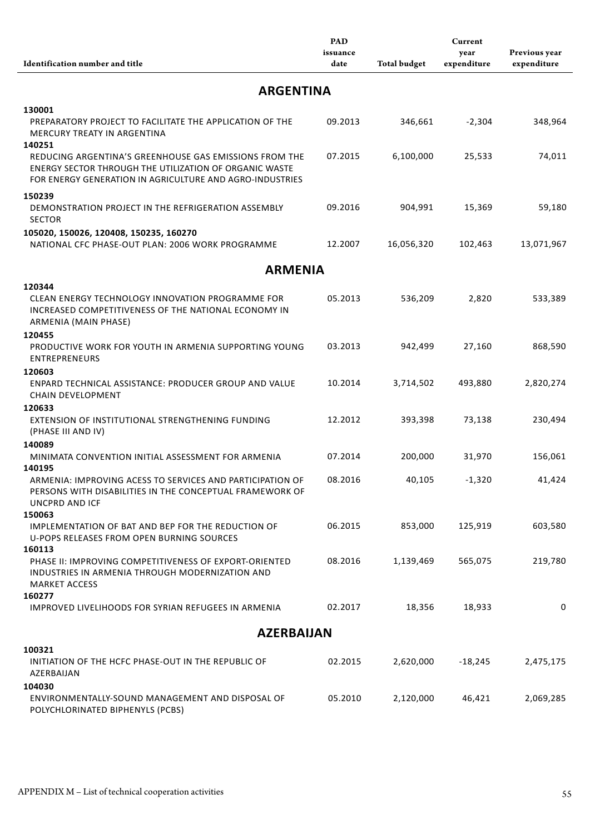| Identification number and title                                                                                                                                              | <b>PAD</b><br>issuance<br>date | <b>Total budget</b> | Current<br>year<br>expenditure | Previous year<br>expenditure |  |
|------------------------------------------------------------------------------------------------------------------------------------------------------------------------------|--------------------------------|---------------------|--------------------------------|------------------------------|--|
| <b>ARGENTINA</b>                                                                                                                                                             |                                |                     |                                |                              |  |
|                                                                                                                                                                              |                                |                     |                                |                              |  |
| 130001<br>PREPARATORY PROJECT TO FACILITATE THE APPLICATION OF THE<br>MERCURY TREATY IN ARGENTINA<br>140251                                                                  | 09.2013                        | 346,661             | $-2,304$                       | 348,964                      |  |
| REDUCING ARGENTINA'S GREENHOUSE GAS EMISSIONS FROM THE<br>ENERGY SECTOR THROUGH THE UTILIZATION OF ORGANIC WASTE<br>FOR ENERGY GENERATION IN AGRICULTURE AND AGRO-INDUSTRIES | 07.2015                        | 6,100,000           | 25,533                         | 74,011                       |  |
| 150239<br>DEMONSTRATION PROJECT IN THE REFRIGERATION ASSEMBLY<br><b>SECTOR</b>                                                                                               | 09.2016                        | 904,991             | 15,369                         | 59,180                       |  |
| 105020, 150026, 120408, 150235, 160270<br>NATIONAL CFC PHASE-OUT PLAN: 2006 WORK PROGRAMME                                                                                   | 12.2007                        | 16,056,320          | 102,463                        | 13,071,967                   |  |
| <b>ARMENIA</b>                                                                                                                                                               |                                |                     |                                |                              |  |
| 120344                                                                                                                                                                       |                                |                     |                                |                              |  |
| CLEAN ENERGY TECHNOLOGY INNOVATION PROGRAMME FOR<br>INCREASED COMPETITIVENESS OF THE NATIONAL ECONOMY IN<br>ARMENIA (MAIN PHASE)                                             | 05.2013                        | 536,209             | 2,820                          | 533,389                      |  |
| 120455<br>PRODUCTIVE WORK FOR YOUTH IN ARMENIA SUPPORTING YOUNG<br><b>ENTREPRENEURS</b>                                                                                      | 03.2013                        | 942,499             | 27,160                         | 868,590                      |  |
| 120603<br>ENPARD TECHNICAL ASSISTANCE: PRODUCER GROUP AND VALUE<br><b>CHAIN DEVELOPMENT</b>                                                                                  | 10.2014                        | 3,714,502           | 493,880                        | 2,820,274                    |  |
| 120633<br>EXTENSION OF INSTITUTIONAL STRENGTHENING FUNDING<br>(PHASE III AND IV)                                                                                             | 12.2012                        | 393,398             | 73,138                         | 230,494                      |  |
| 140089                                                                                                                                                                       |                                |                     |                                |                              |  |
| MINIMATA CONVENTION INITIAL ASSESSMENT FOR ARMENIA<br>140195                                                                                                                 | 07.2014                        | 200,000             | 31,970                         | 156,061                      |  |
| ARMENIA: IMPROVING ACESS TO SERVICES AND PARTICIPATION OF<br>PERSONS WITH DISABILITIES IN THE CONCEPTUAL FRAMEWORK OF<br><b>UNCPRD AND ICF</b>                               | 08.2016                        | 40,105              | $-1,320$                       | 41,424                       |  |
| 150063                                                                                                                                                                       |                                |                     |                                |                              |  |
| IMPLEMENTATION OF BAT AND BEP FOR THE REDUCTION OF<br>U-POPS RELEASES FROM OPEN BURNING SOURCES                                                                              | 06.2015                        | 853,000             | 125,919                        | 603,580                      |  |
| 160113<br><b>PHASE II: IMPROVING COMPETITIVENESS OF EXPORT-ORIENTED</b><br>INDUSTRIES IN ARMENIA THROUGH MODERNIZATION AND<br><b>MARKET ACCESS</b>                           | 08.2016                        | 1,139,469           | 565,075                        | 219,780                      |  |
| 160277<br>IMPROVED LIVELIHOODS FOR SYRIAN REFUGEES IN ARMENIA                                                                                                                | 02.2017                        | 18,356              | 18,933                         | 0                            |  |
| <b>AZERBAIJAN</b>                                                                                                                                                            |                                |                     |                                |                              |  |
| 100321                                                                                                                                                                       |                                |                     |                                |                              |  |
| INITIATION OF THE HCFC PHASE-OUT IN THE REPUBLIC OF<br>AZERBAIJAN                                                                                                            | 02.2015                        | 2,620,000           | $-18,245$                      | 2,475,175                    |  |
| 104030<br>ENVIRONMENTALLY-SOUND MANAGEMENT AND DISPOSAL OF<br>POLYCHLORINATED BIPHENYLS (PCBS)                                                                               | 05.2010                        | 2,120,000           | 46,421                         | 2,069,285                    |  |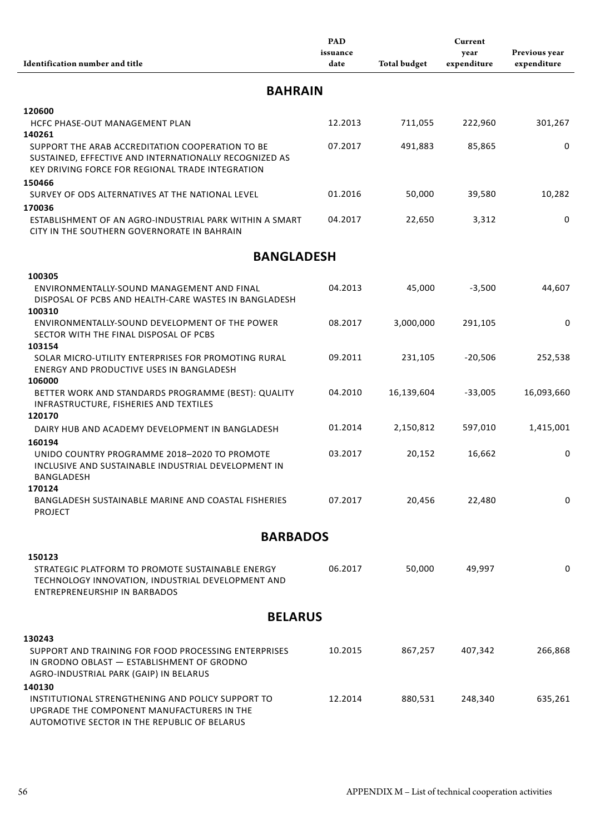| Identification number and title                                                                                                                                | <b>PAD</b><br>issuance<br>date | <b>Total budget</b> | Current<br>year<br>expenditure | Previous year<br>expenditure |
|----------------------------------------------------------------------------------------------------------------------------------------------------------------|--------------------------------|---------------------|--------------------------------|------------------------------|
| <b>BAHRAIN</b>                                                                                                                                                 |                                |                     |                                |                              |
| 120600                                                                                                                                                         |                                |                     |                                |                              |
| HCFC PHASE-OUT MANAGEMENT PLAN<br>140261                                                                                                                       | 12.2013                        | 711,055             | 222,960                        | 301,267                      |
| SUPPORT THE ARAB ACCREDITATION COOPERATION TO BE<br>SUSTAINED, EFFECTIVE AND INTERNATIONALLY RECOGNIZED AS<br>KEY DRIVING FORCE FOR REGIONAL TRADE INTEGRATION | 07.2017                        | 491,883             | 85,865                         | 0                            |
| 150466                                                                                                                                                         |                                |                     |                                |                              |
| SURVEY OF ODS ALTERNATIVES AT THE NATIONAL LEVEL                                                                                                               | 01.2016                        | 50,000              | 39,580                         | 10,282                       |
| 170036<br>ESTABLISHMENT OF AN AGRO-INDUSTRIAL PARK WITHIN A SMART<br>CITY IN THE SOUTHERN GOVERNORATE IN BAHRAIN                                               | 04.2017                        | 22,650              | 3,312                          | 0                            |
| <b>BANGLADESH</b>                                                                                                                                              |                                |                     |                                |                              |
| 100305                                                                                                                                                         |                                |                     |                                |                              |
| ENVIRONMENTALLY-SOUND MANAGEMENT AND FINAL<br>DISPOSAL OF PCBS AND HEALTH-CARE WASTES IN BANGLADESH                                                            | 04.2013                        | 45,000              | $-3,500$                       | 44,607                       |
| 100310<br>ENVIRONMENTALLY-SOUND DEVELOPMENT OF THE POWER<br>SECTOR WITH THE FINAL DISPOSAL OF PCBS                                                             | 08.2017                        | 3,000,000           | 291,105                        | 0                            |
| 103154<br>SOLAR MICRO-UTILITY ENTERPRISES FOR PROMOTING RURAL<br>ENERGY AND PRODUCTIVE USES IN BANGLADESH                                                      | 09.2011                        | 231,105             | $-20,506$                      | 252,538                      |
| 106000<br>BETTER WORK AND STANDARDS PROGRAMME (BEST): QUALITY<br>INFRASTRUCTURE, FISHERIES AND TEXTILES                                                        | 04.2010                        | 16,139,604          | $-33,005$                      | 16,093,660                   |
| 120170                                                                                                                                                         |                                |                     |                                |                              |
| DAIRY HUB AND ACADEMY DEVELOPMENT IN BANGLADESH                                                                                                                | 01.2014                        | 2,150,812           | 597,010                        | 1,415,001                    |
| 160194<br>UNIDO COUNTRY PROGRAMME 2018-2020 TO PROMOTE<br>INCLUSIVE AND SUSTAINABLE INDUSTRIAL DEVELOPMENT IN<br>BANGLADESH                                    | 03.2017                        | 20,152              | 16,662                         | 0                            |
| 170124<br><b>BANGLADESH SUSTAINABLE MARINE AND COASTAL FISHERIES</b><br><b>PROJECT</b>                                                                         | 07.2017                        | 20,456              | 22,480                         | 0                            |
| <b>BARBADOS</b>                                                                                                                                                |                                |                     |                                |                              |
| 150123                                                                                                                                                         |                                |                     |                                |                              |
| STRATEGIC PLATFORM TO PROMOTE SUSTAINABLE ENERGY<br>TECHNOLOGY INNOVATION, INDUSTRIAL DEVELOPMENT AND<br>ENTREPRENEURSHIP IN BARBADOS                          | 06.2017                        | 50,000              | 49,997                         | 0                            |
| <b>BELARUS</b>                                                                                                                                                 |                                |                     |                                |                              |
| 130243                                                                                                                                                         |                                |                     |                                |                              |
| SUPPORT AND TRAINING FOR FOOD PROCESSING ENTERPRISES<br>IN GRODNO OBLAST - ESTABLISHMENT OF GRODNO<br>AGRO-INDUSTRIAL PARK (GAIP) IN BELARUS                   | 10.2015                        | 867,257             | 407,342                        | 266,868                      |
| 140130                                                                                                                                                         |                                |                     |                                |                              |
| INSTITUTIONAL STRENGTHENING AND POLICY SUPPORT TO<br>UPGRADE THE COMPONENT MANUFACTURERS IN THE<br>AUTOMOTIVE SECTOR IN THE REPUBLIC OF BELARUS                | 12.2014                        | 880,531             | 248,340                        | 635,261                      |

 $\overline{a}$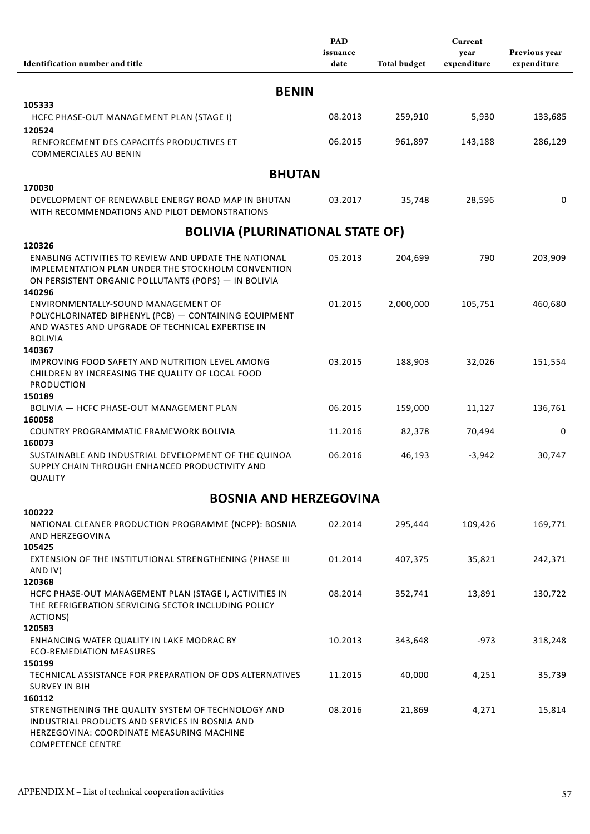| Identification number and title                                                                                                                                                         | <b>PAD</b><br>issuance<br>date | <b>Total budget</b> | Current<br>year<br>expenditure | Previous year<br>expenditure |
|-----------------------------------------------------------------------------------------------------------------------------------------------------------------------------------------|--------------------------------|---------------------|--------------------------------|------------------------------|
|                                                                                                                                                                                         |                                |                     |                                |                              |
| <b>BENIN</b>                                                                                                                                                                            |                                |                     |                                |                              |
| 105333                                                                                                                                                                                  | 08.2013                        | 259,910             | 5,930                          | 133,685                      |
| HCFC PHASE-OUT MANAGEMENT PLAN (STAGE I)<br>120524                                                                                                                                      |                                |                     |                                |                              |
| RENFORCEMENT DES CAPACITÉS PRODUCTIVES ET<br><b>COMMERCIALES AU BENIN</b>                                                                                                               | 06.2015                        | 961,897             | 143,188                        | 286,129                      |
| <b>BHUTAN</b>                                                                                                                                                                           |                                |                     |                                |                              |
| 170030                                                                                                                                                                                  |                                |                     |                                |                              |
| DEVELOPMENT OF RENEWABLE ENERGY ROAD MAP IN BHUTAN<br>WITH RECOMMENDATIONS AND PILOT DEMONSTRATIONS                                                                                     | 03.2017                        | 35,748              | 28,596                         | 0                            |
| <b>BOLIVIA (PLURINATIONAL STATE OF)</b>                                                                                                                                                 |                                |                     |                                |                              |
| 120326                                                                                                                                                                                  |                                |                     |                                |                              |
| ENABLING ACTIVITIES TO REVIEW AND UPDATE THE NATIONAL<br>IMPLEMENTATION PLAN UNDER THE STOCKHOLM CONVENTION<br>ON PERSISTENT ORGANIC POLLUTANTS (POPS) - IN BOLIVIA                     | 05.2013                        | 204,699             | 790                            | 203,909                      |
| 140296<br>ENVIRONMENTALLY-SOUND MANAGEMENT OF<br>POLYCHLORINATED BIPHENYL (PCB) - CONTAINING EQUIPMENT<br>AND WASTES AND UPGRADE OF TECHNICAL EXPERTISE IN<br><b>BOLIVIA</b>            | 01.2015                        | 2,000,000           | 105,751                        | 460,680                      |
| 140367                                                                                                                                                                                  |                                |                     |                                |                              |
| IMPROVING FOOD SAFETY AND NUTRITION LEVEL AMONG<br>CHILDREN BY INCREASING THE QUALITY OF LOCAL FOOD<br><b>PRODUCTION</b>                                                                | 03.2015                        | 188,903             | 32,026                         | 151,554                      |
| 150189<br><b>BOLIVIA - HCFC PHASE-OUT MANAGEMENT PLAN</b>                                                                                                                               | 06.2015                        | 159,000             | 11,127                         | 136,761                      |
| 160058                                                                                                                                                                                  |                                |                     |                                |                              |
| COUNTRY PROGRAMMATIC FRAMEWORK BOLIVIA                                                                                                                                                  | 11.2016                        | 82,378              | 70,494                         | 0                            |
| 160073<br>SUSTAINABLE AND INDUSTRIAL DEVELOPMENT OF THE QUINOA<br>SUPPLY CHAIN THROUGH ENHANCED PRODUCTIVITY AND<br>QUALITY                                                             | 06.2016                        | 46,193              | $-3,942$                       | 30,747                       |
| <b>BOSNIA AND HERZEGOVINA</b>                                                                                                                                                           |                                |                     |                                |                              |
| 100222                                                                                                                                                                                  |                                |                     |                                |                              |
| NATIONAL CLEANER PRODUCTION PROGRAMME (NCPP): BOSNIA<br>AND HERZEGOVINA                                                                                                                 | 02.2014                        | 295,444             | 109,426                        | 169,771                      |
| 105425<br>EXTENSION OF THE INSTITUTIONAL STRENGTHENING (PHASE III<br>AND IV)                                                                                                            | 01.2014                        | 407,375             | 35,821                         | 242,371                      |
| 120368                                                                                                                                                                                  |                                |                     |                                |                              |
| HCFC PHASE-OUT MANAGEMENT PLAN (STAGE I, ACTIVITIES IN<br>THE REFRIGERATION SERVICING SECTOR INCLUDING POLICY<br>ACTIONS)                                                               | 08.2014                        | 352,741             | 13,891                         | 130,722                      |
| 120583                                                                                                                                                                                  |                                |                     |                                |                              |
| ENHANCING WATER QUALITY IN LAKE MODRAC BY<br><b>ECO-REMEDIATION MEASURES</b>                                                                                                            | 10.2013                        | 343,648             | $-973$                         | 318,248                      |
| 150199<br>TECHNICAL ASSISTANCE FOR PREPARATION OF ODS ALTERNATIVES                                                                                                                      | 11.2015                        | 40,000              | 4,251                          | 35,739                       |
| <b>SURVEY IN BIH</b>                                                                                                                                                                    |                                |                     |                                |                              |
| 160112<br>STRENGTHENING THE QUALITY SYSTEM OF TECHNOLOGY AND<br>INDUSTRIAL PRODUCTS AND SERVICES IN BOSNIA AND<br>HERZEGOVINA: COORDINATE MEASURING MACHINE<br><b>COMPETENCE CENTRE</b> | 08.2016                        | 21,869              | 4,271                          | 15,814                       |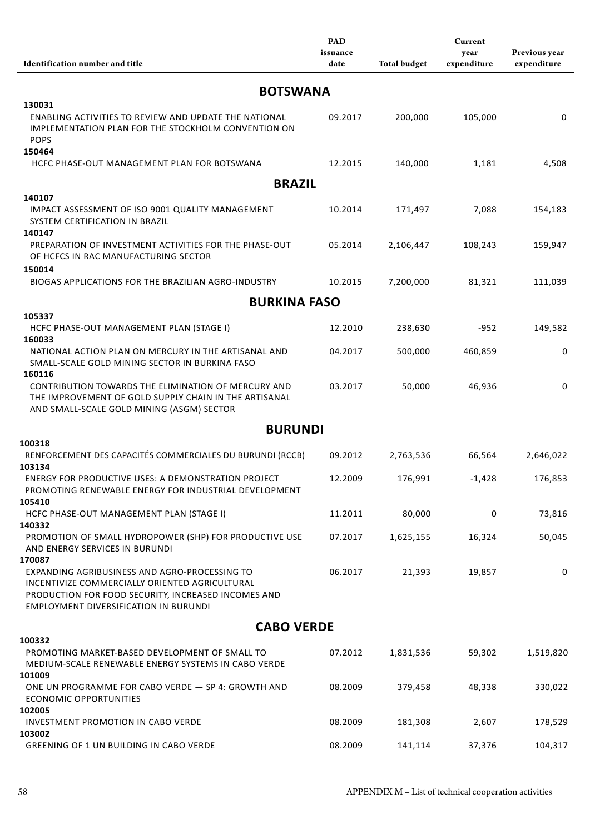|                                                                                                                                                                                                           | <b>PAD</b>       |                     | Current             |                              |
|-----------------------------------------------------------------------------------------------------------------------------------------------------------------------------------------------------------|------------------|---------------------|---------------------|------------------------------|
| Identification number and title                                                                                                                                                                           | issuance<br>date | <b>Total budget</b> | year<br>expenditure | Previous year<br>expenditure |
| <b>BOTSWANA</b>                                                                                                                                                                                           |                  |                     |                     |                              |
| 130031                                                                                                                                                                                                    |                  |                     |                     |                              |
| <b>ENABLING ACTIVITIES TO REVIEW AND UPDATE THE NATIONAL</b><br><b>IMPLEMENTATION PLAN FOR THE STOCKHOLM CONVENTION ON</b><br><b>POPS</b>                                                                 | 09.2017          | 200,000             | 105,000             | 0                            |
| 150464                                                                                                                                                                                                    |                  |                     |                     |                              |
| HCFC PHASE-OUT MANAGEMENT PLAN FOR BOTSWANA                                                                                                                                                               | 12.2015          | 140,000             | 1,181               | 4,508                        |
| <b>BRAZIL</b>                                                                                                                                                                                             |                  |                     |                     |                              |
| 140107<br>IMPACT ASSESSMENT OF ISO 9001 QUALITY MANAGEMENT<br>SYSTEM CERTIFICATION IN BRAZIL                                                                                                              | 10.2014          | 171,497             | 7,088               | 154,183                      |
| 140147<br>PREPARATION OF INVESTMENT ACTIVITIES FOR THE PHASE-OUT<br>OF HCFCS IN RAC MANUFACTURING SECTOR                                                                                                  | 05.2014          | 2,106,447           | 108,243             | 159,947                      |
| 150014<br>BIOGAS APPLICATIONS FOR THE BRAZILIAN AGRO-INDUSTRY                                                                                                                                             | 10.2015          | 7,200,000           | 81,321              | 111,039                      |
|                                                                                                                                                                                                           |                  |                     |                     |                              |
| <b>BURKINA FASO</b>                                                                                                                                                                                       |                  |                     |                     |                              |
| 105337<br>HCFC PHASE-OUT MANAGEMENT PLAN (STAGE I)                                                                                                                                                        | 12.2010          | 238,630             | -952                | 149,582                      |
| 160033<br>NATIONAL ACTION PLAN ON MERCURY IN THE ARTISANAL AND                                                                                                                                            | 04.2017          | 500,000             | 460,859             | 0                            |
| SMALL-SCALE GOLD MINING SECTOR IN BURKINA FASO<br>160116                                                                                                                                                  |                  |                     |                     |                              |
| CONTRIBUTION TOWARDS THE ELIMINATION OF MERCURY AND<br>THE IMPROVEMENT OF GOLD SUPPLY CHAIN IN THE ARTISANAL<br>AND SMALL-SCALE GOLD MINING (ASGM) SECTOR                                                 | 03.2017          | 50,000              | 46,936              | $\mathbf{0}$                 |
| <b>BURUNDI</b>                                                                                                                                                                                            |                  |                     |                     |                              |
| 100318                                                                                                                                                                                                    |                  |                     |                     |                              |
| RENFORCEMENT DES CAPACITÉS COMMERCIALES DU BURUNDI (RCCB)<br>103134                                                                                                                                       | 09.2012          | 2,763,536           | 66,564              | 2,646,022                    |
| ENERGY FOR PRODUCTIVE USES: A DEMONSTRATION PROJECT<br>PROMOTING RENEWABLE ENERGY FOR INDUSTRIAL DEVELOPMENT<br>105410                                                                                    | 12.2009          | 176,991             | $-1,428$            | 176,853                      |
| HCFC PHASE-OUT MANAGEMENT PLAN (STAGE I)<br>140332                                                                                                                                                        | 11.2011          | 80,000              | 0                   | 73,816                       |
| PROMOTION OF SMALL HYDROPOWER (SHP) FOR PRODUCTIVE USE<br>AND ENERGY SERVICES IN BURUNDI                                                                                                                  | 07.2017          | 1,625,155           | 16,324              | 50,045                       |
| 170087<br>EXPANDING AGRIBUSINESS AND AGRO-PROCESSING TO<br>INCENTIVIZE COMMERCIALLY ORIENTED AGRICULTURAL<br>PRODUCTION FOR FOOD SECURITY, INCREASED INCOMES AND<br>EMPLOYMENT DIVERSIFICATION IN BURUNDI | 06.2017          | 21,393              | 19,857              | 0                            |
| <b>CABO VERDE</b>                                                                                                                                                                                         |                  |                     |                     |                              |
| 100332                                                                                                                                                                                                    |                  |                     |                     |                              |
| PROMOTING MARKET-BASED DEVELOPMENT OF SMALL TO<br>MEDIUM-SCALE RENEWABLE ENERGY SYSTEMS IN CABO VERDE<br>101009                                                                                           | 07.2012          | 1,831,536           | 59,302              | 1,519,820                    |
| ONE UN PROGRAMME FOR CABO VERDE - SP 4: GROWTH AND<br><b>ECONOMIC OPPORTUNITIES</b><br>102005                                                                                                             | 08.2009          | 379,458             | 48,338              | 330,022                      |
| INVESTMENT PROMOTION IN CABO VERDE<br>103002                                                                                                                                                              | 08.2009          | 181,308             | 2,607               | 178,529                      |
| GREENING OF 1 UN BUILDING IN CABO VERDE                                                                                                                                                                   | 08.2009          | 141,114             | 37,376              | 104,317                      |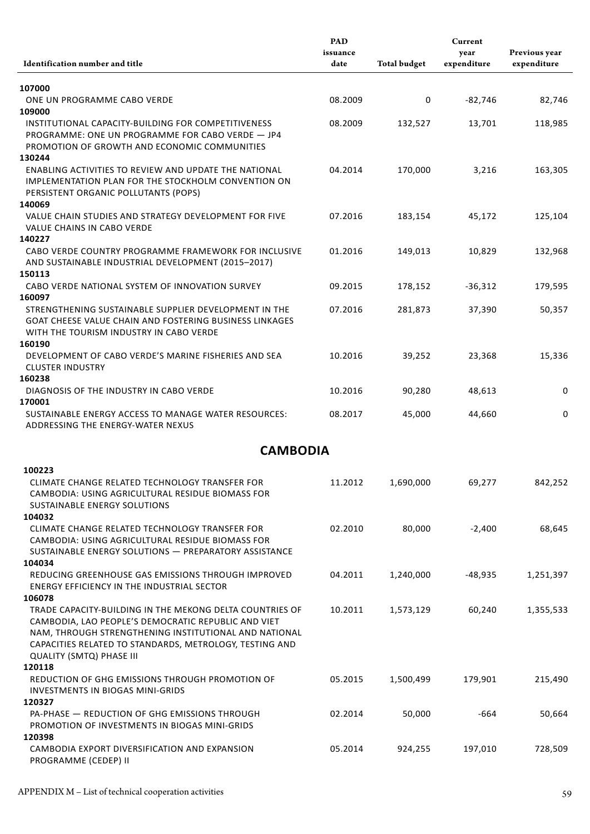| Identification number and title                                                                                                                                                                                                                                                  | <b>PAD</b><br>issuance<br>date | <b>Total budget</b> | Current<br>year<br>expenditure | Previous year<br>expenditure |
|----------------------------------------------------------------------------------------------------------------------------------------------------------------------------------------------------------------------------------------------------------------------------------|--------------------------------|---------------------|--------------------------------|------------------------------|
| 107000                                                                                                                                                                                                                                                                           |                                |                     |                                |                              |
| ONE UN PROGRAMME CABO VERDE<br>109000                                                                                                                                                                                                                                            | 08.2009                        | 0                   | $-82,746$                      | 82,746                       |
| INSTITUTIONAL CAPACITY-BUILDING FOR COMPETITIVENESS<br>PROGRAMME: ONE UN PROGRAMME FOR CABO VERDE - JP4<br>PROMOTION OF GROWTH AND ECONOMIC COMMUNITIES<br>130244                                                                                                                | 08.2009                        | 132,527             | 13,701                         | 118,985                      |
| ENABLING ACTIVITIES TO REVIEW AND UPDATE THE NATIONAL<br><b>IMPLEMENTATION PLAN FOR THE STOCKHOLM CONVENTION ON</b><br>PERSISTENT ORGANIC POLLUTANTS (POPS)<br>140069                                                                                                            | 04.2014                        | 170,000             | 3,216                          | 163,305                      |
| VALUE CHAIN STUDIES AND STRATEGY DEVELOPMENT FOR FIVE<br>VALUE CHAINS IN CABO VERDE<br>140227                                                                                                                                                                                    | 07.2016                        | 183,154             | 45,172                         | 125,104                      |
| CABO VERDE COUNTRY PROGRAMME FRAMEWORK FOR INCLUSIVE<br>AND SUSTAINABLE INDUSTRIAL DEVELOPMENT (2015-2017)<br>150113                                                                                                                                                             | 01.2016                        | 149,013             | 10,829                         | 132,968                      |
| CABO VERDE NATIONAL SYSTEM OF INNOVATION SURVEY<br>160097                                                                                                                                                                                                                        | 09.2015                        | 178,152             | $-36,312$                      | 179,595                      |
| STRENGTHENING SUSTAINABLE SUPPLIER DEVELOPMENT IN THE<br><b>GOAT CHEESE VALUE CHAIN AND FOSTERING BUSINESS LINKAGES</b><br>WITH THE TOURISM INDUSTRY IN CABO VERDE                                                                                                               | 07.2016                        | 281,873             | 37,390                         | 50,357                       |
| 160190<br>DEVELOPMENT OF CABO VERDE'S MARINE FISHERIES AND SEA<br><b>CLUSTER INDUSTRY</b>                                                                                                                                                                                        | 10.2016                        | 39,252              | 23,368                         | 15,336                       |
| 160238<br>DIAGNOSIS OF THE INDUSTRY IN CABO VERDE                                                                                                                                                                                                                                | 10.2016                        | 90,280              | 48,613                         | 0                            |
| 170001                                                                                                                                                                                                                                                                           |                                |                     |                                |                              |
| SUSTAINABLE ENERGY ACCESS TO MANAGE WATER RESOURCES:<br>ADDRESSING THE ENERGY-WATER NEXUS                                                                                                                                                                                        | 08.2017                        | 45,000              | 44,660                         | 0                            |
| <b>CAMBODIA</b>                                                                                                                                                                                                                                                                  |                                |                     |                                |                              |
| 100223                                                                                                                                                                                                                                                                           |                                |                     |                                |                              |
| CLIMATE CHANGE RELATED TECHNOLOGY TRANSFER FOR<br>CAMBODIA: USING AGRICULTURAL RESIDUE BIOMASS FOR<br>SUSTAINABLE ENERGY SOLUTIONS<br>104032                                                                                                                                     | 11.2012                        | 1,690,000           | 69,277                         | 842,252                      |
| CLIMATE CHANGE RELATED TECHNOLOGY TRANSFER FOR<br>CAMBODIA: USING AGRICULTURAL RESIDUE BIOMASS FOR<br>SUSTAINABLE ENERGY SOLUTIONS - PREPARATORY ASSISTANCE                                                                                                                      | 02.2010                        | 80,000              | $-2,400$                       | 68,645                       |
| 104034<br>REDUCING GREENHOUSE GAS EMISSIONS THROUGH IMPROVED<br>ENERGY EFFICIENCY IN THE INDUSTRIAL SECTOR                                                                                                                                                                       | 04.2011                        | 1,240,000           | -48,935                        | 1,251,397                    |
| 106078<br>TRADE CAPACITY-BUILDING IN THE MEKONG DELTA COUNTRIES OF<br>CAMBODIA, LAO PEOPLE'S DEMOCRATIC REPUBLIC AND VIET<br>NAM, THROUGH STRENGTHENING INSTITUTIONAL AND NATIONAL<br>CAPACITIES RELATED TO STANDARDS, METROLOGY, TESTING AND<br><b>QUALITY (SMTQ) PHASE III</b> | 10.2011                        | 1,573,129           | 60,240                         | 1,355,533                    |
| 120118<br>REDUCTION OF GHG EMISSIONS THROUGH PROMOTION OF<br>INVESTMENTS IN BIOGAS MINI-GRIDS                                                                                                                                                                                    | 05.2015                        | 1,500,499           | 179,901                        | 215,490                      |
| 120327<br>PA-PHASE - REDUCTION OF GHG EMISSIONS THROUGH<br>PROMOTION OF INVESTMENTS IN BIOGAS MINI-GRIDS                                                                                                                                                                         | 02.2014                        | 50,000              | $-664$                         | 50,664                       |
| 120398<br>CAMBODIA EXPORT DIVERSIFICATION AND EXPANSION<br>PROGRAMME (CEDEP) II                                                                                                                                                                                                  | 05.2014                        | 924,255             | 197,010                        | 728,509                      |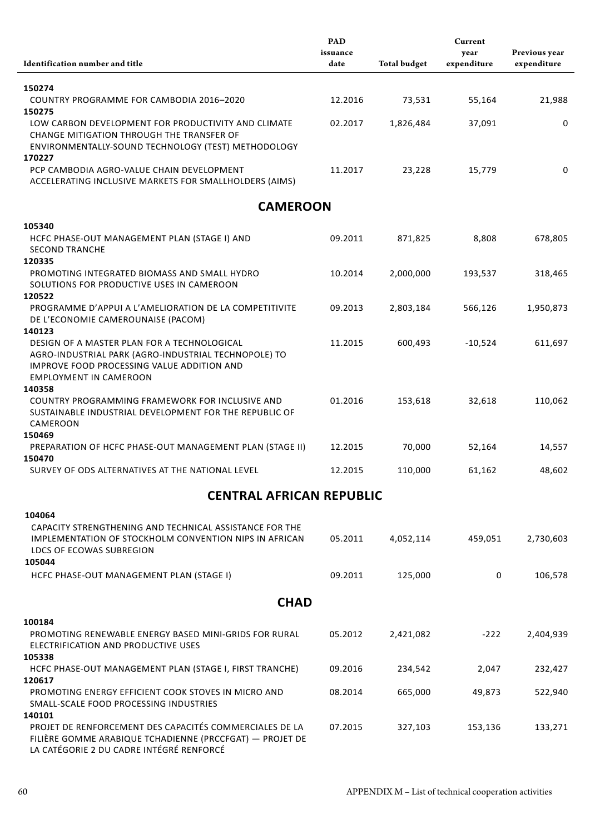|                                                                                                                                                                                                     | <b>PAD</b>       |                     | Current             |                              |
|-----------------------------------------------------------------------------------------------------------------------------------------------------------------------------------------------------|------------------|---------------------|---------------------|------------------------------|
| Identification number and title                                                                                                                                                                     | issuance<br>date | <b>Total budget</b> | year<br>expenditure | Previous year<br>expenditure |
| 150274                                                                                                                                                                                              |                  |                     |                     |                              |
| COUNTRY PROGRAMME FOR CAMBODIA 2016-2020<br>150275                                                                                                                                                  | 12.2016          | 73,531              | 55,164              | 21,988                       |
| LOW CARBON DEVELOPMENT FOR PRODUCTIVITY AND CLIMATE<br>CHANGE MITIGATION THROUGH THE TRANSFER OF<br>ENVIRONMENTALLY-SOUND TECHNOLOGY (TEST) METHODOLOGY                                             | 02.2017          | 1,826,484           | 37,091              | 0                            |
| 170227<br>PCP CAMBODIA AGRO-VALUE CHAIN DEVELOPMENT<br>ACCELERATING INCLUSIVE MARKETS FOR SMALLHOLDERS (AIMS)                                                                                       | 11.2017          | 23,228              | 15,779              | 0                            |
| <b>CAMEROON</b>                                                                                                                                                                                     |                  |                     |                     |                              |
| 105340                                                                                                                                                                                              |                  |                     |                     |                              |
| HCFC PHASE-OUT MANAGEMENT PLAN (STAGE I) AND<br><b>SECOND TRANCHE</b>                                                                                                                               | 09.2011          | 871,825             | 8,808               | 678,805                      |
| 120335<br>PROMOTING INTEGRATED BIOMASS AND SMALL HYDRO<br>SOLUTIONS FOR PRODUCTIVE USES IN CAMEROON<br>120522                                                                                       | 10.2014          | 2,000,000           | 193,537             | 318,465                      |
| PROGRAMME D'APPUI A L'AMELIORATION DE LA COMPETITIVITE<br>DE L'ECONOMIE CAMEROUNAISE (PACOM)                                                                                                        | 09.2013          | 2,803,184           | 566,126             | 1,950,873                    |
| 140123<br>DESIGN OF A MASTER PLAN FOR A TECHNOLOGICAL<br>AGRO-INDUSTRIAL PARK (AGRO-INDUSTRIAL TECHNOPOLE) TO<br><b>IMPROVE FOOD PROCESSING VALUE ADDITION AND</b><br><b>EMPLOYMENT IN CAMEROON</b> | 11.2015          | 600,493             | $-10,524$           | 611,697                      |
| 140358<br>COUNTRY PROGRAMMING FRAMEWORK FOR INCLUSIVE AND<br>SUSTAINABLE INDUSTRIAL DEVELOPMENT FOR THE REPUBLIC OF<br>CAMEROON                                                                     | 01.2016          | 153,618             | 32,618              | 110,062                      |
| 150469                                                                                                                                                                                              |                  |                     |                     |                              |
| PREPARATION OF HCFC PHASE-OUT MANAGEMENT PLAN (STAGE II)<br>150470                                                                                                                                  | 12.2015          | 70,000              | 52,164              | 14,557                       |
| SURVEY OF ODS ALTERNATIVES AT THE NATIONAL LEVEL                                                                                                                                                    | 12.2015          | 110,000             | 61,162              | 48,602                       |
| <b>CENTRAL AFRICAN REPUBLIC</b>                                                                                                                                                                     |                  |                     |                     |                              |
| 104064                                                                                                                                                                                              |                  |                     |                     |                              |
| CAPACITY STRENGTHENING AND TECHNICAL ASSISTANCE FOR THE<br>IMPLEMENTATION OF STOCKHOLM CONVENTION NIPS IN AFRICAN<br>LDCS OF ECOWAS SUBREGION<br>105044                                             | 05.2011          | 4,052,114           | 459,051             | 2,730,603                    |
| HCFC PHASE-OUT MANAGEMENT PLAN (STAGE I)                                                                                                                                                            | 09.2011          | 125,000             | 0                   | 106,578                      |
| <b>CHAD</b>                                                                                                                                                                                         |                  |                     |                     |                              |
| 100184                                                                                                                                                                                              |                  |                     |                     |                              |
| PROMOTING RENEWABLE ENERGY BASED MINI-GRIDS FOR RURAL<br>ELECTRIFICATION AND PRODUCTIVE USES<br>105338                                                                                              | 05.2012          | 2,421,082           | $-222$              | 2,404,939                    |
| HCFC PHASE-OUT MANAGEMENT PLAN (STAGE I, FIRST TRANCHE)                                                                                                                                             | 09.2016          | 234,542             | 2,047               | 232,427                      |
| 120617<br>PROMOTING ENERGY EFFICIENT COOK STOVES IN MICRO AND<br>SMALL-SCALE FOOD PROCESSING INDUSTRIES                                                                                             | 08.2014          | 665,000             | 49,873              | 522,940                      |
| 140101<br>PROJET DE RENFORCEMENT DES CAPACITÉS COMMERCIALES DE LA<br>FILIÈRE GOMME ARABIQUE TCHADIENNE (PRCCFGAT) - PROJET DE<br>LA CATÉGORIE 2 DU CADRE INTÉGRÉ RENFORCÉ                           | 07.2015          | 327,103             | 153,136             | 133,271                      |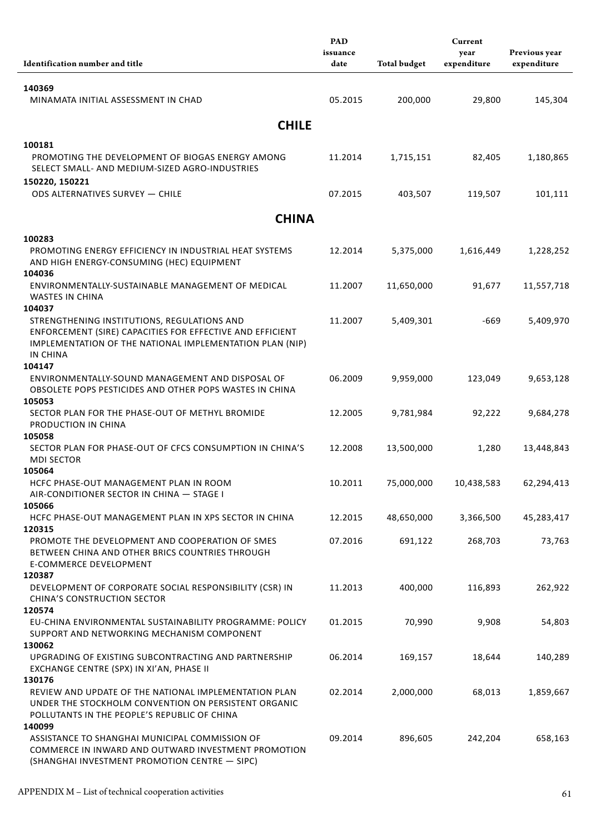|                                                                                                                                                                                            | <b>PAD</b>       |                     | Current             |                              |
|--------------------------------------------------------------------------------------------------------------------------------------------------------------------------------------------|------------------|---------------------|---------------------|------------------------------|
| Identification number and title                                                                                                                                                            | issuance<br>date | <b>Total budget</b> | year<br>expenditure | Previous year<br>expenditure |
|                                                                                                                                                                                            |                  |                     |                     |                              |
| 140369<br>MINAMATA INITIAL ASSESSMENT IN CHAD                                                                                                                                              | 05.2015          | 200,000             | 29,800              | 145,304                      |
| <b>CHILE</b>                                                                                                                                                                               |                  |                     |                     |                              |
| 100181                                                                                                                                                                                     |                  |                     |                     |                              |
| PROMOTING THE DEVELOPMENT OF BIOGAS ENERGY AMONG<br>SELECT SMALL- AND MEDIUM-SIZED AGRO-INDUSTRIES                                                                                         | 11.2014          | 1,715,151           | 82,405              | 1,180,865                    |
| 150220, 150221                                                                                                                                                                             |                  |                     |                     |                              |
| ODS ALTERNATIVES SURVEY - CHILE                                                                                                                                                            | 07.2015          | 403,507             | 119,507             | 101,111                      |
| <b>CHINA</b>                                                                                                                                                                               |                  |                     |                     |                              |
| 100283                                                                                                                                                                                     |                  |                     |                     |                              |
| <b>PROMOTING ENERGY EFFICIENCY IN INDUSTRIAL HEAT SYSTEMS</b><br>AND HIGH ENERGY-CONSUMING (HEC) EQUIPMENT<br>104036                                                                       | 12.2014          | 5,375,000           | 1,616,449           | 1,228,252                    |
| ENVIRONMENTALLY-SUSTAINABLE MANAGEMENT OF MEDICAL<br><b>WASTES IN CHINA</b>                                                                                                                | 11.2007          | 11,650,000          | 91,677              | 11,557,718                   |
| 104037<br>STRENGTHENING INSTITUTIONS, REGULATIONS AND<br>ENFORCEMENT (SIRE) CAPACITIES FOR EFFECTIVE AND EFFICIENT<br>IMPLEMENTATION OF THE NATIONAL IMPLEMENTATION PLAN (NIP)<br>IN CHINA | 11.2007          | 5,409,301           | $-669$              | 5,409,970                    |
| 104147                                                                                                                                                                                     |                  |                     |                     |                              |
| ENVIRONMENTALLY-SOUND MANAGEMENT AND DISPOSAL OF<br>OBSOLETE POPS PESTICIDES AND OTHER POPS WASTES IN CHINA                                                                                | 06.2009          | 9,959,000           | 123,049             | 9,653,128                    |
| 105053<br>SECTOR PLAN FOR THE PHASE-OUT OF METHYL BROMIDE<br>PRODUCTION IN CHINA                                                                                                           | 12.2005          | 9,781,984           | 92,222              | 9,684,278                    |
| 105058<br>SECTOR PLAN FOR PHASE-OUT OF CFCS CONSUMPTION IN CHINA'S<br><b>MDI SECTOR</b>                                                                                                    | 12.2008          | 13,500,000          | 1,280               | 13,448,843                   |
| 105064                                                                                                                                                                                     |                  |                     |                     |                              |
| HCFC PHASE-OUT MANAGEMENT PLAN IN ROOM<br>AIR-CONDITIONER SECTOR IN CHINA - STAGE I                                                                                                        | 10.2011          | 75,000,000          | 10,438,583          | 62,294,413                   |
| 105066                                                                                                                                                                                     |                  |                     |                     |                              |
| HCFC PHASE-OUT MANAGEMENT PLAN IN XPS SECTOR IN CHINA<br>120315                                                                                                                            | 12.2015          | 48,650,000          | 3,366,500           | 45,283,417                   |
| PROMOTE THE DEVELOPMENT AND COOPERATION OF SMES<br>BETWEEN CHINA AND OTHER BRICS COUNTRIES THROUGH<br>E-COMMERCE DEVELOPMENT                                                               | 07.2016          | 691,122             | 268,703             | 73,763                       |
| 120387                                                                                                                                                                                     |                  |                     |                     |                              |
| DEVELOPMENT OF CORPORATE SOCIAL RESPONSIBILITY (CSR) IN                                                                                                                                    | 11.2013          | 400,000             | 116,893             | 262,922                      |
| <b>CHINA'S CONSTRUCTION SECTOR</b><br>120574                                                                                                                                               |                  |                     |                     |                              |
| EU-CHINA ENVIRONMENTAL SUSTAINABILITY PROGRAMME: POLICY<br>SUPPORT AND NETWORKING MECHANISM COMPONENT                                                                                      | 01.2015          | 70,990              | 9,908               | 54,803                       |
| 130062                                                                                                                                                                                     |                  |                     |                     |                              |
| UPGRADING OF EXISTING SUBCONTRACTING AND PARTNERSHIP<br>EXCHANGE CENTRE (SPX) IN XI'AN, PHASE II                                                                                           | 06.2014          | 169,157             | 18,644              | 140,289                      |
| 130176<br>REVIEW AND UPDATE OF THE NATIONAL IMPLEMENTATION PLAN<br>UNDER THE STOCKHOLM CONVENTION ON PERSISTENT ORGANIC<br>POLLUTANTS IN THE PEOPLE'S REPUBLIC OF CHINA                    | 02.2014          | 2,000,000           | 68,013              | 1,859,667                    |
| 140099<br>ASSISTANCE TO SHANGHAI MUNICIPAL COMMISSION OF<br>COMMERCE IN INWARD AND OUTWARD INVESTMENT PROMOTION<br>(SHANGHAI INVESTMENT PROMOTION CENTRE - SIPC)                           | 09.2014          | 896,605             | 242,204             | 658,163                      |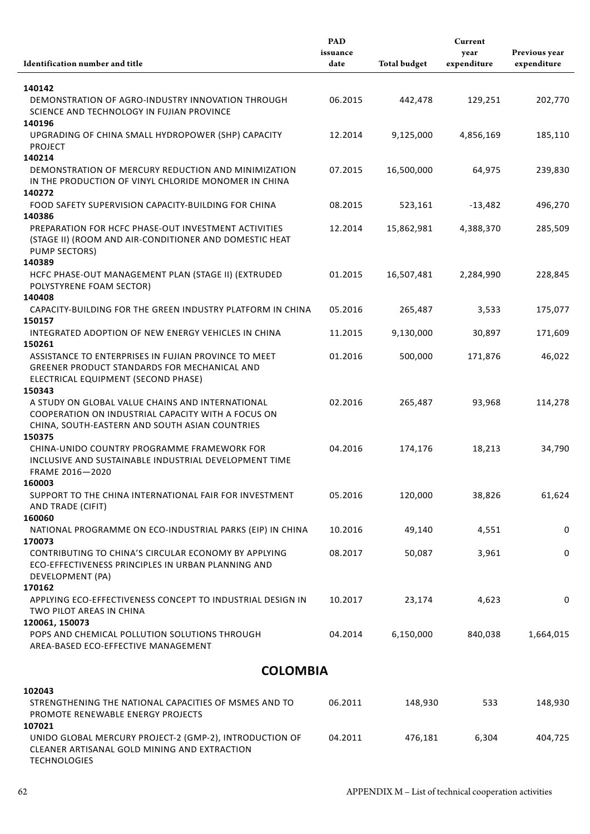|                                                            | <b>PAD</b> |                     | Current     |               |
|------------------------------------------------------------|------------|---------------------|-------------|---------------|
|                                                            | issuance   |                     | year        | Previous year |
| Identification number and title                            | date       | <b>Total budget</b> | expenditure | expenditure   |
| 140142                                                     |            |                     |             |               |
| DEMONSTRATION OF AGRO-INDUSTRY INNOVATION THROUGH          | 06.2015    | 442,478             | 129,251     | 202,770       |
| SCIENCE AND TECHNOLOGY IN FUJIAN PROVINCE                  |            |                     |             |               |
| 140196                                                     |            |                     |             |               |
| UPGRADING OF CHINA SMALL HYDROPOWER (SHP) CAPACITY         | 12.2014    | 9,125,000           | 4,856,169   | 185,110       |
| <b>PROJECT</b>                                             |            |                     |             |               |
| 140214                                                     |            |                     |             |               |
| DEMONSTRATION OF MERCURY REDUCTION AND MINIMIZATION        | 07.2015    | 16,500,000          | 64,975      | 239,830       |
| IN THE PRODUCTION OF VINYL CHLORIDE MONOMER IN CHINA       |            |                     |             |               |
| 140272                                                     |            |                     |             |               |
| FOOD SAFETY SUPERVISION CAPACITY-BUILDING FOR CHINA        | 08.2015    | 523,161             | $-13,482$   | 496,270       |
| 140386                                                     |            |                     |             |               |
| PREPARATION FOR HCFC PHASE-OUT INVESTMENT ACTIVITIES       | 12.2014    | 15,862,981          | 4,388,370   | 285,509       |
| (STAGE II) (ROOM AND AIR-CONDITIONER AND DOMESTIC HEAT     |            |                     |             |               |
| PUMP SECTORS)                                              |            |                     |             |               |
| 140389                                                     |            |                     |             |               |
| HCFC PHASE-OUT MANAGEMENT PLAN (STAGE II) (EXTRUDED        | 01.2015    | 16,507,481          | 2,284,990   | 228,845       |
| POLYSTYRENE FOAM SECTOR)                                   |            |                     |             |               |
| 140408                                                     |            |                     |             |               |
| CAPACITY-BUILDING FOR THE GREEN INDUSTRY PLATFORM IN CHINA | 05.2016    | 265,487             | 3,533       | 175,077       |
| 150157                                                     |            |                     |             |               |
| INTEGRATED ADOPTION OF NEW ENERGY VEHICLES IN CHINA        | 11.2015    | 9,130,000           | 30,897      | 171,609       |
| 150261                                                     |            |                     |             |               |
| ASSISTANCE TO ENTERPRISES IN FUJIAN PROVINCE TO MEET       | 01.2016    | 500,000             | 171,876     | 46,022        |
| GREENER PRODUCT STANDARDS FOR MECHANICAL AND               |            |                     |             |               |
| ELECTRICAL EQUIPMENT (SECOND PHASE)                        |            |                     |             |               |
| 150343                                                     |            |                     |             |               |
| A STUDY ON GLOBAL VALUE CHAINS AND INTERNATIONAL           | 02.2016    | 265,487             | 93,968      | 114,278       |
| COOPERATION ON INDUSTRIAL CAPACITY WITH A FOCUS ON         |            |                     |             |               |
| CHINA, SOUTH-EASTERN AND SOUTH ASIAN COUNTRIES<br>150375   |            |                     |             |               |
| CHINA-UNIDO COUNTRY PROGRAMME FRAMEWORK FOR                | 04.2016    | 174,176             |             |               |
| INCLUSIVE AND SUSTAINABLE INDUSTRIAL DEVELOPMENT TIME      |            |                     | 18,213      | 34,790        |
| FRAME 2016-2020                                            |            |                     |             |               |
| 160003                                                     |            |                     |             |               |
| SUPPORT TO THE CHINA INTERNATIONAL FAIR FOR INVESTMENT     | 05.2016    | 120,000             | 38,826      | 61,624        |
| AND TRADE (CIFIT)                                          |            |                     |             |               |
| 160060                                                     |            |                     |             |               |
| NATIONAL PROGRAMME ON ECO-INDUSTRIAL PARKS (EIP) IN CHINA  | 10.2016    | 49,140              | 4,551       | 0             |
| 170073                                                     |            |                     |             |               |
| CONTRIBUTING TO CHINA'S CIRCULAR ECONOMY BY APPLYING       | 08.2017    | 50,087              | 3,961       | 0             |
| ECO-EFFECTIVENESS PRINCIPLES IN URBAN PLANNING AND         |            |                     |             |               |
| DEVELOPMENT (PA)                                           |            |                     |             |               |
| 170162                                                     |            |                     |             |               |
| APPLYING ECO-EFFECTIVENESS CONCEPT TO INDUSTRIAL DESIGN IN | 10.2017    | 23,174              | 4,623       | 0             |
| TWO PILOT AREAS IN CHINA                                   |            |                     |             |               |
| 120061, 150073                                             |            |                     |             |               |
| POPS AND CHEMICAL POLLUTION SOLUTIONS THROUGH              | 04.2014    | 6,150,000           | 840,038     | 1,664,015     |
| AREA-BASED ECO-EFFECTIVE MANAGEMENT                        |            |                     |             |               |
|                                                            |            |                     |             |               |
| <b>COLOMBIA</b>                                            |            |                     |             |               |
|                                                            |            |                     |             |               |
| 102043                                                     |            |                     |             |               |
| STRENGTHENING THE NATIONAL CAPACITIES OF MSMES AND TO      | 06.2011    | 148,930             | 533         | 148,930       |
| PROMOTE RENEWABLE ENERGY PROJECTS<br>107021                |            |                     |             |               |
| UNIDO GLOBAL MERCURY PROJECT-2 (GMP-2), INTRODUCTION OF    | 04.2011    | 476,181             | 6,304       | 404,725       |
| CLEANER ARTISANAL GOLD MINING AND EXTRACTION               |            |                     |             |               |
| <b>TECHNOLOGIES</b>                                        |            |                     |             |               |
|                                                            |            |                     |             |               |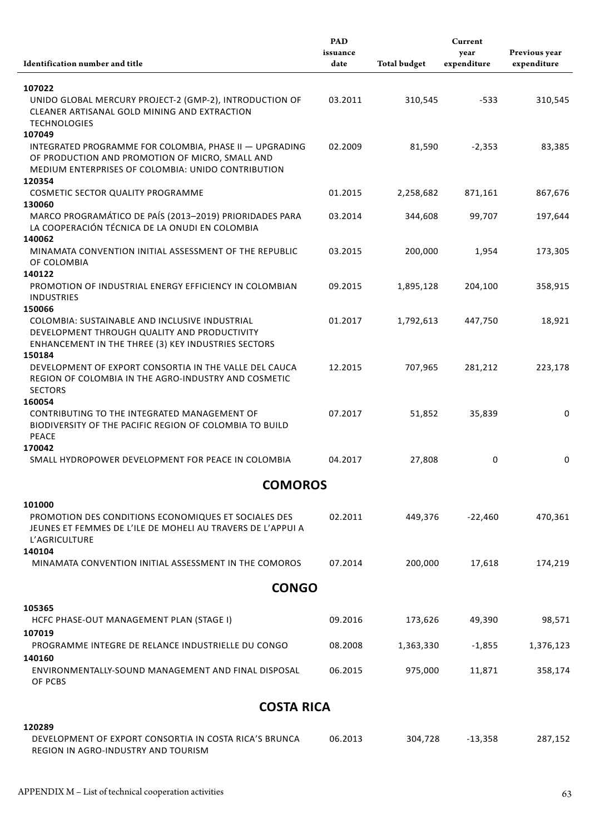|                                                                  | <b>PAD</b>       |                     | Current             |                              |
|------------------------------------------------------------------|------------------|---------------------|---------------------|------------------------------|
| Identification number and title                                  | issuance<br>date | <b>Total budget</b> | year<br>expenditure | Previous year<br>expenditure |
|                                                                  |                  |                     |                     |                              |
| 107022                                                           |                  |                     |                     |                              |
| UNIDO GLOBAL MERCURY PROJECT-2 (GMP-2), INTRODUCTION OF          | 03.2011          | 310,545             | $-533$              | 310,545                      |
| CLEANER ARTISANAL GOLD MINING AND EXTRACTION                     |                  |                     |                     |                              |
| <b>TECHNOLOGIES</b>                                              |                  |                     |                     |                              |
| 107049                                                           |                  |                     |                     |                              |
| INTEGRATED PROGRAMME FOR COLOMBIA, PHASE II - UPGRADING          | 02.2009          | 81,590              | $-2,353$            | 83,385                       |
| OF PRODUCTION AND PROMOTION OF MICRO, SMALL AND                  |                  |                     |                     |                              |
| MEDIUM ENTERPRISES OF COLOMBIA: UNIDO CONTRIBUTION               |                  |                     |                     |                              |
| 120354                                                           |                  |                     |                     |                              |
| COSMETIC SECTOR QUALITY PROGRAMME                                | 01.2015          | 2,258,682           | 871,161             | 867,676                      |
| 130060                                                           |                  |                     |                     |                              |
| MARCO PROGRAMÁTICO DE PAÍS (2013-2019) PRIORIDADES PARA          | 03.2014          | 344,608             | 99,707              | 197,644                      |
| LA COOPERACIÓN TÉCNICA DE LA ONUDI EN COLOMBIA                   |                  |                     |                     |                              |
| 140062                                                           |                  |                     |                     |                              |
| MINAMATA CONVENTION INITIAL ASSESSMENT OF THE REPUBLIC           | 03.2015          | 200,000             | 1,954               | 173,305                      |
| OF COLOMBIA                                                      |                  |                     |                     |                              |
| 140122<br>PROMOTION OF INDUSTRIAL ENERGY EFFICIENCY IN COLOMBIAN |                  |                     |                     |                              |
|                                                                  | 09.2015          | 1,895,128           | 204,100             | 358,915                      |
| <b>INDUSTRIES</b><br>150066                                      |                  |                     |                     |                              |
| COLOMBIA: SUSTAINABLE AND INCLUSIVE INDUSTRIAL                   | 01.2017          | 1,792,613           | 447,750             | 18,921                       |
| DEVELOPMENT THROUGH QUALITY AND PRODUCTIVITY                     |                  |                     |                     |                              |
| ENHANCEMENT IN THE THREE (3) KEY INDUSTRIES SECTORS              |                  |                     |                     |                              |
| 150184                                                           |                  |                     |                     |                              |
| DEVELOPMENT OF EXPORT CONSORTIA IN THE VALLE DEL CAUCA           | 12.2015          | 707,965             | 281,212             | 223,178                      |
| REGION OF COLOMBIA IN THE AGRO-INDUSTRY AND COSMETIC             |                  |                     |                     |                              |
| <b>SECTORS</b>                                                   |                  |                     |                     |                              |
| 160054                                                           |                  |                     |                     |                              |
| CONTRIBUTING TO THE INTEGRATED MANAGEMENT OF                     | 07.2017          | 51,852              | 35,839              | $\mathbf{0}$                 |
| BIODIVERSITY OF THE PACIFIC REGION OF COLOMBIA TO BUILD          |                  |                     |                     |                              |
| <b>PEACE</b>                                                     |                  |                     |                     |                              |
| 170042                                                           |                  |                     |                     |                              |
| SMALL HYDROPOWER DEVELOPMENT FOR PEACE IN COLOMBIA               | 04.2017          | 27,808              | 0                   | 0                            |
|                                                                  |                  |                     |                     |                              |
| <b>COMOROS</b>                                                   |                  |                     |                     |                              |
| 101000                                                           |                  |                     |                     |                              |
| PROMOTION DES CONDITIONS ECONOMIQUES ET SOCIALES DES             | 02.2011          | 449,376             | $-22,460$           | 470,361                      |
| JEUNES ET FEMMES DE L'ILE DE MOHELI AU TRAVERS DE L'APPUI A      |                  |                     |                     |                              |
| L'AGRICULTURE                                                    |                  |                     |                     |                              |
| 140104                                                           |                  |                     |                     |                              |
| MINAMATA CONVENTION INITIAL ASSESSMENT IN THE COMOROS            | 07.2014          | 200,000             | 17,618              | 174,219                      |
|                                                                  |                  |                     |                     |                              |
| <b>CONGO</b>                                                     |                  |                     |                     |                              |
| 105365                                                           |                  |                     |                     |                              |
|                                                                  | 09.2016          |                     | 49,390              | 98,571                       |
| HCFC PHASE-OUT MANAGEMENT PLAN (STAGE I)                         |                  | 173,626             |                     |                              |
| 107019                                                           |                  |                     |                     |                              |
| PROGRAMME INTEGRE DE RELANCE INDUSTRIELLE DU CONGO               | 08.2008          | 1,363,330           | $-1,855$            | 1,376,123                    |
| 140160                                                           |                  |                     |                     |                              |
| ENVIRONMENTALLY-SOUND MANAGEMENT AND FINAL DISPOSAL              | 06.2015          | 975,000             | 11,871              | 358,174                      |
| OF PCBS                                                          |                  |                     |                     |                              |
| <b>COSTA RICA</b>                                                |                  |                     |                     |                              |
|                                                                  |                  |                     |                     |                              |
| 120289                                                           |                  |                     |                     |                              |
| DEVELOPMENT OF EXPORT CONSORTIA IN COSTA RICA'S BRUNCA           | 06.2013          | 304,728             | $-13,358$           | 287,152                      |
| REGION IN AGRO-INDUSTRY AND TOURISM                              |                  |                     |                     |                              |
|                                                                  |                  |                     |                     |                              |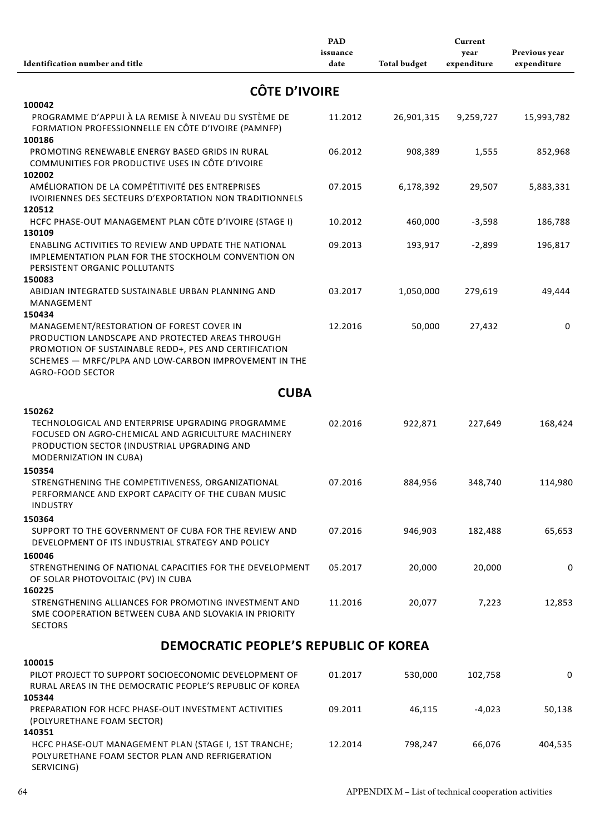|                                                                                                                                                                                                                                            | <b>PAD</b>       |                     | Current             |                              |
|--------------------------------------------------------------------------------------------------------------------------------------------------------------------------------------------------------------------------------------------|------------------|---------------------|---------------------|------------------------------|
| Identification number and title                                                                                                                                                                                                            | issuance<br>date | <b>Total budget</b> | year<br>expenditure | Previous year<br>expenditure |
| <b>CÔTE D'IVOIRE</b>                                                                                                                                                                                                                       |                  |                     |                     |                              |
| 100042                                                                                                                                                                                                                                     |                  |                     |                     |                              |
| PROGRAMME D'APPUI À LA REMISE À NIVEAU DU SYSTÈME DE<br>FORMATION PROFESSIONNELLE EN CÔTE D'IVOIRE (PAMNFP)                                                                                                                                | 11.2012          | 26,901,315          | 9,259,727           | 15,993,782                   |
| 100186<br>PROMOTING RENEWABLE ENERGY BASED GRIDS IN RURAL<br>COMMUNITIES FOR PRODUCTIVE USES IN CÔTE D'IVOIRE                                                                                                                              | 06.2012          | 908,389             | 1,555               | 852,968                      |
| 102002<br>AMÉLIORATION DE LA COMPÉTITIVITÉ DES ENTREPRISES<br>IVOIRIENNES DES SECTEURS D'EXPORTATION NON TRADITIONNELS                                                                                                                     | 07.2015          | 6,178,392           | 29,507              | 5,883,331                    |
| 120512                                                                                                                                                                                                                                     |                  |                     |                     |                              |
| HCFC PHASE-OUT MANAGEMENT PLAN CÔTE D'IVOIRE (STAGE I)<br>130109                                                                                                                                                                           | 10.2012          | 460,000             | $-3,598$            | 186,788                      |
| ENABLING ACTIVITIES TO REVIEW AND UPDATE THE NATIONAL<br>IMPLEMENTATION PLAN FOR THE STOCKHOLM CONVENTION ON<br>PERSISTENT ORGANIC POLLUTANTS<br>150083                                                                                    | 09.2013          | 193,917             | $-2,899$            | 196,817                      |
| ABIDJAN INTEGRATED SUSTAINABLE URBAN PLANNING AND<br>MANAGEMENT                                                                                                                                                                            | 03.2017          | 1,050,000           | 279,619             | 49,444                       |
| 150434                                                                                                                                                                                                                                     |                  |                     |                     |                              |
| MANAGEMENT/RESTORATION OF FOREST COVER IN<br>PRODUCTION LANDSCAPE AND PROTECTED AREAS THROUGH<br>PROMOTION OF SUSTAINABLE REDD+, PES AND CERTIFICATION<br>SCHEMES - MRFC/PLPA AND LOW-CARBON IMPROVEMENT IN THE<br><b>AGRO-FOOD SECTOR</b> | 12.2016          | 50,000              | 27,432              | 0                            |
| <b>CUBA</b>                                                                                                                                                                                                                                |                  |                     |                     |                              |
| 150262                                                                                                                                                                                                                                     |                  |                     |                     |                              |
| TECHNOLOGICAL AND ENTERPRISE UPGRADING PROGRAMME<br>FOCUSED ON AGRO-CHEMICAL AND AGRICULTURE MACHINERY<br>PRODUCTION SECTOR (INDUSTRIAL UPGRADING AND<br>MODERNIZATION IN CUBA)                                                            | 02.2016          | 922,871             | 227,649             | 168,424                      |
| 150354                                                                                                                                                                                                                                     |                  |                     |                     |                              |
| STRENGTHENING THE COMPETITIVENESS, ORGANIZATIONAL<br>PERFORMANCE AND EXPORT CAPACITY OF THE CUBAN MUSIC<br><b>INDUSTRY</b>                                                                                                                 | 07.2016          | 884,956             | 348,740             | 114,980                      |
| 150364                                                                                                                                                                                                                                     |                  |                     |                     |                              |
| SUPPORT TO THE GOVERNMENT OF CUBA FOR THE REVIEW AND<br>DEVELOPMENT OF ITS INDUSTRIAL STRATEGY AND POLICY<br>160046                                                                                                                        | 07.2016          | 946,903             | 182,488             | 65,653                       |
| STRENGTHENING OF NATIONAL CAPACITIES FOR THE DEVELOPMENT<br>OF SOLAR PHOTOVOLTAIC (PV) IN CUBA                                                                                                                                             | 05.2017          | 20,000              | 20,000              | 0                            |
| 160225<br>STRENGTHENING ALLIANCES FOR PROMOTING INVESTMENT AND                                                                                                                                                                             | 11.2016          | 20,077              | 7,223               | 12,853                       |
| SME COOPERATION BETWEEN CUBA AND SLOVAKIA IN PRIORITY<br><b>SECTORS</b>                                                                                                                                                                    |                  |                     |                     |                              |
| <b>DEMOCRATIC PEOPLE'S REPUBLIC OF KOREA</b>                                                                                                                                                                                               |                  |                     |                     |                              |
| 100015                                                                                                                                                                                                                                     |                  |                     |                     |                              |
| PILOT PROJECT TO SUPPORT SOCIOECONOMIC DEVELOPMENT OF<br>RURAL AREAS IN THE DEMOCRATIC PEOPLE'S REPUBLIC OF KOREA<br>105344                                                                                                                | 01.2017          | 530,000             | 102,758             | 0                            |
| PREPARATION FOR HCFC PHASE-OUT INVESTMENT ACTIVITIES<br>(POLYURETHANE FOAM SECTOR)                                                                                                                                                         | 09.2011          | 46,115              | $-4,023$            | 50,138                       |
| 140351<br>HCFC PHASE-OUT MANAGEMENT PLAN (STAGE I, 1ST TRANCHE;<br>POLYURETHANE FOAM SECTOR PLAN AND REFRIGERATION<br>SERVICING)                                                                                                           | 12.2014          | 798,247             | 66,076              | 404,535                      |

l.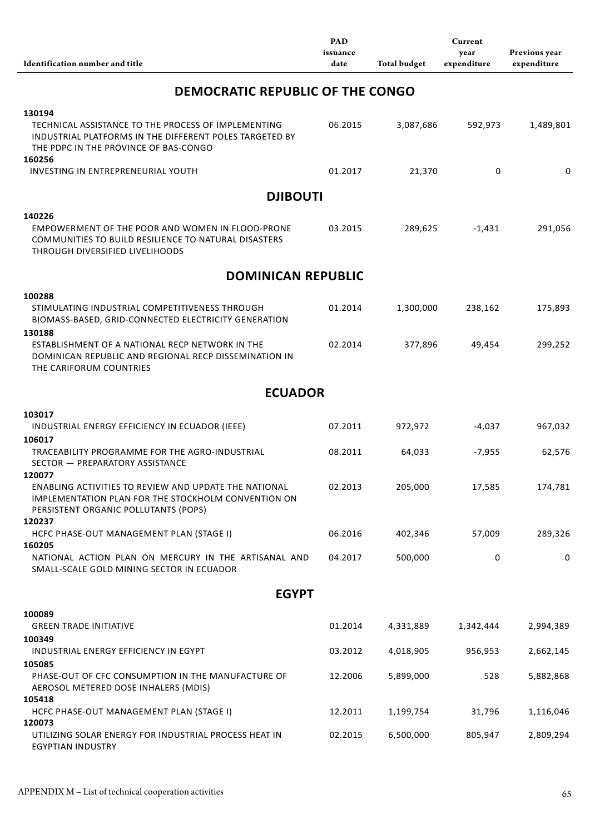| Identification number and title                                                                                                                                   | <b>PAD</b><br>issuance<br>date | <b>Total budget</b> | Current<br>year<br>expenditure | Previous year<br>expenditure |  |  |
|-------------------------------------------------------------------------------------------------------------------------------------------------------------------|--------------------------------|---------------------|--------------------------------|------------------------------|--|--|
| DEMOCRATIC REPUBLIC OF THE CONGO                                                                                                                                  |                                |                     |                                |                              |  |  |
| 130194<br>TECHNICAL ASSISTANCE TO THE PROCESS OF IMPLEMENTING<br>INDUSTRIAL PLATFORMS IN THE DIFFERENT POLES TARGETED BY<br>THE PDPC IN THE PROVINCE OF BAS-CONGO | 06.2015                        | 3,087,686           | 592,973                        | 1,489,801                    |  |  |
| 160256<br>INVESTING IN ENTREPRENEURIAL YOUTH                                                                                                                      | 01.2017                        | 21,370              | 0                              | 0                            |  |  |
| <b>DJIBOUTI</b>                                                                                                                                                   |                                |                     |                                |                              |  |  |
| 140226<br>EMPOWERMENT OF THE POOR AND WOMEN IN FLOOD-PRONE<br>COMMUNITIES TO BUILD RESILIENCE TO NATURAL DISASTERS<br>THROUGH DIVERSIFIED LIVELIHOODS             | 03.2015                        | 289,625             | $-1,431$                       | 291,056                      |  |  |
| <b>DOMINICAN REPUBLIC</b>                                                                                                                                         |                                |                     |                                |                              |  |  |
| 100288<br>STIMULATING INDUSTRIAL COMPETITIVENESS THROUGH<br>BIOMASS-BASED, GRID-CONNECTED ELECTRICITY GENERATION<br>130188                                        | 01.2014                        | 1,300,000           | 238,162                        | 175,893                      |  |  |
| ESTABLISHMENT OF A NATIONAL RECP NETWORK IN THE<br>DOMINICAN REPUBLIC AND REGIONAL RECP DISSEMINATION IN<br>THE CARIFORUM COUNTRIES                               | 02.2014                        | 377,896             | 49,454                         | 299,252                      |  |  |
| <b>ECUADOR</b>                                                                                                                                                    |                                |                     |                                |                              |  |  |
| 103017<br>INDUSTRIAL ENERGY EFFICIENCY IN ECUADOR (IEEE)<br>106017                                                                                                | 07.2011                        | 972,972             | $-4,037$                       | 967,032                      |  |  |
| TRACEABILITY PROGRAMME FOR THE AGRO-INDUSTRIAL<br>SECTOR - PREPARATORY ASSISTANCE<br>120077                                                                       | 08.2011                        | 64,033              | $-7,955$                       | 62,576                       |  |  |
| ENABLING ACTIVITIES TO REVIEW AND UPDATE THE NATIONAL<br>IMPLEMENTATION PLAN FOR THE STOCKHOLM CONVENTION ON<br>PERSISTENT ORGANIC POLLUTANTS (POPS)<br>120237    | 02.2013                        | 205,000             | 17,585                         | 174,781                      |  |  |
| HCFC PHASE-OUT MANAGEMENT PLAN (STAGE I)                                                                                                                          | 06.2016                        | 402,346             | 57,009                         | 289,326                      |  |  |
| 160205<br>NATIONAL ACTION PLAN ON MERCURY IN THE ARTISANAL AND<br>SMALL-SCALE GOLD MINING SECTOR IN ECUADOR                                                       | 04.2017                        | 500,000             | 0                              | 0                            |  |  |
| <b>EGYPT</b>                                                                                                                                                      |                                |                     |                                |                              |  |  |
| 100089<br><b>GREEN TRADE INITIATIVE</b>                                                                                                                           | 01.2014                        | 4,331,889           | 1,342,444                      | 2,994,389                    |  |  |
| 100349<br>INDUSTRIAL ENERGY EFFICIENCY IN EGYPT<br>105085                                                                                                         | 03.2012                        | 4,018,905           | 956,953                        | 2,662,145                    |  |  |
| PHASE-OUT OF CFC CONSUMPTION IN THE MANUFACTURE OF<br>AEROSOL METERED DOSE INHALERS (MDIS)<br>105418                                                              | 12.2006                        | 5,899,000           | 528                            | 5,882,868                    |  |  |
| HCFC PHASE-OUT MANAGEMENT PLAN (STAGE I)<br>120073                                                                                                                | 12.2011                        | 1,199,754           | 31,796                         | 1,116,046                    |  |  |
| UTILIZING SOLAR ENERGY FOR INDUSTRIAL PROCESS HEAT IN<br><b>EGYPTIAN INDUSTRY</b>                                                                                 | 02.2015                        | 6,500,000           | 805,947                        | 2,809,294                    |  |  |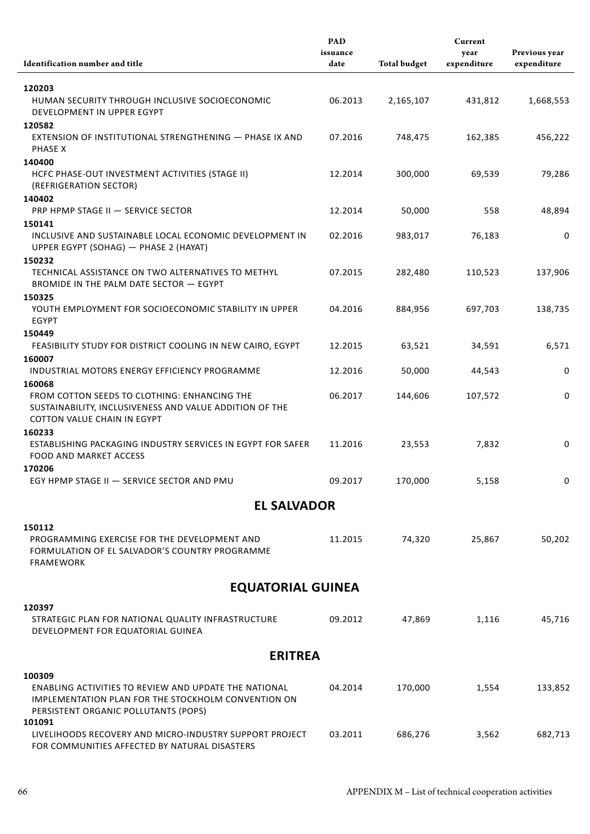|                                                                                                                                                             | <b>PAD</b>       |                     | Current             |                              |
|-------------------------------------------------------------------------------------------------------------------------------------------------------------|------------------|---------------------|---------------------|------------------------------|
| Identification number and title                                                                                                                             | issuance<br>date | <b>Total budget</b> | year<br>expenditure | Previous year<br>expenditure |
|                                                                                                                                                             |                  |                     |                     |                              |
| 120203<br>HUMAN SECURITY THROUGH INCLUSIVE SOCIOECONOMIC<br>DEVELOPMENT IN UPPER EGYPT                                                                      | 06.2013          | 2,165,107           | 431,812             | 1,668,553                    |
| 120582<br>EXTENSION OF INSTITUTIONAL STRENGTHENING - PHASE IX AND<br><b>PHASE X</b>                                                                         | 07.2016          | 748,475             | 162,385             | 456,222                      |
| 140400<br>HCFC PHASE-OUT INVESTMENT ACTIVITIES (STAGE II)<br>(REFRIGERATION SECTOR)                                                                         | 12.2014          | 300,000             | 69,539              | 79,286                       |
| 140402<br>PRP HPMP STAGE II - SERVICE SECTOR                                                                                                                | 12.2014          | 50,000              | 558                 | 48,894                       |
| 150141<br>INCLUSIVE AND SUSTAINABLE LOCAL ECONOMIC DEVELOPMENT IN<br>UPPER EGYPT (SOHAG) - PHASE 2 (HAYAT)                                                  | 02.2016          | 983,017             | 76,183              | 0                            |
| 150232<br>TECHNICAL ASSISTANCE ON TWO ALTERNATIVES TO METHYL<br>BROMIDE IN THE PALM DATE SECTOR - EGYPT                                                     | 07.2015          | 282,480             | 110,523             | 137,906                      |
| 150325<br>YOUTH EMPLOYMENT FOR SOCIOECONOMIC STABILITY IN UPPER<br><b>EGYPT</b>                                                                             | 04.2016          | 884,956             | 697,703             | 138,735                      |
| 150449<br>FEASIBILITY STUDY FOR DISTRICT COOLING IN NEW CAIRO, EGYPT                                                                                        | 12.2015          | 63,521              | 34,591              | 6,571                        |
| 160007                                                                                                                                                      |                  |                     |                     |                              |
| INDUSTRIAL MOTORS ENERGY EFFICIENCY PROGRAMME<br>160068                                                                                                     | 12.2016          | 50,000              | 44,543              | 0                            |
| FROM COTTON SEEDS TO CLOTHING: ENHANCING THE<br>SUSTAINABILITY, INCLUSIVENESS AND VALUE ADDITION OF THE<br>COTTON VALUE CHAIN IN EGYPT                      | 06.2017          | 144,606             | 107,572             | 0                            |
| 160233<br>ESTABLISHING PACKAGING INDUSTRY SERVICES IN EGYPT FOR SAFER<br>FOOD AND MARKET ACCESS                                                             | 11.2016          | 23,553              | 7,832               | 0                            |
| 170206<br>EGY HPMP STAGE II - SERVICE SECTOR AND PMU                                                                                                        | 09.2017          | 170,000             | 5,158               |                              |
| <b>EL SALVADOR</b>                                                                                                                                          |                  |                     |                     |                              |
|                                                                                                                                                             |                  |                     |                     |                              |
| 150112<br>PROGRAMMING EXERCISE FOR THE DEVELOPMENT AND<br>FORMULATION OF EL SALVADOR'S COUNTRY PROGRAMME<br><b>FRAMEWORK</b>                                | 11.2015          | 74,320              | 25,867              | 50,202                       |
| <b>EQUATORIAL GUINEA</b>                                                                                                                                    |                  |                     |                     |                              |
| 120397                                                                                                                                                      |                  |                     |                     |                              |
| STRATEGIC PLAN FOR NATIONAL QUALITY INFRASTRUCTURE<br>DEVELOPMENT FOR EQUATORIAL GUINEA                                                                     | 09.2012          | 47,869              | 1,116               | 45,716                       |
| <b>ERITREA</b>                                                                                                                                              |                  |                     |                     |                              |
| 100309                                                                                                                                                      |                  |                     |                     |                              |
| ENABLING ACTIVITIES TO REVIEW AND UPDATE THE NATIONAL<br><b>IMPLEMENTATION PLAN FOR THE STOCKHOLM CONVENTION ON</b><br>PERSISTENT ORGANIC POLLUTANTS (POPS) | 04.2014          | 170,000             | 1,554               | 133,852                      |
| 101091<br>LIVELIHOODS RECOVERY AND MICRO-INDUSTRY SUPPORT PROJECT<br>FOR COMMUNITIES AFFECTED BY NATURAL DISASTERS                                          | 03.2011          | 686,276             | 3,562               | 682,713                      |

j.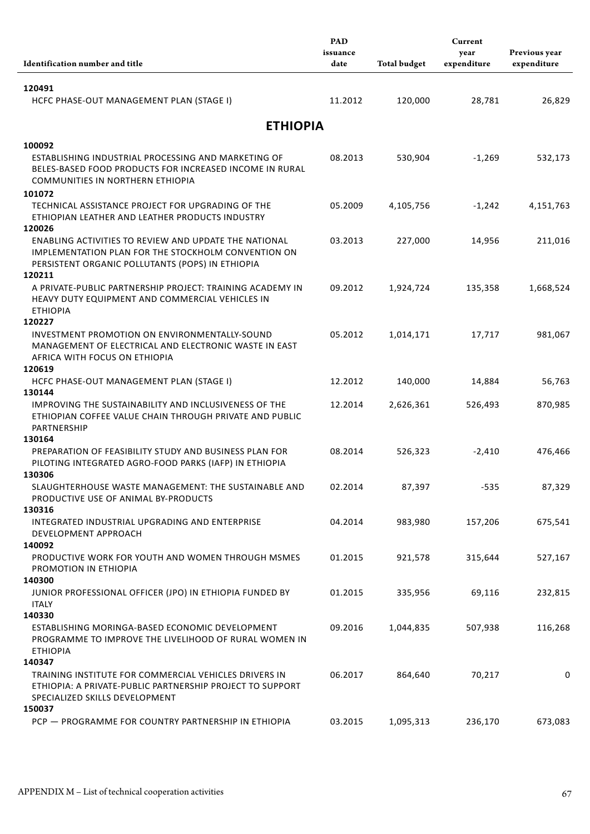| Identification number and title                                                                                                                                  | <b>PAD</b><br>issuance<br>date | <b>Total budget</b> | Current<br>year<br>expenditure | Previous year<br>expenditure |
|------------------------------------------------------------------------------------------------------------------------------------------------------------------|--------------------------------|---------------------|--------------------------------|------------------------------|
|                                                                                                                                                                  |                                |                     |                                |                              |
| 120491                                                                                                                                                           |                                |                     |                                |                              |
| HCFC PHASE-OUT MANAGEMENT PLAN (STAGE I)                                                                                                                         | 11.2012                        | 120,000             | 28,781                         | 26,829                       |
|                                                                                                                                                                  |                                |                     |                                |                              |
| <b>ETHIOPIA</b>                                                                                                                                                  |                                |                     |                                |                              |
| 100092                                                                                                                                                           |                                |                     |                                |                              |
| ESTABLISHING INDUSTRIAL PROCESSING AND MARKETING OF<br>BELES-BASED FOOD PRODUCTS FOR INCREASED INCOME IN RURAL<br>COMMUNITIES IN NORTHERN ETHIOPIA               | 08.2013                        | 530,904             | $-1,269$                       | 532,173                      |
| 101072<br>TECHNICAL ASSISTANCE PROJECT FOR UPGRADING OF THE<br>ETHIOPIAN LEATHER AND LEATHER PRODUCTS INDUSTRY                                                   | 05.2009                        | 4,105,756           | $-1,242$                       | 4,151,763                    |
| 120026                                                                                                                                                           |                                |                     |                                |                              |
| ENABLING ACTIVITIES TO REVIEW AND UPDATE THE NATIONAL<br>IMPLEMENTATION PLAN FOR THE STOCKHOLM CONVENTION ON<br>PERSISTENT ORGANIC POLLUTANTS (POPS) IN ETHIOPIA | 03.2013                        | 227,000             | 14,956                         | 211,016                      |
| 120211<br>A PRIVATE-PUBLIC PARTNERSHIP PROJECT: TRAINING ACADEMY IN<br>HEAVY DUTY EQUIPMENT AND COMMERCIAL VEHICLES IN<br><b>ETHIOPIA</b>                        | 09.2012                        | 1,924,724           | 135,358                        | 1,668,524                    |
| 120227                                                                                                                                                           |                                |                     |                                |                              |
| INVESTMENT PROMOTION ON ENVIRONMENTALLY-SOUND<br>MANAGEMENT OF ELECTRICAL AND ELECTRONIC WASTE IN EAST<br>AFRICA WITH FOCUS ON ETHIOPIA                          | 05.2012                        | 1,014,171           | 17,717                         | 981,067                      |
| 120619                                                                                                                                                           |                                |                     |                                |                              |
| HCFC PHASE-OUT MANAGEMENT PLAN (STAGE I)                                                                                                                         | 12.2012                        | 140,000             | 14,884                         | 56,763                       |
| 130144<br>IMPROVING THE SUSTAINABILITY AND INCLUSIVENESS OF THE<br>ETHIOPIAN COFFEE VALUE CHAIN THROUGH PRIVATE AND PUBLIC<br>PARTNERSHIP                        | 12.2014                        | 2,626,361           | 526,493                        | 870,985                      |
| 130164                                                                                                                                                           |                                |                     |                                |                              |
| PREPARATION OF FEASIBILITY STUDY AND BUSINESS PLAN FOR<br>PILOTING INTEGRATED AGRO-FOOD PARKS (IAFP) IN ETHIOPIA<br>130306                                       | 08.2014                        | 526,323             | $-2,410$                       | 476,466                      |
| SLAUGHTERHOUSE WASTE MANAGEMENT: THE SUSTAINABLE AND<br>PRODUCTIVE USE OF ANIMAL BY-PRODUCTS                                                                     | 02.2014                        | 87,397              | $-535$                         | 87,329                       |
| 130316                                                                                                                                                           |                                |                     |                                |                              |
| INTEGRATED INDUSTRIAL UPGRADING AND ENTERPRISE<br>DEVELOPMENT APPROACH                                                                                           | 04.2014                        | 983,980             | 157,206                        | 675,541                      |
| 140092<br>PRODUCTIVE WORK FOR YOUTH AND WOMEN THROUGH MSMES<br>PROMOTION IN ETHIOPIA                                                                             | 01.2015                        | 921,578             | 315,644                        | 527,167                      |
| 140300                                                                                                                                                           |                                |                     |                                |                              |
| JUNIOR PROFESSIONAL OFFICER (JPO) IN ETHIOPIA FUNDED BY<br><b>ITALY</b>                                                                                          | 01.2015                        | 335,956             | 69,116                         | 232,815                      |
| 140330<br>ESTABLISHING MORINGA-BASED ECONOMIC DEVELOPMENT<br>PROGRAMME TO IMPROVE THE LIVELIHOOD OF RURAL WOMEN IN<br><b>ETHIOPIA</b>                            | 09.2016                        | 1,044,835           | 507,938                        | 116,268                      |
| 140347                                                                                                                                                           |                                |                     |                                |                              |
| TRAINING INSTITUTE FOR COMMERCIAL VEHICLES DRIVERS IN<br>ETHIOPIA: A PRIVATE-PUBLIC PARTNERSHIP PROJECT TO SUPPORT<br>SPECIALIZED SKILLS DEVELOPMENT             | 06.2017                        | 864,640             | 70,217                         | 0                            |
| 150037                                                                                                                                                           |                                |                     |                                |                              |
| PCP - PROGRAMME FOR COUNTRY PARTNERSHIP IN ETHIOPIA                                                                                                              | 03.2015                        | 1,095,313           | 236,170                        | 673,083                      |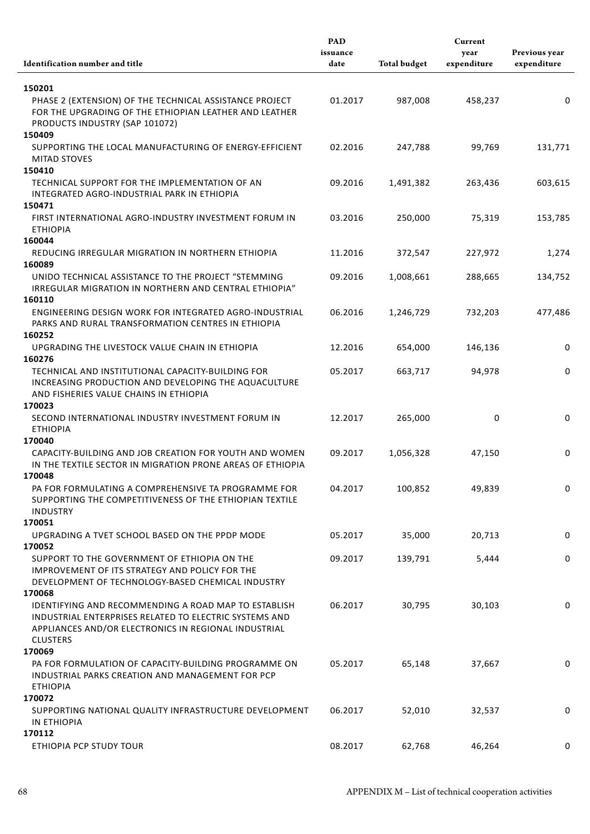| Identification number and title                                                                                                                                                  | <b>PAD</b><br>issuance<br>date | <b>Total budget</b> | Current<br>year<br>expenditure | Previous year<br>expenditure |
|----------------------------------------------------------------------------------------------------------------------------------------------------------------------------------|--------------------------------|---------------------|--------------------------------|------------------------------|
|                                                                                                                                                                                  |                                |                     |                                |                              |
| 150201<br>PHASE 2 (EXTENSION) OF THE TECHNICAL ASSISTANCE PROJECT<br>FOR THE UPGRADING OF THE ETHIOPIAN LEATHER AND LEATHER<br>PRODUCTS INDUSTRY (SAP 101072)                    | 01.2017                        | 987,008             | 458,237                        | 0                            |
| 150409<br>SUPPORTING THE LOCAL MANUFACTURING OF ENERGY-EFFICIENT<br><b>MITAD STOVES</b>                                                                                          | 02.2016                        | 247,788             | 99,769                         | 131,771                      |
| 150410<br>TECHNICAL SUPPORT FOR THE IMPLEMENTATION OF AN<br>INTEGRATED AGRO-INDUSTRIAL PARK IN ETHIOPIA                                                                          | 09.2016                        | 1,491,382           | 263,436                        | 603,615                      |
| 150471<br>FIRST INTERNATIONAL AGRO-INDUSTRY INVESTMENT FORUM IN<br><b>ETHIOPIA</b>                                                                                               | 03.2016                        | 250,000             | 75,319                         | 153,785                      |
| 160044<br>REDUCING IRREGULAR MIGRATION IN NORTHERN ETHIOPIA<br>160089                                                                                                            | 11.2016                        | 372,547             | 227,972                        | 1,274                        |
| UNIDO TECHNICAL ASSISTANCE TO THE PROJECT "STEMMING<br>IRREGULAR MIGRATION IN NORTHERN AND CENTRAL ETHIOPIA"<br>160110                                                           | 09.2016                        | 1,008,661           | 288,665                        | 134,752                      |
| ENGINEERING DESIGN WORK FOR INTEGRATED AGRO-INDUSTRIAL<br>PARKS AND RURAL TRANSFORMATION CENTRES IN ETHIOPIA<br>160252                                                           | 06.2016                        | 1,246,729           | 732,203                        | 477,486                      |
| UPGRADING THE LIVESTOCK VALUE CHAIN IN ETHIOPIA<br>160276                                                                                                                        | 12.2016                        | 654,000             | 146,136                        | 0                            |
| TECHNICAL AND INSTITUTIONAL CAPACITY-BUILDING FOR<br>INCREASING PRODUCTION AND DEVELOPING THE AQUACULTURE<br>AND FISHERIES VALUE CHAINS IN ETHIOPIA                              | 05.2017                        | 663,717             | 94,978                         | 0                            |
| 170023<br>SECOND INTERNATIONAL INDUSTRY INVESTMENT FORUM IN<br><b>ETHIOPIA</b>                                                                                                   | 12.2017                        | 265,000             | 0                              | 0                            |
| 170040<br>CAPACITY-BUILDING AND JOB CREATION FOR YOUTH AND WOMEN<br>IN THE TEXTILE SECTOR IN MIGRATION PRONE AREAS OF ETHIOPIA                                                   | 09.2017                        | 1,056,328           | 47,150                         | 0                            |
| 170048<br>PA FOR FORMULATING A COMPREHENSIVE TA PROGRAMME FOR<br>SUPPORTING THE COMPETITIVENESS OF THE ETHIOPIAN TEXTILE<br><b>INDUSTRY</b>                                      | 04.2017                        | 100,852             | 49,839                         | 0                            |
| 170051                                                                                                                                                                           |                                |                     |                                |                              |
| UPGRADING A TVET SCHOOL BASED ON THE PPDP MODE<br>170052                                                                                                                         | 05.2017                        | 35,000              | 20,713                         | 0                            |
| SUPPORT TO THE GOVERNMENT OF ETHIOPIA ON THE<br>IMPROVEMENT OF ITS STRATEGY AND POLICY FOR THE<br>DEVELOPMENT OF TECHNOLOGY-BASED CHEMICAL INDUSTRY                              | 09.2017                        | 139,791             | 5,444                          | 0                            |
| 170068<br>IDENTIFYING AND RECOMMENDING A ROAD MAP TO ESTABLISH<br>INDUSTRIAL ENTERPRISES RELATED TO ELECTRIC SYSTEMS AND<br>APPLIANCES AND/OR ELECTRONICS IN REGIONAL INDUSTRIAL | 06.2017                        | 30,795              | 30,103                         | 0                            |
| <b>CLUSTERS</b><br>170069<br>PA FOR FORMULATION OF CAPACITY-BUILDING PROGRAMME ON<br>INDUSTRIAL PARKS CREATION AND MANAGEMENT FOR PCP                                            | 05.2017                        | 65,148              | 37,667                         | 0                            |
| <b>ETHIOPIA</b><br>170072<br>SUPPORTING NATIONAL QUALITY INFRASTRUCTURE DEVELOPMENT                                                                                              | 06.2017                        | 52,010              | 32,537                         | 0                            |
| IN ETHIOPIA<br>170112<br>ETHIOPIA PCP STUDY TOUR                                                                                                                                 | 08.2017                        | 62,768              | 46,264                         | 0                            |

j.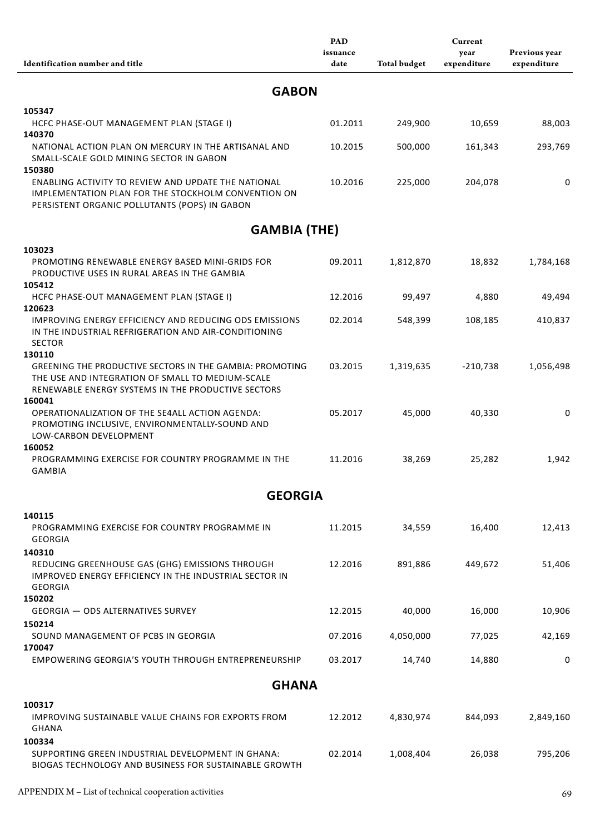| Identification number and title                                                                                                                                              | <b>PAD</b><br>issuance<br>date | <b>Total budget</b> | Current<br>year<br>expenditure | Previous year<br>expenditure |  |  |  |
|------------------------------------------------------------------------------------------------------------------------------------------------------------------------------|--------------------------------|---------------------|--------------------------------|------------------------------|--|--|--|
| <b>GABON</b>                                                                                                                                                                 |                                |                     |                                |                              |  |  |  |
| 105347                                                                                                                                                                       |                                |                     |                                |                              |  |  |  |
| HCFC PHASE-OUT MANAGEMENT PLAN (STAGE I)<br>140370                                                                                                                           | 01.2011                        | 249,900             | 10,659                         | 88,003                       |  |  |  |
| NATIONAL ACTION PLAN ON MERCURY IN THE ARTISANAL AND<br>SMALL-SCALE GOLD MINING SECTOR IN GABON                                                                              | 10.2015                        | 500,000             | 161,343                        | 293,769                      |  |  |  |
| 150380<br>ENABLING ACTIVITY TO REVIEW AND UPDATE THE NATIONAL<br>IMPLEMENTATION PLAN FOR THE STOCKHOLM CONVENTION ON<br>PERSISTENT ORGANIC POLLUTANTS (POPS) IN GABON        | 10.2016                        | 225,000             | 204,078                        | 0                            |  |  |  |
| <b>GAMBIA (THE)</b>                                                                                                                                                          |                                |                     |                                |                              |  |  |  |
| 103023                                                                                                                                                                       |                                |                     |                                |                              |  |  |  |
| PROMOTING RENEWABLE ENERGY BASED MINI-GRIDS FOR<br>PRODUCTIVE USES IN RURAL AREAS IN THE GAMBIA<br>105412                                                                    | 09.2011                        | 1,812,870           | 18,832                         | 1,784,168                    |  |  |  |
| HCFC PHASE-OUT MANAGEMENT PLAN (STAGE I)<br>120623                                                                                                                           | 12.2016                        | 99,497              | 4,880                          | 49,494                       |  |  |  |
| <b>IMPROVING ENERGY EFFICIENCY AND REDUCING ODS EMISSIONS</b><br>IN THE INDUSTRIAL REFRIGERATION AND AIR-CONDITIONING<br><b>SECTOR</b>                                       | 02.2014                        | 548,399             | 108,185                        | 410,837                      |  |  |  |
| 130110                                                                                                                                                                       |                                |                     |                                |                              |  |  |  |
| GREENING THE PRODUCTIVE SECTORS IN THE GAMBIA: PROMOTING<br>THE USE AND INTEGRATION OF SMALL TO MEDIUM-SCALE<br>RENEWABLE ENERGY SYSTEMS IN THE PRODUCTIVE SECTORS<br>160041 | 03.2015                        | 1,319,635           | $-210,738$                     | 1,056,498                    |  |  |  |
| OPERATIONALIZATION OF THE SE4ALL ACTION AGENDA:<br>PROMOTING INCLUSIVE, ENVIRONMENTALLY-SOUND AND<br>LOW-CARBON DEVELOPMENT                                                  | 05.2017                        | 45,000              | 40,330                         | 0                            |  |  |  |
| 160052<br>PROGRAMMING EXERCISE FOR COUNTRY PROGRAMME IN THE<br>GAMBIA                                                                                                        | 11.2016                        | 38,269              | 25,282                         | 1,942                        |  |  |  |
| <b>GEORGIA</b>                                                                                                                                                               |                                |                     |                                |                              |  |  |  |
| 140115                                                                                                                                                                       |                                |                     |                                |                              |  |  |  |
| PROGRAMMING EXERCISE FOR COUNTRY PROGRAMME IN<br><b>GEORGIA</b>                                                                                                              | 11.2015                        | 34,559              | 16,400                         | 12,413                       |  |  |  |
| 140310<br>REDUCING GREENHOUSE GAS (GHG) EMISSIONS THROUGH<br>IMPROVED ENERGY EFFICIENCY IN THE INDUSTRIAL SECTOR IN<br><b>GEORGIA</b>                                        | 12.2016                        | 891,886             | 449,672                        | 51,406                       |  |  |  |
| 150202                                                                                                                                                                       |                                |                     |                                |                              |  |  |  |
| <b>GEORGIA - ODS ALTERNATIVES SURVEY</b><br>150214                                                                                                                           | 12.2015                        | 40,000              | 16,000                         | 10,906                       |  |  |  |
| SOUND MANAGEMENT OF PCBS IN GEORGIA<br>170047                                                                                                                                | 07.2016                        | 4,050,000           | 77,025                         | 42,169                       |  |  |  |
| <b>EMPOWERING GEORGIA'S YOUTH THROUGH ENTREPRENEURSHIP</b>                                                                                                                   | 03.2017                        | 14,740              | 14,880                         | 0                            |  |  |  |
| <b>GHANA</b>                                                                                                                                                                 |                                |                     |                                |                              |  |  |  |
| 100317<br>IMPROVING SUSTAINABLE VALUE CHAINS FOR EXPORTS FROM<br><b>GHANA</b>                                                                                                | 12.2012                        | 4,830,974           | 844,093                        | 2,849,160                    |  |  |  |
| 100334<br>SUPPORTING GREEN INDUSTRIAL DEVELOPMENT IN GHANA:<br><b>BIOGAS TECHNOLOGY AND BUSINESS FOR SUSTAINABLE GROWTH</b>                                                  | 02.2014                        | 1,008,404           | 26,038                         | 795,206                      |  |  |  |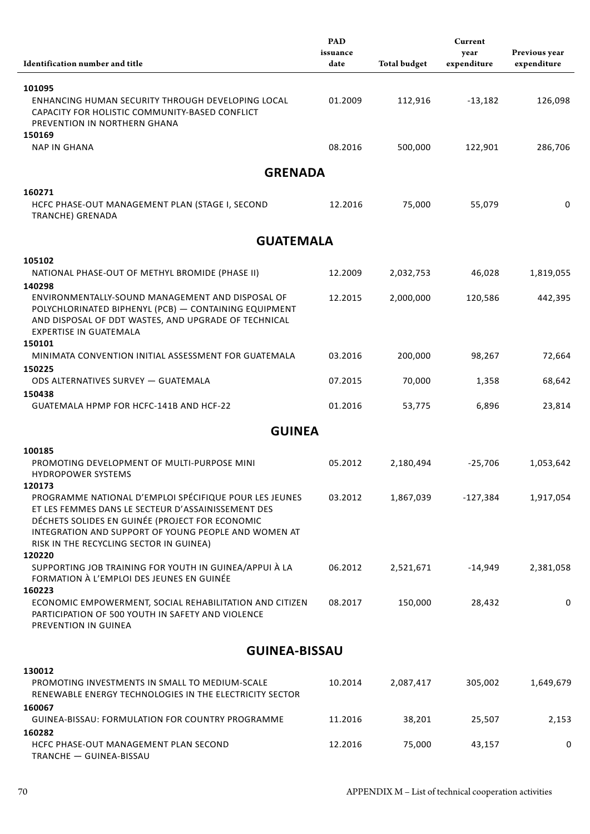|                                                                                                                                                                                                                                                                              | <b>PAD</b>       |                     | Current             |                              |  |  |  |
|------------------------------------------------------------------------------------------------------------------------------------------------------------------------------------------------------------------------------------------------------------------------------|------------------|---------------------|---------------------|------------------------------|--|--|--|
| Identification number and title                                                                                                                                                                                                                                              | issuance<br>date | <b>Total budget</b> | year<br>expenditure | Previous year<br>expenditure |  |  |  |
|                                                                                                                                                                                                                                                                              |                  |                     |                     |                              |  |  |  |
| 101095<br>ENHANCING HUMAN SECURITY THROUGH DEVELOPING LOCAL<br>CAPACITY FOR HOLISTIC COMMUNITY-BASED CONFLICT<br>PREVENTION IN NORTHERN GHANA                                                                                                                                | 01.2009          | 112,916             | $-13,182$           | 126,098                      |  |  |  |
| 150169<br><b>NAP IN GHANA</b>                                                                                                                                                                                                                                                | 08.2016          | 500,000             | 122,901             | 286,706                      |  |  |  |
| <b>GRENADA</b>                                                                                                                                                                                                                                                               |                  |                     |                     |                              |  |  |  |
| 160271<br>HCFC PHASE-OUT MANAGEMENT PLAN (STAGE I, SECOND<br>TRANCHE) GRENADA                                                                                                                                                                                                | 12.2016          | 75,000              | 55,079              | 0                            |  |  |  |
| <b>GUATEMALA</b>                                                                                                                                                                                                                                                             |                  |                     |                     |                              |  |  |  |
| 105102                                                                                                                                                                                                                                                                       |                  |                     |                     |                              |  |  |  |
| NATIONAL PHASE-OUT OF METHYL BROMIDE (PHASE II)                                                                                                                                                                                                                              | 12.2009          | 2,032,753           | 46,028              | 1,819,055                    |  |  |  |
| 140298                                                                                                                                                                                                                                                                       |                  |                     |                     |                              |  |  |  |
| ENVIRONMENTALLY-SOUND MANAGEMENT AND DISPOSAL OF<br>POLYCHLORINATED BIPHENYL (PCB) - CONTAINING EQUIPMENT<br>AND DISPOSAL OF DDT WASTES, AND UPGRADE OF TECHNICAL<br><b>EXPERTISE IN GUATEMALA</b>                                                                           | 12.2015          | 2,000,000           | 120,586             | 442,395                      |  |  |  |
| 150101<br>MINIMATA CONVENTION INITIAL ASSESSMENT FOR GUATEMALA                                                                                                                                                                                                               | 03.2016          | 200,000             | 98,267              | 72,664                       |  |  |  |
| 150225                                                                                                                                                                                                                                                                       |                  |                     |                     |                              |  |  |  |
| ODS ALTERNATIVES SURVEY - GUATEMALA                                                                                                                                                                                                                                          | 07.2015          | 70,000              | 1,358               | 68,642                       |  |  |  |
| 150438<br>GUATEMALA HPMP FOR HCFC-141B AND HCF-22                                                                                                                                                                                                                            | 01.2016          | 53,775              | 6,896               | 23,814                       |  |  |  |
| <b>GUINEA</b>                                                                                                                                                                                                                                                                |                  |                     |                     |                              |  |  |  |
| 100185                                                                                                                                                                                                                                                                       |                  |                     |                     |                              |  |  |  |
| PROMOTING DEVELOPMENT OF MULTI-PURPOSE MINI<br><b>HYDROPOWER SYSTEMS</b>                                                                                                                                                                                                     | 05.2012          | 2,180,494           | $-25,706$           | 1,053,642                    |  |  |  |
| 120173<br>PROGRAMME NATIONAL D'EMPLOI SPÉCIFIQUE POUR LES JEUNES<br>ET LES FEMMES DANS LE SECTEUR D'ASSAINISSEMENT DES<br>DÉCHETS SOLIDES EN GUINÉE (PROJECT FOR ECONOMIC<br>INTEGRATION AND SUPPORT OF YOUNG PEOPLE AND WOMEN AT<br>RISK IN THE RECYCLING SECTOR IN GUINEA) | 03.2012          | 1,867,039           | $-127,384$          | 1,917,054                    |  |  |  |
| 120220<br>SUPPORTING JOB TRAINING FOR YOUTH IN GUINEA/APPUI À LA<br>FORMATION À L'EMPLOI DES JEUNES EN GUINÉE                                                                                                                                                                | 06.2012          | 2,521,671           | $-14,949$           | 2,381,058                    |  |  |  |
| 160223<br>ECONOMIC EMPOWERMENT, SOCIAL REHABILITATION AND CITIZEN<br>PARTICIPATION OF 500 YOUTH IN SAFETY AND VIOLENCE<br>PREVENTION IN GUINEA                                                                                                                               | 08.2017          | 150,000             | 28,432              | 0                            |  |  |  |
| <b>GUINEA-BISSAU</b>                                                                                                                                                                                                                                                         |                  |                     |                     |                              |  |  |  |
| 130012                                                                                                                                                                                                                                                                       |                  |                     |                     |                              |  |  |  |
| PROMOTING INVESTMENTS IN SMALL TO MEDIUM-SCALE<br>RENEWABLE ENERGY TECHNOLOGIES IN THE ELECTRICITY SECTOR                                                                                                                                                                    | 10.2014          | 2,087,417           | 305,002             | 1,649,679                    |  |  |  |
| 160067<br>GUINEA-BISSAU: FORMULATION FOR COUNTRY PROGRAMME                                                                                                                                                                                                                   | 11.2016          | 38,201              | 25,507              | 2,153                        |  |  |  |
| 160282                                                                                                                                                                                                                                                                       |                  |                     |                     |                              |  |  |  |
| HCFC PHASE-OUT MANAGEMENT PLAN SECOND<br>TRANCHE - GUINEA-BISSAU                                                                                                                                                                                                             | 12.2016          | 75,000              | 43,157              | 0                            |  |  |  |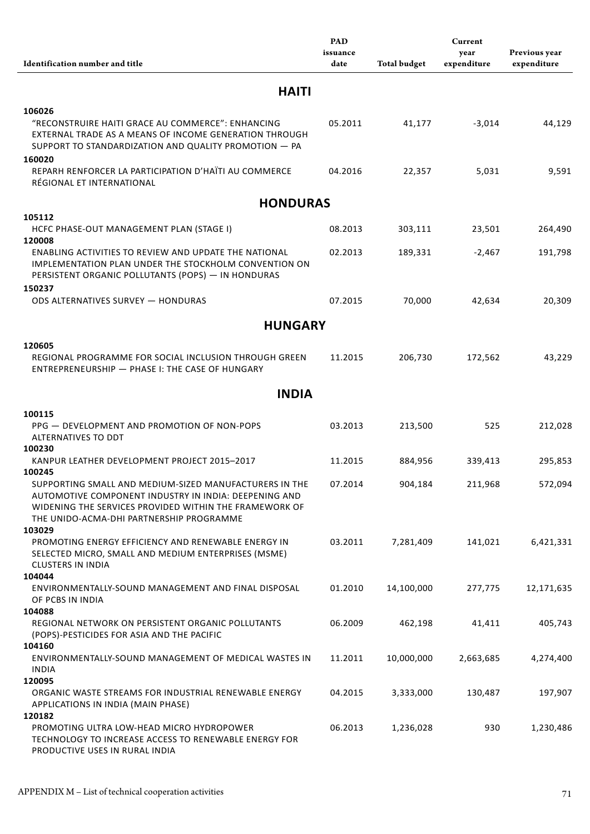|                                                                                                                                                                                                                                 | <b>PAD</b><br>issuance |                     | Current             |                              |  |  |  |  |
|---------------------------------------------------------------------------------------------------------------------------------------------------------------------------------------------------------------------------------|------------------------|---------------------|---------------------|------------------------------|--|--|--|--|
| Identification number and title                                                                                                                                                                                                 | date                   | <b>Total budget</b> | year<br>expenditure | Previous year<br>expenditure |  |  |  |  |
| <b>HAITI</b>                                                                                                                                                                                                                    |                        |                     |                     |                              |  |  |  |  |
| 106026                                                                                                                                                                                                                          |                        |                     |                     |                              |  |  |  |  |
| "RECONSTRUIRE HAITI GRACE AU COMMERCE": ENHANCING<br>EXTERNAL TRADE AS A MEANS OF INCOME GENERATION THROUGH<br>SUPPORT TO STANDARDIZATION AND QUALITY PROMOTION - PA                                                            | 05.2011                | 41,177              | $-3,014$            | 44,129                       |  |  |  |  |
| 160020<br>REPARH RENFORCER LA PARTICIPATION D'HAÏTI AU COMMERCE<br>RÉGIONAL ET INTERNATIONAL                                                                                                                                    | 04.2016                | 22,357              | 5,031               | 9,591                        |  |  |  |  |
| <b>HONDURAS</b>                                                                                                                                                                                                                 |                        |                     |                     |                              |  |  |  |  |
| 105112                                                                                                                                                                                                                          |                        |                     |                     |                              |  |  |  |  |
| HCFC PHASE-OUT MANAGEMENT PLAN (STAGE I)<br>120008                                                                                                                                                                              | 08.2013                | 303,111             | 23,501              | 264,490                      |  |  |  |  |
| ENABLING ACTIVITIES TO REVIEW AND UPDATE THE NATIONAL<br><b>IMPLEMENTATION PLAN UNDER THE STOCKHOLM CONVENTION ON</b><br>PERSISTENT ORGANIC POLLUTANTS (POPS) - IN HONDURAS<br>150237                                           | 02.2013                | 189,331             | $-2,467$            | 191,798                      |  |  |  |  |
| ODS ALTERNATIVES SURVEY - HONDURAS                                                                                                                                                                                              | 07.2015                | 70,000              | 42,634              | 20,309                       |  |  |  |  |
| <b>HUNGARY</b>                                                                                                                                                                                                                  |                        |                     |                     |                              |  |  |  |  |
| 120605                                                                                                                                                                                                                          |                        |                     |                     |                              |  |  |  |  |
| REGIONAL PROGRAMME FOR SOCIAL INCLUSION THROUGH GREEN<br>ENTREPRENEURSHIP - PHASE I: THE CASE OF HUNGARY                                                                                                                        | 11.2015                | 206,730             | 172,562             | 43,229                       |  |  |  |  |
| <b>INDIA</b>                                                                                                                                                                                                                    |                        |                     |                     |                              |  |  |  |  |
| 100115                                                                                                                                                                                                                          |                        |                     |                     |                              |  |  |  |  |
| PPG - DEVELOPMENT AND PROMOTION OF NON-POPS<br>ALTERNATIVES TO DDT<br>100230                                                                                                                                                    | 03.2013                | 213,500             | 525                 | 212,028                      |  |  |  |  |
| KANPUR LEATHER DEVELOPMENT PROJECT 2015-2017                                                                                                                                                                                    | 11.2015                | 884,956             | 339,413             | 295,853                      |  |  |  |  |
| 100245<br>SUPPORTING SMALL AND MEDIUM-SIZED MANUFACTURERS IN THE<br>AUTOMOTIVE COMPONENT INDUSTRY IN INDIA: DEEPENING AND<br>WIDENING THE SERVICES PROVIDED WITHIN THE FRAMEWORK OF<br>THE UNIDO-ACMA-DHI PARTNERSHIP PROGRAMME | 07.2014                | 904,184             | 211,968             | 572,094                      |  |  |  |  |
| 103029                                                                                                                                                                                                                          |                        |                     |                     |                              |  |  |  |  |
| PROMOTING ENERGY EFFICIENCY AND RENEWABLE ENERGY IN<br>SELECTED MICRO, SMALL AND MEDIUM ENTERPRISES (MSME)<br><b>CLUSTERS IN INDIA</b>                                                                                          | 03.2011                | 7,281,409           | 141,021             | 6,421,331                    |  |  |  |  |
| 104044                                                                                                                                                                                                                          |                        |                     |                     |                              |  |  |  |  |
| ENVIRONMENTALLY-SOUND MANAGEMENT AND FINAL DISPOSAL<br>OF PCBS IN INDIA                                                                                                                                                         | 01.2010                | 14,100,000          | 277,775             | 12,171,635                   |  |  |  |  |
| 104088<br>REGIONAL NETWORK ON PERSISTENT ORGANIC POLLUTANTS<br>(POPS)-PESTICIDES FOR ASIA AND THE PACIFIC                                                                                                                       | 06.2009                | 462,198             | 41,411              | 405,743                      |  |  |  |  |
| 104160                                                                                                                                                                                                                          |                        |                     |                     |                              |  |  |  |  |
| ENVIRONMENTALLY-SOUND MANAGEMENT OF MEDICAL WASTES IN<br><b>INDIA</b><br>120095                                                                                                                                                 | 11.2011                | 10,000,000          | 2,663,685           | 4,274,400                    |  |  |  |  |
| ORGANIC WASTE STREAMS FOR INDUSTRIAL RENEWABLE ENERGY<br>APPLICATIONS IN INDIA (MAIN PHASE)                                                                                                                                     | 04.2015                | 3,333,000           | 130,487             | 197,907                      |  |  |  |  |
| 120182<br>PROMOTING ULTRA LOW-HEAD MICRO HYDROPOWER<br>TECHNOLOGY TO INCREASE ACCESS TO RENEWABLE ENERGY FOR<br>PRODUCTIVE USES IN RURAL INDIA                                                                                  | 06.2013                | 1,236,028           | 930                 | 1,230,486                    |  |  |  |  |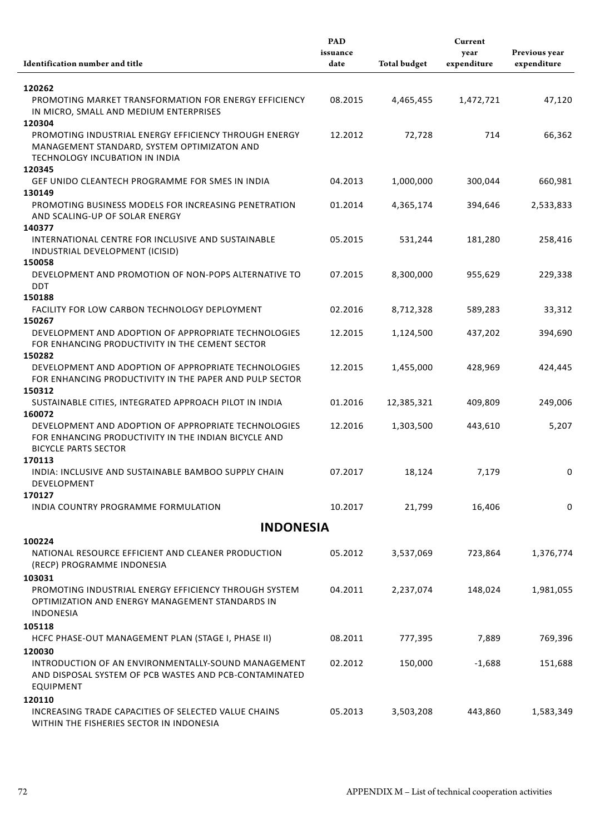| Identification number and title                                                                                                                       | <b>PAD</b><br>issuance<br>date | <b>Total budget</b> | Current<br>year<br>expenditure | Previous year<br>expenditure |
|-------------------------------------------------------------------------------------------------------------------------------------------------------|--------------------------------|---------------------|--------------------------------|------------------------------|
|                                                                                                                                                       |                                |                     |                                |                              |
| 120262<br>PROMOTING MARKET TRANSFORMATION FOR ENERGY EFFICIENCY<br>IN MICRO, SMALL AND MEDIUM ENTERPRISES                                             | 08.2015                        | 4,465,455           | 1,472,721                      | 47,120                       |
| 120304<br>PROMOTING INDUSTRIAL ENERGY EFFICIENCY THROUGH ENERGY<br>MANAGEMENT STANDARD, SYSTEM OPTIMIZATON AND<br>TECHNOLOGY INCUBATION IN INDIA      | 12.2012                        | 72,728              | 714                            | 66,362                       |
| 120345<br>GEF UNIDO CLEANTECH PROGRAMME FOR SMES IN INDIA                                                                                             | 04.2013                        | 1,000,000           | 300,044                        | 660,981                      |
| 130149<br>PROMOTING BUSINESS MODELS FOR INCREASING PENETRATION<br>AND SCALING-UP OF SOLAR ENERGY                                                      | 01.2014                        | 4,365,174           | 394,646                        | 2,533,833                    |
| 140377<br>INTERNATIONAL CENTRE FOR INCLUSIVE AND SUSTAINABLE<br>INDUSTRIAL DEVELOPMENT (ICISID)                                                       | 05.2015                        | 531,244             | 181,280                        | 258,416                      |
| 150058<br>DEVELOPMENT AND PROMOTION OF NON-POPS ALTERNATIVE TO<br><b>DDT</b>                                                                          | 07.2015                        | 8,300,000           | 955,629                        | 229,338                      |
| 150188<br>FACILITY FOR LOW CARBON TECHNOLOGY DEPLOYMENT                                                                                               | 02.2016                        | 8,712,328           | 589,283                        | 33,312                       |
| 150267<br>DEVELOPMENT AND ADOPTION OF APPROPRIATE TECHNOLOGIES<br>FOR ENHANCING PRODUCTIVITY IN THE CEMENT SECTOR                                     | 12.2015                        | 1,124,500           | 437,202                        | 394,690                      |
| 150282<br>DEVELOPMENT AND ADOPTION OF APPROPRIATE TECHNOLOGIES<br>FOR ENHANCING PRODUCTIVITY IN THE PAPER AND PULP SECTOR                             | 12.2015                        | 1,455,000           | 428,969                        | 424,445                      |
| 150312<br>SUSTAINABLE CITIES, INTEGRATED APPROACH PILOT IN INDIA                                                                                      | 01.2016                        | 12,385,321          | 409,809                        | 249,006                      |
| 160072<br>DEVELOPMENT AND ADOPTION OF APPROPRIATE TECHNOLOGIES<br>FOR ENHANCING PRODUCTIVITY IN THE INDIAN BICYCLE AND<br><b>BICYCLE PARTS SECTOR</b> | 12.2016                        | 1,303,500           | 443,610                        | 5,207                        |
| 170113<br>INDIA: INCLUSIVE AND SUSTAINABLE BAMBOO SUPPLY CHAIN<br>DEVELOPMENT                                                                         | 07.2017                        | 18,124              | 7,179                          | 0                            |
| 170127<br>INDIA COUNTRY PROGRAMME FORMULATION                                                                                                         | 10.2017                        | 21,799              | 16,406                         | 0                            |
| <b>INDONESIA</b>                                                                                                                                      |                                |                     |                                |                              |
| 100224<br>NATIONAL RESOURCE EFFICIENT AND CLEANER PRODUCTION<br>(RECP) PROGRAMME INDONESIA                                                            | 05.2012                        | 3,537,069           | 723,864                        | 1,376,774                    |
| 103031<br>PROMOTING INDUSTRIAL ENERGY EFFICIENCY THROUGH SYSTEM<br>OPTIMIZATION AND ENERGY MANAGEMENT STANDARDS IN<br><b>INDONESIA</b>                | 04.2011                        | 2,237,074           | 148,024                        | 1,981,055                    |
| 105118<br>HCFC PHASE-OUT MANAGEMENT PLAN (STAGE I, PHASE II)                                                                                          | 08.2011                        | 777,395             | 7,889                          | 769,396                      |
| 120030                                                                                                                                                |                                |                     |                                |                              |
| INTRODUCTION OF AN ENVIRONMENTALLY-SOUND MANAGEMENT<br>AND DISPOSAL SYSTEM OF PCB WASTES AND PCB-CONTAMINATED<br><b>EQUIPMENT</b>                     | 02.2012                        | 150,000             | $-1,688$                       | 151,688                      |
| 120110<br>INCREASING TRADE CAPACITIES OF SELECTED VALUE CHAINS<br>WITHIN THE FISHERIES SECTOR IN INDONESIA                                            | 05.2013                        | 3,503,208           | 443,860                        | 1,583,349                    |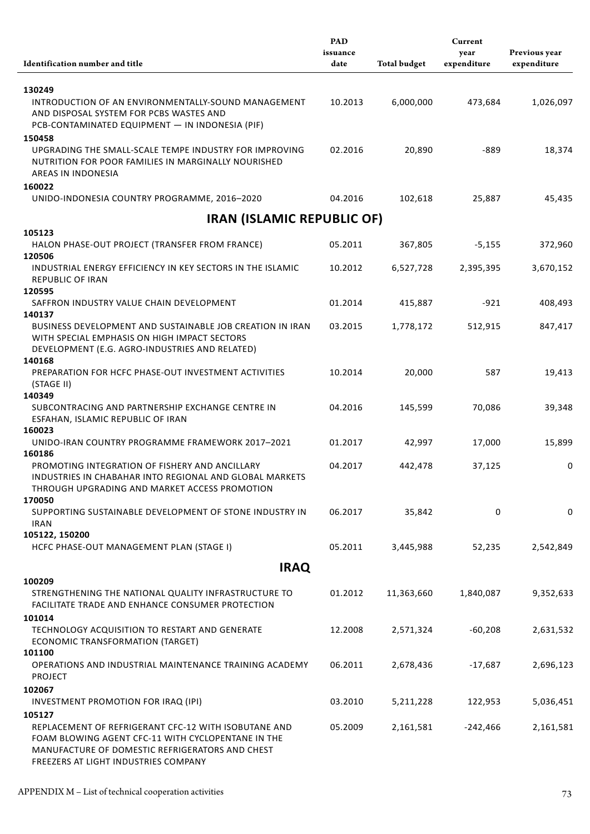| Identification number and title                                                                                                                                                                                 | <b>PAD</b><br>issuance<br>date | <b>Total budget</b> | Current<br>year<br>expenditure | Previous year<br>expenditure |
|-----------------------------------------------------------------------------------------------------------------------------------------------------------------------------------------------------------------|--------------------------------|---------------------|--------------------------------|------------------------------|
|                                                                                                                                                                                                                 |                                |                     |                                |                              |
| 130249<br>INTRODUCTION OF AN ENVIRONMENTALLY-SOUND MANAGEMENT<br>AND DISPOSAL SYSTEM FOR PCBS WASTES AND<br>PCB-CONTAMINATED EQUIPMENT - IN INDONESIA (PIF)                                                     | 10.2013                        | 6,000,000           | 473,684                        | 1,026,097                    |
| 150458<br>UPGRADING THE SMALL-SCALE TEMPE INDUSTRY FOR IMPROVING<br>NUTRITION FOR POOR FAMILIES IN MARGINALLY NOURISHED<br>AREAS IN INDONESIA                                                                   | 02.2016                        | 20,890              | $-889$                         | 18,374                       |
| 160022<br>UNIDO-INDONESIA COUNTRY PROGRAMME, 2016-2020                                                                                                                                                          | 04.2016                        | 102,618             | 25,887                         | 45,435                       |
|                                                                                                                                                                                                                 |                                |                     |                                |                              |
| <b>IRAN (ISLAMIC REPUBLIC OF)</b>                                                                                                                                                                               |                                |                     |                                |                              |
| 105123<br>HALON PHASE-OUT PROJECT (TRANSFER FROM FRANCE)                                                                                                                                                        | 05.2011                        | 367,805             | $-5,155$                       | 372,960                      |
| 120506                                                                                                                                                                                                          |                                |                     |                                |                              |
| INDUSTRIAL ENERGY EFFICIENCY IN KEY SECTORS IN THE ISLAMIC<br><b>REPUBLIC OF IRAN</b>                                                                                                                           | 10.2012                        | 6,527,728           | 2,395,395                      | 3,670,152                    |
| 120595<br>SAFFRON INDUSTRY VALUE CHAIN DEVELOPMENT                                                                                                                                                              | 01.2014                        | 415,887             | $-921$                         | 408,493                      |
| 140137<br>BUSINESS DEVELOPMENT AND SUSTAINABLE JOB CREATION IN IRAN                                                                                                                                             | 03.2015                        | 1,778,172           | 512,915                        | 847,417                      |
| WITH SPECIAL EMPHASIS ON HIGH IMPACT SECTORS<br>DEVELOPMENT (E.G. AGRO-INDUSTRIES AND RELATED)<br>140168                                                                                                        |                                |                     |                                |                              |
| PREPARATION FOR HCFC PHASE-OUT INVESTMENT ACTIVITIES<br>(STAGE II)                                                                                                                                              | 10.2014                        | 20,000              | 587                            | 19,413                       |
| 140349<br>SUBCONTRACING AND PARTNERSHIP EXCHANGE CENTRE IN<br>ESFAHAN, ISLAMIC REPUBLIC OF IRAN                                                                                                                 | 04.2016                        | 145,599             | 70,086                         | 39,348                       |
| 160023<br>UNIDO-IRAN COUNTRY PROGRAMME FRAMEWORK 2017-2021                                                                                                                                                      | 01.2017                        | 42,997              | 17,000                         | 15,899                       |
| 160186<br>PROMOTING INTEGRATION OF FISHERY AND ANCILLARY<br>INDUSTRIES IN CHABAHAR INTO REGIONAL AND GLOBAL MARKETS<br>THROUGH UPGRADING AND MARKET ACCESS PROMOTION                                            | 04.2017                        | 442,478             | 37,125                         | 0                            |
| 170050<br>SUPPORTING SUSTAINABLE DEVELOPMENT OF STONE INDUSTRY IN                                                                                                                                               | 06.2017                        | 35,842              | 0                              | 0                            |
| <b>IRAN</b><br>105122, 150200                                                                                                                                                                                   |                                |                     |                                |                              |
| HCFC PHASE-OUT MANAGEMENT PLAN (STAGE I)                                                                                                                                                                        | 05.2011                        | 3,445,988           | 52,235                         | 2,542,849                    |
| <b>IRAQ</b>                                                                                                                                                                                                     |                                |                     |                                |                              |
| 100209                                                                                                                                                                                                          |                                |                     |                                |                              |
| STRENGTHENING THE NATIONAL QUALITY INFRASTRUCTURE TO<br>FACILITATE TRADE AND ENHANCE CONSUMER PROTECTION                                                                                                        | 01.2012                        | 11,363,660          | 1,840,087                      | 9,352,633                    |
| 101014<br>TECHNOLOGY ACQUISITION TO RESTART AND GENERATE<br>ECONOMIC TRANSFORMATION (TARGET)                                                                                                                    | 12.2008                        | 2,571,324           | $-60,208$                      | 2,631,532                    |
| 101100<br>OPERATIONS AND INDUSTRIAL MAINTENANCE TRAINING ACADEMY<br><b>PROJECT</b>                                                                                                                              | 06.2011                        | 2,678,436           | $-17,687$                      | 2,696,123                    |
| 102067                                                                                                                                                                                                          |                                |                     |                                |                              |
| INVESTMENT PROMOTION FOR IRAQ (IPI)                                                                                                                                                                             | 03.2010                        | 5,211,228           | 122,953                        | 5,036,451                    |
| 105127<br>REPLACEMENT OF REFRIGERANT CFC-12 WITH ISOBUTANE AND<br>FOAM BLOWING AGENT CFC-11 WITH CYCLOPENTANE IN THE<br>MANUFACTURE OF DOMESTIC REFRIGERATORS AND CHEST<br>FREEZERS AT LIGHT INDUSTRIES COMPANY | 05.2009                        | 2,161,581           | $-242,466$                     | 2,161,581                    |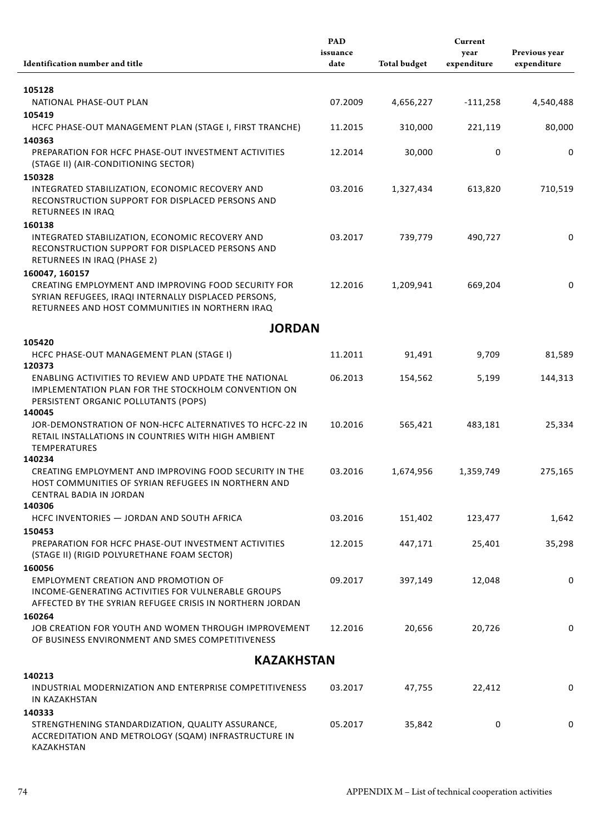| Identification number and title                                                                                                                                | <b>PAD</b><br>issuance<br>date | <b>Total budget</b> | Current<br>year<br>expenditure | Previous year<br>expenditure |
|----------------------------------------------------------------------------------------------------------------------------------------------------------------|--------------------------------|---------------------|--------------------------------|------------------------------|
|                                                                                                                                                                |                                |                     |                                |                              |
| 105128<br>NATIONAL PHASE-OUT PLAN                                                                                                                              | 07.2009                        | 4,656,227           | $-111,258$                     | 4,540,488                    |
| 105419                                                                                                                                                         |                                |                     |                                |                              |
| HCFC PHASE-OUT MANAGEMENT PLAN (STAGE I, FIRST TRANCHE)                                                                                                        | 11.2015                        | 310,000             | 221,119                        | 80,000                       |
| 140363                                                                                                                                                         |                                |                     |                                |                              |
| PREPARATION FOR HCFC PHASE-OUT INVESTMENT ACTIVITIES<br>(STAGE II) (AIR-CONDITIONING SECTOR)                                                                   | 12.2014                        | 30,000              | 0                              | 0                            |
| 150328                                                                                                                                                         |                                |                     |                                |                              |
| INTEGRATED STABILIZATION, ECONOMIC RECOVERY AND<br>RECONSTRUCTION SUPPORT FOR DISPLACED PERSONS AND<br>RETURNEES IN IRAQ                                       | 03.2016                        | 1,327,434           | 613,820                        | 710,519                      |
| 160138                                                                                                                                                         |                                |                     |                                |                              |
| INTEGRATED STABILIZATION, ECONOMIC RECOVERY AND<br>RECONSTRUCTION SUPPORT FOR DISPLACED PERSONS AND<br>RETURNEES IN IRAQ (PHASE 2)                             | 03.2017                        | 739,779             | 490,727                        | 0                            |
| 160047, 160157                                                                                                                                                 |                                |                     |                                |                              |
| CREATING EMPLOYMENT AND IMPROVING FOOD SECURITY FOR<br>SYRIAN REFUGEES, IRAQI INTERNALLY DISPLACED PERSONS,<br>RETURNEES AND HOST COMMUNITIES IN NORTHERN IRAQ | 12.2016                        | 1,209,941           | 669,204                        | 0                            |
| <b>JORDAN</b>                                                                                                                                                  |                                |                     |                                |                              |
| 105420                                                                                                                                                         |                                |                     |                                |                              |
| HCFC PHASE-OUT MANAGEMENT PLAN (STAGE I)<br>120373                                                                                                             | 11.2011                        | 91,491              | 9,709                          | 81,589                       |
| ENABLING ACTIVITIES TO REVIEW AND UPDATE THE NATIONAL<br>IMPLEMENTATION PLAN FOR THE STOCKHOLM CONVENTION ON<br>PERSISTENT ORGANIC POLLUTANTS (POPS)           | 06.2013                        | 154,562             | 5,199                          | 144,313                      |
| 140045<br>JOR-DEMONSTRATION OF NON-HCFC ALTERNATIVES TO HCFC-22 IN<br>RETAIL INSTALLATIONS IN COUNTRIES WITH HIGH AMBIENT                                      | 10.2016                        | 565,421             | 483,181                        | 25,334                       |
| <b>TEMPERATURES</b><br>140234                                                                                                                                  |                                |                     |                                |                              |
| CREATING EMPLOYMENT AND IMPROVING FOOD SECURITY IN THE<br>HOST COMMUNITIES OF SYRIAN REFUGEES IN NORTHERN AND<br>CENTRAL BADIA IN JORDAN                       | 03.2016                        | 1,674,956           | 1,359,749                      | 275,165                      |
| 140306                                                                                                                                                         |                                |                     |                                |                              |
| HCFC INVENTORIES - JORDAN AND SOUTH AFRICA                                                                                                                     | 03.2016                        | 151,402             | 123,477                        | 1,642                        |
| 150453<br>PREPARATION FOR HCFC PHASE-OUT INVESTMENT ACTIVITIES<br>(STAGE II) (RIGID POLYURETHANE FOAM SECTOR)                                                  | 12.2015                        | 447,171             | 25,401                         | 35,298                       |
| 160056                                                                                                                                                         |                                |                     |                                |                              |
| <b>EMPLOYMENT CREATION AND PROMOTION OF</b><br>INCOME-GENERATING ACTIVITIES FOR VULNERABLE GROUPS<br>AFFECTED BY THE SYRIAN REFUGEE CRISIS IN NORTHERN JORDAN  | 09.2017                        | 397,149             | 12,048                         | 0                            |
| 160264                                                                                                                                                         |                                |                     |                                |                              |
| JOB CREATION FOR YOUTH AND WOMEN THROUGH IMPROVEMENT<br>OF BUSINESS ENVIRONMENT AND SMES COMPETITIVENESS                                                       | 12.2016                        | 20,656              | 20,726                         | 0                            |
| <b>KAZAKHSTAN</b>                                                                                                                                              |                                |                     |                                |                              |
| 140213                                                                                                                                                         |                                |                     |                                |                              |
| INDUSTRIAL MODERNIZATION AND ENTERPRISE COMPETITIVENESS<br><b>IN KAZAKHSTAN</b>                                                                                | 03.2017                        | 47,755              | 22,412                         | 0                            |
| 140333<br>STRENGTHENING STANDARDIZATION, QUALITY ASSURANCE,<br>ACCREDITATION AND METROLOGY (SQAM) INFRASTRUCTURE IN<br>KAZAKHSTAN                              | 05.2017                        | 35,842              | 0                              | 0                            |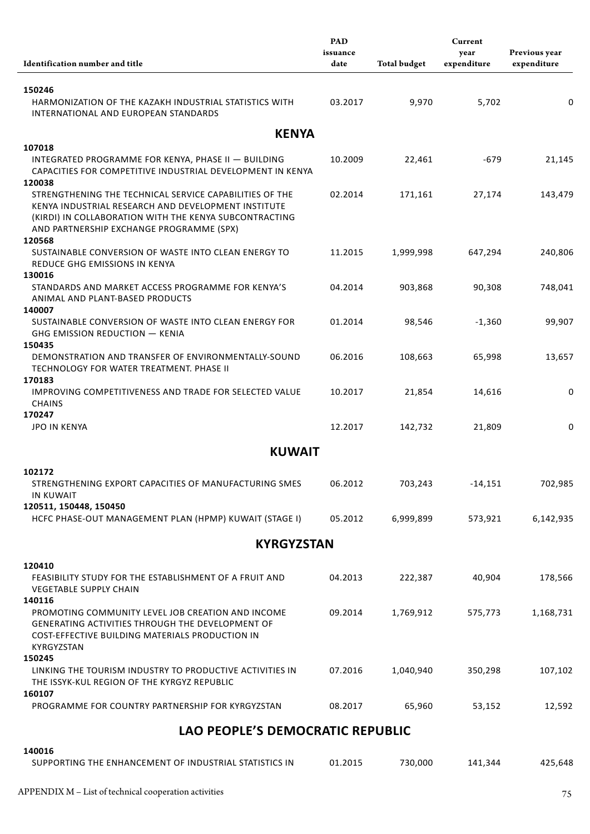|                                                                                                                                                                                                                      | <b>PAD</b>       |                     | Current             |                              |
|----------------------------------------------------------------------------------------------------------------------------------------------------------------------------------------------------------------------|------------------|---------------------|---------------------|------------------------------|
| Identification number and title                                                                                                                                                                                      | issuance<br>date | <b>Total budget</b> | year<br>expenditure | Previous year<br>expenditure |
| 150246                                                                                                                                                                                                               |                  |                     |                     |                              |
| HARMONIZATION OF THE KAZAKH INDUSTRIAL STATISTICS WITH<br>INTERNATIONAL AND EUROPEAN STANDARDS                                                                                                                       | 03.2017          | 9,970               | 5,702               | 0                            |
| <b>KENYA</b>                                                                                                                                                                                                         |                  |                     |                     |                              |
| 107018                                                                                                                                                                                                               |                  |                     |                     |                              |
| INTEGRATED PROGRAMME FOR KENYA, PHASE II - BUILDING<br>CAPACITIES FOR COMPETITIVE INDUSTRIAL DEVELOPMENT IN KENYA<br>120038                                                                                          | 10.2009          | 22,461              | $-679$              | 21,145                       |
| STRENGTHENING THE TECHNICAL SERVICE CAPABILITIES OF THE<br>KENYA INDUSTRIAL RESEARCH AND DEVELOPMENT INSTITUTE<br>(KIRDI) IN COLLABORATION WITH THE KENYA SUBCONTRACTING<br>AND PARTNERSHIP EXCHANGE PROGRAMME (SPX) | 02.2014          | 171,161             | 27,174              | 143,479                      |
| 120568<br>SUSTAINABLE CONVERSION OF WASTE INTO CLEAN ENERGY TO<br>REDUCE GHG EMISSIONS IN KENYA                                                                                                                      | 11.2015          | 1,999,998           | 647,294             | 240,806                      |
| 130016<br>STANDARDS AND MARKET ACCESS PROGRAMME FOR KENYA'S<br>ANIMAL AND PLANT-BASED PRODUCTS                                                                                                                       | 04.2014          | 903,868             | 90,308              | 748,041                      |
| 140007<br>SUSTAINABLE CONVERSION OF WASTE INTO CLEAN ENERGY FOR<br>GHG EMISSION REDUCTION - KENIA<br>150435                                                                                                          | 01.2014          | 98,546              | $-1,360$            | 99,907                       |
| DEMONSTRATION AND TRANSFER OF ENVIRONMENTALLY-SOUND<br>TECHNOLOGY FOR WATER TREATMENT. PHASE II                                                                                                                      | 06.2016          | 108,663             | 65,998              | 13,657                       |
| 170183<br>IMPROVING COMPETITIVENESS AND TRADE FOR SELECTED VALUE<br><b>CHAINS</b>                                                                                                                                    | 10.2017          | 21,854              | 14,616              | 0                            |
| 170247<br><b>JPO IN KENYA</b>                                                                                                                                                                                        | 12.2017          | 142,732             | 21,809              | 0                            |
| <b>KUWAIT</b>                                                                                                                                                                                                        |                  |                     |                     |                              |
| 102172                                                                                                                                                                                                               |                  |                     |                     |                              |
| STRENGTHENING EXPORT CAPACITIES OF MANUFACTURING SMES<br>IN KUWAIT                                                                                                                                                   | 06.2012          | 703,243             | $-14,151$           | 702,985                      |
| 120511, 150448, 150450<br>HCFC PHASE-OUT MANAGEMENT PLAN (HPMP) KUWAIT (STAGE I)                                                                                                                                     | 05.2012          | 6,999,899           | 573,921             | 6,142,935                    |
| <b>KYRGYZSTAN</b>                                                                                                                                                                                                    |                  |                     |                     |                              |
| 120410                                                                                                                                                                                                               |                  |                     |                     |                              |
| FEASIBILITY STUDY FOR THE ESTABLISHMENT OF A FRUIT AND<br><b>VEGETABLE SUPPLY CHAIN</b>                                                                                                                              | 04.2013          | 222,387             | 40,904              | 178,566                      |
| 140116<br>PROMOTING COMMUNITY LEVEL JOB CREATION AND INCOME<br>GENERATING ACTIVITIES THROUGH THE DEVELOPMENT OF<br>COST-EFFECTIVE BUILDING MATERIALS PRODUCTION IN<br>KYRGYZSTAN                                     | 09.2014          | 1,769,912           | 575,773             | 1,168,731                    |
| 150245<br>LINKING THE TOURISM INDUSTRY TO PRODUCTIVE ACTIVITIES IN<br>THE ISSYK-KUL REGION OF THE KYRGYZ REPUBLIC                                                                                                    | 07.2016          | 1,040,940           | 350,298             | 107,102                      |
| 160107<br>PROGRAMME FOR COUNTRY PARTNERSHIP FOR KYRGYZSTAN                                                                                                                                                           | 08.2017          | 65,960              | 53,152              | 12,592                       |
| <b>LAO PEOPLE'S DEMOCRATIC REPUBLIC</b>                                                                                                                                                                              |                  |                     |                     |                              |
| 140016<br>SUPPORTING THE ENHANCEMENT OF INDUSTRIAL STATISTICS IN                                                                                                                                                     | 01.2015          | 730,000             | 141,344             | 425,648                      |
|                                                                                                                                                                                                                      |                  |                     |                     |                              |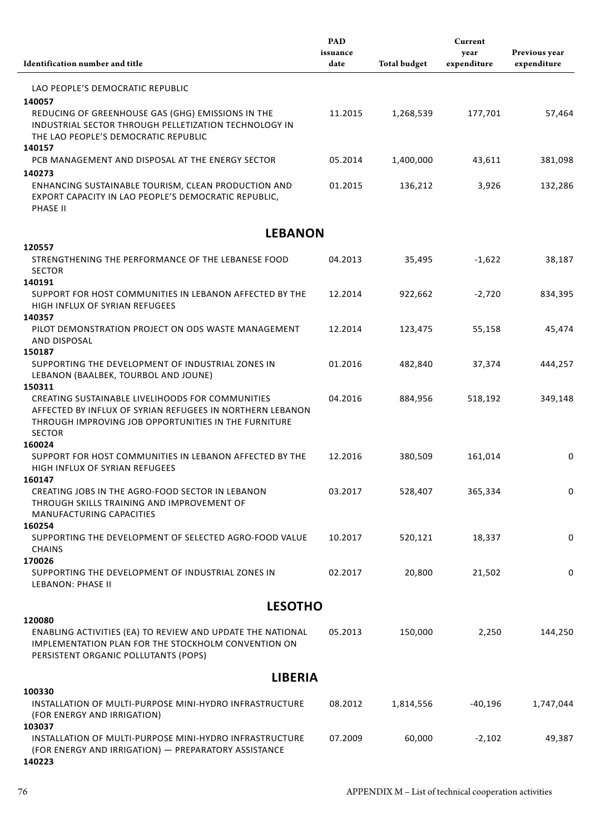|                                                                                                                                                                                 | <b>PAD</b>       |                     | Current             |                              |
|---------------------------------------------------------------------------------------------------------------------------------------------------------------------------------|------------------|---------------------|---------------------|------------------------------|
| Identification number and title                                                                                                                                                 | issuance<br>date | <b>Total budget</b> | year<br>expenditure | Previous year<br>expenditure |
| LAO PEOPLE'S DEMOCRATIC REPUBLIC                                                                                                                                                |                  |                     |                     |                              |
| 140057                                                                                                                                                                          |                  |                     |                     |                              |
| REDUCING OF GREENHOUSE GAS (GHG) EMISSIONS IN THE<br>INDUSTRIAL SECTOR THROUGH PELLETIZATION TECHNOLOGY IN<br>THE LAO PEOPLE'S DEMOCRATIC REPUBLIC                              | 11.2015          | 1,268,539           | 177,701             | 57,464                       |
| 140157                                                                                                                                                                          |                  |                     |                     |                              |
| PCB MANAGEMENT AND DISPOSAL AT THE ENERGY SECTOR                                                                                                                                | 05.2014          | 1,400,000           | 43,611              | 381,098                      |
| 140273                                                                                                                                                                          |                  |                     |                     |                              |
| ENHANCING SUSTAINABLE TOURISM, CLEAN PRODUCTION AND<br>EXPORT CAPACITY IN LAO PEOPLE'S DEMOCRATIC REPUBLIC,<br>PHASE II                                                         | 01.2015          | 136,212             | 3,926               | 132,286                      |
| <b>LEBANON</b>                                                                                                                                                                  |                  |                     |                     |                              |
| 120557                                                                                                                                                                          |                  |                     |                     |                              |
| STRENGTHENING THE PERFORMANCE OF THE LEBANESE FOOD<br><b>SECTOR</b>                                                                                                             | 04.2013          | 35,495              | $-1,622$            | 38,187                       |
| 140191                                                                                                                                                                          |                  |                     |                     |                              |
| SUPPORT FOR HOST COMMUNITIES IN LEBANON AFFECTED BY THE<br>HIGH INFLUX OF SYRIAN REFUGEES                                                                                       | 12.2014          | 922,662             | $-2,720$            | 834,395                      |
| 140357                                                                                                                                                                          |                  |                     |                     |                              |
| PILOT DEMONSTRATION PROJECT ON ODS WASTE MANAGEMENT<br>AND DISPOSAL                                                                                                             | 12.2014          | 123,475             | 55,158              | 45,474                       |
| 150187                                                                                                                                                                          |                  |                     |                     |                              |
| SUPPORTING THE DEVELOPMENT OF INDUSTRIAL ZONES IN<br>LEBANON (BAALBEK, TOURBOL AND JOUNE)                                                                                       | 01.2016          | 482,840             | 37,374              | 444,257                      |
| 150311<br>CREATING SUSTAINABLE LIVELIHOODS FOR COMMUNITIES<br>AFFECTED BY INFLUX OF SYRIAN REFUGEES IN NORTHERN LEBANON<br>THROUGH IMPROVING JOB OPPORTUNITIES IN THE FURNITURE | 04.2016          | 884,956             | 518,192             | 349,148                      |
| <b>SECTOR</b>                                                                                                                                                                   |                  |                     |                     |                              |
| 160024<br>SUPPORT FOR HOST COMMUNITIES IN LEBANON AFFECTED BY THE<br><b>HIGH INFLUX OF SYRIAN REFUGEES</b>                                                                      | 12.2016          | 380,509             | 161,014             | 0                            |
| 160147                                                                                                                                                                          |                  |                     |                     |                              |
| CREATING JOBS IN THE AGRO-FOOD SECTOR IN LEBANON<br>THROUGH SKILLS TRAINING AND IMPROVEMENT OF<br>MANUFACTURING CAPACITIES                                                      | 03.2017          | 528,407             | 365,334             | 0                            |
| 160254                                                                                                                                                                          |                  |                     |                     |                              |
| SUPPORTING THE DEVELOPMENT OF SELECTED AGRO-FOOD VALUE<br><b>CHAINS</b>                                                                                                         | 10.2017          | 520,121             | 18,337              | 0                            |
| 170026                                                                                                                                                                          |                  |                     |                     |                              |
| SUPPORTING THE DEVELOPMENT OF INDUSTRIAL ZONES IN<br><b>LEBANON: PHASE II</b>                                                                                                   | 02.2017          | 20,800              | 21,502              | 0                            |
| <b>LESOTHO</b>                                                                                                                                                                  |                  |                     |                     |                              |
| 120080                                                                                                                                                                          |                  |                     |                     |                              |
| ENABLING ACTIVITIES (EA) TO REVIEW AND UPDATE THE NATIONAL<br>IMPLEMENTATION PLAN FOR THE STOCKHOLM CONVENTION ON<br>PERSISTENT ORGANIC POLLUTANTS (POPS)                       | 05.2013          | 150,000             | 2,250               | 144,250                      |
| <b>LIBERIA</b>                                                                                                                                                                  |                  |                     |                     |                              |
| 100330                                                                                                                                                                          |                  |                     |                     |                              |
| INSTALLATION OF MULTI-PURPOSE MINI-HYDRO INFRASTRUCTURE<br>(FOR ENERGY AND IRRIGATION)                                                                                          | 08.2012          | 1,814,556           | $-40,196$           | 1,747,044                    |
| 103037<br>INSTALLATION OF MULTI-PURPOSE MINI-HYDRO INFRASTRUCTURE<br>(FOR ENERGY AND IRRIGATION) - PREPARATORY ASSISTANCE<br>140223                                             | 07.2009          | 60,000              | $-2,102$            | 49,387                       |

j.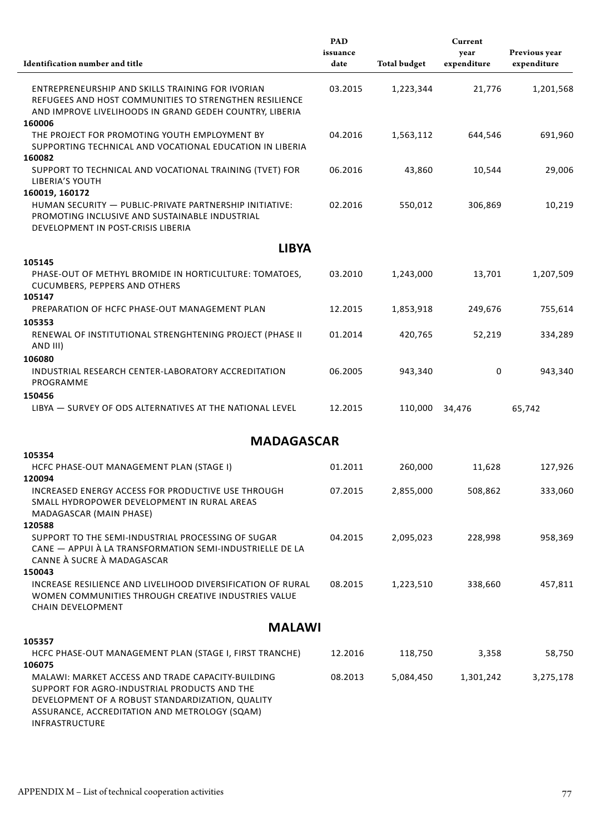|                                                                                                                                                                                                                          | <b>PAD</b><br>issuance |                     | Current<br>year | Previous year |
|--------------------------------------------------------------------------------------------------------------------------------------------------------------------------------------------------------------------------|------------------------|---------------------|-----------------|---------------|
| Identification number and title                                                                                                                                                                                          | date                   | <b>Total budget</b> | expenditure     | expenditure   |
| ENTREPRENEURSHIP AND SKILLS TRAINING FOR IVORIAN<br>REFUGEES AND HOST COMMUNITIES TO STRENGTHEN RESILIENCE<br>AND IMPROVE LIVELIHOODS IN GRAND GEDEH COUNTRY, LIBERIA<br>160006                                          | 03.2015                | 1,223,344           | 21,776          | 1,201,568     |
| THE PROJECT FOR PROMOTING YOUTH EMPLOYMENT BY<br>SUPPORTING TECHNICAL AND VOCATIONAL EDUCATION IN LIBERIA                                                                                                                | 04.2016                | 1,563,112           | 644,546         | 691,960       |
| 160082<br>SUPPORT TO TECHNICAL AND VOCATIONAL TRAINING (TVET) FOR<br><b>LIBERIA'S YOUTH</b>                                                                                                                              | 06.2016                | 43,860              | 10,544          | 29,006        |
| 160019, 160172<br>HUMAN SECURITY - PUBLIC-PRIVATE PARTNERSHIP INITIATIVE:<br>PROMOTING INCLUSIVE AND SUSTAINABLE INDUSTRIAL<br>DEVELOPMENT IN POST-CRISIS LIBERIA                                                        | 02.2016                | 550,012             | 306,869         | 10,219        |
| <b>LIBYA</b>                                                                                                                                                                                                             |                        |                     |                 |               |
| 105145                                                                                                                                                                                                                   |                        |                     |                 |               |
| PHASE-OUT OF METHYL BROMIDE IN HORTICULTURE: TOMATOES,<br><b>CUCUMBERS, PEPPERS AND OTHERS</b><br>105147                                                                                                                 | 03.2010                | 1,243,000           | 13,701          | 1,207,509     |
| PREPARATION OF HCFC PHASE-OUT MANAGEMENT PLAN<br>105353                                                                                                                                                                  | 12.2015                | 1,853,918           | 249,676         | 755,614       |
| RENEWAL OF INSTITUTIONAL STRENGHTENING PROJECT (PHASE II<br>AND III)                                                                                                                                                     | 01.2014                | 420,765             | 52,219          | 334,289       |
| 106080<br>INDUSTRIAL RESEARCH CENTER-LABORATORY ACCREDITATION<br>PROGRAMME                                                                                                                                               | 06.2005                | 943,340             | 0               | 943,340       |
| 150456<br>LIBYA - SURVEY OF ODS ALTERNATIVES AT THE NATIONAL LEVEL                                                                                                                                                       | 12.2015                | 110,000             | 34,476          | 65,742        |
| <b>MADAGASCAR</b>                                                                                                                                                                                                        |                        |                     |                 |               |
| 105354                                                                                                                                                                                                                   |                        |                     |                 |               |
| HCFC PHASE-OUT MANAGEMENT PLAN (STAGE I)<br>120094                                                                                                                                                                       | 01.2011                | 260,000             | 11,628          | 127,926       |
| INCREASED ENERGY ACCESS FOR PRODUCTIVE USE THROUGH<br>SMALL HYDROPOWER DEVELOPMENT IN RURAL AREAS<br>MADAGASCAR (MAIN PHASE)                                                                                             | 07.2015                | 2,855,000           | 508,862         | 333,060       |
| 120588<br>SUPPORT TO THE SEMI-INDUSTRIAL PROCESSING OF SUGAR<br>CANE - APPUI À LA TRANSFORMATION SEMI-INDUSTRIELLE DE LA<br>CANNE À SUCRE À MADAGASCAR                                                                   | 04.2015                | 2,095,023           | 228,998         | 958,369       |
| 150043<br>INCREASE RESILIENCE AND LIVELIHOOD DIVERSIFICATION OF RURAL<br>WOMEN COMMUNITIES THROUGH CREATIVE INDUSTRIES VALUE<br>CHAIN DEVELOPMENT                                                                        | 08.2015                | 1,223,510           | 338,660         | 457,811       |
| <b>MALAWI</b>                                                                                                                                                                                                            |                        |                     |                 |               |
| 105357                                                                                                                                                                                                                   |                        |                     |                 |               |
| HCFC PHASE-OUT MANAGEMENT PLAN (STAGE I, FIRST TRANCHE)<br>106075                                                                                                                                                        | 12.2016                | 118,750             | 3,358           | 58,750        |
| MALAWI: MARKET ACCESS AND TRADE CAPACITY-BUILDING<br>SUPPORT FOR AGRO-INDUSTRIAL PRODUCTS AND THE<br>DEVELOPMENT OF A ROBUST STANDARDIZATION, QUALITY<br>ASSURANCE, ACCREDITATION AND METROLOGY (SQAM)<br>INFRASTRUCTURE | 08.2013                | 5,084,450           | 1,301,242       | 3,275,178     |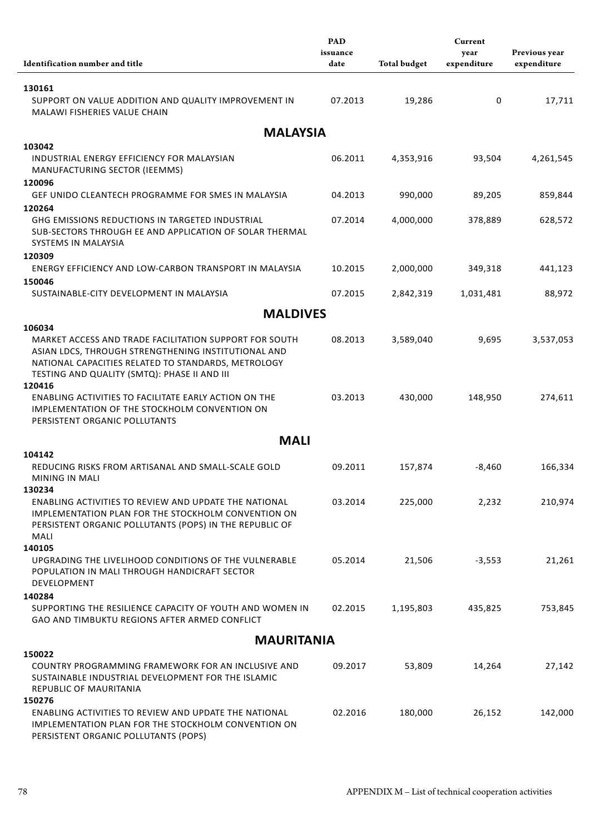|                                                                                                                                                                                                                                | <b>PAD</b>       |                     | Current             |                              |
|--------------------------------------------------------------------------------------------------------------------------------------------------------------------------------------------------------------------------------|------------------|---------------------|---------------------|------------------------------|
| Identification number and title                                                                                                                                                                                                | issuance<br>date | <b>Total budget</b> | year<br>expenditure | Previous year<br>expenditure |
| 130161                                                                                                                                                                                                                         |                  |                     |                     |                              |
| SUPPORT ON VALUE ADDITION AND QUALITY IMPROVEMENT IN<br>MALAWI FISHERIES VALUE CHAIN                                                                                                                                           | 07.2013          | 19,286              | 0                   | 17,711                       |
| <b>MALAYSIA</b>                                                                                                                                                                                                                |                  |                     |                     |                              |
| 103042                                                                                                                                                                                                                         |                  |                     |                     |                              |
| INDUSTRIAL ENERGY EFFICIENCY FOR MALAYSIAN<br>MANUFACTURING SECTOR (IEEMMS)<br>120096                                                                                                                                          | 06.2011          | 4,353,916           | 93,504              | 4,261,545                    |
| GEF UNIDO CLEANTECH PROGRAMME FOR SMES IN MALAYSIA                                                                                                                                                                             | 04.2013          | 990,000             | 89,205              | 859,844                      |
| 120264                                                                                                                                                                                                                         |                  |                     |                     |                              |
| GHG EMISSIONS REDUCTIONS IN TARGETED INDUSTRIAL<br>SUB-SECTORS THROUGH EE AND APPLICATION OF SOLAR THERMAL<br>SYSTEMS IN MALAYSIA                                                                                              | 07.2014          | 4,000,000           | 378,889             | 628,572                      |
| 120309<br>ENERGY EFFICIENCY AND LOW-CARBON TRANSPORT IN MALAYSIA                                                                                                                                                               | 10.2015          | 2,000,000           | 349,318             | 441,123                      |
| 150046<br>SUSTAINABLE-CITY DEVELOPMENT IN MALAYSIA                                                                                                                                                                             | 07.2015          | 2,842,319           | 1,031,481           | 88,972                       |
| <b>MALDIVES</b>                                                                                                                                                                                                                |                  |                     |                     |                              |
| 106034                                                                                                                                                                                                                         |                  |                     |                     |                              |
| MARKET ACCESS AND TRADE FACILITATION SUPPORT FOR SOUTH<br>ASIAN LDCS, THROUGH STRENGTHENING INSTITUTIONAL AND<br>NATIONAL CAPACITIES RELATED TO STANDARDS, METROLOGY<br>TESTING AND QUALITY (SMTQ): PHASE II AND III<br>120416 | 08.2013          | 3,589,040           | 9,695               | 3,537,053                    |
| ENABLING ACTIVITIES TO FACILITATE EARLY ACTION ON THE<br>IMPLEMENTATION OF THE STOCKHOLM CONVENTION ON<br>PERSISTENT ORGANIC POLLUTANTS                                                                                        | 03.2013          | 430,000             | 148,950             | 274,611                      |
| <b>MALI</b>                                                                                                                                                                                                                    |                  |                     |                     |                              |
| 104142                                                                                                                                                                                                                         |                  |                     |                     |                              |
| REDUCING RISKS FROM ARTISANAL AND SMALL-SCALE GOLD<br>MINING IN MALI<br>130234                                                                                                                                                 | 09.2011          | 157,874             | $-8,460$            | 166,334                      |
| ENABLING ACTIVITIES TO REVIEW AND UPDATE THE NATIONAL<br><b>IMPLEMENTATION PLAN FOR THE STOCKHOLM CONVENTION ON</b><br>PERSISTENT ORGANIC POLLUTANTS (POPS) IN THE REPUBLIC OF<br>MALI                                         | 03.2014          | 225,000             | 2,232               | 210,974                      |
| 140105                                                                                                                                                                                                                         |                  |                     |                     |                              |
| UPGRADING THE LIVELIHOOD CONDITIONS OF THE VULNERABLE<br>POPULATION IN MALI THROUGH HANDICRAFT SECTOR<br>DEVELOPMENT                                                                                                           | 05.2014          | 21,506              | $-3,553$            | 21,261                       |
| 140284                                                                                                                                                                                                                         |                  |                     |                     |                              |
| SUPPORTING THE RESILIENCE CAPACITY OF YOUTH AND WOMEN IN<br>GAO AND TIMBUKTU REGIONS AFTER ARMED CONFLICT                                                                                                                      | 02.2015          | 1,195,803           | 435,825             | 753,845                      |
| <b>MAURITANIA</b>                                                                                                                                                                                                              |                  |                     |                     |                              |
| 150022                                                                                                                                                                                                                         |                  |                     |                     |                              |
| COUNTRY PROGRAMMING FRAMEWORK FOR AN INCLUSIVE AND<br>SUSTAINABLE INDUSTRIAL DEVELOPMENT FOR THE ISLAMIC<br>REPUBLIC OF MAURITANIA                                                                                             | 09.2017          | 53,809              | 14,264              | 27,142                       |
| 150276<br><b>ENABLING ACTIVITIES TO REVIEW AND UPDATE THE NATIONAL</b><br><b>IMPLEMENTATION PLAN FOR THE STOCKHOLM CONVENTION ON</b><br>PERSISTENT ORGANIC POLLUTANTS (POPS)                                                   | 02.2016          | 180,000             | 26,152              | 142,000                      |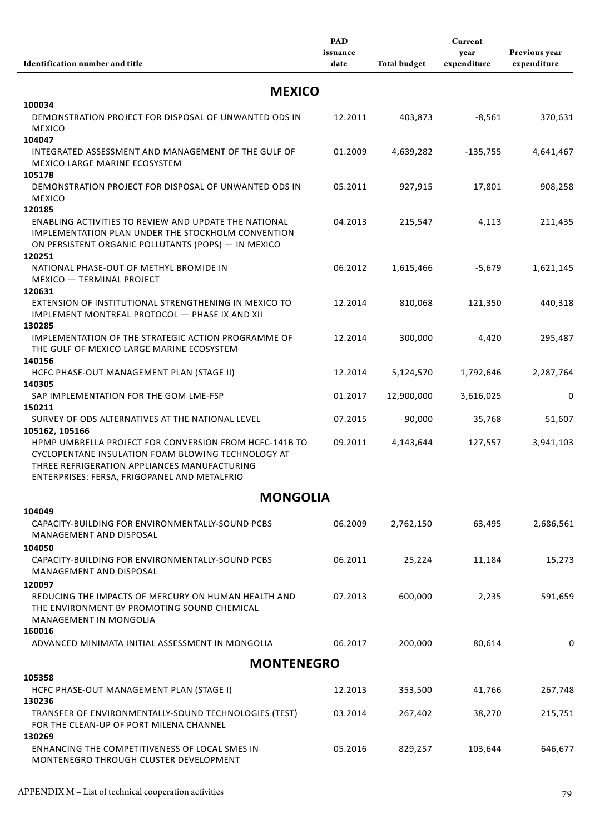|                                                                                                                                                                                                              | <b>PAD</b>       |                     | Current             |                              |
|--------------------------------------------------------------------------------------------------------------------------------------------------------------------------------------------------------------|------------------|---------------------|---------------------|------------------------------|
| Identification number and title                                                                                                                                                                              | issuance<br>date | <b>Total budget</b> | year<br>expenditure | Previous year<br>expenditure |
|                                                                                                                                                                                                              |                  |                     |                     |                              |
| <b>MEXICO</b><br>100034                                                                                                                                                                                      |                  |                     |                     |                              |
| DEMONSTRATION PROJECT FOR DISPOSAL OF UNWANTED ODS IN<br><b>MEXICO</b>                                                                                                                                       | 12.2011          | 403,873             | $-8,561$            | 370,631                      |
| 104047                                                                                                                                                                                                       |                  |                     |                     |                              |
| INTEGRATED ASSESSMENT AND MANAGEMENT OF THE GULF OF<br>MEXICO LARGE MARINE ECOSYSTEM<br>105178                                                                                                               | 01.2009          | 4,639,282           | $-135,755$          | 4,641,467                    |
| DEMONSTRATION PROJECT FOR DISPOSAL OF UNWANTED ODS IN<br><b>MEXICO</b>                                                                                                                                       | 05.2011          | 927,915             | 17,801              | 908,258                      |
| 120185                                                                                                                                                                                                       |                  |                     |                     |                              |
| ENABLING ACTIVITIES TO REVIEW AND UPDATE THE NATIONAL<br>IMPLEMENTATION PLAN UNDER THE STOCKHOLM CONVENTION<br>ON PERSISTENT ORGANIC POLLUTANTS (POPS) - IN MEXICO                                           | 04.2013          | 215,547             | 4,113               | 211,435                      |
| 120251<br>NATIONAL PHASE-OUT OF METHYL BROMIDE IN                                                                                                                                                            |                  |                     |                     |                              |
| MEXICO - TERMINAL PROJECT<br>120631                                                                                                                                                                          | 06.2012          | 1,615,466           | $-5,679$            | 1,621,145                    |
| EXTENSION OF INSTITUTIONAL STRENGTHENING IN MEXICO TO<br><b>IMPLEMENT MONTREAL PROTOCOL - PHASE IX AND XII</b>                                                                                               | 12.2014          | 810,068             | 121,350             | 440,318                      |
| 130285                                                                                                                                                                                                       |                  |                     |                     |                              |
| IMPLEMENTATION OF THE STRATEGIC ACTION PROGRAMME OF<br>THE GULF OF MEXICO LARGE MARINE ECOSYSTEM<br>140156                                                                                                   | 12.2014          | 300,000             | 4,420               | 295,487                      |
| HCFC PHASE-OUT MANAGEMENT PLAN (STAGE II)                                                                                                                                                                    | 12.2014          | 5,124,570           | 1,792,646           | 2,287,764                    |
| 140305<br>SAP IMPLEMENTATION FOR THE GOM LME-FSP                                                                                                                                                             | 01.2017          | 12,900,000          | 3,616,025           | 0                            |
| 150211                                                                                                                                                                                                       |                  |                     |                     |                              |
| SURVEY OF ODS ALTERNATIVES AT THE NATIONAL LEVEL<br>105162, 105166                                                                                                                                           | 07.2015          | 90,000              | 35,768              | 51,607                       |
| HPMP UMBRELLA PROJECT FOR CONVERSION FROM HCFC-141B TO<br>CYCLOPENTANE INSULATION FOAM BLOWING TECHNOLOGY AT<br>THREE REFRIGERATION APPLIANCES MANUFACTURING<br>ENTERPRISES: FERSA, FRIGOPANEL AND METALFRIO | 09.2011          | 4,143,644           | 127,557             | 3,941,103                    |
| <b>MONGOLIA</b>                                                                                                                                                                                              |                  |                     |                     |                              |
| 104049                                                                                                                                                                                                       |                  |                     |                     |                              |
| CAPACITY-BUILDING FOR ENVIRONMENTALLY-SOUND PCBS<br>MANAGEMENT AND DISPOSAL                                                                                                                                  | 06.2009          | 2,762,150           | 63,495              | 2,686,561                    |
| 104050                                                                                                                                                                                                       |                  |                     |                     |                              |
| CAPACITY-BUILDING FOR ENVIRONMENTALLY-SOUND PCBS<br>MANAGEMENT AND DISPOSAL                                                                                                                                  | 06.2011          | 25,224              | 11,184              | 15,273                       |
| 120097                                                                                                                                                                                                       |                  |                     |                     |                              |
| REDUCING THE IMPACTS OF MERCURY ON HUMAN HEALTH AND<br>THE ENVIRONMENT BY PROMOTING SOUND CHEMICAL<br><b>MANAGEMENT IN MONGOLIA</b>                                                                          | 07.2013          | 600,000             | 2,235               | 591,659                      |
| 160016                                                                                                                                                                                                       |                  |                     |                     |                              |
| ADVANCED MINIMATA INITIAL ASSESSMENT IN MONGOLIA                                                                                                                                                             | 06.2017          | 200,000             | 80,614              | 0                            |
| <b>MONTENEGRO</b>                                                                                                                                                                                            |                  |                     |                     |                              |
| 105358                                                                                                                                                                                                       |                  |                     |                     |                              |
| HCFC PHASE-OUT MANAGEMENT PLAN (STAGE I)<br>130236                                                                                                                                                           | 12.2013          | 353,500             | 41,766              | 267,748                      |
| TRANSFER OF ENVIRONMENTALLY-SOUND TECHNOLOGIES (TEST)<br>FOR THE CLEAN-UP OF PORT MILENA CHANNEL                                                                                                             | 03.2014          | 267,402             | 38,270              | 215,751                      |
| 130269<br>ENHANCING THE COMPETITIVENESS OF LOCAL SMES IN<br>MONTENEGRO THROUGH CLUSTER DEVELOPMENT                                                                                                           | 05.2016          | 829,257             | 103,644             | 646,677                      |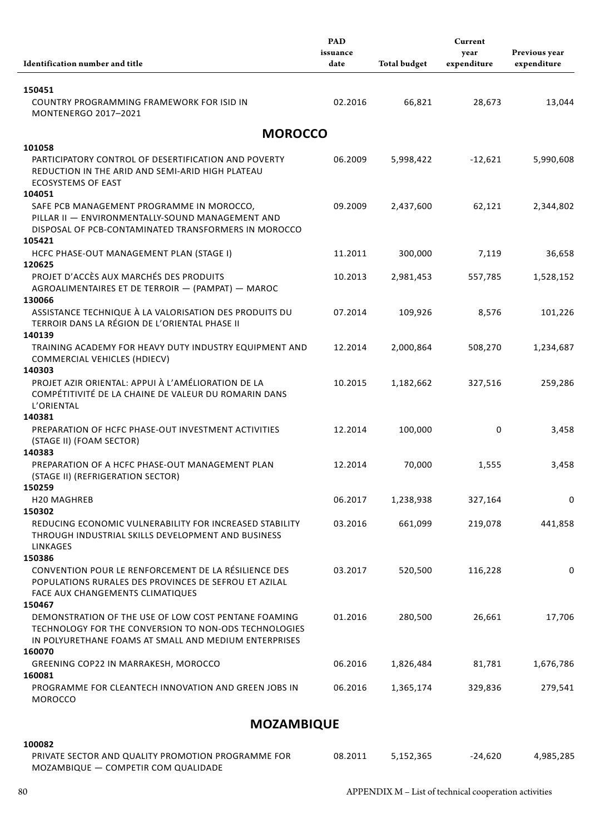|                                                                                                                                                                 | <b>PAD</b>       |                     | Current             |                              |
|-----------------------------------------------------------------------------------------------------------------------------------------------------------------|------------------|---------------------|---------------------|------------------------------|
| Identification number and title                                                                                                                                 | issuance<br>date | <b>Total budget</b> | year<br>expenditure | Previous year<br>expenditure |
|                                                                                                                                                                 |                  |                     |                     |                              |
| 150451<br>COUNTRY PROGRAMMING FRAMEWORK FOR ISID IN<br>MONTENERGO 2017-2021                                                                                     | 02.2016          | 66,821              | 28,673              | 13,044                       |
| <b>MOROCCO</b>                                                                                                                                                  |                  |                     |                     |                              |
| 101058                                                                                                                                                          |                  |                     |                     |                              |
| PARTICIPATORY CONTROL OF DESERTIFICATION AND POVERTY<br>REDUCTION IN THE ARID AND SEMI-ARID HIGH PLATEAU<br><b>ECOSYSTEMS OF EAST</b><br>104051                 | 06.2009          | 5,998,422           | $-12,621$           | 5,990,608                    |
| SAFE PCB MANAGEMENT PROGRAMME IN MOROCCO,<br>PILLAR II - ENVIRONMENTALLY-SOUND MANAGEMENT AND<br>DISPOSAL OF PCB-CONTAMINATED TRANSFORMERS IN MOROCCO<br>105421 | 09.2009          | 2,437,600           | 62,121              | 2,344,802                    |
| HCFC PHASE-OUT MANAGEMENT PLAN (STAGE I)<br>120625                                                                                                              | 11.2011          | 300,000             | 7,119               | 36,658                       |
| PROJET D'ACCÈS AUX MARCHÉS DES PRODUITS<br>AGROALIMENTAIRES ET DE TERROIR - (PAMPAT) - MAROC                                                                    | 10.2013          | 2,981,453           | 557,785             | 1,528,152                    |
| 130066<br>ASSISTANCE TECHNIQUE À LA VALORISATION DES PRODUITS DU<br>TERROIR DANS LA RÉGION DE L'ORIENTAL PHASE II                                               | 07.2014          | 109.926             | 8,576               | 101,226                      |
| 140139<br>TRAINING ACADEMY FOR HEAVY DUTY INDUSTRY EQUIPMENT AND<br>COMMERCIAL VEHICLES (HDIECV)                                                                | 12.2014          | 2,000,864           | 508,270             | 1,234,687                    |
| 140303<br>PROJET AZIR ORIENTAL: APPUI À L'AMÉLIORATION DE LA<br>COMPÉTITIVITÉ DE LA CHAINE DE VALEUR DU ROMARIN DANS<br>L'ORIENTAL                              | 10.2015          | 1,182,662           | 327,516             | 259,286                      |
| 140381<br>PREPARATION OF HCFC PHASE-OUT INVESTMENT ACTIVITIES                                                                                                   | 12.2014          | 100,000             | 0                   | 3,458                        |
| (STAGE II) (FOAM SECTOR)<br>140383                                                                                                                              |                  |                     |                     |                              |
| PREPARATION OF A HCFC PHASE-OUT MANAGEMENT PLAN<br>(STAGE II) (REFRIGERATION SECTOR)<br>150259                                                                  | 12.2014          | 70,000              | 1,555               | 3,458                        |
| H20 MAGHREB                                                                                                                                                     | 06.2017          | 1,238,938           | 327,164             | 0                            |
| 150302<br>REDUCING ECONOMIC VULNERABILITY FOR INCREASED STABILITY<br>THROUGH INDUSTRIAL SKILLS DEVELOPMENT AND BUSINESS<br>LINKAGES                             | 03.2016          | 661,099             | 219,078             | 441,858                      |
| 150386                                                                                                                                                          |                  |                     |                     |                              |
| CONVENTION POUR LE RENFORCEMENT DE LA RÉSILIENCE DES<br>POPULATIONS RURALES DES PROVINCES DE SEFROU ET AZILAL<br>FACE AUX CHANGEMENTS CLIMATIQUES               | 03.2017          | 520,500             | 116,228             | 0                            |
| 150467<br>DEMONSTRATION OF THE USE OF LOW COST PENTANE FOAMING<br>TECHNOLOGY FOR THE CONVERSION TO NON-ODS TECHNOLOGIES                                         | 01.2016          | 280,500             | 26,661              | 17,706                       |
| IN POLYURETHANE FOAMS AT SMALL AND MEDIUM ENTERPRISES<br>160070                                                                                                 |                  |                     |                     |                              |
| GREENING COP22 IN MARRAKESH, MOROCCO<br>160081                                                                                                                  | 06.2016          | 1,826,484           | 81,781              | 1,676,786                    |
| PROGRAMME FOR CLEANTECH INNOVATION AND GREEN JOBS IN<br><b>MOROCCO</b>                                                                                          | 06.2016          | 1,365,174           | 329,836             | 279,541                      |
| <b>MOZAMBIQUE</b>                                                                                                                                               |                  |                     |                     |                              |
| 100082                                                                                                                                                          |                  |                     |                     |                              |
| PRIVATE SECTOR AND QUALITY PROMOTION PROGRAMME FOR<br>MOZAMBIQUE - COMPETIR COM QUALIDADE                                                                       | 08.2011          | 5,152,365           | $-24,620$           | 4,985,285                    |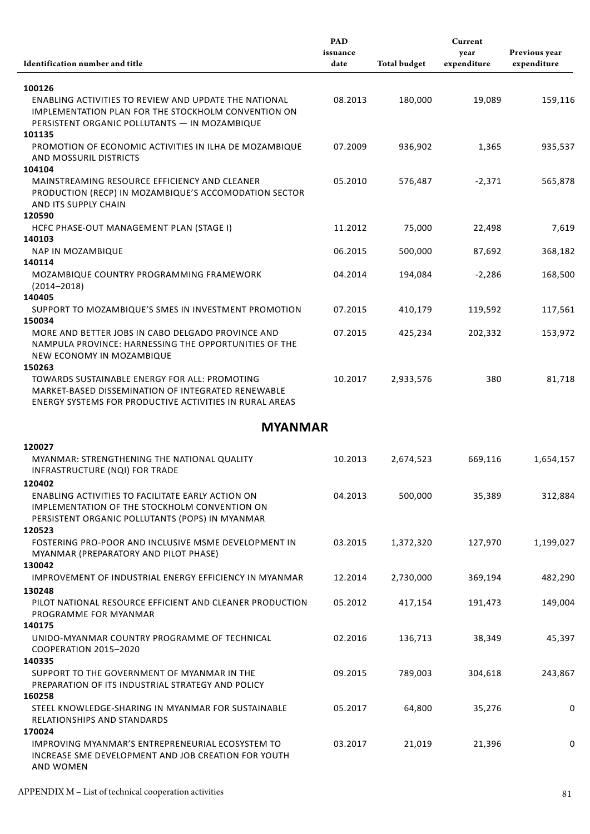|                                                                                                                                                                           | <b>PAD</b><br>issuance |                     | Current<br>year | Previous year |
|---------------------------------------------------------------------------------------------------------------------------------------------------------------------------|------------------------|---------------------|-----------------|---------------|
| Identification number and title                                                                                                                                           | date                   | <b>Total budget</b> | expenditure     | expenditure   |
| 100126                                                                                                                                                                    |                        |                     |                 |               |
| ENABLING ACTIVITIES TO REVIEW AND UPDATE THE NATIONAL<br>IMPLEMENTATION PLAN FOR THE STOCKHOLM CONVENTION ON<br>PERSISTENT ORGANIC POLLUTANTS - IN MOZAMBIQUE             | 08.2013                | 180,000             | 19,089          | 159,116       |
| 101135<br>PROMOTION OF ECONOMIC ACTIVITIES IN ILHA DE MOZAMBIQUE<br><b>AND MOSSURIL DISTRICTS</b>                                                                         | 07.2009                | 936,902             | 1,365           | 935,537       |
| 104104<br>MAINSTREAMING RESOURCE EFFICIENCY AND CLEANER<br>PRODUCTION (RECP) IN MOZAMBIQUE'S ACCOMODATION SECTOR<br>AND ITS SUPPLY CHAIN<br>120590                        | 05.2010                | 576,487             | $-2,371$        | 565,878       |
| HCFC PHASE-OUT MANAGEMENT PLAN (STAGE I)<br>140103                                                                                                                        | 11.2012                | 75,000              | 22,498          | 7,619         |
| NAP IN MOZAMBIQUE                                                                                                                                                         | 06.2015                | 500,000             | 87,692          | 368,182       |
| 140114<br>MOZAMBIQUE COUNTRY PROGRAMMING FRAMEWORK<br>$(2014 - 2018)$                                                                                                     | 04.2014                | 194,084             | $-2,286$        | 168,500       |
| 140405<br>SUPPORT TO MOZAMBIQUE'S SMES IN INVESTMENT PROMOTION                                                                                                            | 07.2015                | 410,179             | 119,592         | 117,561       |
| 150034<br>MORE AND BETTER JOBS IN CABO DELGADO PROVINCE AND<br>NAMPULA PROVINCE: HARNESSING THE OPPORTUNITIES OF THE<br>NEW ECONOMY IN MOZAMBIQUE                         | 07.2015                | 425,234             | 202,332         | 153,972       |
| 150263<br>TOWARDS SUSTAINABLE ENERGY FOR ALL: PROMOTING<br>MARKET-BASED DISSEMINATION OF INTEGRATED RENEWABLE<br>ENERGY SYSTEMS FOR PRODUCTIVE ACTIVITIES IN RURAL AREAS  | 10.2017                | 2,933,576           | 380             | 81,718        |
| <b>MYANMAR</b>                                                                                                                                                            |                        |                     |                 |               |
| 120027                                                                                                                                                                    |                        |                     |                 |               |
| MYANMAR: STRENGTHENING THE NATIONAL QUALITY<br><b>INFRASTRUCTURE (NQI) FOR TRADE</b>                                                                                      | 10.2013                | 2,674,523           | 669,116         | 1,654,157     |
| 120402<br>ENABLING ACTIVITIES TO FACILITATE EARLY ACTION ON<br>IMPLEMENTATION OF THE STOCKHOLM CONVENTION ON<br>PERSISTENT ORGANIC POLLUTANTS (POPS) IN MYANMAR<br>120523 | 04.2013                | 500,000             | 35,389          | 312,884       |
| FOSTERING PRO-POOR AND INCLUSIVE MSME DEVELOPMENT IN<br>MYANMAR (PREPARATORY AND PILOT PHASE)                                                                             | 03.2015                | 1,372,320           | 127,970         | 1,199,027     |
| 130042<br>IMPROVEMENT OF INDUSTRIAL ENERGY EFFICIENCY IN MYANMAR                                                                                                          | 12.2014                | 2,730,000           | 369,194         | 482,290       |
| 130248<br>PILOT NATIONAL RESOURCE EFFICIENT AND CLEANER PRODUCTION<br>PROGRAMME FOR MYANMAR                                                                               | 05.2012                | 417,154             | 191,473         | 149,004       |
| 140175<br>UNIDO-MYANMAR COUNTRY PROGRAMME OF TECHNICAL<br>COOPERATION 2015-2020                                                                                           | 02.2016                | 136,713             | 38,349          | 45,397        |
| 140335<br>SUPPORT TO THE GOVERNMENT OF MYANMAR IN THE                                                                                                                     | 09.2015                | 789,003             | 304,618         | 243,867       |
| PREPARATION OF ITS INDUSTRIAL STRATEGY AND POLICY<br>160258                                                                                                               |                        |                     |                 |               |
| STEEL KNOWLEDGE-SHARING IN MYANMAR FOR SUSTAINABLE<br>RELATIONSHIPS AND STANDARDS<br>170024                                                                               | 05.2017                | 64,800              | 35,276          | 0             |
| IMPROVING MYANMAR'S ENTREPRENEURIAL ECOSYSTEM TO<br>INCREASE SME DEVELOPMENT AND JOB CREATION FOR YOUTH<br>AND WOMEN                                                      | 03.2017                | 21,019              | 21,396          | 0             |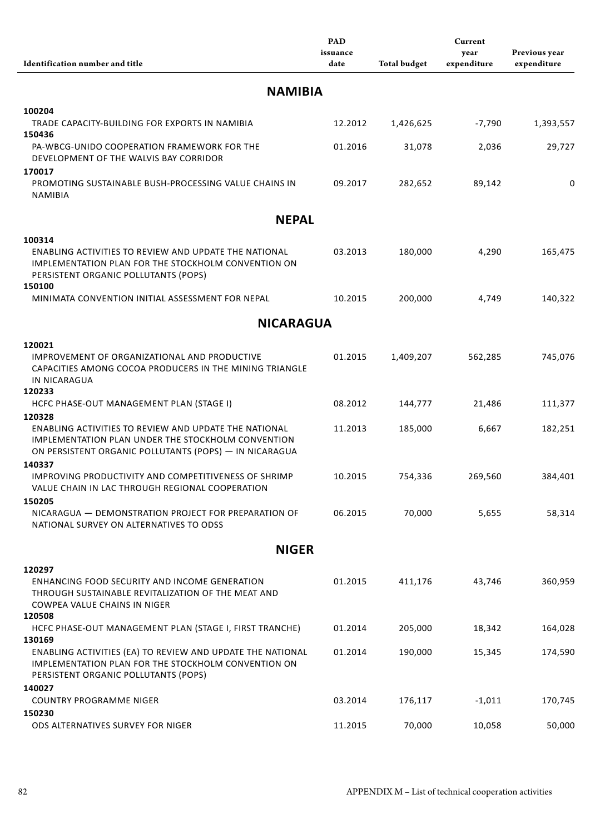| Identification number and title                                                                                                                                       | <b>PAD</b><br>issuance<br>date | <b>Total budget</b> | Current<br>year<br>expenditure | Previous year<br>expenditure |
|-----------------------------------------------------------------------------------------------------------------------------------------------------------------------|--------------------------------|---------------------|--------------------------------|------------------------------|
|                                                                                                                                                                       |                                |                     |                                |                              |
| <b>NAMIBIA</b>                                                                                                                                                        |                                |                     |                                |                              |
| 100204<br>TRADE CAPACITY-BUILDING FOR EXPORTS IN NAMIBIA<br>150436                                                                                                    | 12.2012                        | 1,426,625           | $-7,790$                       | 1,393,557                    |
| PA-WBCG-UNIDO COOPERATION FRAMEWORK FOR THE<br>DEVELOPMENT OF THE WALVIS BAY CORRIDOR                                                                                 | 01.2016                        | 31,078              | 2,036                          | 29,727                       |
| 170017<br>PROMOTING SUSTAINABLE BUSH-PROCESSING VALUE CHAINS IN<br><b>NAMIBIA</b>                                                                                     | 09.2017                        | 282,652             | 89,142                         | 0                            |
| <b>NEPAL</b>                                                                                                                                                          |                                |                     |                                |                              |
| 100314                                                                                                                                                                |                                |                     |                                |                              |
| ENABLING ACTIVITIES TO REVIEW AND UPDATE THE NATIONAL<br>IMPLEMENTATION PLAN FOR THE STOCKHOLM CONVENTION ON<br>PERSISTENT ORGANIC POLLUTANTS (POPS)                  | 03.2013                        | 180,000             | 4,290                          | 165,475                      |
| 150100<br>MINIMATA CONVENTION INITIAL ASSESSMENT FOR NEPAL                                                                                                            | 10.2015                        | 200,000             | 4,749                          | 140,322                      |
| <b>NICARAGUA</b>                                                                                                                                                      |                                |                     |                                |                              |
| 120021                                                                                                                                                                |                                |                     |                                |                              |
| IMPROVEMENT OF ORGANIZATIONAL AND PRODUCTIVE<br>CAPACITIES AMONG COCOA PRODUCERS IN THE MINING TRIANGLE<br>IN NICARAGUA                                               | 01.2015                        | 1,409,207           | 562,285                        | 745,076                      |
| 120233<br>HCFC PHASE-OUT MANAGEMENT PLAN (STAGE I)                                                                                                                    | 08.2012                        | 144,777             | 21,486                         | 111,377                      |
| 120328                                                                                                                                                                |                                |                     |                                |                              |
| ENABLING ACTIVITIES TO REVIEW AND UPDATE THE NATIONAL<br>IMPLEMENTATION PLAN UNDER THE STOCKHOLM CONVENTION<br>ON PERSISTENT ORGANIC POLLUTANTS (POPS) - IN NICARAGUA | 11.2013                        | 185,000             | 6,667                          | 182,251                      |
| 140337                                                                                                                                                                |                                |                     |                                |                              |
| IMPROVING PRODUCTIVITY AND COMPETITIVENESS OF SHRIMP<br>VALUE CHAIN IN LAC THROUGH REGIONAL COOPERATION                                                               | 10.2015                        | 754,336             | 269,560                        | 384,401                      |
| 150205<br>NICARAGUA - DEMONSTRATION PROJECT FOR PREPARATION OF<br>NATIONAL SURVEY ON ALTERNATIVES TO ODSS                                                             | 06.2015                        | 70,000              | 5,655                          | 58,314                       |
| <b>NIGER</b>                                                                                                                                                          |                                |                     |                                |                              |
| 120297                                                                                                                                                                |                                |                     |                                |                              |
| ENHANCING FOOD SECURITY AND INCOME GENERATION<br>THROUGH SUSTAINABLE REVITALIZATION OF THE MEAT AND<br><b>COWPEA VALUE CHAINS IN NIGER</b>                            | 01.2015                        | 411,176             | 43,746                         | 360,959                      |
| 120508                                                                                                                                                                |                                |                     |                                |                              |
| HCFC PHASE-OUT MANAGEMENT PLAN (STAGE I, FIRST TRANCHE)<br>130169                                                                                                     | 01.2014                        | 205,000             | 18,342                         | 164,028                      |
| ENABLING ACTIVITIES (EA) TO REVIEW AND UPDATE THE NATIONAL<br>IMPLEMENTATION PLAN FOR THE STOCKHOLM CONVENTION ON<br>PERSISTENT ORGANIC POLLUTANTS (POPS)             | 01.2014                        | 190,000             | 15,345                         | 174,590                      |
| 140027                                                                                                                                                                |                                |                     |                                |                              |
| <b>COUNTRY PROGRAMME NIGER</b>                                                                                                                                        | 03.2014                        | 176,117             | $-1,011$                       | 170,745                      |
| 150230<br>ODS ALTERNATIVES SURVEY FOR NIGER                                                                                                                           | 11.2015                        | 70,000              | 10,058                         | 50,000                       |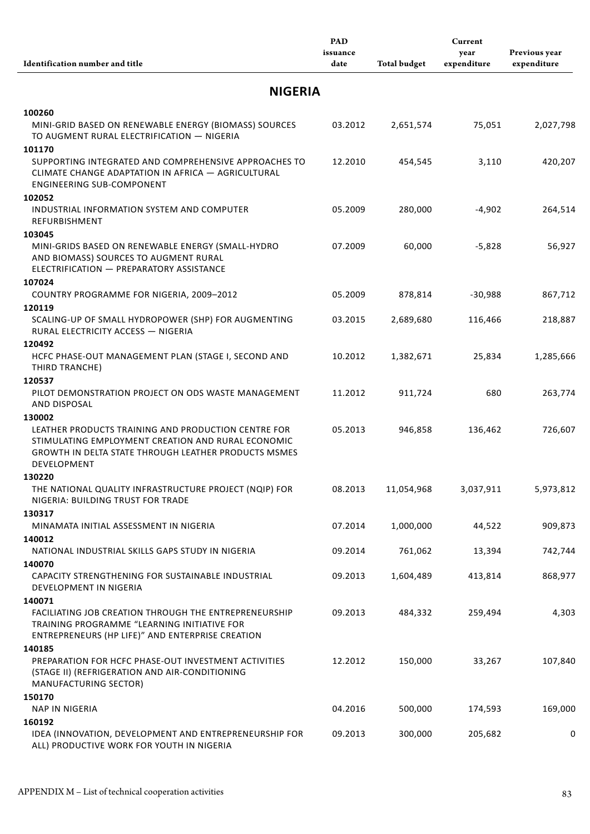| Identification number and title                                                                                                                                                                   | <b>PAD</b><br>issuance<br>date | <b>Total budget</b> | Current<br>year<br>expenditure | Previous year<br>expenditure |
|---------------------------------------------------------------------------------------------------------------------------------------------------------------------------------------------------|--------------------------------|---------------------|--------------------------------|------------------------------|
| <b>NIGERIA</b>                                                                                                                                                                                    |                                |                     |                                |                              |
| 100260<br>MINI-GRID BASED ON RENEWABLE ENERGY (BIOMASS) SOURCES<br>TO AUGMENT RURAL ELECTRIFICATION - NIGERIA                                                                                     | 03.2012                        | 2,651,574           | 75,051                         | 2,027,798                    |
| 101170                                                                                                                                                                                            |                                |                     |                                |                              |
| SUPPORTING INTEGRATED AND COMPREHENSIVE APPROACHES TO<br>CLIMATE CHANGE ADAPTATION IN AFRICA - AGRICULTURAL<br><b>ENGINEERING SUB-COMPONENT</b>                                                   | 12.2010                        | 454,545             | 3,110                          | 420,207                      |
| 102052<br>INDUSTRIAL INFORMATION SYSTEM AND COMPUTER<br>REFURBISHMENT                                                                                                                             | 05.2009                        | 280,000             | $-4,902$                       | 264,514                      |
| 103045<br>MINI-GRIDS BASED ON RENEWABLE ENERGY (SMALL-HYDRO<br>AND BIOMASS) SOURCES TO AUGMENT RURAL<br>ELECTRIFICATION - PREPARATORY ASSISTANCE                                                  | 07.2009                        | 60,000              | $-5,828$                       | 56,927                       |
| 107024<br>COUNTRY PROGRAMME FOR NIGERIA, 2009-2012                                                                                                                                                | 05.2009                        | 878,814             | $-30,988$                      | 867,712                      |
| 120119<br>SCALING-UP OF SMALL HYDROPOWER (SHP) FOR AUGMENTING<br>RURAL ELECTRICITY ACCESS - NIGERIA                                                                                               | 03.2015                        | 2,689,680           | 116,466                        | 218,887                      |
| 120492                                                                                                                                                                                            |                                |                     |                                |                              |
| HCFC PHASE-OUT MANAGEMENT PLAN (STAGE I, SECOND AND<br>THIRD TRANCHE)                                                                                                                             | 10.2012                        | 1,382,671           | 25,834                         | 1,285,666                    |
| 120537<br>PILOT DEMONSTRATION PROJECT ON ODS WASTE MANAGEMENT<br>AND DISPOSAL                                                                                                                     | 11.2012                        | 911,724             | 680                            | 263,774                      |
| 130002<br>LEATHER PRODUCTS TRAINING AND PRODUCTION CENTRE FOR<br>STIMULATING EMPLOYMENT CREATION AND RURAL ECONOMIC<br><b>GROWTH IN DELTA STATE THROUGH LEATHER PRODUCTS MSMES</b><br>DEVELOPMENT | 05.2013                        | 946,858             | 136,462                        | 726,607                      |
| 130220                                                                                                                                                                                            |                                |                     |                                |                              |
| THE NATIONAL QUALITY INFRASTRUCTURE PROJECT (NQIP) FOR<br>NIGERIA: BUILDING TRUST FOR TRADE                                                                                                       | 08.2013                        | 11,054,968          | 3,037,911                      | 5,973,812                    |
| 130317                                                                                                                                                                                            |                                |                     |                                |                              |
| MINAMATA INITIAL ASSESSMENT IN NIGERIA<br>140012                                                                                                                                                  | 07.2014                        | 1,000,000           | 44,522                         | 909,873                      |
| NATIONAL INDUSTRIAL SKILLS GAPS STUDY IN NIGERIA                                                                                                                                                  | 09.2014                        | 761,062             | 13,394                         | 742,744                      |
| 140070<br>CAPACITY STRENGTHENING FOR SUSTAINABLE INDUSTRIAL<br><b>DEVELOPMENT IN NIGERIA</b>                                                                                                      | 09.2013                        | 1,604,489           | 413,814                        | 868,977                      |
| 140071<br>FACILIATING JOB CREATION THROUGH THE ENTREPRENEURSHIP<br>TRAINING PROGRAMME "LEARNING INITIATIVE FOR<br>ENTREPRENEURS (HP LIFE)" AND ENTERPRISE CREATION                                | 09.2013                        | 484,332             | 259,494                        | 4,303                        |
| 140185<br>PREPARATION FOR HCFC PHASE-OUT INVESTMENT ACTIVITIES<br>(STAGE II) (REFRIGERATION AND AIR-CONDITIONING<br>MANUFACTURING SECTOR)                                                         | 12.2012                        | 150,000             | 33,267                         | 107,840                      |
| 150170<br><b>NAP IN NIGERIA</b>                                                                                                                                                                   | 04.2016                        | 500,000             | 174,593                        | 169,000                      |
| 160192<br>IDEA (INNOVATION, DEVELOPMENT AND ENTREPRENEURSHIP FOR<br>ALL) PRODUCTIVE WORK FOR YOUTH IN NIGERIA                                                                                     | 09.2013                        | 300,000             | 205,682                        | 0                            |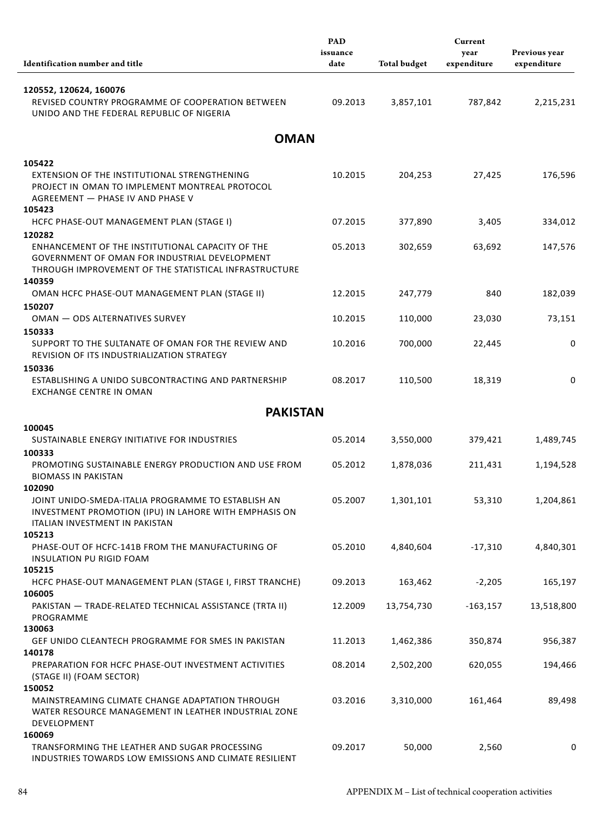|                                                                                                                                                                             | <b>PAD</b><br>issuance |                     | Current<br>year | Previous year |
|-----------------------------------------------------------------------------------------------------------------------------------------------------------------------------|------------------------|---------------------|-----------------|---------------|
| Identification number and title                                                                                                                                             | date                   | <b>Total budget</b> | expenditure     | expenditure   |
|                                                                                                                                                                             |                        |                     |                 |               |
| 120552, 120624, 160076<br>REVISED COUNTRY PROGRAMME OF COOPERATION BETWEEN<br>UNIDO AND THE FEDERAL REPUBLIC OF NIGERIA                                                     | 09.2013                | 3,857,101           | 787,842         | 2,215,231     |
| <b>OMAN</b>                                                                                                                                                                 |                        |                     |                 |               |
| 105422                                                                                                                                                                      |                        |                     |                 |               |
| EXTENSION OF THE INSTITUTIONAL STRENGTHENING<br>PROJECT IN OMAN TO IMPLEMENT MONTREAL PROTOCOL<br>AGREEMENT - PHASE IV AND PHASE V<br>105423                                | 10.2015                | 204,253             | 27,425          | 176,596       |
| HCFC PHASE-OUT MANAGEMENT PLAN (STAGE I)                                                                                                                                    | 07.2015                | 377,890             | 3,405           | 334,012       |
| 120282<br>ENHANCEMENT OF THE INSTITUTIONAL CAPACITY OF THE<br><b>GOVERNMENT OF OMAN FOR INDUSTRIAL DEVELOPMENT</b><br>THROUGH IMPROVEMENT OF THE STATISTICAL INFRASTRUCTURE | 05.2013                | 302,659             | 63,692          | 147,576       |
| 140359<br>OMAN HCFC PHASE-OUT MANAGEMENT PLAN (STAGE II)                                                                                                                    | 12.2015                | 247,779             | 840             | 182,039       |
| 150207                                                                                                                                                                      |                        |                     |                 |               |
| OMAN - ODS ALTERNATIVES SURVEY                                                                                                                                              | 10.2015                | 110,000             | 23,030          | 73,151        |
| 150333<br>SUPPORT TO THE SULTANATE OF OMAN FOR THE REVIEW AND<br>REVISION OF ITS INDUSTRIALIZATION STRATEGY                                                                 | 10.2016                | 700,000             | 22,445          | 0             |
| 150336<br>ESTABLISHING A UNIDO SUBCONTRACTING AND PARTNERSHIP<br>EXCHANGE CENTRE IN OMAN                                                                                    | 08.2017                | 110,500             | 18,319          | 0             |
| <b>PAKISTAN</b>                                                                                                                                                             |                        |                     |                 |               |
| 100045                                                                                                                                                                      |                        |                     |                 |               |
| SUSTAINABLE ENERGY INITIATIVE FOR INDUSTRIES<br>100333                                                                                                                      | 05.2014                | 3,550,000           | 379,421         | 1,489,745     |
| PROMOTING SUSTAINABLE ENERGY PRODUCTION AND USE FROM<br>BIOMASS IN PAKISTAN<br>102090                                                                                       | 05.2012                | 1,878,036           | 211,431         | 1,194,528     |
| JOINT UNIDO-SMEDA-ITALIA PROGRAMME TO ESTABLISH AN<br>INVESTMENT PROMOTION (IPU) IN LAHORE WITH EMPHASIS ON<br>ITALIAN INVESTMENT IN PAKISTAN                               | 05.2007                | 1,301,101           | 53,310          | 1,204,861     |
| 105213<br>PHASE-OUT OF HCFC-141B FROM THE MANUFACTURING OF<br><b>INSULATION PU RIGID FOAM</b>                                                                               | 05.2010                | 4,840,604           | $-17,310$       | 4,840,301     |
| 105215                                                                                                                                                                      |                        |                     |                 |               |
| HCFC PHASE-OUT MANAGEMENT PLAN (STAGE I, FIRST TRANCHE)<br>106005                                                                                                           | 09.2013                | 163,462             | $-2,205$        | 165,197       |
| PAKISTAN - TRADE-RELATED TECHNICAL ASSISTANCE (TRTA II)<br>PROGRAMME                                                                                                        | 12.2009                | 13,754,730          | $-163,157$      | 13,518,800    |
| 130063<br>GEF UNIDO CLEANTECH PROGRAMME FOR SMES IN PAKISTAN                                                                                                                | 11.2013                | 1,462,386           | 350,874         | 956,387       |
| 140178                                                                                                                                                                      |                        |                     |                 |               |
| PREPARATION FOR HCFC PHASE-OUT INVESTMENT ACTIVITIES<br>(STAGE II) (FOAM SECTOR)                                                                                            | 08.2014                | 2,502,200           | 620,055         | 194,466       |
| 150052<br>MAINSTREAMING CLIMATE CHANGE ADAPTATION THROUGH<br>WATER RESOURCE MANAGEMENT IN LEATHER INDUSTRIAL ZONE<br><b>DEVELOPMENT</b>                                     | 03.2016                | 3,310,000           | 161,464         | 89,498        |
| 160069<br>TRANSFORMING THE LEATHER AND SUGAR PROCESSING<br>INDUSTRIES TOWARDS LOW EMISSIONS AND CLIMATE RESILIENT                                                           | 09.2017                | 50,000              | 2,560           | 0             |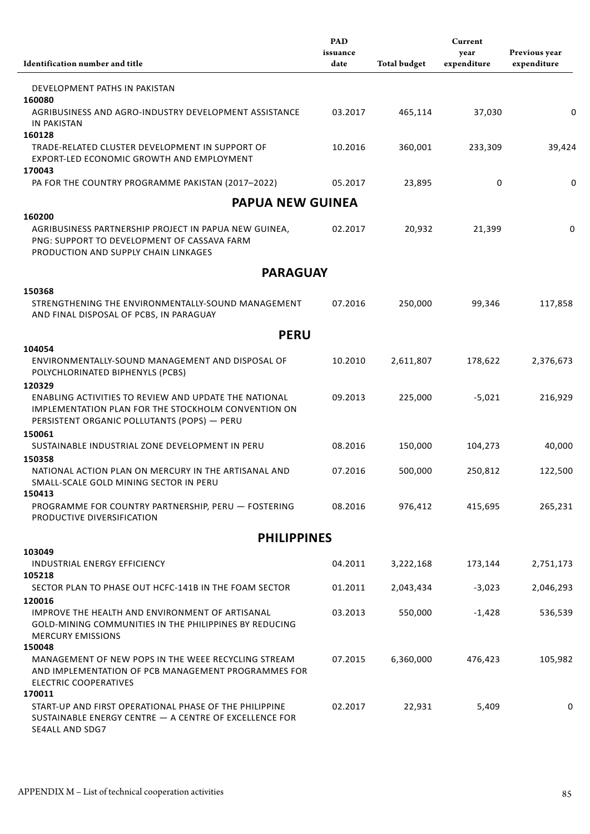|                                                                                                                                                             | <b>PAD</b><br>issuance |                     | Current             | Previous year |
|-------------------------------------------------------------------------------------------------------------------------------------------------------------|------------------------|---------------------|---------------------|---------------|
| Identification number and title                                                                                                                             | date                   | <b>Total budget</b> | year<br>expenditure | expenditure   |
| DEVELOPMENT PATHS IN PAKISTAN                                                                                                                               |                        |                     |                     |               |
| 160080                                                                                                                                                      |                        |                     |                     |               |
| AGRIBUSINESS AND AGRO-INDUSTRY DEVELOPMENT ASSISTANCE<br><b>IN PAKISTAN</b>                                                                                 | 03.2017                | 465,114             | 37,030              | 0             |
| 160128                                                                                                                                                      |                        |                     |                     |               |
| TRADE-RELATED CLUSTER DEVELOPMENT IN SUPPORT OF<br>EXPORT-LED ECONOMIC GROWTH AND EMPLOYMENT                                                                | 10.2016                | 360,001             | 233,309             | 39,424        |
| 170043<br>PA FOR THE COUNTRY PROGRAMME PAKISTAN (2017-2022)                                                                                                 | 05.2017                | 23,895              | 0                   | 0             |
| <b>PAPUA NEW GUINEA</b>                                                                                                                                     |                        |                     |                     |               |
| 160200                                                                                                                                                      |                        |                     |                     |               |
| AGRIBUSINESS PARTNERSHIP PROJECT IN PAPUA NEW GUINEA,<br>PNG: SUPPORT TO DEVELOPMENT OF CASSAVA FARM<br>PRODUCTION AND SUPPLY CHAIN LINKAGES                | 02.2017                | 20,932              | 21,399              | 0             |
| <b>PARAGUAY</b>                                                                                                                                             |                        |                     |                     |               |
| 150368                                                                                                                                                      |                        |                     |                     |               |
| STRENGTHENING THE ENVIRONMENTALLY-SOUND MANAGEMENT<br>AND FINAL DISPOSAL OF PCBS, IN PARAGUAY                                                               | 07.2016                | 250,000             | 99,346              | 117,858       |
| <b>PERU</b>                                                                                                                                                 |                        |                     |                     |               |
| 104054                                                                                                                                                      |                        |                     |                     |               |
| ENVIRONMENTALLY-SOUND MANAGEMENT AND DISPOSAL OF<br>POLYCHLORINATED BIPHENYLS (PCBS)                                                                        | 10.2010                | 2,611,807           | 178,622             | 2,376,673     |
| 120329                                                                                                                                                      |                        |                     |                     |               |
| ENABLING ACTIVITIES TO REVIEW AND UPDATE THE NATIONAL<br>IMPLEMENTATION PLAN FOR THE STOCKHOLM CONVENTION ON<br>PERSISTENT ORGANIC POLLUTANTS (POPS) - PERU | 09.2013                | 225,000             | $-5,021$            | 216,929       |
| 150061                                                                                                                                                      |                        |                     |                     |               |
| SUSTAINABLE INDUSTRIAL ZONE DEVELOPMENT IN PERU                                                                                                             | 08.2016                | 150,000             | 104,273             | 40,000        |
| 150358<br>NATIONAL ACTION PLAN ON MERCURY IN THE ARTISANAL AND<br>SMALL-SCALE GOLD MINING SECTOR IN PERU<br>150413                                          | 07.2016                | 500,000             | 250,812             | 122,500       |
| PROGRAMME FOR COUNTRY PARTNERSHIP, PERU - FOSTERING<br>PRODUCTIVE DIVERSIFICATION                                                                           | 08.2016                | 976,412             | 415,695             | 265,231       |
| <b>PHILIPPINES</b>                                                                                                                                          |                        |                     |                     |               |
| 103049                                                                                                                                                      |                        |                     |                     |               |
| INDUSTRIAL ENERGY EFFICIENCY<br>105218                                                                                                                      | 04.2011                | 3,222,168           | 173,144             | 2,751,173     |
| SECTOR PLAN TO PHASE OUT HCFC-141B IN THE FOAM SECTOR                                                                                                       | 01.2011                | 2,043,434           | $-3,023$            | 2,046,293     |
| 120016                                                                                                                                                      |                        |                     |                     |               |
| IMPROVE THE HEALTH AND ENVIRONMENT OF ARTISANAL<br>GOLD-MINING COMMUNITIES IN THE PHILIPPINES BY REDUCING                                                   | 03.2013                | 550,000             | $-1,428$            | 536,539       |
| <b>MERCURY EMISSIONS</b><br>150048                                                                                                                          |                        |                     |                     |               |
| MANAGEMENT OF NEW POPS IN THE WEEE RECYCLING STREAM<br>AND IMPLEMENTATION OF PCB MANAGEMENT PROGRAMMES FOR<br><b>ELECTRIC COOPERATIVES</b>                  | 07.2015                | 6,360,000           | 476,423             | 105,982       |
| 170011                                                                                                                                                      |                        |                     |                     |               |
| START-UP AND FIRST OPERATIONAL PHASE OF THE PHILIPPINE<br>SUSTAINABLE ENERGY CENTRE - A CENTRE OF EXCELLENCE FOR<br>SE4ALL AND SDG7                         | 02.2017                | 22,931              | 5,409               | 0             |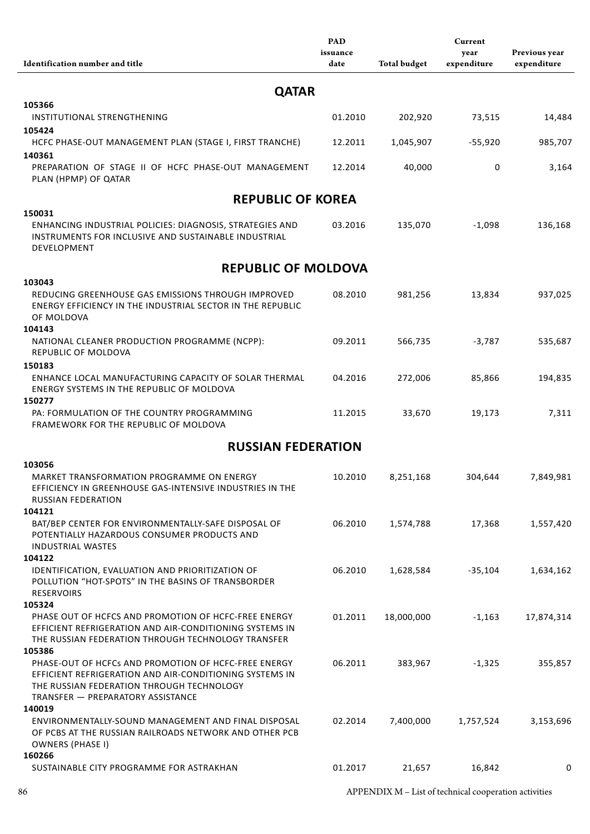|                                                                                                                                                                                                             | <b>PAD</b>       |                     | Current             |                              |
|-------------------------------------------------------------------------------------------------------------------------------------------------------------------------------------------------------------|------------------|---------------------|---------------------|------------------------------|
| Identification number and title                                                                                                                                                                             | issuance<br>date | <b>Total budget</b> | year<br>expenditure | Previous year<br>expenditure |
| <b>QATAR</b>                                                                                                                                                                                                |                  |                     |                     |                              |
| 105366                                                                                                                                                                                                      |                  |                     |                     |                              |
| INSTITUTIONAL STRENGTHENING<br>105424                                                                                                                                                                       | 01.2010          | 202,920             | 73,515              | 14,484                       |
| HCFC PHASE-OUT MANAGEMENT PLAN (STAGE I, FIRST TRANCHE)<br>140361                                                                                                                                           | 12.2011          | 1,045,907           | $-55,920$           | 985,707                      |
| PREPARATION OF STAGE II OF HCFC PHASE-OUT MANAGEMENT<br>PLAN (HPMP) OF QATAR                                                                                                                                | 12.2014          | 40,000              | 0                   | 3,164                        |
| <b>REPUBLIC OF KOREA</b>                                                                                                                                                                                    |                  |                     |                     |                              |
| 150031<br>ENHANCING INDUSTRIAL POLICIES: DIAGNOSIS, STRATEGIES AND<br>INSTRUMENTS FOR INCLUSIVE AND SUSTAINABLE INDUSTRIAL<br>DEVELOPMENT                                                                   | 03.2016          | 135,070             | $-1,098$            | 136,168                      |
| <b>REPUBLIC OF MOLDOVA</b>                                                                                                                                                                                  |                  |                     |                     |                              |
| 103043<br>REDUCING GREENHOUSE GAS EMISSIONS THROUGH IMPROVED<br>ENERGY EFFICIENCY IN THE INDUSTRIAL SECTOR IN THE REPUBLIC<br>OF MOLDOVA                                                                    | 08.2010          | 981,256             | 13,834              | 937,025                      |
| 104143<br>NATIONAL CLEANER PRODUCTION PROGRAMME (NCPP):<br>REPUBLIC OF MOLDOVA                                                                                                                              | 09.2011          | 566,735             | $-3,787$            | 535,687                      |
| 150183<br>ENHANCE LOCAL MANUFACTURING CAPACITY OF SOLAR THERMAL<br>ENERGY SYSTEMS IN THE REPUBLIC OF MOLDOVA<br>150277                                                                                      | 04.2016          | 272,006             | 85,866              | 194,835                      |
| PA: FORMULATION OF THE COUNTRY PROGRAMMING<br>FRAMEWORK FOR THE REPUBLIC OF MOLDOVA                                                                                                                         | 11.2015          | 33,670              | 19,173              | 7,311                        |
| <b>RUSSIAN FEDERATION</b>                                                                                                                                                                                   |                  |                     |                     |                              |
| 103056                                                                                                                                                                                                      |                  |                     |                     |                              |
| MARKET TRANSFORMATION PROGRAMME ON ENERGY<br>EFFICIENCY IN GREENHOUSE GAS-INTENSIVE INDUSTRIES IN THE<br><b>RUSSIAN FEDERATION</b><br>104121                                                                | 10.2010          | 8,251,168           | 304.644             | 7.849.981                    |
| BAT/BEP CENTER FOR ENVIRONMENTALLY-SAFE DISPOSAL OF<br>POTENTIALLY HAZARDOUS CONSUMER PRODUCTS AND<br><b>INDUSTRIAL WASTES</b>                                                                              | 06.2010          | 1,574,788           | 17,368              | 1,557,420                    |
| 104122<br>IDENTIFICATION, EVALUATION AND PRIORITIZATION OF<br>POLLUTION "HOT-SPOTS" IN THE BASINS OF TRANSBORDER<br><b>RESERVOIRS</b>                                                                       | 06.2010          | 1,628,584           | $-35,104$           | 1,634,162                    |
| 105324                                                                                                                                                                                                      |                  |                     |                     |                              |
| PHASE OUT OF HCFCS AND PROMOTION OF HCFC-FREE ENERGY<br>EFFICIENT REFRIGERATION AND AIR-CONDITIONING SYSTEMS IN<br>THE RUSSIAN FEDERATION THROUGH TECHNOLOGY TRANSFER                                       | 01.2011          | 18,000,000          | $-1,163$            | 17,874,314                   |
| 105386<br>PHASE-OUT OF HCFCs AND PROMOTION OF HCFC-FREE ENERGY<br>EFFICIENT REFRIGERATION AND AIR-CONDITIONING SYSTEMS IN<br>THE RUSSIAN FEDERATION THROUGH TECHNOLOGY<br>TRANSFER - PREPARATORY ASSISTANCE | 06.2011          | 383,967             | $-1,325$            | 355,857                      |
| 140019<br>ENVIRONMENTALLY-SOUND MANAGEMENT AND FINAL DISPOSAL<br>OF PCBS AT THE RUSSIAN RAILROADS NETWORK AND OTHER PCB<br><b>OWNERS (PHASE I)</b>                                                          | 02.2014          | 7,400,000           | 1,757,524           | 3,153,696                    |
| 160266<br>SUSTAINABLE CITY PROGRAMME FOR ASTRAKHAN                                                                                                                                                          | 01.2017          | 21,657              | 16,842              | 0                            |

j.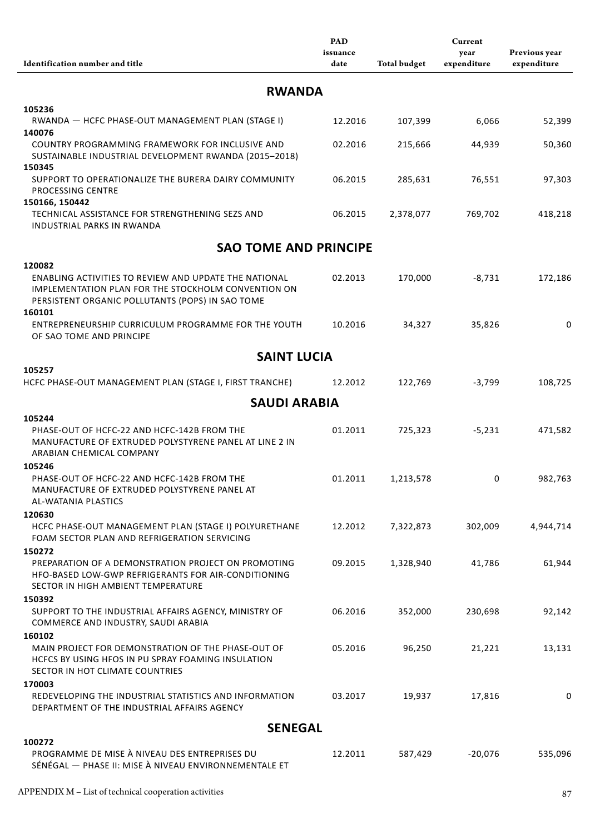|                                                                                                                                                                                   | <b>PAD</b>       |                     | Current             |                              |
|-----------------------------------------------------------------------------------------------------------------------------------------------------------------------------------|------------------|---------------------|---------------------|------------------------------|
| Identification number and title                                                                                                                                                   | issuance<br>date | <b>Total budget</b> | year<br>expenditure | Previous year<br>expenditure |
| <b>RWANDA</b>                                                                                                                                                                     |                  |                     |                     |                              |
| 105236                                                                                                                                                                            |                  |                     |                     |                              |
| RWANDA - HCFC PHASE-OUT MANAGEMENT PLAN (STAGE I)                                                                                                                                 | 12.2016          | 107,399             | 6,066               | 52,399                       |
| 140076                                                                                                                                                                            |                  |                     |                     |                              |
| COUNTRY PROGRAMMING FRAMEWORK FOR INCLUSIVE AND<br>SUSTAINABLE INDUSTRIAL DEVELOPMENT RWANDA (2015-2018)                                                                          | 02.2016          | 215,666             | 44,939              | 50,360                       |
| 150345<br>SUPPORT TO OPERATIONALIZE THE BURERA DAIRY COMMUNITY<br>PROCESSING CENTRE                                                                                               | 06.2015          | 285,631             | 76,551              | 97,303                       |
| 150166, 150442                                                                                                                                                                    |                  |                     |                     |                              |
| TECHNICAL ASSISTANCE FOR STRENGTHENING SEZS AND<br><b>INDUSTRIAL PARKS IN RWANDA</b>                                                                                              | 06.2015          | 2,378,077           | 769,702             | 418,218                      |
| <b>SAO TOME AND PRINCIPE</b>                                                                                                                                                      |                  |                     |                     |                              |
| 120082                                                                                                                                                                            |                  |                     |                     |                              |
| ENABLING ACTIVITIES TO REVIEW AND UPDATE THE NATIONAL<br><b>IMPLEMENTATION PLAN FOR THE STOCKHOLM CONVENTION ON</b><br>PERSISTENT ORGANIC POLLUTANTS (POPS) IN SAO TOME<br>160101 | 02.2013          | 170,000             | $-8,731$            | 172,186                      |
| ENTREPRENEURSHIP CURRICULUM PROGRAMME FOR THE YOUTH<br>OF SAO TOME AND PRINCIPE                                                                                                   | 10.2016          | 34,327              | 35,826              | 0                            |
|                                                                                                                                                                                   |                  |                     |                     |                              |
| <b>SAINT LUCIA</b><br>105257                                                                                                                                                      |                  |                     |                     |                              |
| HCFC PHASE-OUT MANAGEMENT PLAN (STAGE I, FIRST TRANCHE)                                                                                                                           | 12.2012          | 122,769             | $-3,799$            | 108,725                      |
|                                                                                                                                                                                   |                  |                     |                     |                              |
| <b>SAUDI ARABIA</b>                                                                                                                                                               |                  |                     |                     |                              |
| 105244<br>PHASE-OUT OF HCFC-22 AND HCFC-142B FROM THE<br>MANUFACTURE OF EXTRUDED POLYSTYRENE PANEL AT LINE 2 IN                                                                   | 01.2011          | 725,323             | $-5,231$            | 471,582                      |
| ARABIAN CHEMICAL COMPANY                                                                                                                                                          |                  |                     |                     |                              |
| 105246<br>PHASE-OUT OF HCFC-22 AND HCFC-142B FROM THE<br>MANUFACTURE OF EXTRUDED POLYSTYRENE PANEL AT<br>AL-WATANIA PLASTICS                                                      | 01.2011          | 1,213,578           | 0                   | 982,763                      |
| 120630                                                                                                                                                                            |                  |                     |                     |                              |
| HCFC PHASE-OUT MANAGEMENT PLAN (STAGE I) POLYURETHANE<br>FOAM SECTOR PLAN AND REFRIGERATION SERVICING                                                                             | 12.2012          | 7,322,873           | 302,009             | 4,944,714                    |
| 150272                                                                                                                                                                            |                  |                     |                     |                              |
| PREPARATION OF A DEMONSTRATION PROJECT ON PROMOTING<br>HFO-BASED LOW-GWP REFRIGERANTS FOR AIR-CONDITIONING<br>SECTOR IN HIGH AMBIENT TEMPERATURE                                  | 09.2015          | 1,328,940           | 41,786              | 61,944                       |
| 150392                                                                                                                                                                            |                  |                     |                     |                              |
| SUPPORT TO THE INDUSTRIAL AFFAIRS AGENCY, MINISTRY OF<br>COMMERCE AND INDUSTRY, SAUDI ARABIA                                                                                      | 06.2016          | 352,000             | 230,698             | 92,142                       |
| 160102<br>MAIN PROJECT FOR DEMONSTRATION OF THE PHASE-OUT OF<br>HCFCS BY USING HFOS IN PU SPRAY FOAMING INSULATION<br>SECTOR IN HOT CLIMATE COUNTRIES                             | 05.2016          | 96,250              | 21,221              | 13,131                       |
| 170003                                                                                                                                                                            |                  |                     |                     |                              |
| REDEVELOPING THE INDUSTRIAL STATISTICS AND INFORMATION<br>DEPARTMENT OF THE INDUSTRIAL AFFAIRS AGENCY                                                                             | 03.2017          | 19,937              | 17,816              | 0                            |
| <b>SENEGAL</b>                                                                                                                                                                    |                  |                     |                     |                              |
| 100272                                                                                                                                                                            |                  |                     |                     |                              |
| PROGRAMME DE MISE À NIVEAU DES ENTREPRISES DU<br>SÉNÉGAL - PHASE II: MISE À NIVEAU ENVIRONNEMENTALE ET                                                                            | 12.2011          | 587,429             | $-20,076$           | 535,096                      |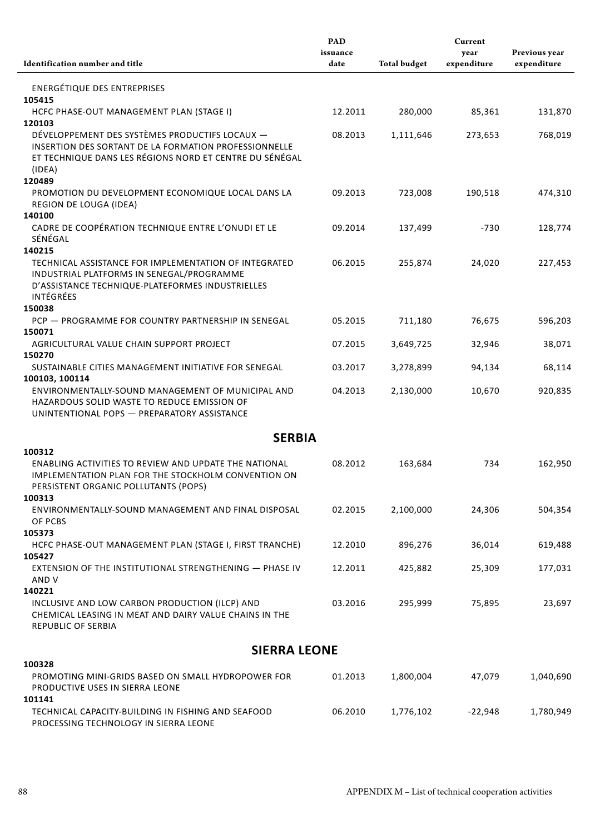| Identification number and title                                                                                                                                     | <b>PAD</b><br>issuance<br>date | <b>Total budget</b> | Current<br>year<br>expenditure | Previous year<br>expenditure |  |
|---------------------------------------------------------------------------------------------------------------------------------------------------------------------|--------------------------------|---------------------|--------------------------------|------------------------------|--|
|                                                                                                                                                                     |                                |                     |                                |                              |  |
| <b>ENERGÉTIQUE DES ENTREPRISES</b>                                                                                                                                  |                                |                     |                                |                              |  |
| 105415                                                                                                                                                              |                                |                     |                                |                              |  |
| HCFC PHASE-OUT MANAGEMENT PLAN (STAGE I)                                                                                                                            | 12.2011                        | 280,000             | 85,361                         | 131,870                      |  |
| 120103<br>DÉVELOPPEMENT DES SYSTÈMES PRODUCTIFS LOCAUX -                                                                                                            | 08.2013                        | 1,111,646           | 273,653                        | 768,019                      |  |
| INSERTION DES SORTANT DE LA FORMATION PROFESSIONNELLE<br>ET TECHNIQUE DANS LES RÉGIONS NORD ET CENTRE DU SÉNÉGAL                                                    |                                |                     |                                |                              |  |
| (IDEA)                                                                                                                                                              |                                |                     |                                |                              |  |
| 120489<br>PROMOTION DU DEVELOPMENT ECONOMIQUE LOCAL DANS LA                                                                                                         | 09.2013                        | 723,008             | 190,518                        | 474,310                      |  |
| REGION DE LOUGA (IDEA)                                                                                                                                              |                                |                     |                                |                              |  |
| 140100                                                                                                                                                              |                                |                     |                                |                              |  |
| CADRE DE COOPÉRATION TECHNIQUE ENTRE L'ONUDI ET LE<br>SÉNÉGAL                                                                                                       | 09.2014                        | 137,499             | $-730$                         | 128,774                      |  |
| 140215                                                                                                                                                              |                                |                     |                                |                              |  |
| TECHNICAL ASSISTANCE FOR IMPLEMENTATION OF INTEGRATED<br>INDUSTRIAL PLATFORMS IN SENEGAL/PROGRAMME<br>D'ASSISTANCE TECHNIQUE-PLATEFORMES INDUSTRIELLES<br>INTÉGRÉES | 06.2015                        | 255,874             | 24,020                         | 227,453                      |  |
| 150038                                                                                                                                                              |                                |                     |                                |                              |  |
| PCP - PROGRAMME FOR COUNTRY PARTNERSHIP IN SENEGAL                                                                                                                  | 05.2015                        | 711,180             | 76,675                         | 596,203                      |  |
| 150071                                                                                                                                                              |                                |                     |                                |                              |  |
| AGRICULTURAL VALUE CHAIN SUPPORT PROJECT<br>150270                                                                                                                  | 07.2015                        | 3,649,725           | 32,946                         | 38,071                       |  |
| SUSTAINABLE CITIES MANAGEMENT INITIATIVE FOR SENEGAL<br>100103, 100114                                                                                              | 03.2017                        | 3,278,899           | 94,134                         | 68,114                       |  |
| ENVIRONMENTALLY-SOUND MANAGEMENT OF MUNICIPAL AND<br>HAZARDOUS SOLID WASTE TO REDUCE EMISSION OF<br>UNINTENTIONAL POPS - PREPARATORY ASSISTANCE                     | 04.2013                        | 2,130,000           | 10,670                         | 920,835                      |  |
| <b>SERBIA</b>                                                                                                                                                       |                                |                     |                                |                              |  |
| 100312                                                                                                                                                              |                                |                     |                                |                              |  |
| ENABLING ACTIVITIES TO REVIEW AND UPDATE THE NATIONAL<br><b>IMPLEMENTATION PLAN FOR THE STOCKHOLM CONVENTION ON</b><br>PERSISTENT ORGANIC POLLUTANTS (POPS)         | 08.2012                        | 163,684             | 734                            | 162,950                      |  |
| 100313<br>ENVIRONMENTALLY-SOUND MANAGEMENT AND FINAL DISPOSAL                                                                                                       | 02.2015                        | 2,100,000           | 24,306                         | 504,354                      |  |
| OF PCBS                                                                                                                                                             |                                |                     |                                |                              |  |
| 105373                                                                                                                                                              |                                |                     |                                |                              |  |
| HCFC PHASE-OUT MANAGEMENT PLAN (STAGE I, FIRST TRANCHE)                                                                                                             | 12.2010                        | 896,276             | 36,014                         | 619,488                      |  |
| 105427<br>EXTENSION OF THE INSTITUTIONAL STRENGTHENING - PHASE IV<br>AND <sub>V</sub>                                                                               | 12.2011                        | 425,882             | 25,309                         | 177,031                      |  |
| 140221                                                                                                                                                              |                                |                     |                                |                              |  |
| INCLUSIVE AND LOW CARBON PRODUCTION (ILCP) AND<br>CHEMICAL LEASING IN MEAT AND DAIRY VALUE CHAINS IN THE<br><b>REPUBLIC OF SERBIA</b>                               | 03.2016                        | 295,999             | 75,895                         | 23,697                       |  |
| <b>SIERRA LEONE</b>                                                                                                                                                 |                                |                     |                                |                              |  |
| 100328                                                                                                                                                              |                                |                     |                                |                              |  |
| PROMOTING MINI-GRIDS BASED ON SMALL HYDROPOWER FOR<br>PRODUCTIVE USES IN SIERRA LEONE<br>101141                                                                     | 01.2013                        | 1,800,004           | 47,079                         | 1,040,690                    |  |
| TECHNICAL CAPACITY-BUILDING IN FISHING AND SEAFOOD<br>PROCESSING TECHNOLOGY IN SIERRA LEONE                                                                         | 06.2010                        | 1,776,102           | $-22,948$                      | 1,780,949                    |  |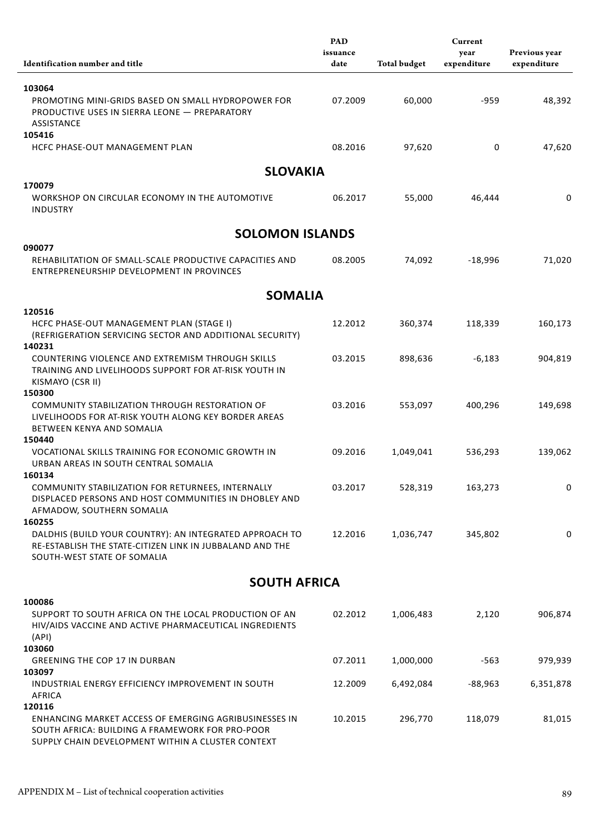| Identification number and title                                                                                                                                                | <b>PAD</b><br>issuance<br>date | <b>Total budget</b> | Current<br>year<br>expenditure | Previous year<br>expenditure |  |  |  |
|--------------------------------------------------------------------------------------------------------------------------------------------------------------------------------|--------------------------------|---------------------|--------------------------------|------------------------------|--|--|--|
|                                                                                                                                                                                |                                |                     |                                |                              |  |  |  |
| 103064<br>PROMOTING MINI-GRIDS BASED ON SMALL HYDROPOWER FOR<br>PRODUCTIVE USES IN SIERRA LEONE - PREPARATORY<br><b>ASSISTANCE</b>                                             | 07.2009                        | 60,000              | $-959$                         | 48,392                       |  |  |  |
| 105416<br><b>HCFC PHASE-OUT MANAGEMENT PLAN</b>                                                                                                                                | 08.2016                        | 97,620              | 0                              | 47,620                       |  |  |  |
|                                                                                                                                                                                |                                |                     |                                |                              |  |  |  |
| <b>SLOVAKIA</b>                                                                                                                                                                |                                |                     |                                |                              |  |  |  |
| 170079<br>WORKSHOP ON CIRCULAR ECONOMY IN THE AUTOMOTIVE<br><b>INDUSTRY</b>                                                                                                    | 06.2017                        | 55,000              | 46,444                         | 0                            |  |  |  |
| <b>SOLOMON ISLANDS</b>                                                                                                                                                         |                                |                     |                                |                              |  |  |  |
| 090077<br>REHABILITATION OF SMALL-SCALE PRODUCTIVE CAPACITIES AND<br>ENTREPRENEURSHIP DEVELOPMENT IN PROVINCES                                                                 | 08.2005                        | 74,092              | $-18,996$                      | 71,020                       |  |  |  |
| <b>SOMALIA</b>                                                                                                                                                                 |                                |                     |                                |                              |  |  |  |
| 120516                                                                                                                                                                         |                                |                     |                                |                              |  |  |  |
| HCFC PHASE-OUT MANAGEMENT PLAN (STAGE I)<br>(REFRIGERATION SERVICING SECTOR AND ADDITIONAL SECURITY)<br>140231                                                                 | 12.2012                        | 360,374             | 118,339                        | 160,173                      |  |  |  |
| COUNTERING VIOLENCE AND EXTREMISM THROUGH SKILLS<br>TRAINING AND LIVELIHOODS SUPPORT FOR AT-RISK YOUTH IN<br>KISMAYO (CSR II)                                                  | 03.2015                        | 898,636             | $-6,183$                       | 904,819                      |  |  |  |
| 150300<br>COMMUNITY STABILIZATION THROUGH RESTORATION OF<br>LIVELIHOODS FOR AT-RISK YOUTH ALONG KEY BORDER AREAS<br><b>BETWEEN KENYA AND SOMALIA</b>                           | 03.2016                        | 553,097             | 400,296                        | 149,698                      |  |  |  |
| 150440<br>VOCATIONAL SKILLS TRAINING FOR ECONOMIC GROWTH IN<br>URBAN AREAS IN SOUTH CENTRAL SOMALIA                                                                            | 09.2016                        | 1,049,041           | 536,293                        | 139,062                      |  |  |  |
| 160134<br>COMMUNITY STABILIZATION FOR RETURNEES, INTERNALLY<br>DISPLACED PERSONS AND HOST COMMUNITIES IN DHOBLEY AND<br>AFMADOW, SOUTHERN SOMALIA                              | 03.2017                        | 528,319             | 163,273                        | 0                            |  |  |  |
| 160255<br>DALDHIS (BUILD YOUR COUNTRY): AN INTEGRATED APPROACH TO<br>RE-ESTABLISH THE STATE-CITIZEN LINK IN JUBBALAND AND THE<br>SOUTH-WEST STATE OF SOMALIA                   | 12.2016                        | 1,036,747           | 345,802                        | 0                            |  |  |  |
| <b>SOUTH AFRICA</b>                                                                                                                                                            |                                |                     |                                |                              |  |  |  |
|                                                                                                                                                                                |                                |                     |                                |                              |  |  |  |
| 100086<br>SUPPORT TO SOUTH AFRICA ON THE LOCAL PRODUCTION OF AN<br>HIV/AIDS VACCINE AND ACTIVE PHARMACEUTICAL INGREDIENTS<br>(API)                                             | 02.2012                        | 1,006,483           | 2,120                          | 906,874                      |  |  |  |
| 103060<br><b>GREENING THE COP 17 IN DURBAN</b><br>103097                                                                                                                       | 07.2011                        | 1,000,000           | $-563$                         | 979,939                      |  |  |  |
| INDUSTRIAL ENERGY EFFICIENCY IMPROVEMENT IN SOUTH<br>AFRICA                                                                                                                    | 12.2009                        | 6,492,084           | $-88,963$                      | 6,351,878                    |  |  |  |
| 120116<br><b>ENHANCING MARKET ACCESS OF EMERGING AGRIBUSINESSES IN</b><br>SOUTH AFRICA: BUILDING A FRAMEWORK FOR PRO-POOR<br>SUPPLY CHAIN DEVELOPMENT WITHIN A CLUSTER CONTEXT | 10.2015                        | 296,770             | 118,079                        | 81,015                       |  |  |  |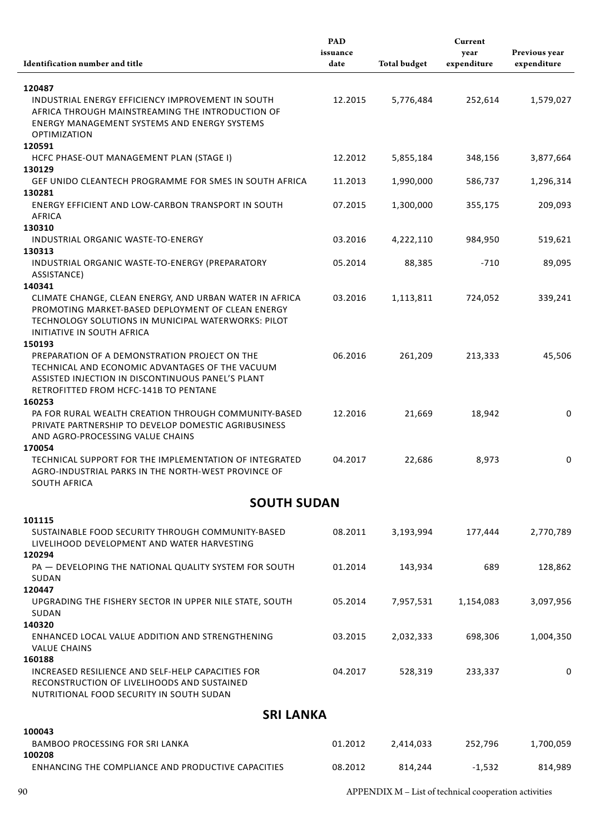|                                                                                                                                                                                                             | <b>PAD</b>       |                     | Current             |                              |
|-------------------------------------------------------------------------------------------------------------------------------------------------------------------------------------------------------------|------------------|---------------------|---------------------|------------------------------|
| Identification number and title                                                                                                                                                                             | issuance<br>date | <b>Total budget</b> | year<br>expenditure | Previous year<br>expenditure |
| 120487                                                                                                                                                                                                      |                  |                     |                     |                              |
| INDUSTRIAL ENERGY EFFICIENCY IMPROVEMENT IN SOUTH<br>AFRICA THROUGH MAINSTREAMING THE INTRODUCTION OF<br>ENERGY MANAGEMENT SYSTEMS AND ENERGY SYSTEMS<br><b>OPTIMIZATION</b>                                | 12.2015          | 5,776,484           | 252,614             | 1,579,027                    |
| 120591                                                                                                                                                                                                      |                  |                     |                     |                              |
| HCFC PHASE-OUT MANAGEMENT PLAN (STAGE I)<br>130129                                                                                                                                                          | 12.2012          | 5,855,184           | 348,156             | 3,877,664                    |
| GEF UNIDO CLEANTECH PROGRAMME FOR SMES IN SOUTH AFRICA                                                                                                                                                      | 11.2013          | 1,990,000           | 586,737             | 1,296,314                    |
| 130281<br>ENERGY EFFICIENT AND LOW-CARBON TRANSPORT IN SOUTH<br>AFRICA                                                                                                                                      | 07.2015          | 1,300,000           | 355,175             | 209,093                      |
| 130310                                                                                                                                                                                                      |                  |                     |                     |                              |
| INDUSTRIAL ORGANIC WASTE-TO-ENERGY<br>130313                                                                                                                                                                | 03.2016          | 4,222,110           | 984,950             | 519,621                      |
| INDUSTRIAL ORGANIC WASTE-TO-ENERGY (PREPARATORY<br>ASSISTANCE)                                                                                                                                              | 05.2014          | 88,385              | $-710$              | 89,095                       |
| 140341<br>CLIMATE CHANGE, CLEAN ENERGY, AND URBAN WATER IN AFRICA<br>PROMOTING MARKET-BASED DEPLOYMENT OF CLEAN ENERGY<br>TECHNOLOGY SOLUTIONS IN MUNICIPAL WATERWORKS: PILOT<br>INITIATIVE IN SOUTH AFRICA | 03.2016          | 1,113,811           | 724,052             | 339,241                      |
| 150193<br>PREPARATION OF A DEMONSTRATION PROJECT ON THE<br>TECHNICAL AND ECONOMIC ADVANTAGES OF THE VACUUM<br>ASSISTED INJECTION IN DISCONTINUOUS PANEL'S PLANT<br>RETROFITTED FROM HCFC-141B TO PENTANE    | 06.2016          | 261,209             | 213,333             | 45,506                       |
| 160253<br>PA FOR RURAL WEALTH CREATION THROUGH COMMUNITY-BASED<br>PRIVATE PARTNERSHIP TO DEVELOP DOMESTIC AGRIBUSINESS<br>AND AGRO-PROCESSING VALUE CHAINS                                                  | 12.2016          | 21,669              | 18,942              | 0                            |
| 170054<br>TECHNICAL SUPPORT FOR THE IMPLEMENTATION OF INTEGRATED<br>AGRO-INDUSTRIAL PARKS IN THE NORTH-WEST PROVINCE OF<br><b>SOUTH AFRICA</b>                                                              | 04.2017          | 22,686              | 8,973               | 0                            |
| <b>SOUTH SUDAN</b>                                                                                                                                                                                          |                  |                     |                     |                              |
| 101115<br>SUSTAINABLE FOOD SECURITY THROUGH COMMUNITY-BASED<br>LIVELIHOOD DEVELOPMENT AND WATER HARVESTING                                                                                                  | 08.2011          | 3,193,994           | 177,444             | 2,770,789                    |
| 120294<br>PA - DEVELOPING THE NATIONAL QUALITY SYSTEM FOR SOUTH<br>SUDAN                                                                                                                                    | 01.2014          | 143,934             | 689                 | 128,862                      |
| 120447<br>UPGRADING THE FISHERY SECTOR IN UPPER NILE STATE, SOUTH<br>SUDAN                                                                                                                                  | 05.2014          | 7,957,531           | 1,154,083           | 3,097,956                    |
| 140320<br>ENHANCED LOCAL VALUE ADDITION AND STRENGTHENING<br><b>VALUE CHAINS</b>                                                                                                                            | 03.2015          | 2,032,333           | 698,306             | 1,004,350                    |
| 160188<br>INCREASED RESILIENCE AND SELF-HELP CAPACITIES FOR<br>RECONSTRUCTION OF LIVELIHOODS AND SUSTAINED<br>NUTRITIONAL FOOD SECURITY IN SOUTH SUDAN                                                      | 04.2017          | 528,319             | 233,337             | 0                            |
| <b>SRI LANKA</b>                                                                                                                                                                                            |                  |                     |                     |                              |
|                                                                                                                                                                                                             |                  |                     |                     |                              |
| 100043<br><b>BAMBOO PROCESSING FOR SRI LANKA</b>                                                                                                                                                            | 01.2012          | 2,414,033           | 252,796             | 1,700,059                    |
| 100208<br>ENHANCING THE COMPLIANCE AND PRODUCTIVE CAPACITIES                                                                                                                                                | 08.2012          | 814,244             | $-1,532$            | 814,989                      |
|                                                                                                                                                                                                             |                  |                     |                     |                              |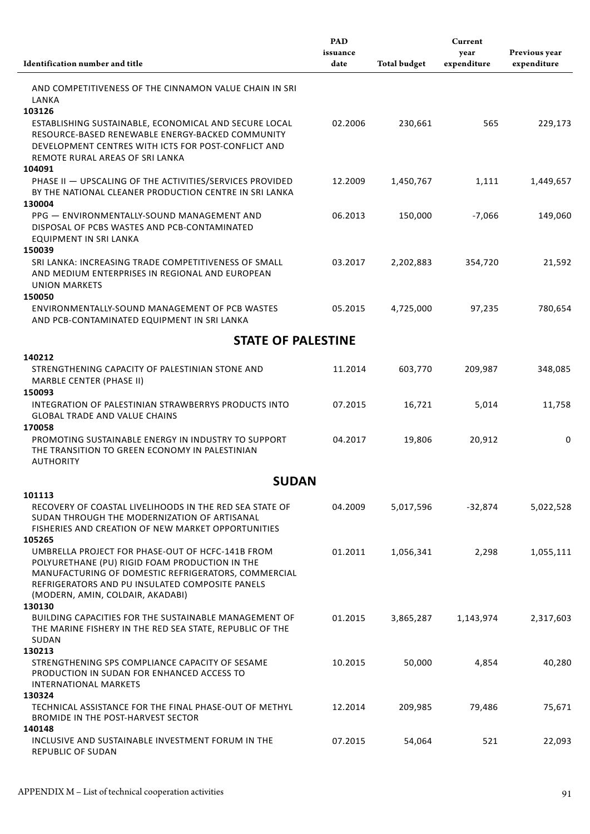|                                                                                                                                                                                                                                                  | <b>PAD</b>       |                     | Current             |                              |
|--------------------------------------------------------------------------------------------------------------------------------------------------------------------------------------------------------------------------------------------------|------------------|---------------------|---------------------|------------------------------|
| Identification number and title                                                                                                                                                                                                                  | issuance<br>date | <b>Total budget</b> | year<br>expenditure | Previous year<br>expenditure |
| AND COMPETITIVENESS OF THE CINNAMON VALUE CHAIN IN SRI<br>LANKA                                                                                                                                                                                  |                  |                     |                     |                              |
| 103126<br>ESTABLISHING SUSTAINABLE, ECONOMICAL AND SECURE LOCAL<br>RESOURCE-BASED RENEWABLE ENERGY-BACKED COMMUNITY<br>DEVELOPMENT CENTRES WITH ICTS FOR POST-CONFLICT AND<br>REMOTE RURAL AREAS OF SRI LANKA                                    | 02.2006          | 230,661             | 565                 | 229,173                      |
| 104091<br>PHASE II - UPSCALING OF THE ACTIVITIES/SERVICES PROVIDED<br>BY THE NATIONAL CLEANER PRODUCTION CENTRE IN SRI LANKA                                                                                                                     | 12.2009          | 1,450,767           | 1,111               | 1,449,657                    |
| 130004<br>PPG - ENVIRONMENTALLY-SOUND MANAGEMENT AND<br>DISPOSAL OF PCBS WASTES AND PCB-CONTAMINATED<br><b>EQUIPMENT IN SRI LANKA</b>                                                                                                            | 06.2013          | 150,000             | $-7,066$            | 149,060                      |
| 150039<br>SRI LANKA: INCREASING TRADE COMPETITIVENESS OF SMALL<br>AND MEDIUM ENTERPRISES IN REGIONAL AND EUROPEAN<br>UNION MARKETS                                                                                                               | 03.2017          | 2,202,883           | 354,720             | 21,592                       |
| 150050<br>ENVIRONMENTALLY-SOUND MANAGEMENT OF PCB WASTES<br>AND PCB-CONTAMINATED EQUIPMENT IN SRI LANKA                                                                                                                                          | 05.2015          | 4,725,000           | 97,235              | 780,654                      |
| <b>STATE OF PALESTINE</b>                                                                                                                                                                                                                        |                  |                     |                     |                              |
| 140212                                                                                                                                                                                                                                           |                  |                     |                     |                              |
| STRENGTHENING CAPACITY OF PALESTINIAN STONE AND<br><b>MARBLE CENTER (PHASE II)</b><br>150093                                                                                                                                                     | 11.2014          | 603,770             | 209,987             | 348,085                      |
| INTEGRATION OF PALESTINIAN STRAWBERRYS PRODUCTS INTO<br><b>GLOBAL TRADE AND VALUE CHAINS</b><br>170058                                                                                                                                           | 07.2015          | 16,721              | 5,014               | 11,758                       |
| PROMOTING SUSTAINABLE ENERGY IN INDUSTRY TO SUPPORT<br>THE TRANSITION TO GREEN ECONOMY IN PALESTINIAN<br><b>AUTHORITY</b>                                                                                                                        | 04.2017          | 19,806              | 20,912              | 0                            |
| <b>SUDAN</b>                                                                                                                                                                                                                                     |                  |                     |                     |                              |
| 101113                                                                                                                                                                                                                                           |                  |                     |                     |                              |
| RECOVERY OF COASTAL LIVELIHOODS IN THE RED SEA STATE OF<br>SUDAN THROUGH THE MODERNIZATION OF ARTISANAL<br>FISHERIES AND CREATION OF NEW MARKET OPPORTUNITIES<br>105265                                                                          | 04.2009          | 5,017,596           | $-32,874$           | 5,022,528                    |
| UMBRELLA PROJECT FOR PHASE-OUT OF HCFC-141B FROM<br>POLYURETHANE (PU) RIGID FOAM PRODUCTION IN THE<br>MANUFACTURING OF DOMESTIC REFRIGERATORS, COMMERCIAL<br>REFRIGERATORS AND PU INSULATED COMPOSITE PANELS<br>(MODERN, AMIN, COLDAIR, AKADABI) | 01.2011          | 1,056,341           | 2,298               | 1,055,111                    |
| 130130<br><b>BUILDING CAPACITIES FOR THE SUSTAINABLE MANAGEMENT OF</b><br>THE MARINE FISHERY IN THE RED SEA STATE, REPUBLIC OF THE<br>SUDAN                                                                                                      | 01.2015          | 3,865,287           | 1,143,974           | 2,317,603                    |
| 130213<br>STRENGTHENING SPS COMPLIANCE CAPACITY OF SESAME<br>PRODUCTION IN SUDAN FOR ENHANCED ACCESS TO<br><b>INTERNATIONAL MARKETS</b><br>130324                                                                                                | 10.2015          | 50,000              | 4,854               | 40,280                       |
| TECHNICAL ASSISTANCE FOR THE FINAL PHASE-OUT OF METHYL<br>BROMIDE IN THE POST-HARVEST SECTOR                                                                                                                                                     | 12.2014          | 209,985             | 79,486              | 75,671                       |
| 140148<br>INCLUSIVE AND SUSTAINABLE INVESTMENT FORUM IN THE<br><b>REPUBLIC OF SUDAN</b>                                                                                                                                                          | 07.2015          | 54,064              | 521                 | 22,093                       |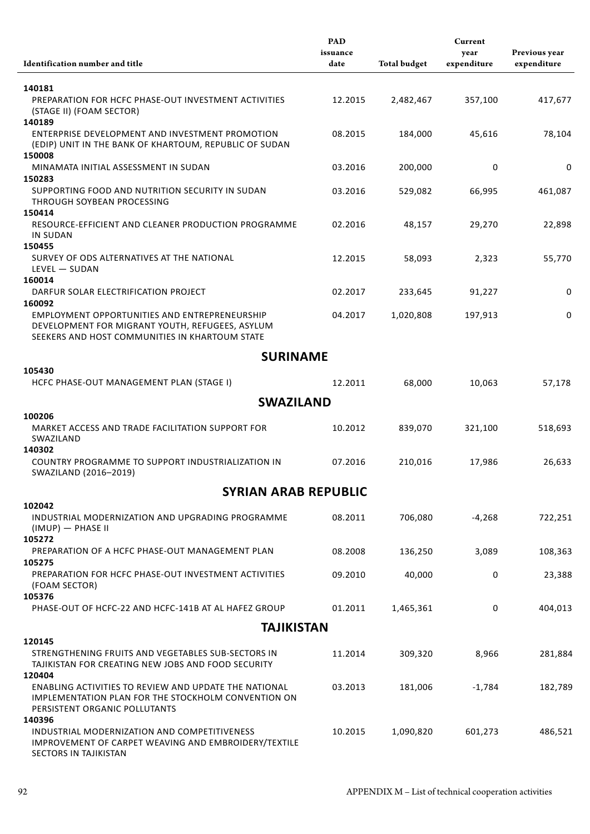|                                                                                                                                                              | <b>PAD</b><br>issuance |                     | Current<br>year | Previous year |
|--------------------------------------------------------------------------------------------------------------------------------------------------------------|------------------------|---------------------|-----------------|---------------|
| Identification number and title                                                                                                                              | date                   | <b>Total budget</b> | expenditure     | expenditure   |
| 140181                                                                                                                                                       |                        |                     |                 |               |
| PREPARATION FOR HCFC PHASE-OUT INVESTMENT ACTIVITIES<br>(STAGE II) (FOAM SECTOR)                                                                             | 12.2015                | 2,482,467           | 357,100         | 417,677       |
| 140189<br>ENTERPRISE DEVELOPMENT AND INVESTMENT PROMOTION<br>(EDIP) UNIT IN THE BANK OF KHARTOUM, REPUBLIC OF SUDAN                                          | 08.2015                | 184,000             | 45,616          | 78,104        |
| 150008<br>MINAMATA INITIAL ASSESSMENT IN SUDAN                                                                                                               | 03.2016                | 200,000             | 0               | 0             |
| 150283<br>SUPPORTING FOOD AND NUTRITION SECURITY IN SUDAN<br>THROUGH SOYBEAN PROCESSING                                                                      | 03.2016                | 529,082             | 66,995          | 461,087       |
| 150414<br>RESOURCE-EFFICIENT AND CLEANER PRODUCTION PROGRAMME<br>IN SUDAN                                                                                    | 02.2016                | 48,157              | 29,270          | 22,898        |
| 150455<br>SURVEY OF ODS ALTERNATIVES AT THE NATIONAL<br>LEVEL - SUDAN                                                                                        | 12.2015                | 58,093              | 2,323           | 55,770        |
| 160014<br>DARFUR SOLAR ELECTRIFICATION PROJECT                                                                                                               | 02.2017                | 233,645             | 91,227          | 0             |
| 160092<br>EMPLOYMENT OPPORTUNITIES AND ENTREPRENEURSHIP<br>DEVELOPMENT FOR MIGRANT YOUTH, REFUGEES, ASYLUM<br>SEEKERS AND HOST COMMUNITIES IN KHARTOUM STATE | 04.2017                | 1,020,808           | 197,913         | 0             |
| <b>SURINAME</b>                                                                                                                                              |                        |                     |                 |               |
| 105430                                                                                                                                                       |                        |                     |                 |               |
| HCFC PHASE-OUT MANAGEMENT PLAN (STAGE I)                                                                                                                     | 12.2011                | 68,000              | 10,063          | 57,178        |
| <b>SWAZILAND</b>                                                                                                                                             |                        |                     |                 |               |
| 100206<br>MARKET ACCESS AND TRADE FACILITATION SUPPORT FOR<br>SWAZILAND                                                                                      | 10.2012                | 839,070             | 321,100         | 518,693       |
| 140302<br>COUNTRY PROGRAMME TO SUPPORT INDUSTRIALIZATION IN<br>SWAZILAND (2016-2019)                                                                         | 07.2016                | 210,016             | 17,986          | 26,633        |
| <b>SYRIAN ARAB REPUBLIC</b>                                                                                                                                  |                        |                     |                 |               |
| 102042                                                                                                                                                       |                        |                     |                 |               |
| INDUSTRIAL MODERNIZATION AND UPGRADING PROGRAMME<br>$(IMUP)$ – PHASE II<br>105272                                                                            | 08.2011                | 706,080             | $-4,268$        | 722,251       |
| PREPARATION OF A HCFC PHASE-OUT MANAGEMENT PLAN                                                                                                              | 08.2008                | 136,250             | 3,089           | 108,363       |
| 105275<br>PREPARATION FOR HCFC PHASE-OUT INVESTMENT ACTIVITIES<br>(FOAM SECTOR)                                                                              | 09.2010                | 40,000              | 0               | 23,388        |
| 105376<br>PHASE-OUT OF HCFC-22 AND HCFC-141B AT AL HAFEZ GROUP                                                                                               | 01.2011                | 1,465,361           | 0               | 404,013       |
| <b>TAJIKISTAN</b>                                                                                                                                            |                        |                     |                 |               |
| 120145                                                                                                                                                       |                        |                     |                 |               |
| STRENGTHENING FRUITS AND VEGETABLES SUB-SECTORS IN<br>TAJIKISTAN FOR CREATING NEW JOBS AND FOOD SECURITY<br>120404                                           | 11.2014                | 309,320             | 8,966           | 281,884       |
| ENABLING ACTIVITIES TO REVIEW AND UPDATE THE NATIONAL<br>IMPLEMENTATION PLAN FOR THE STOCKHOLM CONVENTION ON<br>PERSISTENT ORGANIC POLLUTANTS                | 03.2013                | 181,006             | $-1,784$        | 182,789       |
| 140396<br>INDUSTRIAL MODERNIZATION AND COMPETITIVENESS<br>IMPROVEMENT OF CARPET WEAVING AND EMBROIDERY/TEXTILE<br>SECTORS IN TAJIKISTAN                      | 10.2015                | 1,090,820           | 601,273         | 486,521       |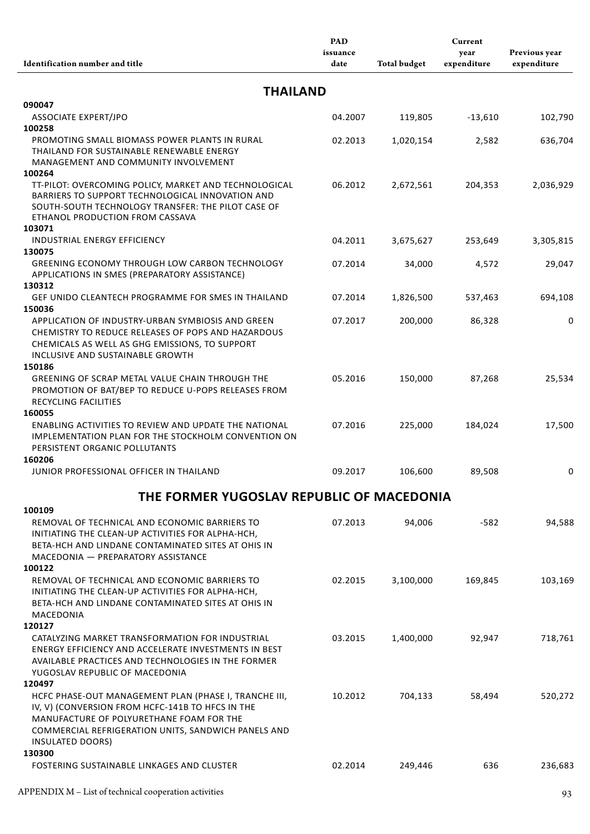|                                                                                                                                                                                                                                            | <b>PAD</b>       |                     | Current             |                              |
|--------------------------------------------------------------------------------------------------------------------------------------------------------------------------------------------------------------------------------------------|------------------|---------------------|---------------------|------------------------------|
| Identification number and title                                                                                                                                                                                                            | issuance<br>date | <b>Total budget</b> | year<br>expenditure | Previous year<br>expenditure |
| <b>THAILAND</b>                                                                                                                                                                                                                            |                  |                     |                     |                              |
| 090047                                                                                                                                                                                                                                     |                  |                     |                     |                              |
| <b>ASSOCIATE EXPERT/JPO</b>                                                                                                                                                                                                                | 04.2007          | 119,805             | $-13,610$           | 102,790                      |
| 100258                                                                                                                                                                                                                                     |                  |                     |                     |                              |
| PROMOTING SMALL BIOMASS POWER PLANTS IN RURAL<br>THAILAND FOR SUSTAINABLE RENEWABLE ENERGY<br>MANAGEMENT AND COMMUNITY INVOLVEMENT                                                                                                         | 02.2013          | 1,020,154           | 2,582               | 636,704                      |
| 100264                                                                                                                                                                                                                                     |                  |                     |                     |                              |
| TT-PILOT: OVERCOMING POLICY, MARKET AND TECHNOLOGICAL<br>BARRIERS TO SUPPORT TECHNOLOGICAL INNOVATION AND<br>SOUTH-SOUTH TECHNOLOGY TRANSFER: THE PILOT CASE OF<br>ETHANOL PRODUCTION FROM CASSAVA                                         | 06.2012          | 2,672,561           | 204,353             | 2,036,929                    |
| 103071<br>INDUSTRIAL ENERGY EFFICIENCY                                                                                                                                                                                                     | 04.2011          | 3,675,627           | 253,649             | 3,305,815                    |
| 130075                                                                                                                                                                                                                                     |                  |                     |                     |                              |
| <b>GREENING ECONOMY THROUGH LOW CARBON TECHNOLOGY</b><br>APPLICATIONS IN SMES (PREPARATORY ASSISTANCE)<br>130312                                                                                                                           | 07.2014          | 34,000              | 4,572               | 29,047                       |
| <b>GEF UNIDO CLEANTECH PROGRAMME FOR SMES IN THAILAND</b>                                                                                                                                                                                  | 07.2014          | 1,826,500           | 537,463             | 694,108                      |
| 150036                                                                                                                                                                                                                                     |                  |                     |                     |                              |
| APPLICATION OF INDUSTRY-URBAN SYMBIOSIS AND GREEN<br>CHEMISTRY TO REDUCE RELEASES OF POPS AND HAZARDOUS<br>CHEMICALS AS WELL AS GHG EMISSIONS, TO SUPPORT<br>INCLUSIVE AND SUSTAINABLE GROWTH                                              | 07.2017          | 200,000             | 86,328              | 0                            |
| 150186                                                                                                                                                                                                                                     |                  |                     |                     |                              |
| GREENING OF SCRAP METAL VALUE CHAIN THROUGH THE<br>PROMOTION OF BAT/BEP TO REDUCE U-POPS RELEASES FROM<br>RECYCLING FACILITIES                                                                                                             | 05.2016          | 150,000             | 87,268              | 25,534                       |
| 160055                                                                                                                                                                                                                                     |                  |                     |                     |                              |
| ENABLING ACTIVITIES TO REVIEW AND UPDATE THE NATIONAL<br>IMPLEMENTATION PLAN FOR THE STOCKHOLM CONVENTION ON<br>PERSISTENT ORGANIC POLLUTANTS                                                                                              | 07.2016          | 225,000             | 184,024             | 17,500                       |
| 160206                                                                                                                                                                                                                                     |                  |                     |                     |                              |
| JUNIOR PROFESSIONAL OFFICER IN THAILAND                                                                                                                                                                                                    | 09.2017          | 106,600             | 89,508              | 0                            |
| THE FORMER YUGOSLAV REPUBLIC OF MACEDONIA                                                                                                                                                                                                  |                  |                     |                     |                              |
| 100109                                                                                                                                                                                                                                     |                  |                     |                     |                              |
| REMOVAL OF TECHNICAL AND ECONOMIC BARRIERS TO<br>INITIATING THE CLEAN-UP ACTIVITIES FOR ALPHA-HCH,<br>BETA-HCH AND LINDANE CONTAMINATED SITES AT OHIS IN<br>MACEDONIA - PREPARATORY ASSISTANCE<br>100122                                   | 07.2013          | 94,006              | $-582$              | 94,588                       |
| REMOVAL OF TECHNICAL AND ECONOMIC BARRIERS TO                                                                                                                                                                                              | 02.2015          | 3,100,000           | 169,845             | 103,169                      |
| INITIATING THE CLEAN-UP ACTIVITIES FOR ALPHA-HCH,<br>BETA-HCH AND LINDANE CONTAMINATED SITES AT OHIS IN                                                                                                                                    |                  |                     |                     |                              |
| MACEDONIA<br>120127                                                                                                                                                                                                                        |                  |                     |                     |                              |
| CATALYZING MARKET TRANSFORMATION FOR INDUSTRIAL<br><b>ENERGY EFFICIENCY AND ACCELERATE INVESTMENTS IN BEST</b><br>AVAILABLE PRACTICES AND TECHNOLOGIES IN THE FORMER                                                                       | 03.2015          | 1,400,000           | 92,947              | 718,761                      |
| YUGOSLAV REPUBLIC OF MACEDONIA                                                                                                                                                                                                             |                  |                     |                     |                              |
| 120497<br>HCFC PHASE-OUT MANAGEMENT PLAN (PHASE I, TRANCHE III,<br>IV, V) (CONVERSION FROM HCFC-141B TO HFCS IN THE<br>MANUFACTURE OF POLYURETHANE FOAM FOR THE<br>COMMERCIAL REFRIGERATION UNITS, SANDWICH PANELS AND<br>INSULATED DOORS) | 10.2012          | 704,133             | 58,494              | 520,272                      |
| 130300                                                                                                                                                                                                                                     |                  |                     |                     |                              |
| FOSTERING SUSTAINABLE LINKAGES AND CLUSTER                                                                                                                                                                                                 | 02.2014          | 249,446             | 636                 | 236,683                      |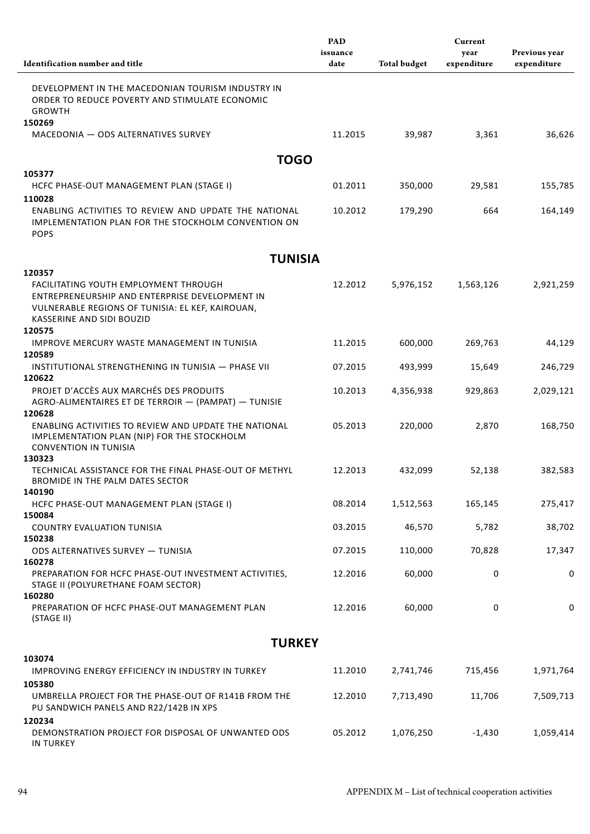|                                                                                                                                                                                    | <b>PAD</b>       |                     | Current             |                              |
|------------------------------------------------------------------------------------------------------------------------------------------------------------------------------------|------------------|---------------------|---------------------|------------------------------|
| Identification number and title                                                                                                                                                    | issuance<br>date | <b>Total budget</b> | year<br>expenditure | Previous year<br>expenditure |
| DEVELOPMENT IN THE MACEDONIAN TOURISM INDUSTRY IN<br>ORDER TO REDUCE POVERTY AND STIMULATE ECONOMIC<br><b>GROWTH</b>                                                               |                  |                     |                     |                              |
| 150269<br>MACEDONIA - ODS ALTERNATIVES SURVEY                                                                                                                                      | 11.2015          | 39,987              | 3,361               | 36,626                       |
| <b>TOGO</b>                                                                                                                                                                        |                  |                     |                     |                              |
| 105377                                                                                                                                                                             |                  |                     |                     |                              |
| HCFC PHASE-OUT MANAGEMENT PLAN (STAGE I)<br>110028                                                                                                                                 | 01.2011          | 350,000             | 29,581              | 155,785                      |
| ENABLING ACTIVITIES TO REVIEW AND UPDATE THE NATIONAL<br>IMPLEMENTATION PLAN FOR THE STOCKHOLM CONVENTION ON<br><b>POPS</b>                                                        | 10.2012          | 179,290             | 664                 | 164,149                      |
| <b>TUNISIA</b>                                                                                                                                                                     |                  |                     |                     |                              |
| 120357                                                                                                                                                                             |                  |                     |                     |                              |
| FACILITATING YOUTH EMPLOYMENT THROUGH<br>ENTREPRENEURSHIP AND ENTERPRISE DEVELOPMENT IN<br>VULNERABLE REGIONS OF TUNISIA: EL KEF, KAIROUAN,<br>KASSERINE AND SIDI BOUZID<br>120575 | 12.2012          | 5,976,152           | 1,563,126           | 2,921,259                    |
| IMPROVE MERCURY WASTE MANAGEMENT IN TUNISIA<br>120589                                                                                                                              | 11.2015          | 600,000             | 269,763             | 44,129                       |
| INSTITUTIONAL STRENGTHENING IN TUNISIA — PHASE VII                                                                                                                                 | 07.2015          | 493,999             | 15,649              | 246,729                      |
| 120622<br>PROJET D'ACCÈS AUX MARCHÉS DES PRODUITS<br>AGRO-ALIMENTAIRES ET DE TERROIR - (PAMPAT) - TUNISIE                                                                          | 10.2013          | 4,356,938           | 929,863             | 2,029,121                    |
| 120628                                                                                                                                                                             |                  |                     |                     |                              |
| ENABLING ACTIVITIES TO REVIEW AND UPDATE THE NATIONAL<br>IMPLEMENTATION PLAN (NIP) FOR THE STOCKHOLM<br><b>CONVENTION IN TUNISIA</b>                                               | 05.2013          | 220,000             | 2,870               | 168,750                      |
| 130323<br>TECHNICAL ASSISTANCE FOR THE FINAL PHASE-OUT OF METHYL<br>BROMIDE IN THE PALM DATES SECTOR                                                                               | 12.2013          | 432,099             | 52,138              | 382,583                      |
| 140190<br>HCFC PHASE-OUT MANAGEMENT PLAN (STAGE I)                                                                                                                                 | 08.2014          | 1,512,563           | 165,145             | 275,417                      |
| 150084                                                                                                                                                                             |                  |                     |                     |                              |
| COUNTRY EVALUATION TUNISIA<br>150238                                                                                                                                               | 03.2015          | 46,570              | 5,782               | 38,702                       |
| ODS ALTERNATIVES SURVEY - TUNISIA                                                                                                                                                  | 07.2015          | 110,000             | 70,828              | 17,347                       |
| 160278<br>PREPARATION FOR HCFC PHASE-OUT INVESTMENT ACTIVITIES,<br>STAGE II (POLYURETHANE FOAM SECTOR)                                                                             | 12.2016          | 60,000              | 0                   | 0                            |
| 160280                                                                                                                                                                             |                  |                     |                     |                              |
| PREPARATION OF HCFC PHASE-OUT MANAGEMENT PLAN<br>(STAGE II)                                                                                                                        | 12.2016          | 60,000              | 0                   | 0                            |
| <b>TURKEY</b>                                                                                                                                                                      |                  |                     |                     |                              |
| 103074                                                                                                                                                                             |                  |                     |                     |                              |
| <b>IMPROVING ENERGY EFFICIENCY IN INDUSTRY IN TURKEY</b><br>105380                                                                                                                 | 11.2010          | 2,741,746           | 715,456             | 1,971,764                    |
| UMBRELLA PROJECT FOR THE PHASE-OUT OF R141B FROM THE<br>PU SANDWICH PANELS AND R22/142B IN XPS                                                                                     | 12.2010          | 7,713,490           | 11,706              | 7,509,713                    |
| 120234<br>DEMONSTRATION PROJECT FOR DISPOSAL OF UNWANTED ODS<br>IN TURKEY                                                                                                          | 05.2012          | 1,076,250           | $-1,430$            | 1,059,414                    |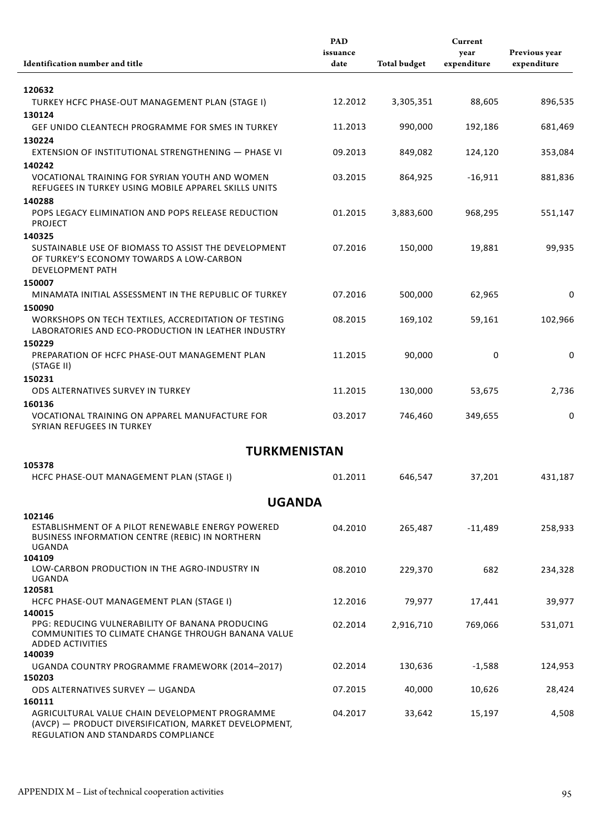| Identification number and title                                                                                                                | <b>PAD</b><br>issuance<br>date | <b>Total budget</b> | Current<br>year<br>expenditure | Previous year<br>expenditure |
|------------------------------------------------------------------------------------------------------------------------------------------------|--------------------------------|---------------------|--------------------------------|------------------------------|
|                                                                                                                                                |                                |                     |                                |                              |
| 120632<br>TURKEY HCFC PHASE-OUT MANAGEMENT PLAN (STAGE I)                                                                                      | 12.2012                        | 3,305,351           | 88,605                         | 896,535                      |
| 130124                                                                                                                                         |                                |                     |                                |                              |
| GEF UNIDO CLEANTECH PROGRAMME FOR SMES IN TURKEY                                                                                               | 11.2013                        | 990,000             | 192,186                        | 681,469                      |
| 130224                                                                                                                                         |                                |                     |                                |                              |
| EXTENSION OF INSTITUTIONAL STRENGTHENING - PHASE VI                                                                                            | 09.2013                        | 849,082             | 124,120                        | 353,084                      |
| 140242                                                                                                                                         |                                |                     |                                |                              |
| VOCATIONAL TRAINING FOR SYRIAN YOUTH AND WOMEN<br>REFUGEES IN TURKEY USING MOBILE APPAREL SKILLS UNITS                                         | 03.2015                        | 864,925             | $-16,911$                      | 881,836                      |
| 140288<br>POPS LEGACY ELIMINATION AND POPS RELEASE REDUCTION<br><b>PROJECT</b>                                                                 | 01.2015                        | 3,883,600           | 968,295                        | 551,147                      |
| 140325                                                                                                                                         |                                |                     |                                |                              |
| SUSTAINABLE USE OF BIOMASS TO ASSIST THE DEVELOPMENT<br>OF TURKEY'S ECONOMY TOWARDS A LOW-CARBON<br><b>DEVELOPMENT PATH</b>                    | 07.2016                        | 150,000             | 19,881                         | 99,935                       |
| 150007                                                                                                                                         |                                |                     |                                |                              |
| MINAMATA INITIAL ASSESSMENT IN THE REPUBLIC OF TURKEY                                                                                          | 07.2016                        | 500,000             | 62,965                         | 0                            |
| 150090<br>WORKSHOPS ON TECH TEXTILES, ACCREDITATION OF TESTING<br>LABORATORIES AND ECO-PRODUCTION IN LEATHER INDUSTRY                          | 08.2015                        | 169,102             | 59,161                         | 102,966                      |
| 150229                                                                                                                                         |                                |                     |                                |                              |
| PREPARATION OF HCFC PHASE-OUT MANAGEMENT PLAN<br>(STAGE II)                                                                                    | 11.2015                        | 90,000              | 0                              | 0                            |
| 150231                                                                                                                                         |                                |                     |                                |                              |
| ODS ALTERNATIVES SURVEY IN TURKEY                                                                                                              | 11.2015                        | 130,000             | 53,675                         | 2,736                        |
| 160136<br>VOCATIONAL TRAINING ON APPAREL MANUFACTURE FOR<br>SYRIAN REFUGEES IN TURKEY                                                          | 03.2017                        | 746,460             | 349,655                        | 0                            |
| <b>TURKMENISTAN</b>                                                                                                                            |                                |                     |                                |                              |
| 105378                                                                                                                                         |                                |                     |                                |                              |
| HCFC PHASE-OUT MANAGEMENT PLAN (STAGE I)                                                                                                       | 01.2011                        | 646,547             | 37,201                         | 431,187                      |
| <b>UGANDA</b>                                                                                                                                  |                                |                     |                                |                              |
| 102146                                                                                                                                         |                                |                     |                                |                              |
| ESTABLISHMENT OF A PILOT RENEWABLE ENERGY POWERED<br>BUSINESS INFORMATION CENTRE (REBIC) IN NORTHERN<br>UGANDA                                 | 04.2010                        | 265,487             | $-11,489$                      | 258,933                      |
| 104109                                                                                                                                         |                                |                     |                                |                              |
| LOW-CARBON PRODUCTION IN THE AGRO-INDUSTRY IN<br><b>UGANDA</b>                                                                                 | 08.2010                        | 229,370             | 682                            | 234,328                      |
| 120581                                                                                                                                         |                                |                     |                                |                              |
| HCFC PHASE-OUT MANAGEMENT PLAN (STAGE I)                                                                                                       | 12.2016                        | 79,977              | 17,441                         | 39,977                       |
| 140015                                                                                                                                         |                                |                     |                                |                              |
| PPG: REDUCING VULNERABILITY OF BANANA PRODUCING<br>COMMUNITIES TO CLIMATE CHANGE THROUGH BANANA VALUE<br><b>ADDED ACTIVITIES</b><br>140039     | 02.2014                        | 2,916,710           | 769,066                        | 531,071                      |
| UGANDA COUNTRY PROGRAMME FRAMEWORK (2014-2017)                                                                                                 | 02.2014                        | 130,636             | $-1,588$                       | 124,953                      |
| 150203                                                                                                                                         |                                |                     |                                |                              |
| ODS ALTERNATIVES SURVEY - UGANDA                                                                                                               | 07.2015                        | 40,000              | 10,626                         | 28,424                       |
| 160111                                                                                                                                         |                                |                     |                                |                              |
| AGRICULTURAL VALUE CHAIN DEVELOPMENT PROGRAMME<br>(AVCP) - PRODUCT DIVERSIFICATION, MARKET DEVELOPMENT,<br>REGULATION AND STANDARDS COMPLIANCE | 04.2017                        | 33,642              | 15,197                         | 4,508                        |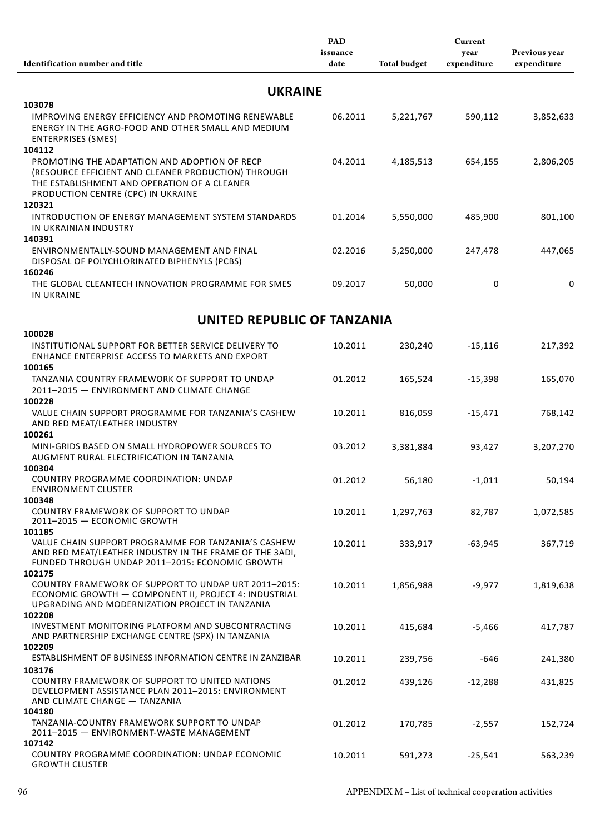|                                                                                                                                                                                                      | <b>PAD</b><br>issuance |                     | Current<br>year | Previous year |
|------------------------------------------------------------------------------------------------------------------------------------------------------------------------------------------------------|------------------------|---------------------|-----------------|---------------|
| Identification number and title                                                                                                                                                                      | date                   | <b>Total budget</b> | expenditure     | expenditure   |
| <b>UKRAINE</b>                                                                                                                                                                                       |                        |                     |                 |               |
| 103078                                                                                                                                                                                               |                        |                     |                 |               |
| <b>IMPROVING ENERGY EFFICIENCY AND PROMOTING RENEWABLE</b><br>ENERGY IN THE AGRO-FOOD AND OTHER SMALL AND MEDIUM<br><b>ENTERPRISES (SMES)</b>                                                        | 06.2011                | 5,221,767           | 590,112         | 3,852,633     |
| 104112<br>PROMOTING THE ADAPTATION AND ADOPTION OF RECP<br>(RESOURCE EFFICIENT AND CLEANER PRODUCTION) THROUGH<br>THE ESTABLISHMENT AND OPERATION OF A CLEANER<br>PRODUCTION CENTRE (CPC) IN UKRAINE | 04.2011                | 4,185,513           | 654,155         | 2,806,205     |
| 120321<br>INTRODUCTION OF ENERGY MANAGEMENT SYSTEM STANDARDS<br>IN UKRAINIAN INDUSTRY                                                                                                                | 01.2014                | 5,550,000           | 485,900         | 801,100       |
| 140391<br>ENVIRONMENTALLY-SOUND MANAGEMENT AND FINAL<br>DISPOSAL OF POLYCHLORINATED BIPHENYLS (PCBS)<br>160246                                                                                       | 02.2016                | 5,250,000           | 247,478         | 447,065       |
| THE GLOBAL CLEANTECH INNOVATION PROGRAMME FOR SMES<br>IN UKRAINE                                                                                                                                     | 09.2017                | 50,000              | 0               | 0             |
| UNITED REPUBLIC OF TANZANIA                                                                                                                                                                          |                        |                     |                 |               |
| 100028                                                                                                                                                                                               |                        |                     |                 |               |
| INSTITUTIONAL SUPPORT FOR BETTER SERVICE DELIVERY TO<br>ENHANCE ENTERPRISE ACCESS TO MARKETS AND EXPORT<br>100165                                                                                    | 10.2011                | 230,240             | $-15,116$       | 217,392       |
| TANZANIA COUNTRY FRAMEWORK OF SUPPORT TO UNDAP<br>2011-2015 - ENVIRONMENT AND CLIMATE CHANGE<br>100228                                                                                               | 01.2012                | 165,524             | $-15,398$       | 165,070       |
| VALUE CHAIN SUPPORT PROGRAMME FOR TANZANIA'S CASHEW<br>AND RED MEAT/LEATHER INDUSTRY                                                                                                                 | 10.2011                | 816,059             | $-15,471$       | 768,142       |
| 100261<br>MINI-GRIDS BASED ON SMALL HYDROPOWER SOURCES TO<br>AUGMENT RURAL ELECTRIFICATION IN TANZANIA                                                                                               | 03.2012                | 3,381,884           | 93,427          | 3,207,270     |
| 100304<br>COUNTRY PROGRAMME COORDINATION: UNDAP<br><b>ENVIRONMENT CLUSTER</b>                                                                                                                        | 01.2012                | 56,180              | $-1,011$        | 50,194        |
| 100348<br>COUNTRY FRAMEWORK OF SUPPORT TO UNDAP<br>2011-2015 - ECONOMIC GROWTH                                                                                                                       | 10.2011                | 1,297,763           | 82,787          | 1,072,585     |
| 101185<br>VALUE CHAIN SUPPORT PROGRAMME FOR TANZANIA'S CASHEW<br>AND RED MEAT/LEATHER INDUSTRY IN THE FRAME OF THE 3ADI,<br>FUNDED THROUGH UNDAP 2011-2015: ECONOMIC GROWTH                          | 10.2011                | 333,917             | $-63,945$       | 367,719       |
| 102175<br>COUNTRY FRAMEWORK OF SUPPORT TO UNDAP URT 2011-2015:<br>ECONOMIC GROWTH - COMPONENT II, PROJECT 4: INDUSTRIAL<br>UPGRADING AND MODERNIZATION PROJECT IN TANZANIA                           | 10.2011                | 1,856,988           | $-9,977$        | 1,819,638     |
| 102208<br>INVESTMENT MONITORING PLATFORM AND SUBCONTRACTING<br>AND PARTNERSHIP EXCHANGE CENTRE (SPX) IN TANZANIA                                                                                     | 10.2011                | 415,684             | $-5,466$        | 417,787       |
| 102209<br>ESTABLISHMENT OF BUSINESS INFORMATION CENTRE IN ZANZIBAR                                                                                                                                   | 10.2011                | 239,756             | $-646$          | 241,380       |
| 103176<br>COUNTRY FRAMEWORK OF SUPPORT TO UNITED NATIONS<br>DEVELOPMENT ASSISTANCE PLAN 2011-2015: ENVIRONMENT<br>AND CLIMATE CHANGE - TANZANIA                                                      | 01.2012                | 439,126             | $-12,288$       | 431,825       |
| 104180<br>TANZANIA-COUNTRY FRAMEWORK SUPPORT TO UNDAP<br>2011-2015 - ENVIRONMENT-WASTE MANAGEMENT                                                                                                    | 01.2012                | 170,785             | $-2,557$        | 152,724       |
| 107142<br>COUNTRY PROGRAMME COORDINATION: UNDAP ECONOMIC<br><b>GROWTH CLUSTER</b>                                                                                                                    | 10.2011                | 591,273             | $-25,541$       | 563,239       |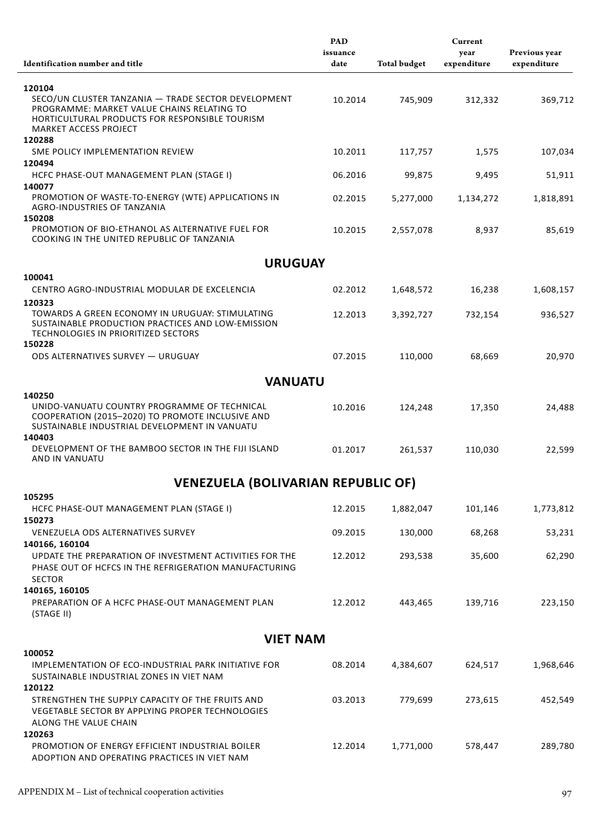| Identification number and title                                                                                                                                                        | <b>PAD</b><br>issuance |                     | Current<br>year | Previous year |
|----------------------------------------------------------------------------------------------------------------------------------------------------------------------------------------|------------------------|---------------------|-----------------|---------------|
|                                                                                                                                                                                        | date                   | <b>Total budget</b> | expenditure     | expenditure   |
| 120104<br>SECO/UN CLUSTER TANZANIA - TRADE SECTOR DEVELOPMENT<br>PROGRAMME: MARKET VALUE CHAINS RELATING TO<br>HORTICULTURAL PRODUCTS FOR RESPONSIBLE TOURISM<br>MARKET ACCESS PROJECT | 10.2014                | 745,909             | 312,332         | 369,712       |
| 120288<br>SME POLICY IMPLEMENTATION REVIEW                                                                                                                                             | 10.2011                | 117,757             | 1,575           | 107,034       |
| 120494<br>HCFC PHASE-OUT MANAGEMENT PLAN (STAGE I)<br>140077                                                                                                                           | 06.2016                | 99,875              | 9,495           | 51,911        |
| PROMOTION OF WASTE-TO-ENERGY (WTE) APPLICATIONS IN<br>AGRO-INDUSTRIES OF TANZANIA<br>150208                                                                                            | 02.2015                | 5,277,000           | 1,134,272       | 1,818,891     |
| PROMOTION OF BIO-ETHANOL AS ALTERNATIVE FUEL FOR<br>COOKING IN THE UNITED REPUBLIC OF TANZANIA                                                                                         | 10.2015                | 2,557,078           | 8,937           | 85,619        |
| <b>URUGUAY</b>                                                                                                                                                                         |                        |                     |                 |               |
| 100041                                                                                                                                                                                 | 02.2012                | 1,648,572           |                 |               |
| CENTRO AGRO-INDUSTRIAL MODULAR DE EXCELENCIA<br>120323                                                                                                                                 |                        |                     | 16,238          | 1,608,157     |
| TOWARDS A GREEN ECONOMY IN URUGUAY: STIMULATING<br>SUSTAINABLE PRODUCTION PRACTICES AND LOW-EMISSION<br>TECHNOLOGIES IN PRIORITIZED SECTORS                                            | 12.2013                | 3,392,727           | 732,154         | 936,527       |
| 150228<br>ODS ALTERNATIVES SURVEY - URUGUAY                                                                                                                                            | 07.2015                | 110,000             | 68,669          | 20,970        |
| <b>VANUATU</b>                                                                                                                                                                         |                        |                     |                 |               |
| 140250<br>UNIDO-VANUATU COUNTRY PROGRAMME OF TECHNICAL<br>COOPERATION (2015-2020) TO PROMOTE INCLUSIVE AND<br>SUSTAINABLE INDUSTRIAL DEVELOPMENT IN VANUATU                            | 10.2016                | 124,248             | 17,350          | 24,488        |
| 140403<br>DEVELOPMENT OF THE BAMBOO SECTOR IN THE FIJI ISLAND<br>AND IN VANUATU                                                                                                        | 01.2017                | 261,537             | 110,030         | 22,599        |
| <b>VENEZUELA (BOLIVARIAN REPUBLIC OF)</b>                                                                                                                                              |                        |                     |                 |               |
| 105295                                                                                                                                                                                 |                        |                     |                 |               |
| HCFC PHASE-OUT MANAGEMENT PLAN (STAGE I)<br>150273                                                                                                                                     | 12.2015                | 1,882,047           | 101,146         | 1,773,812     |
| VENEZUELA ODS ALTERNATIVES SURVEY<br>140166, 160104                                                                                                                                    | 09.2015                | 130,000             | 68,268          | 53,231        |
| UPDATE THE PREPARATION OF INVESTMENT ACTIVITIES FOR THE<br>PHASE OUT OF HCFCS IN THE REFRIGERATION MANUFACTURING<br><b>SECTOR</b>                                                      | 12.2012                | 293,538             | 35,600          | 62,290        |
| 140165, 160105<br>PREPARATION OF A HCFC PHASE-OUT MANAGEMENT PLAN<br>(STAGE II)                                                                                                        | 12.2012                | 443,465             | 139,716         | 223,150       |
| <b>VIET NAM</b>                                                                                                                                                                        |                        |                     |                 |               |
| 100052                                                                                                                                                                                 |                        |                     |                 |               |
| <b>IMPLEMENTATION OF ECO-INDUSTRIAL PARK INITIATIVE FOR</b><br>SUSTAINABLE INDUSTRIAL ZONES IN VIET NAM<br>120122                                                                      | 08.2014                | 4,384,607           | 624,517         | 1,968,646     |
| STRENGTHEN THE SUPPLY CAPACITY OF THE FRUITS AND<br>VEGETABLE SECTOR BY APPLYING PROPER TECHNOLOGIES<br>ALONG THE VALUE CHAIN<br>120263                                                | 03.2013                | 779,699             | 273,615         | 452,549       |
| PROMOTION OF ENERGY EFFICIENT INDUSTRIAL BOILER<br>ADOPTION AND OPERATING PRACTICES IN VIET NAM                                                                                        | 12.2014                | 1,771,000           | 578,447         | 289,780       |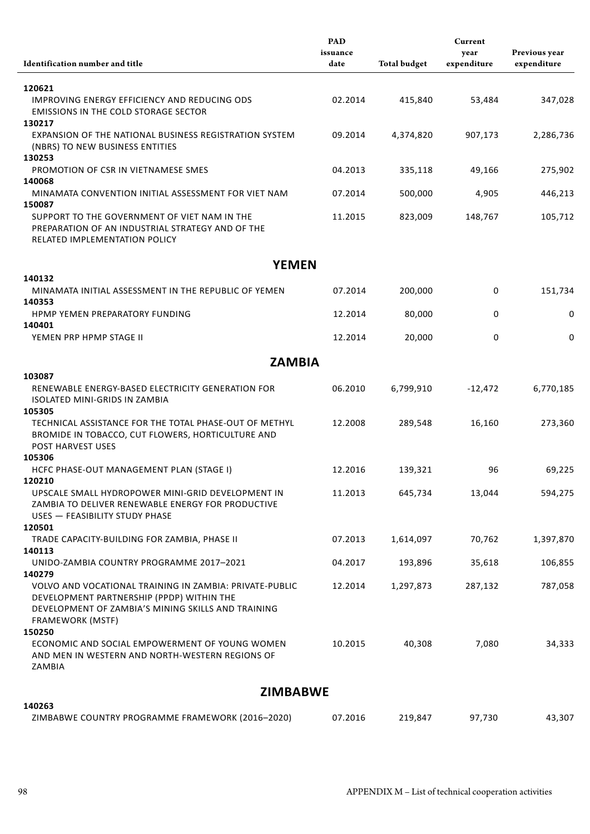|                                                                                                                                                                      | <b>PAD</b>       |                     | Current             |                              |  |
|----------------------------------------------------------------------------------------------------------------------------------------------------------------------|------------------|---------------------|---------------------|------------------------------|--|
| Identification number and title                                                                                                                                      | issuance<br>date | <b>Total budget</b> | year<br>expenditure | Previous year<br>expenditure |  |
| 120621                                                                                                                                                               |                  |                     |                     |                              |  |
| <b>IMPROVING ENERGY EFFICIENCY AND REDUCING ODS</b><br><b>EMISSIONS IN THE COLD STORAGE SECTOR</b>                                                                   | 02.2014          | 415,840             | 53,484              | 347,028                      |  |
| 130217                                                                                                                                                               |                  |                     |                     |                              |  |
| EXPANSION OF THE NATIONAL BUSINESS REGISTRATION SYSTEM<br>(NBRS) TO NEW BUSINESS ENTITIES                                                                            | 09.2014          | 4,374,820           | 907,173             | 2,286,736                    |  |
| 130253                                                                                                                                                               |                  |                     |                     |                              |  |
| PROMOTION OF CSR IN VIETNAMESE SMES<br>140068                                                                                                                        | 04.2013          | 335,118             | 49,166              | 275,902                      |  |
| MINAMATA CONVENTION INITIAL ASSESSMENT FOR VIET NAM<br>150087                                                                                                        | 07.2014          | 500,000             | 4,905               | 446,213                      |  |
| SUPPORT TO THE GOVERNMENT OF VIET NAM IN THE<br>PREPARATION OF AN INDUSTRIAL STRATEGY AND OF THE<br>RELATED IMPLEMENTATION POLICY                                    | 11.2015          | 823,009             | 148,767             | 105,712                      |  |
| <b>YEMEN</b>                                                                                                                                                         |                  |                     |                     |                              |  |
| 140132                                                                                                                                                               |                  |                     |                     |                              |  |
| MINAMATA INITIAL ASSESSMENT IN THE REPUBLIC OF YEMEN<br>140353                                                                                                       | 07.2014          | 200,000             | 0                   | 151,734                      |  |
| HPMP YEMEN PREPARATORY FUNDING<br>140401                                                                                                                             | 12.2014          | 80,000              | 0                   | 0                            |  |
| YEMEN PRP HPMP STAGE II                                                                                                                                              | 12.2014          | 20,000              | 0                   | 0                            |  |
| <b>ZAMBIA</b>                                                                                                                                                        |                  |                     |                     |                              |  |
| 103087                                                                                                                                                               |                  |                     |                     |                              |  |
| RENEWABLE ENERGY-BASED ELECTRICITY GENERATION FOR<br>ISOLATED MINI-GRIDS IN ZAMBIA<br>105305                                                                         | 06.2010          | 6,799,910           | $-12,472$           | 6,770,185                    |  |
| TECHNICAL ASSISTANCE FOR THE TOTAL PHASE-OUT OF METHYL<br>BROMIDE IN TOBACCO, CUT FLOWERS, HORTICULTURE AND<br><b>POST HARVEST USES</b>                              | 12.2008          | 289,548             | 16,160              | 273,360                      |  |
| 105306                                                                                                                                                               |                  |                     |                     |                              |  |
| HCFC PHASE-OUT MANAGEMENT PLAN (STAGE I)                                                                                                                             | 12.2016          | 139,321             | 96                  | 69,225                       |  |
| 120210                                                                                                                                                               |                  |                     |                     |                              |  |
| UPSCALE SMALL HYDROPOWER MINI-GRID DEVELOPMENT IN<br>ZAMBIA TO DELIVER RENEWABLE ENERGY FOR PRODUCTIVE<br>USES - FEASIBILITY STUDY PHASE                             | 11.2013          | 645,734             | 13,044              | 594,275                      |  |
| 120501<br>TRADE CAPACITY-BUILDING FOR ZAMBIA, PHASE II                                                                                                               | 07.2013          | 1,614,097           | 70,762              | 1,397,870                    |  |
| 140113<br>UNIDO-ZAMBIA COUNTRY PROGRAMME 2017-2021                                                                                                                   | 04.2017          | 193,896             | 35,618              | 106,855                      |  |
| 140279<br>VOLVO AND VOCATIONAL TRAINING IN ZAMBIA: PRIVATE-PUBLIC<br>DEVELOPMENT PARTNERSHIP (PPDP) WITHIN THE<br>DEVELOPMENT OF ZAMBIA'S MINING SKILLS AND TRAINING | 12.2014          | 1,297,873           | 287,132             | 787,058                      |  |
| <b>FRAMEWORK (MSTF)</b>                                                                                                                                              |                  |                     |                     |                              |  |
| 150250<br>ECONOMIC AND SOCIAL EMPOWERMENT OF YOUNG WOMEN<br>AND MEN IN WESTERN AND NORTH-WESTERN REGIONS OF<br>ZAMBIA                                                | 10.2015          | 40,308              | 7,080               | 34,333                       |  |
| <b>ZIMBABWE</b>                                                                                                                                                      |                  |                     |                     |                              |  |
| 140263                                                                                                                                                               |                  |                     |                     |                              |  |
| ZIMBABWE COUNTRY PROGRAMME FRAMEWORK (2016-2020)                                                                                                                     | 07.2016          | 219,847             | 97,730              | 43,307                       |  |

l,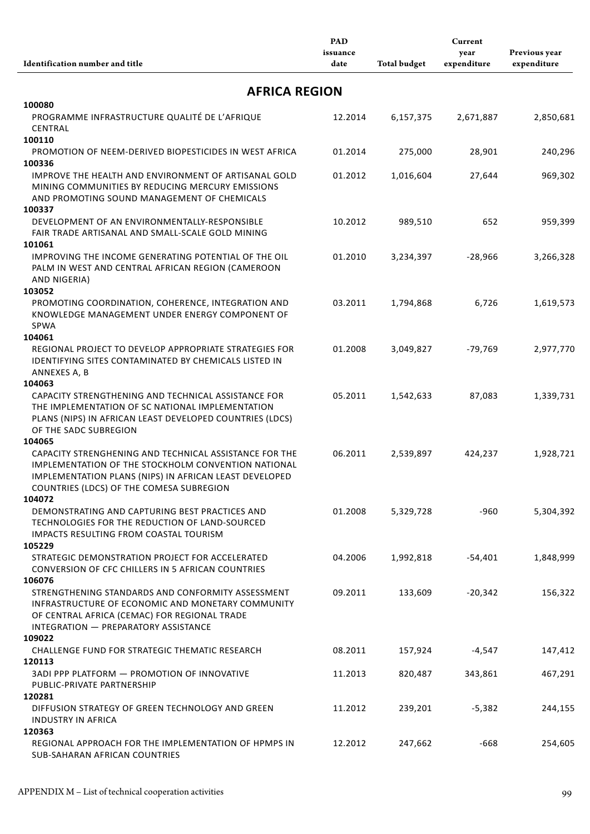| Identification number and title                                                                                                        | <b>PAD</b><br>issuance<br>date | <b>Total budget</b> | Current<br>year<br>expenditure | Previous year<br>expenditure |
|----------------------------------------------------------------------------------------------------------------------------------------|--------------------------------|---------------------|--------------------------------|------------------------------|
| <b>AFRICA REGION</b>                                                                                                                   |                                |                     |                                |                              |
| 100080                                                                                                                                 |                                |                     |                                |                              |
| PROGRAMME INFRASTRUCTURE QUALITÉ DE L'AFRIQUE                                                                                          | 12.2014                        | 6,157,375           | 2,671,887                      | 2,850,681                    |
| <b>CENTRAL</b>                                                                                                                         |                                |                     |                                |                              |
| 100110                                                                                                                                 |                                |                     |                                |                              |
| PROMOTION OF NEEM-DERIVED BIOPESTICIDES IN WEST AFRICA                                                                                 | 01.2014                        | 275,000             | 28,901                         | 240,296                      |
| 100336<br>IMPROVE THE HEALTH AND ENVIRONMENT OF ARTISANAL GOLD<br>MINING COMMUNITIES BY REDUCING MERCURY EMISSIONS                     | 01.2012                        | 1,016,604           | 27,644                         | 969,302                      |
| AND PROMOTING SOUND MANAGEMENT OF CHEMICALS<br>100337                                                                                  |                                |                     |                                |                              |
| DEVELOPMENT OF AN ENVIRONMENTALLY-RESPONSIBLE                                                                                          | 10.2012                        | 989,510             | 652                            | 959,399                      |
| FAIR TRADE ARTISANAL AND SMALL-SCALE GOLD MINING<br>101061                                                                             |                                |                     |                                |                              |
| IMPROVING THE INCOME GENERATING POTENTIAL OF THE OIL                                                                                   | 01.2010                        | 3,234,397           | $-28,966$                      | 3,266,328                    |
| PALM IN WEST AND CENTRAL AFRICAN REGION (CAMEROON<br>AND NIGERIA)                                                                      |                                |                     |                                |                              |
| 103052                                                                                                                                 |                                |                     |                                |                              |
| PROMOTING COORDINATION, COHERENCE, INTEGRATION AND<br>KNOWLEDGE MANAGEMENT UNDER ENERGY COMPONENT OF<br>SPWA                           | 03.2011                        | 1,794,868           | 6,726                          | 1,619,573                    |
| 104061                                                                                                                                 |                                |                     |                                |                              |
| REGIONAL PROJECT TO DEVELOP APPROPRIATE STRATEGIES FOR<br><b>IDENTIFYING SITES CONTAMINATED BY CHEMICALS LISTED IN</b><br>ANNEXES A, B | 01.2008                        | 3,049,827           | $-79,769$                      | 2,977,770                    |
| 104063                                                                                                                                 |                                |                     |                                |                              |
| CAPACITY STRENGTHENING AND TECHNICAL ASSISTANCE FOR                                                                                    | 05.2011                        | 1,542,633           | 87,083                         | 1,339,731                    |
| THE IMPLEMENTATION OF SC NATIONAL IMPLEMENTATION                                                                                       |                                |                     |                                |                              |
| PLANS (NIPS) IN AFRICAN LEAST DEVELOPED COUNTRIES (LDCS)                                                                               |                                |                     |                                |                              |
| OF THE SADC SUBREGION                                                                                                                  |                                |                     |                                |                              |
| 104065                                                                                                                                 |                                |                     |                                |                              |
| CAPACITY STRENGHENING AND TECHNICAL ASSISTANCE FOR THE                                                                                 | 06.2011                        | 2,539,897           | 424,237                        | 1,928,721                    |
| IMPLEMENTATION OF THE STOCKHOLM CONVENTION NATIONAL                                                                                    |                                |                     |                                |                              |
| IMPLEMENTATION PLANS (NIPS) IN AFRICAN LEAST DEVELOPED                                                                                 |                                |                     |                                |                              |
| COUNTRIES (LDCS) OF THE COMESA SUBREGION                                                                                               |                                |                     |                                |                              |
| 104072                                                                                                                                 |                                |                     |                                |                              |
| DEMONSTRATING AND CAPTURING BEST PRACTICES AND                                                                                         | 01.2008                        | 5,329,728           | $-960$                         | 5,304,392                    |
| TECHNOLOGIES FOR THE REDUCTION OF LAND-SOURCED                                                                                         |                                |                     |                                |                              |
| IMPACTS RESULTING FROM COASTAL TOURISM<br>105229                                                                                       |                                |                     |                                |                              |
| STRATEGIC DEMONSTRATION PROJECT FOR ACCELERATED                                                                                        | 04.2006                        | 1,992,818           | $-54,401$                      | 1,848,999                    |
| CONVERSION OF CFC CHILLERS IN 5 AFRICAN COUNTRIES                                                                                      |                                |                     |                                |                              |
| 106076                                                                                                                                 |                                |                     |                                |                              |
| STRENGTHENING STANDARDS AND CONFORMITY ASSESSMENT                                                                                      | 09.2011                        | 133,609             | $-20,342$                      | 156,322                      |
| INFRASTRUCTURE OF ECONOMIC AND MONETARY COMMUNITY                                                                                      |                                |                     |                                |                              |
| OF CENTRAL AFRICA (CEMAC) FOR REGIONAL TRADE                                                                                           |                                |                     |                                |                              |
| INTEGRATION - PREPARATORY ASSISTANCE                                                                                                   |                                |                     |                                |                              |
| 109022                                                                                                                                 |                                |                     |                                |                              |
| CHALLENGE FUND FOR STRATEGIC THEMATIC RESEARCH                                                                                         | 08.2011                        | 157,924             | $-4,547$                       | 147,412                      |
| 120113                                                                                                                                 |                                |                     |                                |                              |
| 3ADI PPP PLATFORM - PROMOTION OF INNOVATIVE                                                                                            | 11.2013                        | 820,487             | 343,861                        | 467,291                      |
| PUBLIC-PRIVATE PARTNERSHIP                                                                                                             |                                |                     |                                |                              |
| 120281                                                                                                                                 |                                |                     |                                |                              |
| DIFFUSION STRATEGY OF GREEN TECHNOLOGY AND GREEN                                                                                       | 11.2012                        | 239,201             | $-5,382$                       | 244,155                      |
| <b>INDUSTRY IN AFRICA</b>                                                                                                              |                                |                     |                                |                              |
| 120363<br>REGIONAL APPROACH FOR THE IMPLEMENTATION OF HPMPS IN                                                                         | 12.2012                        | 247,662             | $-668$                         | 254,605                      |
| SUB-SAHARAN AFRICAN COUNTRIES                                                                                                          |                                |                     |                                |                              |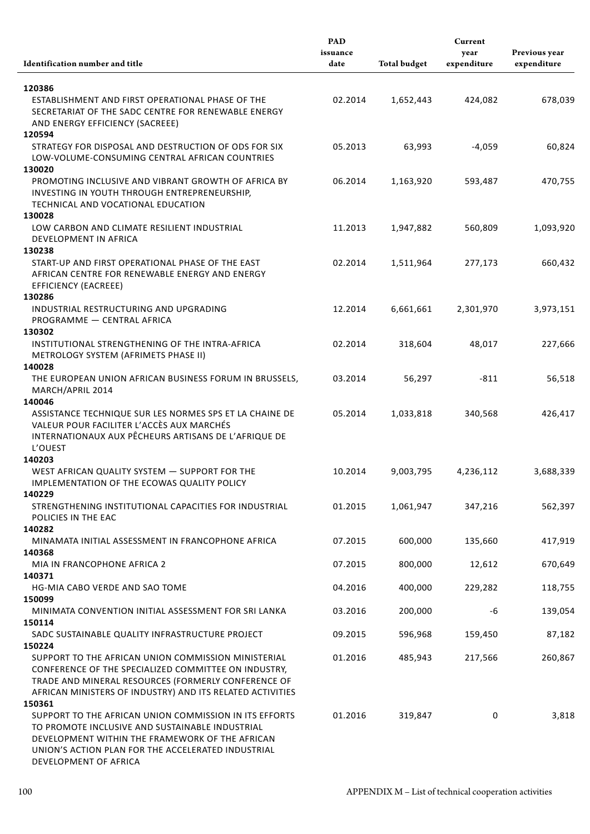| Identification number and title                                                                                                                                                                                                                       | <b>PAD</b><br>issuance |                     | Current<br>year | Previous year |
|-------------------------------------------------------------------------------------------------------------------------------------------------------------------------------------------------------------------------------------------------------|------------------------|---------------------|-----------------|---------------|
|                                                                                                                                                                                                                                                       | date                   | <b>Total budget</b> | expenditure     | expenditure   |
| 120386                                                                                                                                                                                                                                                |                        |                     |                 |               |
| ESTABLISHMENT AND FIRST OPERATIONAL PHASE OF THE<br>SECRETARIAT OF THE SADC CENTRE FOR RENEWABLE ENERGY<br>AND ENERGY EFFICIENCY (SACREEE)                                                                                                            | 02.2014                | 1,652,443           | 424,082         | 678,039       |
| 120594                                                                                                                                                                                                                                                |                        |                     |                 |               |
| STRATEGY FOR DISPOSAL AND DESTRUCTION OF ODS FOR SIX<br>LOW-VOLUME-CONSUMING CENTRAL AFRICAN COUNTRIES                                                                                                                                                | 05.2013                | 63,993              | $-4,059$        | 60,824        |
| 130020<br>PROMOTING INCLUSIVE AND VIBRANT GROWTH OF AFRICA BY<br>INVESTING IN YOUTH THROUGH ENTREPRENEURSHIP,<br>TECHNICAL AND VOCATIONAL EDUCATION                                                                                                   | 06.2014                | 1,163,920           | 593,487         | 470,755       |
| 130028                                                                                                                                                                                                                                                |                        |                     |                 |               |
| LOW CARBON AND CLIMATE RESILIENT INDUSTRIAL<br>DEVELOPMENT IN AFRICA                                                                                                                                                                                  | 11.2013                | 1,947,882           | 560,809         | 1,093,920     |
| 130238                                                                                                                                                                                                                                                |                        |                     |                 |               |
| START-UP AND FIRST OPERATIONAL PHASE OF THE EAST<br>AFRICAN CENTRE FOR RENEWABLE ENERGY AND ENERGY<br><b>EFFICIENCY (EACREEE)</b>                                                                                                                     | 02.2014                | 1,511,964           | 277,173         | 660,432       |
| 130286<br>INDUSTRIAL RESTRUCTURING AND UPGRADING<br>PROGRAMME - CENTRAL AFRICA                                                                                                                                                                        | 12.2014                | 6,661,661           | 2,301,970       | 3,973,151     |
| 130302                                                                                                                                                                                                                                                |                        |                     |                 |               |
| INSTITUTIONAL STRENGTHENING OF THE INTRA-AFRICA<br>METROLOGY SYSTEM (AFRIMETS PHASE II)                                                                                                                                                               | 02.2014                | 318,604             | 48,017          | 227,666       |
| 140028                                                                                                                                                                                                                                                |                        |                     |                 |               |
| THE EUROPEAN UNION AFRICAN BUSINESS FORUM IN BRUSSELS,<br>MARCH/APRIL 2014                                                                                                                                                                            | 03.2014                | 56,297              | $-811$          | 56,518        |
| 140046<br>ASSISTANCE TECHNIQUE SUR LES NORMES SPS ET LA CHAINE DE<br>VALEUR POUR FACILITER L'ACCÈS AUX MARCHÉS<br>INTERNATIONAUX AUX PÊCHEURS ARTISANS DE L'AFRIQUE DE                                                                                | 05.2014                | 1,033,818           | 340,568         | 426,417       |
| L'OUEST<br>140203                                                                                                                                                                                                                                     |                        |                     |                 |               |
| WEST AFRICAN QUALITY SYSTEM - SUPPORT FOR THE<br>IMPLEMENTATION OF THE ECOWAS QUALITY POLICY                                                                                                                                                          | 10.2014                | 9,003,795           | 4,236,112       | 3,688,339     |
| 140229                                                                                                                                                                                                                                                |                        |                     |                 |               |
| STRENGTHENING INSTITUTIONAL CAPACITIES FOR INDUSTRIAL<br>POLICIES IN THE EAC                                                                                                                                                                          | 01.2015                | 1,061,947           | 347,216         | 562,397       |
| 140282<br>MINAMATA INITIAL ASSESSMENT IN FRANCOPHONE AFRICA                                                                                                                                                                                           | 07.2015                | 600,000             | 135,660         | 417,919       |
| 140368<br>MIA IN FRANCOPHONE AFRICA 2<br>140371                                                                                                                                                                                                       | 07.2015                | 800,000             | 12,612          | 670,649       |
| HG-MIA CABO VERDE AND SAO TOME<br>150099                                                                                                                                                                                                              | 04.2016                | 400,000             | 229,282         | 118,755       |
| MINIMATA CONVENTION INITIAL ASSESSMENT FOR SRI LANKA                                                                                                                                                                                                  | 03.2016                | 200,000             | -6              | 139,054       |
| 150114                                                                                                                                                                                                                                                |                        |                     |                 |               |
| SADC SUSTAINABLE QUALITY INFRASTRUCTURE PROJECT<br>150224                                                                                                                                                                                             | 09.2015                | 596,968             | 159,450         | 87,182        |
| SUPPORT TO THE AFRICAN UNION COMMISSION MINISTERIAL<br>CONFERENCE OF THE SPECIALIZED COMMITTEE ON INDUSTRY,<br>TRADE AND MINERAL RESOURCES (FORMERLY CONFERENCE OF<br>AFRICAN MINISTERS OF INDUSTRY) AND ITS RELATED ACTIVITIES                       | 01.2016                | 485,943             | 217,566         | 260,867       |
| 150361<br>SUPPORT TO THE AFRICAN UNION COMMISSION IN ITS EFFORTS<br>TO PROMOTE INCLUSIVE AND SUSTAINABLE INDUSTRIAL<br>DEVELOPMENT WITHIN THE FRAMEWORK OF THE AFRICAN<br>UNION'S ACTION PLAN FOR THE ACCELERATED INDUSTRIAL<br>DEVELOPMENT OF AFRICA | 01.2016                | 319,847             | 0               | 3,818         |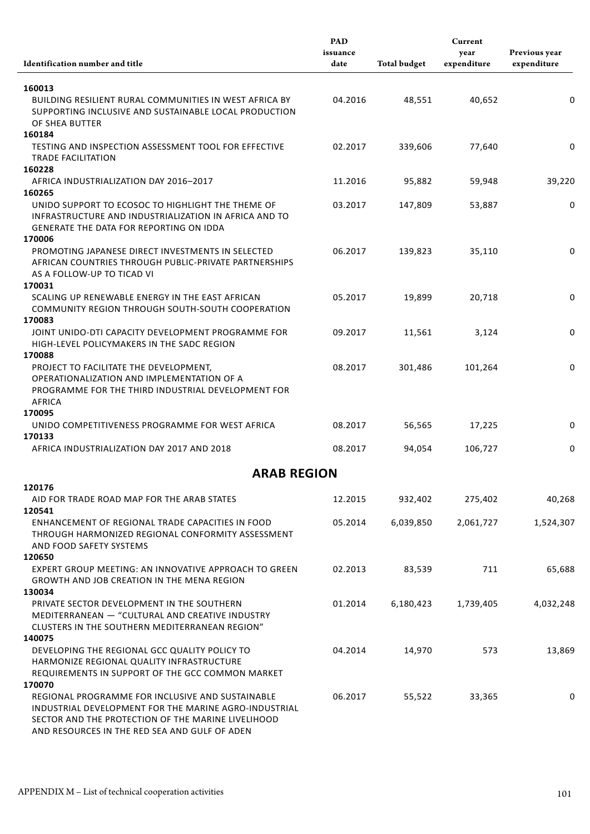| Identification number and title                                                                                                                                                                                  | <b>PAD</b><br>issuance<br>date | <b>Total budget</b> | Current<br>year<br>expenditure | Previous year<br>expenditure |
|------------------------------------------------------------------------------------------------------------------------------------------------------------------------------------------------------------------|--------------------------------|---------------------|--------------------------------|------------------------------|
|                                                                                                                                                                                                                  |                                |                     |                                |                              |
| 160013                                                                                                                                                                                                           |                                |                     |                                |                              |
| BUILDING RESILIENT RURAL COMMUNITIES IN WEST AFRICA BY<br>SUPPORTING INCLUSIVE AND SUSTAINABLE LOCAL PRODUCTION<br>OF SHEA BUTTER                                                                                | 04.2016                        | 48,551              | 40,652                         | 0                            |
| 160184                                                                                                                                                                                                           |                                |                     |                                |                              |
| TESTING AND INSPECTION ASSESSMENT TOOL FOR EFFECTIVE<br><b>TRADE FACILITATION</b>                                                                                                                                | 02.2017                        | 339,606             | 77,640                         | 0                            |
| 160228                                                                                                                                                                                                           |                                |                     |                                |                              |
| AFRICA INDUSTRIALIZATION DAY 2016-2017<br>160265                                                                                                                                                                 | 11.2016                        | 95,882              | 59,948                         | 39,220                       |
| UNIDO SUPPORT TO ECOSOC TO HIGHLIGHT THE THEME OF<br>INFRASTRUCTURE AND INDUSTRIALIZATION IN AFRICA AND TO<br>GENERATE THE DATA FOR REPORTING ON IDDA                                                            | 03.2017                        | 147,809             | 53,887                         | 0                            |
| 170006                                                                                                                                                                                                           |                                |                     |                                |                              |
| PROMOTING JAPANESE DIRECT INVESTMENTS IN SELECTED<br>AFRICAN COUNTRIES THROUGH PUBLIC-PRIVATE PARTNERSHIPS<br>AS A FOLLOW-UP TO TICAD VI                                                                         | 06.2017                        | 139,823             | 35,110                         | 0                            |
| 170031                                                                                                                                                                                                           |                                |                     |                                |                              |
| SCALING UP RENEWABLE ENERGY IN THE EAST AFRICAN<br>COMMUNITY REGION THROUGH SOUTH-SOUTH COOPERATION<br>170083                                                                                                    | 05.2017                        | 19,899              | 20,718                         | 0                            |
| JOINT UNIDO-DTI CAPACITY DEVELOPMENT PROGRAMME FOR                                                                                                                                                               | 09.2017                        | 11,561              | 3,124                          | 0                            |
| HIGH-LEVEL POLICYMAKERS IN THE SADC REGION<br>170088                                                                                                                                                             |                                |                     |                                |                              |
| PROJECT TO FACILITATE THE DEVELOPMENT,<br>OPERATIONALIZATION AND IMPLEMENTATION OF A<br>PROGRAMME FOR THE THIRD INDUSTRIAL DEVELOPMENT FOR<br>AFRICA                                                             | 08.2017                        | 301,486             | 101,264                        | 0                            |
| 170095                                                                                                                                                                                                           |                                |                     |                                |                              |
| UNIDO COMPETITIVENESS PROGRAMME FOR WEST AFRICA<br>170133                                                                                                                                                        | 08.2017                        | 56,565              | 17,225                         | 0                            |
| AFRICA INDUSTRIALIZATION DAY 2017 AND 2018                                                                                                                                                                       | 08.2017                        | 94,054              | 106,727                        | 0                            |
| <b>ARAB REGION</b>                                                                                                                                                                                               |                                |                     |                                |                              |
| 120176                                                                                                                                                                                                           |                                |                     |                                |                              |
| AID FOR TRADE ROAD MAP FOR THE ARAB STATES                                                                                                                                                                       | 12.2015                        | 932,402             | 275,402                        | 40,268                       |
| 120541<br>ENHANCEMENT OF REGIONAL TRADE CAPACITIES IN FOOD<br>THROUGH HARMONIZED REGIONAL CONFORMITY ASSESSMENT<br>AND FOOD SAFETY SYSTEMS                                                                       | 05.2014                        | 6,039,850           | 2,061,727                      | 1,524,307                    |
| 120650                                                                                                                                                                                                           |                                |                     |                                |                              |
| EXPERT GROUP MEETING: AN INNOVATIVE APPROACH TO GREEN<br>GROWTH AND JOB CREATION IN THE MENA REGION                                                                                                              | 02.2013                        | 83,539              | 711                            | 65,688                       |
| 130034<br>PRIVATE SECTOR DEVELOPMENT IN THE SOUTHERN                                                                                                                                                             | 01.2014                        |                     | 1,739,405                      |                              |
| MEDITERRANEAN - "CULTURAL AND CREATIVE INDUSTRY<br>CLUSTERS IN THE SOUTHERN MEDITERRANEAN REGION"                                                                                                                |                                | 6,180,423           |                                | 4,032,248                    |
| 140075                                                                                                                                                                                                           |                                |                     |                                |                              |
| DEVELOPING THE REGIONAL GCC QUALITY POLICY TO<br>HARMONIZE REGIONAL QUALITY INFRASTRUCTURE                                                                                                                       | 04.2014                        | 14,970              | 573                            | 13,869                       |
| REQUIREMENTS IN SUPPORT OF THE GCC COMMON MARKET<br>170070                                                                                                                                                       |                                |                     |                                |                              |
| REGIONAL PROGRAMME FOR INCLUSIVE AND SUSTAINABLE<br>INDUSTRIAL DEVELOPMENT FOR THE MARINE AGRO-INDUSTRIAL<br>SECTOR AND THE PROTECTION OF THE MARINE LIVELIHOOD<br>AND RESOURCES IN THE RED SEA AND GULF OF ADEN | 06.2017                        | 55,522              | 33,365                         | 0                            |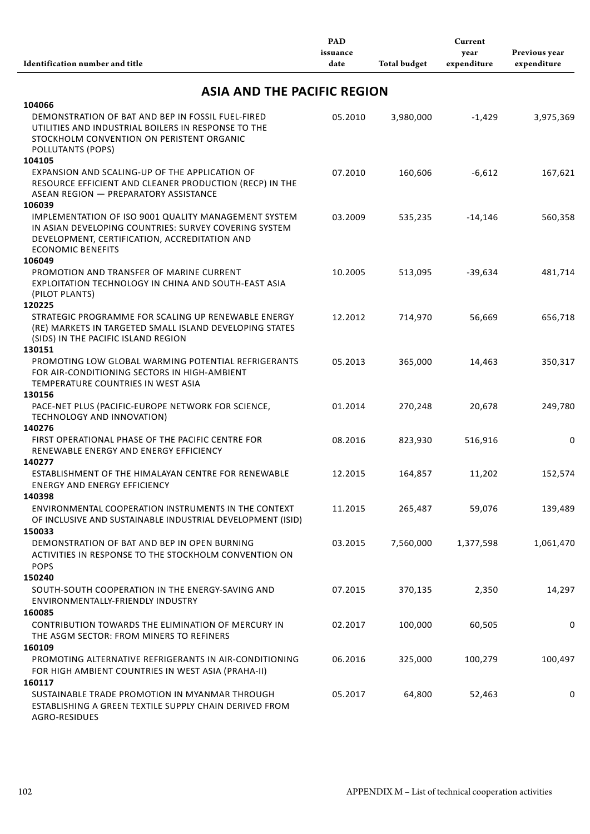| Identification number and title                                                                                                                                                            | <b>PAD</b><br>issuance<br>date | <b>Total budget</b> | Current<br>year<br>expenditure | Previous year<br>expenditure |
|--------------------------------------------------------------------------------------------------------------------------------------------------------------------------------------------|--------------------------------|---------------------|--------------------------------|------------------------------|
| <b>ASIA AND THE PACIFIC REGION</b>                                                                                                                                                         |                                |                     |                                |                              |
| 104066                                                                                                                                                                                     |                                |                     |                                |                              |
| DEMONSTRATION OF BAT AND BEP IN FOSSIL FUEL-FIRED<br>UTILITIES AND INDUSTRIAL BOILERS IN RESPONSE TO THE<br>STOCKHOLM CONVENTION ON PERISTENT ORGANIC<br>POLLUTANTS (POPS)                 | 05.2010                        | 3,980,000           | $-1,429$                       | 3,975,369                    |
| 104105                                                                                                                                                                                     |                                |                     |                                |                              |
| EXPANSION AND SCALING-UP OF THE APPLICATION OF<br>RESOURCE EFFICIENT AND CLEANER PRODUCTION (RECP) IN THE<br>ASEAN REGION - PREPARATORY ASSISTANCE<br>106039                               | 07.2010                        | 160,606             | $-6,612$                       | 167,621                      |
| IMPLEMENTATION OF ISO 9001 QUALITY MANAGEMENT SYSTEM<br>IN ASIAN DEVELOPING COUNTRIES: SURVEY COVERING SYSTEM<br>DEVELOPMENT, CERTIFICATION, ACCREDITATION AND<br><b>ECONOMIC BENEFITS</b> | 03.2009                        | 535,235             | $-14,146$                      | 560,358                      |
| 106049<br>PROMOTION AND TRANSFER OF MARINE CURRENT<br>EXPLOITATION TECHNOLOGY IN CHINA AND SOUTH-EAST ASIA                                                                                 | 10.2005                        | 513,095             | $-39,634$                      | 481,714                      |
| (PILOT PLANTS)                                                                                                                                                                             |                                |                     |                                |                              |
| 120225<br>STRATEGIC PROGRAMME FOR SCALING UP RENEWABLE ENERGY<br>(RE) MARKETS IN TARGETED SMALL ISLAND DEVELOPING STATES<br>(SIDS) IN THE PACIFIC ISLAND REGION                            | 12.2012                        | 714.970             | 56,669                         | 656,718                      |
| 130151                                                                                                                                                                                     |                                |                     |                                |                              |
| PROMOTING LOW GLOBAL WARMING POTENTIAL REFRIGERANTS<br>FOR AIR-CONDITIONING SECTORS IN HIGH-AMBIENT<br>TEMPERATURE COUNTRIES IN WEST ASIA                                                  | 05.2013                        | 365,000             | 14,463                         | 350,317                      |
| 130156                                                                                                                                                                                     |                                |                     |                                |                              |
| PACE-NET PLUS (PACIFIC-EUROPE NETWORK FOR SCIENCE,<br>TECHNOLOGY AND INNOVATION)<br>140276                                                                                                 | 01.2014                        | 270,248             | 20,678                         | 249,780                      |
| FIRST OPERATIONAL PHASE OF THE PACIFIC CENTRE FOR<br>RENEWABLE ENERGY AND ENERGY EFFICIENCY                                                                                                | 08.2016                        | 823,930             | 516,916                        | 0                            |
| 140277                                                                                                                                                                                     |                                |                     |                                |                              |
| ESTABLISHMENT OF THE HIMALAYAN CENTRE FOR RENEWABLE<br><b>ENERGY AND ENERGY EFFICIENCY</b><br>140398                                                                                       | 12.2015                        | 164,857             | 11,202                         | 152,574                      |
| ENVIRONMENTAL COOPERATION INSTRUMENTS IN THE CONTEXT                                                                                                                                       | 11.2015                        | 265,487             | 59,076                         | 139,489                      |
| OF INCLUSIVE AND SUSTAINABLE INDUSTRIAL DEVELOPMENT (ISID)                                                                                                                                 |                                |                     |                                |                              |
| 150033                                                                                                                                                                                     |                                |                     |                                |                              |
| DEMONSTRATION OF BAT AND BEP IN OPEN BURNING<br>ACTIVITIES IN RESPONSE TO THE STOCKHOLM CONVENTION ON<br><b>POPS</b>                                                                       | 03.2015                        | 7,560,000           | 1,377,598                      | 1,061,470                    |
| 150240                                                                                                                                                                                     |                                |                     |                                |                              |
| SOUTH-SOUTH COOPERATION IN THE ENERGY-SAVING AND<br>ENVIRONMENTALLY-FRIENDLY INDUSTRY                                                                                                      | 07.2015                        | 370,135             | 2,350                          | 14,297                       |
| 160085                                                                                                                                                                                     |                                |                     |                                |                              |
| CONTRIBUTION TOWARDS THE ELIMINATION OF MERCURY IN<br>THE ASGM SECTOR: FROM MINERS TO REFINERS<br>160109                                                                                   | 02.2017                        | 100,000             | 60,505                         | 0                            |
| PROMOTING ALTERNATIVE REFRIGERANTS IN AIR-CONDITIONING<br>FOR HIGH AMBIENT COUNTRIES IN WEST ASIA (PRAHA-II)                                                                               | 06.2016                        | 325,000             | 100,279                        | 100,497                      |
| 160117                                                                                                                                                                                     |                                |                     |                                |                              |
| SUSTAINABLE TRADE PROMOTION IN MYANMAR THROUGH<br>ESTABLISHING A GREEN TEXTILE SUPPLY CHAIN DERIVED FROM<br><b>AGRO-RESIDUES</b>                                                           | 05.2017                        | 64,800              | 52,463                         | 0                            |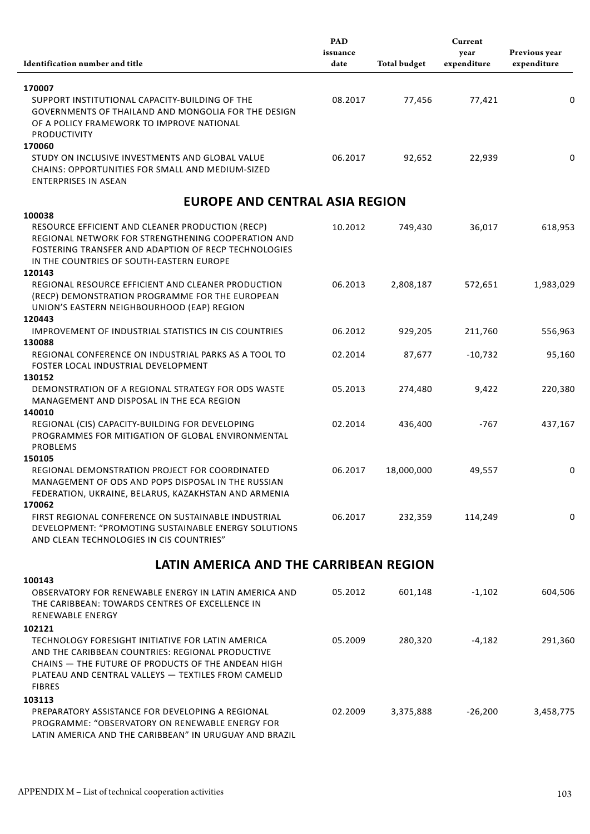| Identification number and title                                                                                                                                                                                                               | <b>PAD</b><br>issuance<br>date | <b>Total budget</b> | Current<br>year<br>expenditure | Previous year<br>expenditure |
|-----------------------------------------------------------------------------------------------------------------------------------------------------------------------------------------------------------------------------------------------|--------------------------------|---------------------|--------------------------------|------------------------------|
|                                                                                                                                                                                                                                               |                                |                     |                                |                              |
| 170007<br>SUPPORT INSTITUTIONAL CAPACITY-BUILDING OF THE<br>GOVERNMENTS OF THAILAND AND MONGOLIA FOR THE DESIGN<br>OF A POLICY FRAMEWORK TO IMPROVE NATIONAL<br><b>PRODUCTIVITY</b>                                                           | 08.2017                        | 77,456              | 77,421                         | 0                            |
| 170060<br>STUDY ON INCLUSIVE INVESTMENTS AND GLOBAL VALUE<br>CHAINS: OPPORTUNITIES FOR SMALL AND MEDIUM-SIZED<br><b>ENTERPRISES IN ASEAN</b>                                                                                                  | 06.2017                        | 92,652              | 22,939                         | 0                            |
| <b>EUROPE AND CENTRAL ASIA REGION</b>                                                                                                                                                                                                         |                                |                     |                                |                              |
| 100038                                                                                                                                                                                                                                        |                                |                     |                                |                              |
| RESOURCE EFFICIENT AND CLEANER PRODUCTION (RECP)<br>REGIONAL NETWORK FOR STRENGTHENING COOPERATION AND<br>FOSTERING TRANSFER AND ADAPTION OF RECP TECHNOLOGIES<br>IN THE COUNTRIES OF SOUTH-EASTERN EUROPE<br>120143                          | 10.2012                        | 749,430             | 36,017                         | 618,953                      |
| REGIONAL RESOURCE EFFICIENT AND CLEANER PRODUCTION<br>(RECP) DEMONSTRATION PROGRAMME FOR THE EUROPEAN<br>UNION'S EASTERN NEIGHBOURHOOD (EAP) REGION                                                                                           | 06.2013                        | 2,808,187           | 572,651                        | 1,983,029                    |
| 120443<br><b>IMPROVEMENT OF INDUSTRIAL STATISTICS IN CIS COUNTRIES</b>                                                                                                                                                                        | 06.2012                        | 929,205             | 211,760                        | 556,963                      |
| 130088<br>REGIONAL CONFERENCE ON INDUSTRIAL PARKS AS A TOOL TO<br>FOSTER LOCAL INDUSTRIAL DEVELOPMENT                                                                                                                                         | 02.2014                        | 87,677              | $-10,732$                      | 95,160                       |
| 130152<br>DEMONSTRATION OF A REGIONAL STRATEGY FOR ODS WASTE<br>MANAGEMENT AND DISPOSAL IN THE ECA REGION                                                                                                                                     | 05.2013                        | 274,480             | 9,422                          | 220,380                      |
| 140010<br>REGIONAL (CIS) CAPACITY-BUILDING FOR DEVELOPING<br>PROGRAMMES FOR MITIGATION OF GLOBAL ENVIRONMENTAL<br><b>PROBLEMS</b>                                                                                                             | 02.2014                        | 436,400             | $-767$                         | 437,167                      |
| 150105<br>REGIONAL DEMONSTRATION PROJECT FOR COORDINATED<br>MANAGEMENT OF ODS AND POPS DISPOSAL IN THE RUSSIAN<br>FEDERATION, UKRAINE, BELARUS, KAZAKHSTAN AND ARMENIA                                                                        | 06.2017                        | 18,000,000          | 49,557                         | 0                            |
| 170062<br>FIRST REGIONAL CONFERENCE ON SUSTAINABLE INDUSTRIAL<br>DEVELOPMENT: "PROMOTING SUSTAINABLE ENERGY SOLUTIONS<br>AND CLEAN TECHNOLOGIES IN CIS COUNTRIES"                                                                             | 06.2017                        | 232,359             | 114,249                        | 0                            |
| LATIN AMERICA AND THE CARRIBEAN REGION                                                                                                                                                                                                        |                                |                     |                                |                              |
| 100143                                                                                                                                                                                                                                        |                                |                     |                                |                              |
| OBSERVATORY FOR RENEWABLE ENERGY IN LATIN AMERICA AND<br>THE CARIBBEAN: TOWARDS CENTRES OF EXCELLENCE IN<br><b>RENEWABLE ENERGY</b>                                                                                                           | 05.2012                        | 601,148             | $-1,102$                       | 604,506                      |
| 102121<br>TECHNOLOGY FORESIGHT INITIATIVE FOR LATIN AMERICA<br>AND THE CARIBBEAN COUNTRIES: REGIONAL PRODUCTIVE<br>CHAINS - THE FUTURE OF PRODUCTS OF THE ANDEAN HIGH<br>PLATEAU AND CENTRAL VALLEYS - TEXTILES FROM CAMELID<br><b>FIBRES</b> | 05.2009                        | 280,320             | $-4,182$                       | 291,360                      |
| 103113<br>PREPARATORY ASSISTANCE FOR DEVELOPING A REGIONAL<br>PROGRAMME: "OBSERVATORY ON RENEWABLE ENERGY FOR<br>LATIN AMERICA AND THE CARIBBEAN" IN URUGUAY AND BRAZIL                                                                       | 02.2009                        | 3,375,888           | $-26,200$                      | 3,458,775                    |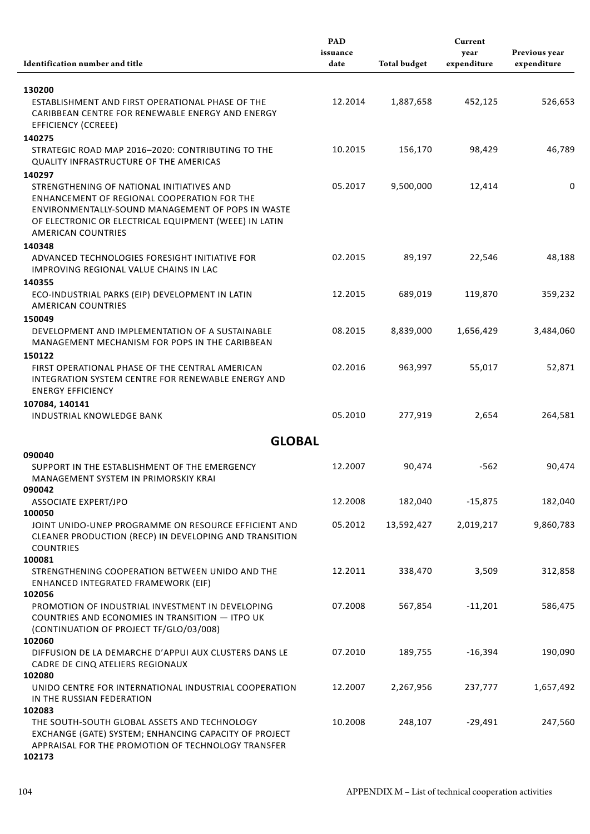| Identification number and title                                                                                                                                                                                                        | <b>PAD</b><br>issuance<br>date | <b>Total budget</b> | Current<br>year<br>expenditure | Previous year<br>expenditure |
|----------------------------------------------------------------------------------------------------------------------------------------------------------------------------------------------------------------------------------------|--------------------------------|---------------------|--------------------------------|------------------------------|
| 130200                                                                                                                                                                                                                                 |                                |                     |                                |                              |
| ESTABLISHMENT AND FIRST OPERATIONAL PHASE OF THE<br>CARIBBEAN CENTRE FOR RENEWABLE ENERGY AND ENERGY<br>EFFICIENCY (CCREEE)                                                                                                            | 12.2014                        | 1,887,658           | 452,125                        | 526,653                      |
| 140275<br>STRATEGIC ROAD MAP 2016-2020: CONTRIBUTING TO THE<br><b>QUALITY INFRASTRUCTURE OF THE AMERICAS</b>                                                                                                                           | 10.2015                        | 156,170             | 98,429                         | 46,789                       |
| 140297<br>STRENGTHENING OF NATIONAL INITIATIVES AND<br>ENHANCEMENT OF REGIONAL COOPERATION FOR THE<br>ENVIRONMENTALLY-SOUND MANAGEMENT OF POPS IN WASTE<br>OF ELECTRONIC OR ELECTRICAL EQUIPMENT (WEEE) IN LATIN<br>AMERICAN COUNTRIES | 05.2017                        | 9,500,000           | 12,414                         | 0                            |
| 140348<br>ADVANCED TECHNOLOGIES FORESIGHT INITIATIVE FOR<br>IMPROVING REGIONAL VALUE CHAINS IN LAC                                                                                                                                     | 02.2015                        | 89,197              | 22,546                         | 48,188                       |
| 140355<br>ECO-INDUSTRIAL PARKS (EIP) DEVELOPMENT IN LATIN<br><b>AMERICAN COUNTRIES</b>                                                                                                                                                 | 12.2015                        | 689,019             | 119,870                        | 359,232                      |
| 150049<br>DEVELOPMENT AND IMPLEMENTATION OF A SUSTAINABLE<br>MANAGEMENT MECHANISM FOR POPS IN THE CARIBBEAN                                                                                                                            | 08.2015                        | 8,839,000           | 1,656,429                      | 3,484,060                    |
| 150122<br>FIRST OPERATIONAL PHASE OF THE CENTRAL AMERICAN<br>INTEGRATION SYSTEM CENTRE FOR RENEWABLE ENERGY AND<br><b>ENERGY EFFICIENCY</b>                                                                                            | 02.2016                        | 963,997             | 55,017                         | 52,871                       |
| 107084, 140141<br>INDUSTRIAL KNOWLEDGE BANK                                                                                                                                                                                            | 05.2010                        | 277,919             | 2,654                          | 264,581                      |
| <b>GLOBAL</b>                                                                                                                                                                                                                          |                                |                     |                                |                              |
| 090040                                                                                                                                                                                                                                 |                                |                     |                                |                              |
| SUPPORT IN THE ESTABLISHMENT OF THE EMERGENCY<br>MANAGEMENT SYSTEM IN PRIMORSKIY KRAI<br>090042                                                                                                                                        | 12.2007                        | 90,474              | $-562$                         | 90,474                       |
| ASSOCIATE EXPERT/JPO                                                                                                                                                                                                                   | 12.2008                        | 182,040             | $-15,875$                      | 182,040                      |
| 100050<br>JOINT UNIDO-UNEP PROGRAMME ON RESOURCE EFFICIENT AND<br>CLEANER PRODUCTION (RECP) IN DEVELOPING AND TRANSITION<br><b>COUNTRIES</b>                                                                                           | 05.2012                        | 13,592,427          | 2,019,217                      | 9,860,783                    |
| 100081<br>STRENGTHENING COOPERATION BETWEEN UNIDO AND THE<br>ENHANCED INTEGRATED FRAMEWORK (EIF)                                                                                                                                       | 12.2011                        | 338,470             | 3,509                          | 312,858                      |
| 102056<br>PROMOTION OF INDUSTRIAL INVESTMENT IN DEVELOPING<br>COUNTRIES AND ECONOMIES IN TRANSITION - ITPO UK<br>(CONTINUATION OF PROJECT TF/GLO/03/008)                                                                               | 07.2008                        | 567,854             | $-11,201$                      | 586,475                      |
| 102060<br>DIFFUSION DE LA DEMARCHE D'APPUI AUX CLUSTERS DANS LE<br>CADRE DE CINQ ATELIERS REGIONAUX                                                                                                                                    | 07.2010                        | 189,755             | $-16,394$                      | 190,090                      |
| 102080<br>UNIDO CENTRE FOR INTERNATIONAL INDUSTRIAL COOPERATION<br>IN THE RUSSIAN FEDERATION                                                                                                                                           | 12.2007                        | 2,267,956           | 237,777                        | 1,657,492                    |
| 102083<br>THE SOUTH-SOUTH GLOBAL ASSETS AND TECHNOLOGY<br>EXCHANGE (GATE) SYSTEM; ENHANCING CAPACITY OF PROJECT<br>APPRAISAL FOR THE PROMOTION OF TECHNOLOGY TRANSFER<br>102173                                                        | 10.2008                        | 248,107             | $-29,491$                      | 247,560                      |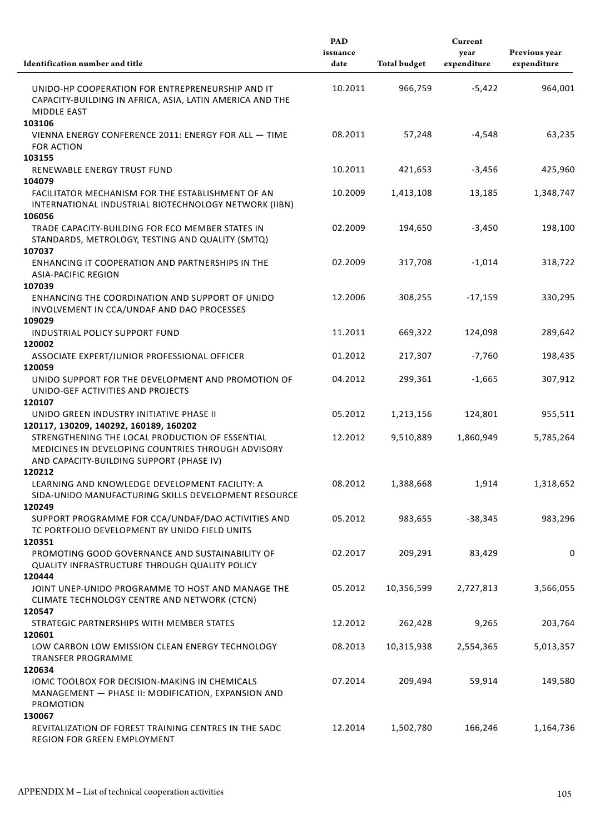| Identification number and title                                                                                                                                                             | <b>PAD</b><br>issuance<br>date | <b>Total budget</b> | Current<br>year<br>expenditure | Previous year<br>expenditure |
|---------------------------------------------------------------------------------------------------------------------------------------------------------------------------------------------|--------------------------------|---------------------|--------------------------------|------------------------------|
|                                                                                                                                                                                             |                                |                     |                                |                              |
| UNIDO-HP COOPERATION FOR ENTREPRENEURSHIP AND IT<br>CAPACITY-BUILDING IN AFRICA, ASIA, LATIN AMERICA AND THE<br><b>MIDDLE EAST</b>                                                          | 10.2011                        | 966,759             | $-5,422$                       | 964,001                      |
| 103106<br>VIENNA ENERGY CONFERENCE 2011: ENERGY FOR ALL - TIME<br><b>FOR ACTION</b>                                                                                                         | 08.2011                        | 57,248              | $-4,548$                       | 63,235                       |
| 103155                                                                                                                                                                                      |                                |                     |                                |                              |
| <b>RENEWABLE ENERGY TRUST FUND</b><br>104079                                                                                                                                                | 10.2011                        | 421,653             | $-3,456$                       | 425,960                      |
| FACILITATOR MECHANISM FOR THE ESTABLISHMENT OF AN<br>INTERNATIONAL INDUSTRIAL BIOTECHNOLOGY NETWORK (IIBN)                                                                                  | 10.2009                        | 1,413,108           | 13,185                         | 1,348,747                    |
| 106056<br>TRADE CAPACITY-BUILDING FOR ECO MEMBER STATES IN<br>STANDARDS, METROLOGY, TESTING AND QUALITY (SMTQ)                                                                              | 02.2009                        | 194,650             | $-3,450$                       | 198,100                      |
| 107037<br>ENHANCING IT COOPERATION AND PARTNERSHIPS IN THE<br><b>ASIA-PACIFIC REGION</b>                                                                                                    | 02.2009                        | 317,708             | $-1,014$                       | 318,722                      |
| 107039<br>ENHANCING THE COORDINATION AND SUPPORT OF UNIDO<br>INVOLVEMENT IN CCA/UNDAF AND DAO PROCESSES                                                                                     | 12.2006                        | 308,255             | $-17,159$                      | 330,295                      |
| 109029<br>INDUSTRIAL POLICY SUPPORT FUND                                                                                                                                                    | 11.2011                        | 669,322             | 124,098                        | 289,642                      |
| 120002<br>ASSOCIATE EXPERT/JUNIOR PROFESSIONAL OFFICER                                                                                                                                      | 01.2012                        | 217,307             | $-7,760$                       | 198,435                      |
| 120059                                                                                                                                                                                      |                                |                     |                                |                              |
| UNIDO SUPPORT FOR THE DEVELOPMENT AND PROMOTION OF<br>UNIDO-GEF ACTIVITIES AND PROJECTS<br>120107                                                                                           | 04.2012                        | 299,361             | $-1,665$                       | 307,912                      |
| UNIDO GREEN INDUSTRY INITIATIVE PHASE II                                                                                                                                                    | 05.2012                        | 1,213,156           | 124,801                        | 955,511                      |
| 120117, 130209, 140292, 160189, 160202<br>STRENGTHENING THE LOCAL PRODUCTION OF ESSENTIAL<br>MEDICINES IN DEVELOPING COUNTRIES THROUGH ADVISORY<br>AND CAPACITY-BUILDING SUPPORT (PHASE IV) | 12.2012                        | 9,510,889           | 1,860,949                      | 5,785,264                    |
| 120212                                                                                                                                                                                      |                                |                     |                                |                              |
| LEARNING AND KNOWLEDGE DEVELOPMENT FACILITY: A<br>SIDA-UNIDO MANUFACTURING SKILLS DEVELOPMENT RESOURCE                                                                                      | 08.2012                        | 1,388,668           | 1,914                          | 1,318,652                    |
| 120249<br>SUPPORT PROGRAMME FOR CCA/UNDAF/DAO ACTIVITIES AND<br>TC PORTFOLIO DEVELOPMENT BY UNIDO FIELD UNITS                                                                               | 05.2012                        | 983,655             | $-38,345$                      | 983,296                      |
| 120351<br>PROMOTING GOOD GOVERNANCE AND SUSTAINABILITY OF<br>QUALITY INFRASTRUCTURE THROUGH QUALITY POLICY                                                                                  | 02.2017                        | 209,291             | 83,429                         | 0                            |
| 120444                                                                                                                                                                                      |                                |                     |                                |                              |
| JOINT UNEP-UNIDO PROGRAMME TO HOST AND MANAGE THE<br>CLIMATE TECHNOLOGY CENTRE AND NETWORK (CTCN)                                                                                           | 05.2012                        | 10,356,599          | 2,727,813                      | 3,566,055                    |
| 120547<br>STRATEGIC PARTNERSHIPS WITH MEMBER STATES                                                                                                                                         | 12.2012                        | 262,428             | 9,265                          | 203,764                      |
| 120601                                                                                                                                                                                      |                                |                     |                                |                              |
| LOW CARBON LOW EMISSION CLEAN ENERGY TECHNOLOGY<br>TRANSFER PROGRAMME                                                                                                                       | 08.2013                        | 10,315,938          | 2,554,365                      | 5,013,357                    |
| 120634<br><b>IOMC TOOLBOX FOR DECISION-MAKING IN CHEMICALS</b><br>MANAGEMENT - PHASE II: MODIFICATION, EXPANSION AND<br><b>PROMOTION</b>                                                    | 07.2014                        | 209,494             | 59,914                         | 149,580                      |
| 130067<br>REVITALIZATION OF FOREST TRAINING CENTRES IN THE SADC<br>REGION FOR GREEN EMPLOYMENT                                                                                              | 12.2014                        | 1,502,780           | 166,246                        | 1,164,736                    |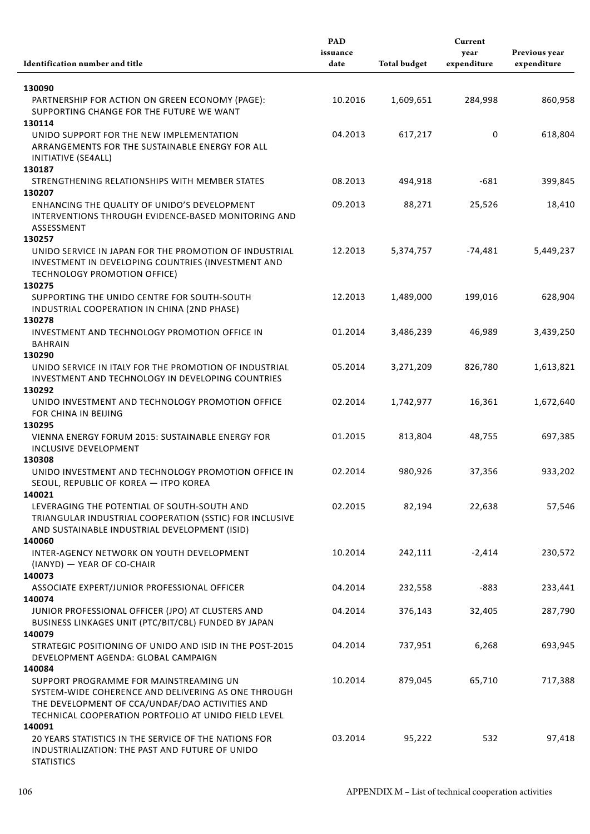|                                                                                                                                                                                                          | <b>PAD</b>       |                     | Current             |                              |
|----------------------------------------------------------------------------------------------------------------------------------------------------------------------------------------------------------|------------------|---------------------|---------------------|------------------------------|
| Identification number and title                                                                                                                                                                          | issuance<br>date | <b>Total budget</b> | year<br>expenditure | Previous year<br>expenditure |
|                                                                                                                                                                                                          |                  |                     |                     |                              |
| 130090<br>PARTNERSHIP FOR ACTION ON GREEN ECONOMY (PAGE):<br>SUPPORTING CHANGE FOR THE FUTURE WE WANT<br>130114                                                                                          | 10.2016          | 1,609,651           | 284,998             | 860,958                      |
| UNIDO SUPPORT FOR THE NEW IMPLEMENTATION<br>ARRANGEMENTS FOR THE SUSTAINABLE ENERGY FOR ALL                                                                                                              | 04.2013          | 617,217             | 0                   | 618,804                      |
| INITIATIVE (SE4ALL)<br>130187                                                                                                                                                                            |                  |                     |                     |                              |
| STRENGTHENING RELATIONSHIPS WITH MEMBER STATES<br>130207                                                                                                                                                 | 08.2013          | 494,918             | $-681$              | 399,845                      |
| ENHANCING THE QUALITY OF UNIDO'S DEVELOPMENT<br>INTERVENTIONS THROUGH EVIDENCE-BASED MONITORING AND<br>ASSESSMENT                                                                                        | 09.2013          | 88,271              | 25,526              | 18,410                       |
| 130257<br>UNIDO SERVICE IN JAPAN FOR THE PROMOTION OF INDUSTRIAL<br>INVESTMENT IN DEVELOPING COUNTRIES (INVESTMENT AND<br>TECHNOLOGY PROMOTION OFFICE)                                                   | 12.2013          | 5,374,757           | $-74,481$           | 5,449,237                    |
| 130275<br>SUPPORTING THE UNIDO CENTRE FOR SOUTH-SOUTH<br>INDUSTRIAL COOPERATION IN CHINA (2ND PHASE)                                                                                                     | 12.2013          | 1,489,000           | 199,016             | 628,904                      |
| 130278<br>INVESTMENT AND TECHNOLOGY PROMOTION OFFICE IN<br><b>BAHRAIN</b>                                                                                                                                | 01.2014          | 3,486,239           | 46,989              | 3,439,250                    |
| 130290<br>UNIDO SERVICE IN ITALY FOR THE PROMOTION OF INDUSTRIAL                                                                                                                                         | 05.2014          | 3,271,209           | 826,780             | 1,613,821                    |
| INVESTMENT AND TECHNOLOGY IN DEVELOPING COUNTRIES<br>130292<br>UNIDO INVESTMENT AND TECHNOLOGY PROMOTION OFFICE                                                                                          | 02.2014          | 1,742,977           | 16,361              | 1,672,640                    |
| FOR CHINA IN BEIJING<br>130295                                                                                                                                                                           |                  |                     |                     |                              |
| VIENNA ENERGY FORUM 2015: SUSTAINABLE ENERGY FOR<br><b>INCLUSIVE DEVELOPMENT</b>                                                                                                                         | 01.2015          | 813,804             | 48,755              | 697,385                      |
| 130308<br>UNIDO INVESTMENT AND TECHNOLOGY PROMOTION OFFICE IN<br>SEOUL, REPUBLIC OF KOREA - ITPO KOREA                                                                                                   | 02.2014          | 980,926             | 37,356              | 933,202                      |
| 140021<br>LEVERAGING THE POTENTIAL OF SOUTH-SOUTH AND<br>TRIANGULAR INDUSTRIAL COOPERATION (SSTIC) FOR INCLUSIVE<br>AND SUSTAINABLE INDUSTRIAL DEVELOPMENT (ISID)                                        | 02.2015          | 82,194              | 22,638              | 57,546                       |
| 140060<br>INTER-AGENCY NETWORK ON YOUTH DEVELOPMENT<br>(IANYD) - YEAR OF CO-CHAIR                                                                                                                        | 10.2014          | 242,111             | $-2,414$            | 230,572                      |
| 140073<br>ASSOCIATE EXPERT/JUNIOR PROFESSIONAL OFFICER                                                                                                                                                   | 04.2014          | 232,558             | -883                | 233,441                      |
| 140074<br>JUNIOR PROFESSIONAL OFFICER (JPO) AT CLUSTERS AND<br>BUSINESS LINKAGES UNIT (PTC/BIT/CBL) FUNDED BY JAPAN                                                                                      | 04.2014          | 376,143             | 32,405              | 287,790                      |
| 140079<br>STRATEGIC POSITIONING OF UNIDO AND ISID IN THE POST-2015<br>DEVELOPMENT AGENDA: GLOBAL CAMPAIGN                                                                                                | 04.2014          | 737,951             | 6,268               | 693,945                      |
| 140084                                                                                                                                                                                                   |                  |                     |                     |                              |
| SUPPORT PROGRAMME FOR MAINSTREAMING UN<br>SYSTEM-WIDE COHERENCE AND DELIVERING AS ONE THROUGH<br>THE DEVELOPMENT OF CCA/UNDAF/DAO ACTIVITIES AND<br>TECHNICAL COOPERATION PORTFOLIO AT UNIDO FIELD LEVEL | 10.2014          | 879,045             | 65,710              | 717,388                      |
| 140091<br>20 YEARS STATISTICS IN THE SERVICE OF THE NATIONS FOR<br>INDUSTRIALIZATION: THE PAST AND FUTURE OF UNIDO<br><b>STATISTICS</b>                                                                  | 03.2014          | 95,222              | 532                 | 97,418                       |

j.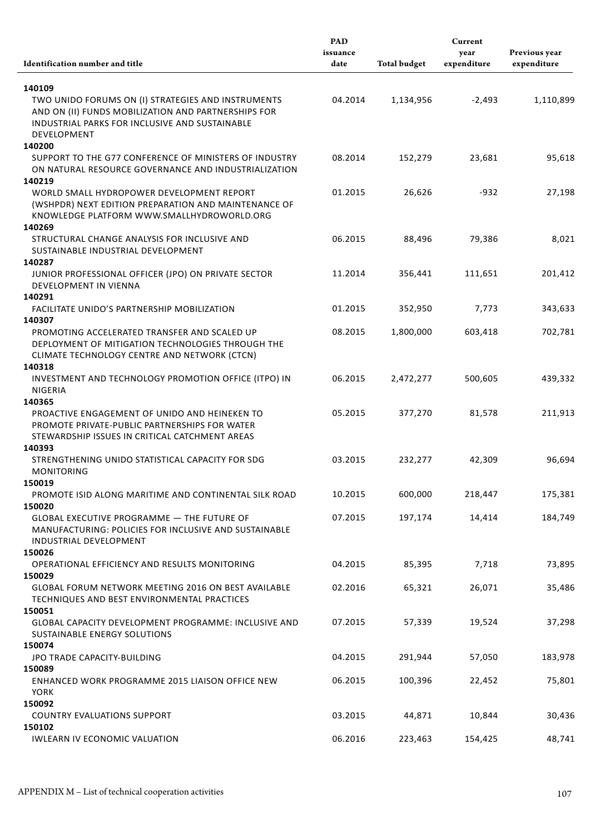| Identification number and title                                                                                                                                                      | <b>PAD</b><br>issuance<br>date | <b>Total budget</b> | Current<br>year<br>expenditure | Previous year<br>expenditure |
|--------------------------------------------------------------------------------------------------------------------------------------------------------------------------------------|--------------------------------|---------------------|--------------------------------|------------------------------|
|                                                                                                                                                                                      |                                |                     |                                |                              |
| 140109<br>TWO UNIDO FORUMS ON (I) STRATEGIES AND INSTRUMENTS<br>AND ON (II) FUNDS MOBILIZATION AND PARTNERSHIPS FOR<br>INDUSTRIAL PARKS FOR INCLUSIVE AND SUSTAINABLE<br>DEVELOPMENT | 04.2014                        | 1,134,956           | $-2,493$                       | 1,110,899                    |
| 140200<br>SUPPORT TO THE G77 CONFERENCE OF MINISTERS OF INDUSTRY<br>ON NATURAL RESOURCE GOVERNANCE AND INDUSTRIALIZATION                                                             | 08.2014                        | 152,279             | 23,681                         | 95,618                       |
| 140219<br>WORLD SMALL HYDROPOWER DEVELOPMENT REPORT<br>(WSHPDR) NEXT EDITION PREPARATION AND MAINTENANCE OF<br>KNOWLEDGE PLATFORM WWW.SMALLHYDROWORLD.ORG                            | 01.2015                        | 26,626              | $-932$                         | 27,198                       |
| 140269<br>STRUCTURAL CHANGE ANALYSIS FOR INCLUSIVE AND<br>SUSTAINABLE INDUSTRIAL DEVELOPMENT<br>140287                                                                               | 06.2015                        | 88,496              | 79,386                         | 8,021                        |
| JUNIOR PROFESSIONAL OFFICER (JPO) ON PRIVATE SECTOR<br>DEVELOPMENT IN VIENNA<br>140291                                                                                               | 11.2014                        | 356,441             | 111,651                        | 201,412                      |
| FACILITATE UNIDO'S PARTNERSHIP MOBILIZATION                                                                                                                                          | 01.2015                        | 352,950             | 7,773                          | 343,633                      |
| 140307<br>PROMOTING ACCELERATED TRANSFER AND SCALED UP<br>DEPLOYMENT OF MITIGATION TECHNOLOGIES THROUGH THE<br>CLIMATE TECHNOLOGY CENTRE AND NETWORK (CTCN)                          | 08.2015                        | 1,800,000           | 603,418                        | 702,781                      |
| 140318<br>INVESTMENT AND TECHNOLOGY PROMOTION OFFICE (ITPO) IN<br><b>NIGERIA</b>                                                                                                     | 06.2015                        | 2,472,277           | 500,605                        | 439,332                      |
| 140365<br>PROACTIVE ENGAGEMENT OF UNIDO AND HEINEKEN TO<br>PROMOTE PRIVATE-PUBLIC PARTNERSHIPS FOR WATER<br>STEWARDSHIP ISSUES IN CRITICAL CATCHMENT AREAS                           | 05.2015                        | 377,270             | 81,578                         | 211,913                      |
| 140393<br>STRENGTHENING UNIDO STATISTICAL CAPACITY FOR SDG<br><b>MONITORING</b>                                                                                                      | 03.2015                        | 232,277             | 42,309                         | 96,694                       |
| 150019<br>PROMOTE ISID ALONG MARITIME AND CONTINENTAL SILK ROAD                                                                                                                      | 10.2015                        | 600,000             | 218,447                        | 175,381                      |
| 150020<br><b>GLOBAL EXECUTIVE PROGRAMME - THE FUTURE OF</b><br>MANUFACTURING: POLICIES FOR INCLUSIVE AND SUSTAINABLE<br><b>INDUSTRIAL DEVELOPMENT</b>                                | 07.2015                        | 197,174             | 14,414                         | 184,749                      |
| 150026<br>OPERATIONAL EFFICIENCY AND RESULTS MONITORING                                                                                                                              | 04.2015                        | 85,395              | 7,718                          | 73,895                       |
| 150029<br>GLOBAL FORUM NETWORK MEETING 2016 ON BEST AVAILABLE<br>TECHNIQUES AND BEST ENVIRONMENTAL PRACTICES                                                                         | 02.2016                        | 65,321              | 26,071                         | 35,486                       |
| 150051<br>GLOBAL CAPACITY DEVELOPMENT PROGRAMME: INCLUSIVE AND<br>SUSTAINABLE ENERGY SOLUTIONS                                                                                       | 07.2015                        | 57,339              | 19,524                         | 37,298                       |
| 150074<br>JPO TRADE CAPACITY-BUILDING                                                                                                                                                | 04.2015                        | 291,944             | 57,050                         | 183,978                      |
| 150089<br>ENHANCED WORK PROGRAMME 2015 LIAISON OFFICE NEW<br><b>YORK</b><br>150092                                                                                                   | 06.2015                        | 100,396             | 22,452                         | 75,801                       |
| <b>COUNTRY EVALUATIONS SUPPORT</b>                                                                                                                                                   | 03.2015                        | 44,871              | 10,844                         | 30,436                       |
| 150102<br><b>IWLEARN IV ECONOMIC VALUATION</b>                                                                                                                                       | 06.2016                        | 223,463             | 154,425                        | 48,741                       |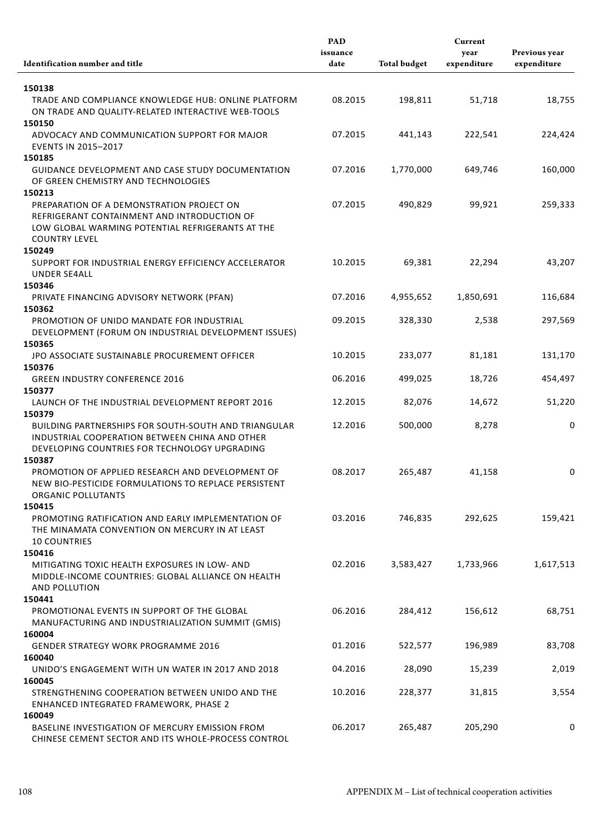|                                                                                                                                                                                | <b>PAD</b>       |                     | Current             |                              |
|--------------------------------------------------------------------------------------------------------------------------------------------------------------------------------|------------------|---------------------|---------------------|------------------------------|
| Identification number and title                                                                                                                                                | issuance<br>date | <b>Total budget</b> | year<br>expenditure | Previous year<br>expenditure |
| 150138                                                                                                                                                                         |                  |                     |                     |                              |
| TRADE AND COMPLIANCE KNOWLEDGE HUB: ONLINE PLATFORM<br>ON TRADE AND QUALITY-RELATED INTERACTIVE WEB-TOOLS                                                                      | 08.2015          | 198,811             | 51,718              | 18,755                       |
| 150150<br>ADVOCACY AND COMMUNICATION SUPPORT FOR MAJOR<br>EVENTS IN 2015-2017                                                                                                  | 07.2015          | 441,143             | 222,541             | 224,424                      |
| 150185                                                                                                                                                                         |                  |                     |                     |                              |
| GUIDANCE DEVELOPMENT AND CASE STUDY DOCUMENTATION<br>OF GREEN CHEMISTRY AND TECHNOLOGIES                                                                                       | 07.2016          | 1,770,000           | 649,746             | 160,000                      |
| 150213<br>PREPARATION OF A DEMONSTRATION PROJECT ON<br>REFRIGERANT CONTAINMENT AND INTRODUCTION OF<br>LOW GLOBAL WARMING POTENTIAL REFRIGERANTS AT THE<br><b>COUNTRY LEVEL</b> | 07.2015          | 490,829             | 99,921              | 259,333                      |
| 150249                                                                                                                                                                         |                  |                     |                     |                              |
| SUPPORT FOR INDUSTRIAL ENERGY EFFICIENCY ACCELERATOR<br><b>UNDER SE4ALL</b><br>150346                                                                                          | 10.2015          | 69,381              | 22,294              | 43,207                       |
| PRIVATE FINANCING ADVISORY NETWORK (PFAN)                                                                                                                                      | 07.2016          | 4,955,652           | 1,850,691           | 116,684                      |
| 150362<br>PROMOTION OF UNIDO MANDATE FOR INDUSTRIAL<br>DEVELOPMENT (FORUM ON INDUSTRIAL DEVELOPMENT ISSUES)                                                                    | 09.2015          | 328,330             | 2,538               | 297,569                      |
| 150365                                                                                                                                                                         |                  |                     |                     |                              |
| JPO ASSOCIATE SUSTAINABLE PROCUREMENT OFFICER<br>150376                                                                                                                        | 10.2015          | 233,077             | 81,181              | 131,170                      |
| <b>GREEN INDUSTRY CONFERENCE 2016</b><br>150377                                                                                                                                | 06.2016          | 499,025             | 18,726              | 454,497                      |
| LAUNCH OF THE INDUSTRIAL DEVELOPMENT REPORT 2016<br>150379                                                                                                                     | 12.2015          | 82,076              | 14,672              | 51,220                       |
| BUILDING PARTNERSHIPS FOR SOUTH-SOUTH AND TRIANGULAR<br>INDUSTRIAL COOPERATION BETWEEN CHINA AND OTHER<br>DEVELOPING COUNTRIES FOR TECHNOLOGY UPGRADING                        | 12.2016          | 500,000             | 8,278               | 0                            |
| 150387<br>PROMOTION OF APPLIED RESEARCH AND DEVELOPMENT OF<br>NEW BIO-PESTICIDE FORMULATIONS TO REPLACE PERSISTENT<br>ORGANIC POLLUTANTS                                       | 08.2017          | 265,487             | 41,158              | 0                            |
| 150415<br>PROMOTING RATIFICATION AND EARLY IMPLEMENTATION OF<br>THE MINAMATA CONVENTION ON MERCURY IN AT LEAST                                                                 | 03.2016          | 746,835             | 292,625             | 159,421                      |
| <b>10 COUNTRIES</b><br>150416                                                                                                                                                  |                  |                     |                     |                              |
| MITIGATING TOXIC HEALTH EXPOSURES IN LOW- AND<br>MIDDLE-INCOME COUNTRIES: GLOBAL ALLIANCE ON HEALTH<br>AND POLLUTION                                                           | 02.2016          | 3,583,427           | 1,733,966           | 1,617,513                    |
| 150441<br>PROMOTIONAL EVENTS IN SUPPORT OF THE GLOBAL<br>MANUFACTURING AND INDUSTRIALIZATION SUMMIT (GMIS)                                                                     | 06.2016          | 284,412             | 156,612             | 68,751                       |
| 160004                                                                                                                                                                         |                  |                     |                     |                              |
| <b>GENDER STRATEGY WORK PROGRAMME 2016</b><br>160040                                                                                                                           | 01.2016          | 522,577             | 196,989             | 83,708                       |
| UNIDO'S ENGAGEMENT WITH UN WATER IN 2017 AND 2018                                                                                                                              | 04.2016          | 28,090              | 15,239              | 2,019                        |
| 160045<br>STRENGTHENING COOPERATION BETWEEN UNIDO AND THE                                                                                                                      | 10.2016          | 228,377             | 31,815              | 3,554                        |
| ENHANCED INTEGRATED FRAMEWORK, PHASE 2<br>160049<br>BASELINE INVESTIGATION OF MERCURY EMISSION FROM                                                                            | 06.2017          | 265,487             | 205,290             | 0                            |
| CHINESE CEMENT SECTOR AND ITS WHOLE-PROCESS CONTROL                                                                                                                            |                  |                     |                     |                              |

j.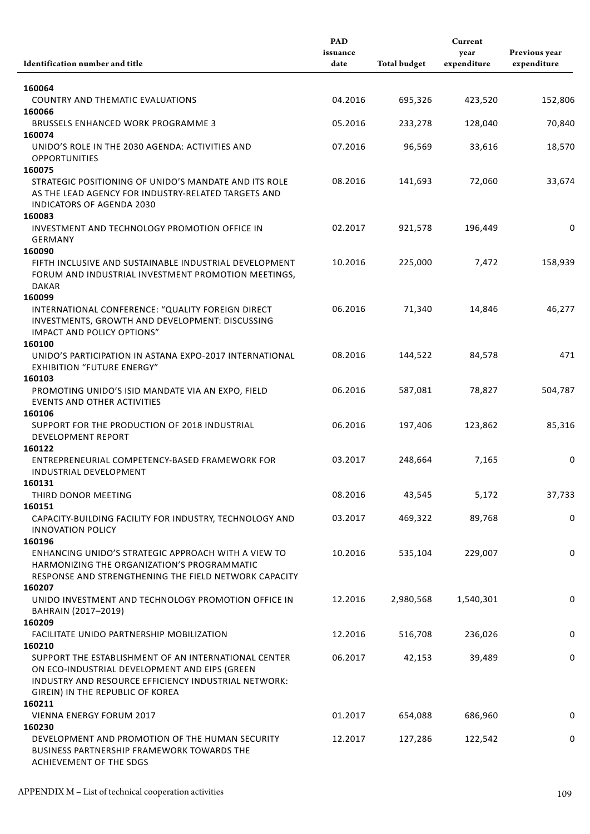| Identification number and title                                                                                                                                                                             | <b>PAD</b><br>issuance<br>date | <b>Total budget</b> | Current<br>year<br>expenditure | Previous year<br>expenditure |
|-------------------------------------------------------------------------------------------------------------------------------------------------------------------------------------------------------------|--------------------------------|---------------------|--------------------------------|------------------------------|
|                                                                                                                                                                                                             |                                |                     |                                |                              |
| 160064<br><b>COUNTRY AND THEMATIC EVALUATIONS</b>                                                                                                                                                           | 04.2016                        | 695,326             | 423,520                        | 152,806                      |
| 160066<br><b>BRUSSELS ENHANCED WORK PROGRAMME 3</b>                                                                                                                                                         | 05.2016                        | 233,278             | 128,040                        | 70,840                       |
| 160074<br>UNIDO'S ROLE IN THE 2030 AGENDA: ACTIVITIES AND                                                                                                                                                   | 07.2016                        | 96,569              | 33,616                         |                              |
| <b>OPPORTUNITIES</b><br>160075                                                                                                                                                                              |                                |                     |                                | 18,570                       |
| STRATEGIC POSITIONING OF UNIDO'S MANDATE AND ITS ROLE<br>AS THE LEAD AGENCY FOR INDUSTRY-RELATED TARGETS AND<br><b>INDICATORS OF AGENDA 2030</b><br>160083                                                  | 08.2016                        | 141,693             | 72,060                         | 33,674                       |
| INVESTMENT AND TECHNOLOGY PROMOTION OFFICE IN<br><b>GERMANY</b>                                                                                                                                             | 02.2017                        | 921,578             | 196,449                        | 0                            |
| 160090<br>FIFTH INCLUSIVE AND SUSTAINABLE INDUSTRIAL DEVELOPMENT<br>FORUM AND INDUSTRIAL INVESTMENT PROMOTION MEETINGS,<br><b>DAKAR</b>                                                                     | 10.2016                        | 225,000             | 7,472                          | 158,939                      |
| 160099<br>INTERNATIONAL CONFERENCE: "QUALITY FOREIGN DIRECT<br>INVESTMENTS, GROWTH AND DEVELOPMENT: DISCUSSING<br>IMPACT AND POLICY OPTIONS"                                                                | 06.2016                        | 71,340              | 14,846                         | 46,277                       |
| 160100<br>UNIDO'S PARTICIPATION IN ASTANA EXPO-2017 INTERNATIONAL<br><b>EXHIBITION "FUTURE ENERGY"</b>                                                                                                      | 08.2016                        | 144,522             | 84,578                         | 471                          |
| 160103<br>PROMOTING UNIDO'S ISID MANDATE VIA AN EXPO, FIELD<br>EVENTS AND OTHER ACTIVITIES                                                                                                                  | 06.2016                        | 587,081             | 78,827                         | 504,787                      |
| 160106<br>SUPPORT FOR THE PRODUCTION OF 2018 INDUSTRIAL<br><b>DEVELOPMENT REPORT</b>                                                                                                                        | 06.2016                        | 197,406             | 123,862                        | 85,316                       |
| 160122<br>ENTREPRENEURIAL COMPETENCY-BASED FRAMEWORK FOR<br><b>INDUSTRIAL DEVELOPMENT</b>                                                                                                                   | 03.2017                        | 248,664             | 7,165                          | 0                            |
| 160131<br>THIRD DONOR MEETING                                                                                                                                                                               | 08.2016                        | 43,545              | 5,172                          | 37,733                       |
| 160151                                                                                                                                                                                                      |                                |                     |                                |                              |
| CAPACITY-BUILDING FACILITY FOR INDUSTRY, TECHNOLOGY AND<br><b>INNOVATION POLICY</b>                                                                                                                         | 03.2017                        | 469,322             | 89,768                         | 0                            |
| 160196<br>ENHANCING UNIDO'S STRATEGIC APPROACH WITH A VIEW TO<br>HARMONIZING THE ORGANIZATION'S PROGRAMMATIC<br>RESPONSE AND STRENGTHENING THE FIELD NETWORK CAPACITY                                       | 10.2016                        | 535,104             | 229,007                        | 0                            |
| 160207<br>UNIDO INVESTMENT AND TECHNOLOGY PROMOTION OFFICE IN<br>BAHRAIN (2017-2019)                                                                                                                        | 12.2016                        | 2,980,568           | 1,540,301                      | 0                            |
| 160209<br>FACILITATE UNIDO PARTNERSHIP MOBILIZATION                                                                                                                                                         | 12.2016                        | 516,708             | 236,026                        | 0                            |
| 160210<br>SUPPORT THE ESTABLISHMENT OF AN INTERNATIONAL CENTER<br>ON ECO-INDUSTRIAL DEVELOPMENT AND EIPS (GREEN<br>INDUSTRY AND RESOURCE EFFICIENCY INDUSTRIAL NETWORK:<br>GIREIN) IN THE REPUBLIC OF KOREA | 06.2017                        | 42,153              | 39,489                         | 0                            |
| 160211<br><b>VIENNA ENERGY FORUM 2017</b>                                                                                                                                                                   | 01.2017                        | 654,088             | 686,960                        | 0                            |
| 160230<br>DEVELOPMENT AND PROMOTION OF THE HUMAN SECURITY<br><b>BUSINESS PARTNERSHIP FRAMEWORK TOWARDS THE</b><br>ACHIEVEMENT OF THE SDGS                                                                   | 12.2017                        | 127,286             | 122,542                        | 0                            |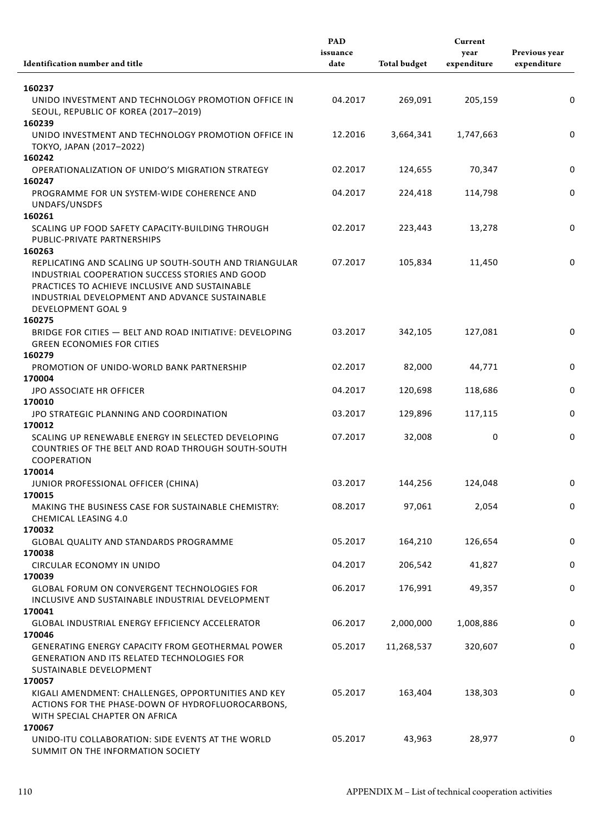|                                                                                                                                                                                                                        | <b>PAD</b><br>issuance |                     | Current<br>year | Previous year |
|------------------------------------------------------------------------------------------------------------------------------------------------------------------------------------------------------------------------|------------------------|---------------------|-----------------|---------------|
| Identification number and title                                                                                                                                                                                        | date                   | <b>Total budget</b> | expenditure     | expenditure   |
| 160237                                                                                                                                                                                                                 |                        |                     |                 |               |
| UNIDO INVESTMENT AND TECHNOLOGY PROMOTION OFFICE IN<br>SEOUL, REPUBLIC OF KOREA (2017-2019)                                                                                                                            | 04.2017                | 269,091             | 205,159         | 0             |
| 160239<br>UNIDO INVESTMENT AND TECHNOLOGY PROMOTION OFFICE IN<br>TOKYO, JAPAN (2017-2022)                                                                                                                              | 12.2016                | 3,664,341           | 1,747,663       | 0             |
| 160242<br>OPERATIONALIZATION OF UNIDO'S MIGRATION STRATEGY                                                                                                                                                             | 02.2017                | 124,655             | 70,347          | 0             |
| 160247<br>PROGRAMME FOR UN SYSTEM-WIDE COHERENCE AND                                                                                                                                                                   | 04.2017                | 224,418             | 114,798         | 0             |
| UNDAFS/UNSDFS<br>160261                                                                                                                                                                                                |                        |                     |                 |               |
| SCALING UP FOOD SAFETY CAPACITY-BUILDING THROUGH<br>PUBLIC-PRIVATE PARTNERSHIPS                                                                                                                                        | 02.2017                | 223,443             | 13,278          | 0             |
| 160263<br>REPLICATING AND SCALING UP SOUTH-SOUTH AND TRIANGULAR<br>INDUSTRIAL COOPERATION SUCCESS STORIES AND GOOD<br>PRACTICES TO ACHIEVE INCLUSIVE AND SUSTAINABLE<br>INDUSTRIAL DEVELOPMENT AND ADVANCE SUSTAINABLE | 07.2017                | 105,834             | 11,450          | 0             |
| <b>DEVELOPMENT GOAL 9</b><br>160275<br>BRIDGE FOR CITIES - BELT AND ROAD INITIATIVE: DEVELOPING<br><b>GREEN ECONOMIES FOR CITIES</b>                                                                                   | 03.2017                | 342,105             | 127,081         | 0             |
| 160279<br>PROMOTION OF UNIDO-WORLD BANK PARTNERSHIP                                                                                                                                                                    | 02.2017                | 82,000              | 44,771          | 0             |
| 170004<br>JPO ASSOCIATE HR OFFICER                                                                                                                                                                                     | 04.2017                | 120,698             | 118,686         | 0             |
| 170010<br>JPO STRATEGIC PLANNING AND COORDINATION                                                                                                                                                                      | 03.2017                | 129,896             | 117,115         | 0             |
| 170012<br>SCALING UP RENEWABLE ENERGY IN SELECTED DEVELOPING<br>COUNTRIES OF THE BELT AND ROAD THROUGH SOUTH-SOUTH<br><b>COOPERATION</b>                                                                               | 07.2017                | 32,008              | 0               | 0             |
| 170014                                                                                                                                                                                                                 |                        |                     |                 |               |
| JUNIOR PROFESSIONAL OFFICER (CHINA)<br>170015                                                                                                                                                                          | 03.2017                | 144,256             | 124,048         | 0             |
| MAKING THE BUSINESS CASE FOR SUSTAINABLE CHEMISTRY:<br>CHEMICAL LEASING 4.0                                                                                                                                            | 08.2017                | 97,061              | 2,054           | 0             |
| 170032<br><b>GLOBAL QUALITY AND STANDARDS PROGRAMME</b>                                                                                                                                                                | 05.2017                | 164,210             | 126,654         | 0             |
| 170038<br>CIRCULAR ECONOMY IN UNIDO                                                                                                                                                                                    | 04.2017                | 206,542             | 41,827          | 0             |
| 170039<br>GLOBAL FORUM ON CONVERGENT TECHNOLOGIES FOR                                                                                                                                                                  | 06.2017                | 176,991             | 49,357          | 0             |
| INCLUSIVE AND SUSTAINABLE INDUSTRIAL DEVELOPMENT<br>170041                                                                                                                                                             |                        |                     |                 |               |
| GLOBAL INDUSTRIAL ENERGY EFFICIENCY ACCELERATOR<br>170046                                                                                                                                                              | 06.2017                | 2,000,000           | 1,008,886       | 0             |
| <b>GENERATING ENERGY CAPACITY FROM GEOTHERMAL POWER</b><br><b>GENERATION AND ITS RELATED TECHNOLOGIES FOR</b><br>SUSTAINABLE DEVELOPMENT                                                                               | 05.2017                | 11,268,537          | 320,607         | 0             |
| 170057<br>KIGALI AMENDMENT: CHALLENGES, OPPORTUNITIES AND KEY<br>ACTIONS FOR THE PHASE-DOWN OF HYDROFLUOROCARBONS,<br>WITH SPECIAL CHAPTER ON AFRICA                                                                   | 05.2017                | 163,404             | 138,303         | 0             |
| 170067<br>UNIDO-ITU COLLABORATION: SIDE EVENTS AT THE WORLD<br>SUMMIT ON THE INFORMATION SOCIETY                                                                                                                       | 05.2017                | 43,963              | 28,977          | 0             |

l.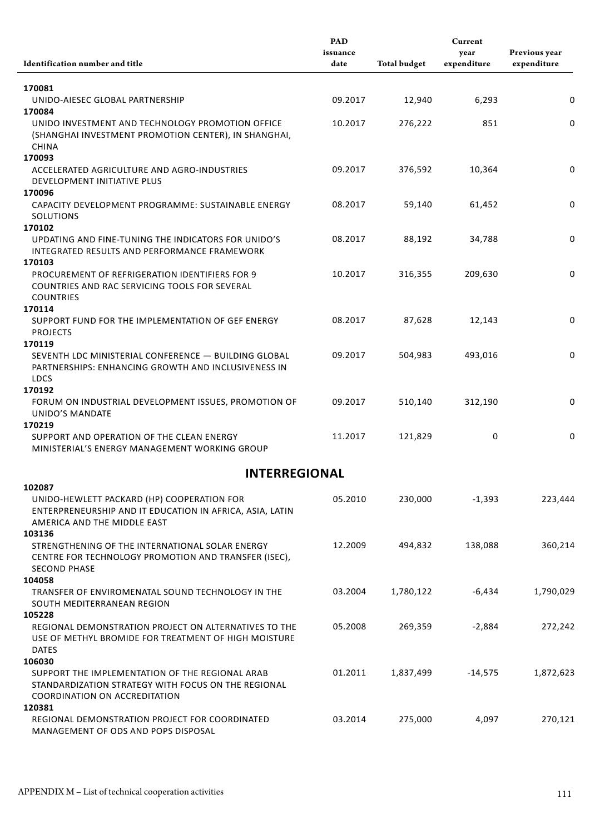|                                                                                         | <b>PAD</b><br>issuance |                     | Current<br>year | Previous year |
|-----------------------------------------------------------------------------------------|------------------------|---------------------|-----------------|---------------|
| Identification number and title                                                         | date                   | <b>Total budget</b> | expenditure     | expenditure   |
| 170081                                                                                  |                        |                     |                 |               |
| UNIDO-AIESEC GLOBAL PARTNERSHIP                                                         | 09.2017                | 12,940              | 6,293           | 0             |
| 170084                                                                                  |                        |                     |                 |               |
| UNIDO INVESTMENT AND TECHNOLOGY PROMOTION OFFICE                                        | 10.2017                | 276,222             | 851             | 0             |
| (SHANGHAI INVESTMENT PROMOTION CENTER), IN SHANGHAI,                                    |                        |                     |                 |               |
| <b>CHINA</b>                                                                            |                        |                     |                 |               |
| 170093                                                                                  |                        |                     |                 |               |
| ACCELERATED AGRICULTURE AND AGRO-INDUSTRIES                                             | 09.2017                | 376,592             | 10,364          | 0             |
| DEVELOPMENT INITIATIVE PLUS                                                             |                        |                     |                 |               |
| 170096                                                                                  |                        |                     |                 |               |
| CAPACITY DEVELOPMENT PROGRAMME: SUSTAINABLE ENERGY                                      | 08.2017                | 59,140              | 61,452          | 0             |
| SOLUTIONS                                                                               |                        |                     |                 |               |
| 170102                                                                                  |                        |                     |                 |               |
| UPDATING AND FINE-TUNING THE INDICATORS FOR UNIDO'S                                     | 08.2017                | 88,192              | 34,788          | 0             |
| INTEGRATED RESULTS AND PERFORMANCE FRAMEWORK                                            |                        |                     |                 |               |
| 170103                                                                                  |                        |                     |                 |               |
| PROCUREMENT OF REFRIGERATION IDENTIFIERS FOR 9                                          | 10.2017                | 316,355             | 209,630         | 0             |
| COUNTRIES AND RAC SERVICING TOOLS FOR SEVERAL<br><b>COUNTRIES</b>                       |                        |                     |                 |               |
|                                                                                         |                        |                     |                 |               |
| 170114<br>SUPPORT FUND FOR THE IMPLEMENTATION OF GEF ENERGY                             | 08.2017                | 87,628              | 12,143          | 0             |
| <b>PROJECTS</b>                                                                         |                        |                     |                 |               |
| 170119                                                                                  |                        |                     |                 |               |
| SEVENTH LDC MINISTERIAL CONFERENCE - BUILDING GLOBAL                                    | 09.2017                | 504,983             | 493,016         | 0             |
| PARTNERSHIPS: ENHANCING GROWTH AND INCLUSIVENESS IN                                     |                        |                     |                 |               |
| <b>LDCS</b>                                                                             |                        |                     |                 |               |
| 170192                                                                                  |                        |                     |                 |               |
| FORUM ON INDUSTRIAL DEVELOPMENT ISSUES, PROMOTION OF                                    | 09.2017                | 510,140             | 312,190         | 0             |
| UNIDO'S MANDATE                                                                         |                        |                     |                 |               |
| 170219                                                                                  |                        |                     |                 |               |
| SUPPORT AND OPERATION OF THE CLEAN ENERGY                                               | 11.2017                | 121,829             | 0               | 0             |
| MINISTERIAL'S ENERGY MANAGEMENT WORKING GROUP                                           |                        |                     |                 |               |
|                                                                                         |                        |                     |                 |               |
| <b>INTERREGIONAL</b><br>102087                                                          |                        |                     |                 |               |
|                                                                                         | 05.2010                | 230,000             | $-1,393$        | 223,444       |
| UNIDO-HEWLETT PACKARD (HP) COOPERATION FOR                                              |                        |                     |                 |               |
| ENTERPRENEURSHIP AND IT EDUCATION IN AFRICA, ASIA, LATIN<br>AMERICA AND THE MIDDLE EAST |                        |                     |                 |               |
| 103136                                                                                  |                        |                     |                 |               |
| STRENGTHENING OF THE INTERNATIONAL SOLAR ENERGY                                         | 12.2009                | 494,832             | 138,088         | 360,214       |
| CENTRE FOR TECHNOLOGY PROMOTION AND TRANSFER (ISEC),                                    |                        |                     |                 |               |
| <b>SECOND PHASE</b>                                                                     |                        |                     |                 |               |
| 104058                                                                                  |                        |                     |                 |               |
| TRANSFER OF ENVIROMENATAL SOUND TECHNOLOGY IN THE                                       | 03.2004                | 1,780,122           | $-6,434$        | 1,790,029     |
| SOUTH MEDITERRANEAN REGION                                                              |                        |                     |                 |               |
| 105228                                                                                  |                        |                     |                 |               |
| REGIONAL DEMONSTRATION PROJECT ON ALTERNATIVES TO THE                                   | 05.2008                | 269,359             | $-2,884$        | 272,242       |
| USE OF METHYL BROMIDE FOR TREATMENT OF HIGH MOISTURE                                    |                        |                     |                 |               |
| <b>DATES</b>                                                                            |                        |                     |                 |               |
| 106030                                                                                  |                        |                     |                 |               |
| SUPPORT THE IMPLEMENTATION OF THE REGIONAL ARAB                                         | 01.2011                | 1,837,499           | $-14,575$       | 1,872,623     |
| STANDARDIZATION STRATEGY WITH FOCUS ON THE REGIONAL                                     |                        |                     |                 |               |
| COORDINATION ON ACCREDITATION                                                           |                        |                     |                 |               |
| 120381                                                                                  |                        |                     |                 |               |
| REGIONAL DEMONSTRATION PROJECT FOR COORDINATED                                          | 03.2014                | 275,000             | 4,097           | 270,121       |
| MANAGEMENT OF ODS AND POPS DISPOSAL                                                     |                        |                     |                 |               |

l.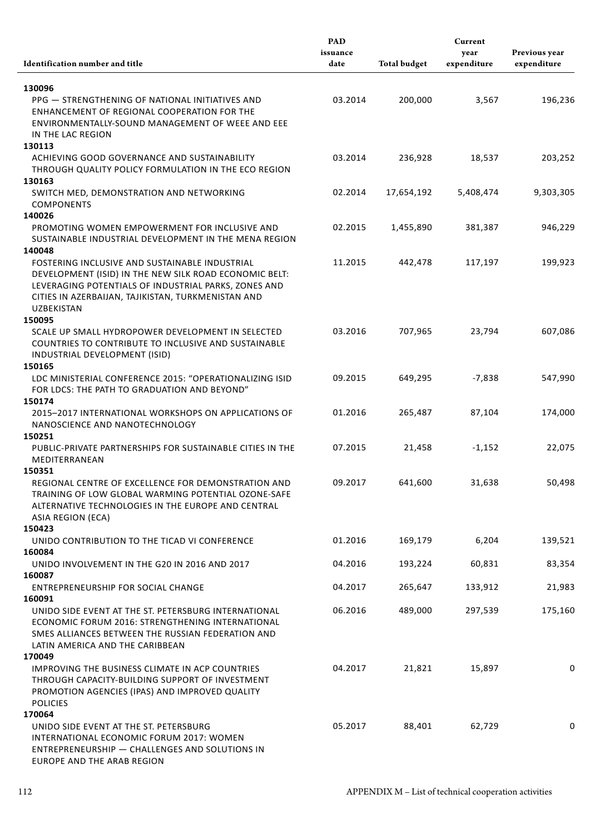|                                                                                                                                                                                                                                                       | <b>PAD</b>       |                     | Current             |                              |
|-------------------------------------------------------------------------------------------------------------------------------------------------------------------------------------------------------------------------------------------------------|------------------|---------------------|---------------------|------------------------------|
| Identification number and title                                                                                                                                                                                                                       | issuance<br>date | <b>Total budget</b> | year<br>expenditure | Previous year<br>expenditure |
| 130096                                                                                                                                                                                                                                                |                  |                     |                     |                              |
| PPG - STRENGTHENING OF NATIONAL INITIATIVES AND<br>ENHANCEMENT OF REGIONAL COOPERATION FOR THE<br>ENVIRONMENTALLY-SOUND MANAGEMENT OF WEEE AND EEE<br>IN THE LAC REGION                                                                               | 03.2014          | 200,000             | 3,567               | 196,236                      |
| 130113<br>ACHIEVING GOOD GOVERNANCE AND SUSTAINABILITY<br>THROUGH QUALITY POLICY FORMULATION IN THE ECO REGION<br>130163                                                                                                                              | 03.2014          | 236,928             | 18,537              | 203,252                      |
| SWITCH MED, DEMONSTRATION AND NETWORKING<br><b>COMPONENTS</b><br>140026                                                                                                                                                                               | 02.2014          | 17,654,192          | 5,408,474           | 9,303,305                    |
| PROMOTING WOMEN EMPOWERMENT FOR INCLUSIVE AND<br>SUSTAINABLE INDUSTRIAL DEVELOPMENT IN THE MENA REGION                                                                                                                                                | 02.2015          | 1,455,890           | 381,387             | 946,229                      |
| 140048<br>FOSTERING INCLUSIVE AND SUSTAINABLE INDUSTRIAL<br>DEVELOPMENT (ISID) IN THE NEW SILK ROAD ECONOMIC BELT:<br>LEVERAGING POTENTIALS OF INDUSTRIAL PARKS, ZONES AND<br>CITIES IN AZERBAIJAN, TAJIKISTAN, TURKMENISTAN AND<br><b>UZBEKISTAN</b> | 11.2015          | 442,478             | 117,197             | 199,923                      |
| 150095<br>SCALE UP SMALL HYDROPOWER DEVELOPMENT IN SELECTED<br>COUNTRIES TO CONTRIBUTE TO INCLUSIVE AND SUSTAINABLE<br>INDUSTRIAL DEVELOPMENT (ISID)                                                                                                  | 03.2016          | 707,965             | 23,794              | 607,086                      |
| 150165<br>LDC MINISTERIAL CONFERENCE 2015: "OPERATIONALIZING ISID<br>FOR LDCS: THE PATH TO GRADUATION AND BEYOND"                                                                                                                                     | 09.2015          | 649,295             | $-7,838$            | 547,990                      |
| 150174<br>2015-2017 INTERNATIONAL WORKSHOPS ON APPLICATIONS OF<br>NANOSCIENCE AND NANOTECHNOLOGY                                                                                                                                                      | 01.2016          | 265,487             | 87,104              | 174,000                      |
| 150251<br>PUBLIC-PRIVATE PARTNERSHIPS FOR SUSTAINABLE CITIES IN THE<br>MEDITERRANEAN                                                                                                                                                                  | 07.2015          | 21,458              | $-1,152$            | 22,075                       |
| 150351<br>REGIONAL CENTRE OF EXCELLENCE FOR DEMONSTRATION AND<br>TRAINING OF LOW GLOBAL WARMING POTENTIAL OZONE-SAFE<br>ALTERNATIVE TECHNOLOGIES IN THE EUROPE AND CENTRAL<br>ASIA REGION (ECA)                                                       | 09.2017          | 641,600             | 31,638              | 50,498                       |
| 150423<br>UNIDO CONTRIBUTION TO THE TICAD VI CONFERENCE<br>160084                                                                                                                                                                                     | 01.2016          | 169,179             | 6,204               | 139,521                      |
| UNIDO INVOLVEMENT IN THE G20 IN 2016 AND 2017<br>160087                                                                                                                                                                                               | 04.2016          | 193,224             | 60,831              | 83,354                       |
| ENTREPRENEURSHIP FOR SOCIAL CHANGE<br>160091                                                                                                                                                                                                          | 04.2017          | 265,647             | 133,912             | 21,983                       |
| UNIDO SIDE EVENT AT THE ST. PETERSBURG INTERNATIONAL<br>ECONOMIC FORUM 2016: STRENGTHENING INTERNATIONAL<br>SMES ALLIANCES BETWEEN THE RUSSIAN FEDERATION AND<br>LATIN AMERICA AND THE CARIBBEAN                                                      | 06.2016          | 489,000             | 297,539             | 175,160                      |
| 170049<br>IMPROVING THE BUSINESS CLIMATE IN ACP COUNTRIES<br>THROUGH CAPACITY-BUILDING SUPPORT OF INVESTMENT<br>PROMOTION AGENCIES (IPAS) AND IMPROVED QUALITY<br><b>POLICIES</b>                                                                     | 04.2017          | 21,821              | 15,897              | 0                            |
| 170064<br>UNIDO SIDE EVENT AT THE ST. PETERSBURG<br>INTERNATIONAL ECONOMIC FORUM 2017: WOMEN<br>ENTREPRENEURSHIP - CHALLENGES AND SOLUTIONS IN<br>EUROPE AND THE ARAB REGION                                                                          | 05.2017          | 88,401              | 62,729              | 0                            |

l.